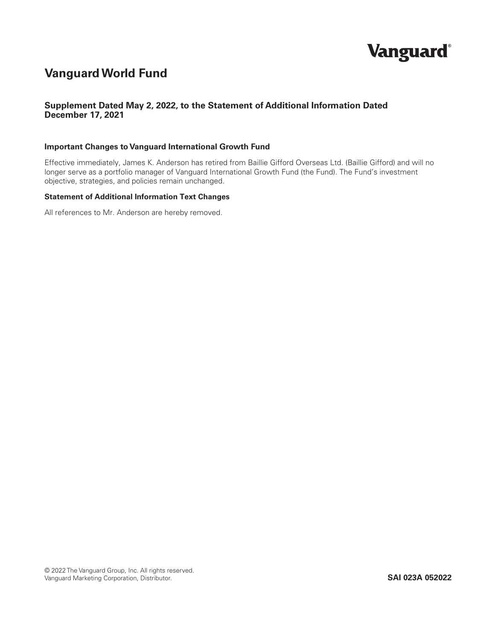

## **VanguardWorld Fund**

## **Supplement Dated May 2, 2022, to the Statement of Additional Information Dated December 17, 2021**

#### **Important Changes to Vanguard International Growth Fund**

Effective immediately, James K. Anderson has retired from Baillie Gifford Overseas Ltd. (Baillie Gifford) and will no longer serve as a portfolio manager of Vanguard International Growth Fund (the Fund). The Fund's investment objective, strategies, and policies remain unchanged.

#### **Statement of Additional Information Text Changes**

All references to Mr. Anderson are hereby removed.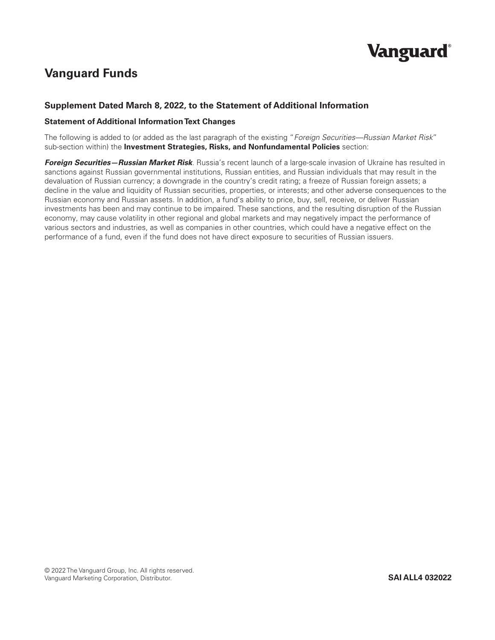# **Vanguard**®

# **Vanguard Funds**

## **Supplement Dated March 8, 2022, to the Statement of Additional Information**

#### **Statement of Additional Information Text Changes**

The following is added to (or added as the last paragraph of the existing "*Foreign Securities—Russian Market Risk*" sub-section within) the **Investment Strategies, Risks, and Nonfundamental Policies** section:

*Foreign Securities—Russian Market Risk*. Russia's recent launch of a large-scale invasion of Ukraine has resulted in sanctions against Russian governmental institutions, Russian entities, and Russian individuals that may result in the devaluation of Russian currency; a downgrade in the country's credit rating; a freeze of Russian foreign assets; a decline in the value and liquidity of Russian securities, properties, or interests; and other adverse consequences to the Russian economy and Russian assets. In addition, a fund's ability to price, buy, sell, receive, or deliver Russian investments has been and may continue to be impaired. These sanctions, and the resulting disruption of the Russian economy, may cause volatility in other regional and global markets and may negatively impact the performance of various sectors and industries, as well as companies in other countries, which could have a negative effect on the performance of a fund, even if the fund does not have direct exposure to securities of Russian issuers.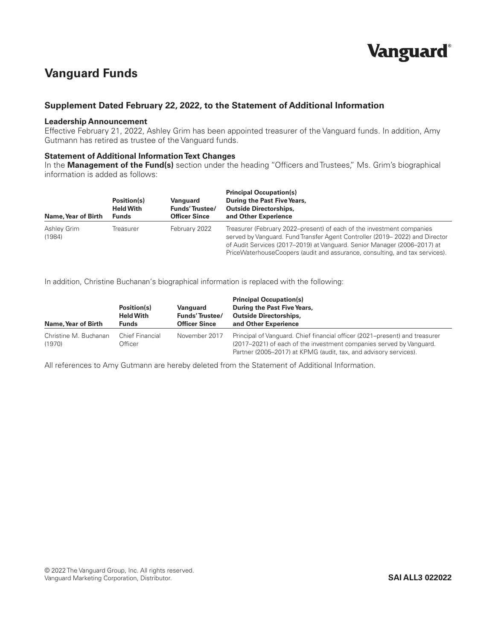# **Vanguard**®

## **Vanguard Funds**

## **Supplement Dated February 22, 2022, to the Statement of Additional Information**

#### **Leadership Announcement**

Effective February 21, 2022, Ashley Grim has been appointed treasurer of the Vanguard funds. In addition, Amy Gutmann has retired as trustee of the Vanguard funds.

### **Statement of Additional Information Text Changes**

In the **Management of the Fund(s)** section under the heading "Officers and Trustees," Ms. Grim's biographical information is added as follows:

| Name, Year of Birth   | Position(s)<br><b>Held With</b><br><b>Funds</b> | Vanguard<br><b>Funds'Trustee/</b><br><b>Officer Since</b> | <b>Principal Occupation(s)</b><br>During the Past Five Years,<br><b>Outside Directorships,</b><br>and Other Experience                                                                                                                                                                                          |
|-----------------------|-------------------------------------------------|-----------------------------------------------------------|-----------------------------------------------------------------------------------------------------------------------------------------------------------------------------------------------------------------------------------------------------------------------------------------------------------------|
| Ashley Grim<br>(1984) | Treasurer                                       | February 2022                                             | Treasurer (February 2022–present) of each of the investment companies<br>served by Vanguard. Fund Transfer Agent Controller (2019–2022) and Director<br>of Audit Services (2017–2019) at Vanguard. Senior Manager (2006–2017) at<br>PriceWaterhouseCoopers (audit and assurance, consulting, and tax services). |

In addition, Christine Buchanan's biographical information is replaced with the following:

| Name, Year of Birth             | Position(s)<br><b>Held With</b><br><b>Funds</b> | Vanguard<br><b>Funds'Trustee/</b><br><b>Officer Since</b> | <b>Principal Occupation(s)</b><br>During the Past Five Years,<br><b>Outside Directorships,</b><br>and Other Experience                                                                                                 |  |  |
|---------------------------------|-------------------------------------------------|-----------------------------------------------------------|------------------------------------------------------------------------------------------------------------------------------------------------------------------------------------------------------------------------|--|--|
| Christine M. Buchanan<br>(1970) | Chief Financial<br>Officer                      | November 2017                                             | Principal of Vanguard. Chief financial officer (2021–present) and treasurer<br>(2017–2021) of each of the investment companies served by Vanguard.<br>Partner (2005–2017) at KPMG (audit, tax, and advisory services). |  |  |

All references to Amy Gutmann are hereby deleted from the Statement of Additional Information.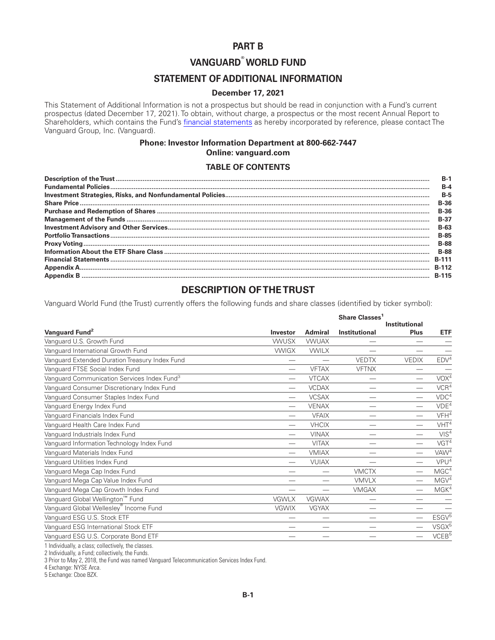## **PART B**

## **VANGUARD® WORLD FUND**

## **STATEMENT OF ADDITIONAL INFORMATION**

## **December 17, 2021**

This Statement of Additional Information is not a prospectus but should be read in conjunction with a Fund's current prospectus (dated December 17, 2021). To obtain, without charge, a prospectus or the most recent Annual Report to Shareholders, which contains the Fund's [financial statements](https://www.sec.gov/Archives/edgar/data/0000052848/000110465921132251/tm2128900d4_ncsr.htm) as hereby incorporated by reference, please contact The Vanguard Group, Inc. (Vanguard).

## **Phone: Investor Information Department at 800-662-7447 Online: vanguard.com**

#### **TABLE OF CONTENTS**

| $B-1$        |
|--------------|
| $R - 4$      |
| $B-5$        |
| <b>B-36</b>  |
| $B-36$       |
| <b>B-37</b>  |
| $B-63$       |
| <b>B-85</b>  |
| <b>B-88</b>  |
| <b>B-88</b>  |
| <b>B-111</b> |
| <b>B-112</b> |
| <b>B-115</b> |

## **DESCRIPTION OF THE TRUST**

Vanguard World Fund (the Trust) currently offers the following funds and share classes (identified by ticker symbol):

|                                                         |                          |                | Share Classes <sup>1</sup><br><b>Institutional</b> |                          |                    |
|---------------------------------------------------------|--------------------------|----------------|----------------------------------------------------|--------------------------|--------------------|
| Vanguard Fund <sup>2</sup>                              | Investor                 | <b>Admiral</b> | Institutional                                      | <b>Plus</b>              | <b>ETF</b>         |
| Vanguard U.S. Growth Fund                               | <b>VWUSX</b>             | <b>VWUAX</b>   |                                                    |                          |                    |
| Vanguard International Growth Fund                      | <b>VWIGX</b>             | <b>VWILX</b>   |                                                    |                          |                    |
| Vanguard Extended Duration Treasury Index Fund          | $\overline{\phantom{0}}$ |                | <b>VEDTX</b>                                       | <b>VEDIX</b>             | EDV <sup>4</sup>   |
| Vanguard FTSE Social Index Fund                         |                          | <b>VFTAX</b>   | <b>VFTNX</b>                                       |                          |                    |
| Vanguard Communication Services Index Fund <sup>3</sup> |                          | <b>VTCAX</b>   |                                                    | $\overline{\phantom{0}}$ | VOX <sup>4</sup>   |
| Vanguard Consumer Discretionary Index Fund              |                          | <b>VCDAX</b>   |                                                    |                          | VCR <sup>4</sup>   |
| Vanguard Consumer Staples Index Fund                    |                          | <b>VCSAX</b>   |                                                    |                          | VDC <sup>4</sup>   |
| Vanguard Energy Index Fund                              | $\overline{\phantom{0}}$ | <b>VENAX</b>   |                                                    | $\overline{\phantom{0}}$ | VDE <sup>4</sup>   |
| Vanguard Financials Index Fund                          | $\overline{\phantom{0}}$ | <b>VFAIX</b>   |                                                    |                          | VFH <sup>4</sup>   |
| Vanguard Health Care Index Fund                         | $\overline{\phantom{0}}$ | <b>VHCIX</b>   |                                                    | $\overline{\phantom{0}}$ | VHT <sup>4</sup>   |
| Vanguard Industrials Index Fund                         | $\overline{\phantom{0}}$ | <b>VINAX</b>   |                                                    |                          | VIS <sup>4</sup>   |
| Vanguard Information Technology Index Fund              | $\overline{\phantom{0}}$ | <b>VITAX</b>   |                                                    |                          | VGT <sup>4</sup>   |
| Vanguard Materials Index Fund                           |                          | <b>VMIAX</b>   |                                                    | $\overline{\phantom{0}}$ | VAW <sup>4</sup>   |
| Vanguard Utilities Index Fund                           | $\overline{\phantom{0}}$ | <b>VUIAX</b>   |                                                    | $\overline{\phantom{0}}$ | VPU <sup>4</sup>   |
| Vanguard Mega Cap Index Fund                            |                          |                | <b>VMCTX</b>                                       | $\overline{\phantom{0}}$ | MGC <sup>4</sup>   |
| Vanguard Mega Cap Value Index Fund                      | —                        |                | <b>VMVLX</b>                                       | $\overline{\phantom{0}}$ | MGV <sup>4</sup>   |
| Vanguard Mega Cap Growth Index Fund                     |                          |                | <b>VMGAX</b>                                       | $\overline{\phantom{0}}$ | M G K <sup>4</sup> |
| Vanguard Global Wellington™ Fund                        | <b>VGWLX</b>             | <b>VGWAX</b>   |                                                    |                          |                    |
| Vanguard Global Wellesley <sup>®</sup> Income Fund      | <b>VGWIX</b>             | <b>VGYAX</b>   |                                                    |                          |                    |
| Vanguard ESG U.S. Stock ETF                             |                          |                |                                                    | $\overline{\phantom{0}}$ | ESGV <sup>5</sup>  |
| Vanguard ESG International Stock ETF                    |                          |                |                                                    | $\overline{\phantom{0}}$ | VSGX <sup>5</sup>  |
| Vanguard ESG U.S. Corporate Bond ETF                    |                          |                |                                                    |                          | VCEB <sup>5</sup>  |

1 Individually, a class; collectively, the classes.

2 Individually, a Fund; collectively, the Funds.

3 Prior to May 2, 2018, the Fund was named Vanguard Telecommunication Services Index Fund.

4 Exchange: NYSE Arca.

5 Exchange: Cboe BZX.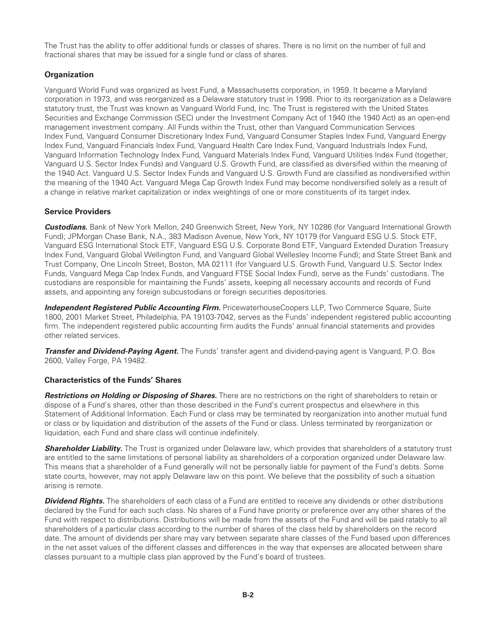<span id="page-4-0"></span>The Trust has the ability to offer additional funds or classes of shares. There is no limit on the number of full and fractional shares that may be issued for a single fund or class of shares.

## **Organization**

Vanguard World Fund was organized as Ivest Fund, a Massachusetts corporation, in 1959. It became a Maryland corporation in 1973, and was reorganized as a Delaware statutory trust in 1998. Prior to its reorganization as a Delaware statutory trust, the Trust was known as Vanguard World Fund, Inc. The Trust is registered with the United States Securities and Exchange Commission (SEC) under the Investment Company Act of 1940 (the 1940 Act) as an open-end management investment company. All Funds within the Trust, other than Vanguard Communication Services Index Fund, Vanguard Consumer Discretionary Index Fund, Vanguard Consumer Staples Index Fund, Vanguard Energy Index Fund, Vanguard Financials Index Fund, Vanguard Health Care Index Fund, Vanguard Industrials Index Fund, Vanguard Information Technology Index Fund, Vanguard Materials Index Fund, Vanguard Utilities Index Fund (together, Vanguard U.S. Sector Index Funds) and Vanguard U.S. Growth Fund, are classified as diversified within the meaning of the 1940 Act. Vanguard U.S. Sector Index Funds and Vanguard U.S. Growth Fund are classified as nondiversified within the meaning of the 1940 Act. Vanguard Mega Cap Growth Index Fund may become nondiversified solely as a result of a change in relative market capitalization or index weightings of one or more constituents of its target index.

### **Service Providers**

*Custodians.* Bank of New York Mellon, 240 Greenwich Street, New York, NY 10286 (for Vanguard International Growth Fund); JPMorgan Chase Bank, N.A., 383 Madison Avenue, New York, NY 10179 (for Vanguard ESG U.S. Stock ETF, Vanguard ESG International Stock ETF, Vanguard ESG U.S. Corporate Bond ETF, Vanguard Extended Duration Treasury Index Fund, Vanguard Global Wellington Fund, and Vanguard Global Wellesley Income Fund); and State Street Bank and Trust Company, One Lincoln Street, Boston, MA 02111 (for Vanguard U.S. Growth Fund, Vanguard U.S. Sector Index Funds, Vanguard Mega Cap Index Funds, and Vanguard FTSE Social Index Fund), serve as the Funds' custodians. The custodians are responsible for maintaining the Funds' assets, keeping all necessary accounts and records of Fund assets, and appointing any foreign subcustodians or foreign securities depositories.

*Independent Registered Public Accounting Firm.* PricewaterhouseCoopers LLP, Two Commerce Square, Suite 1800, 2001 Market Street, Philadelphia, PA 19103-7042, serves as the Funds' independent registered public accounting firm. The independent registered public accounting firm audits the Funds' annual financial statements and provides other related services.

*Transfer and Dividend-Paying Agent.* The Funds' transfer agent and dividend-paying agent is Vanguard, P.O. Box 2600, Valley Forge, PA 19482.

#### **Characteristics of the Funds' Shares**

*Restrictions on Holding or Disposing of Shares.* There are no restrictions on the right of shareholders to retain or dispose of a Fund's shares, other than those described in the Fund's current prospectus and elsewhere in this Statement of Additional Information. Each Fund or class may be terminated by reorganization into another mutual fund or class or by liquidation and distribution of the assets of the Fund or class. Unless terminated by reorganization or liquidation, each Fund and share class will continue indefinitely.

**Shareholder Liability.** The Trust is organized under Delaware law, which provides that shareholders of a statutory trust are entitled to the same limitations of personal liability as shareholders of a corporation organized under Delaware law. This means that a shareholder of a Fund generally will not be personally liable for payment of the Fund's debts. Some state courts, however, may not apply Delaware law on this point. We believe that the possibility of such a situation arising is remote.

**Dividend Rights.** The shareholders of each class of a Fund are entitled to receive any dividends or other distributions declared by the Fund for each such class. No shares of a Fund have priority or preference over any other shares of the Fund with respect to distributions. Distributions will be made from the assets of the Fund and will be paid ratably to all shareholders of a particular class according to the number of shares of the class held by shareholders on the record date. The amount of dividends per share may vary between separate share classes of the Fund based upon differences in the net asset values of the different classes and differences in the way that expenses are allocated between share classes pursuant to a multiple class plan approved by the Fund's board of trustees.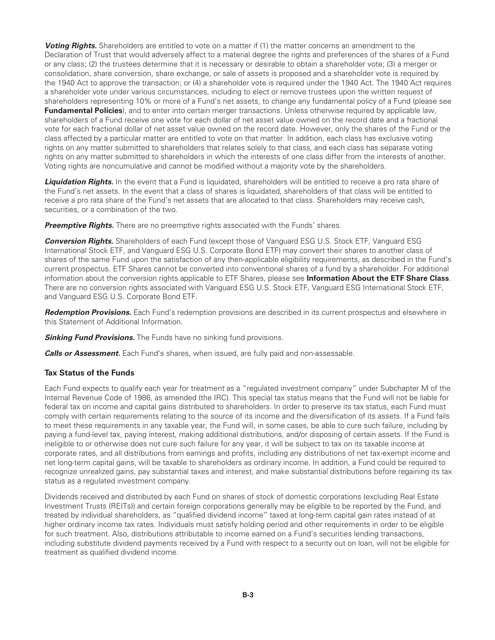**Voting Rights.** Shareholders are entitled to vote on a matter if (1) the matter concerns an amendment to the Declaration of Trust that would adversely affect to a material degree the rights and preferences of the shares of a Fund or any class; (2) the trustees determine that it is necessary or desirable to obtain a shareholder vote; (3) a merger or consolidation, share conversion, share exchange, or sale of assets is proposed and a shareholder vote is required by the 1940 Act to approve the transaction; or (4) a shareholder vote is required under the 1940 Act. The 1940 Act requires a shareholder vote under various circumstances, including to elect or remove trustees upon the written request of shareholders representing 10% or more of a Fund's net assets, to change any fundamental policy of a Fund (please see **Fundamental Policies**), and to enter into certain merger transactions. Unless otherwise required by applicable law, shareholders of a Fund receive one vote for each dollar of net asset value owned on the record date and a fractional vote for each fractional dollar of net asset value owned on the record date. However, only the shares of the Fund or the class affected by a particular matter are entitled to vote on that matter. In addition, each class has exclusive voting rights on any matter submitted to shareholders that relates solely to that class, and each class has separate voting rights on any matter submitted to shareholders in which the interests of one class differ from the interests of another. Voting rights are noncumulative and cannot be modified without a majority vote by the shareholders.

**Liquidation Rights.** In the event that a Fund is liquidated, shareholders will be entitled to receive a pro rata share of the Fund's net assets. In the event that a class of shares is liquidated, shareholders of that class will be entitled to receive a pro rata share of the Fund's net assets that are allocated to that class. Shareholders may receive cash, securities, or a combination of the two.

**Preemptive Rights.** There are no preemptive rights associated with the Funds' shares.

*Conversion Rights.* Shareholders of each Fund (except those of Vanguard ESG U.S. Stock ETF, Vanguard ESG International Stock ETF, and Vanguard ESG U.S. Corporate Bond ETF) may convert their shares to another class of shares of the same Fund upon the satisfaction of any then-applicable eligibility requirements, as described in the Fund's current prospectus. ETF Shares cannot be converted into conventional shares of a fund by a shareholder. For additional information about the conversion rights applicable to ETF Shares, please see **Information About the ETF Share Class**. There are no conversion rights associated with Vanguard ESG U.S. Stock ETF, Vanguard ESG International Stock ETF, and Vanguard ESG U.S. Corporate Bond ETF.

*Redemption Provisions.* Each Fund's redemption provisions are described in its current prospectus and elsewhere in this Statement of Additional Information.

**Sinking Fund Provisions.** The Funds have no sinking fund provisions.

*Calls or Assessment.* Each Fund's shares, when issued, are fully paid and non-assessable.

#### **Tax Status of the Funds**

Each Fund expects to qualify each year for treatment as a "regulated investment company" under Subchapter M of the Internal Revenue Code of 1986, as amended (the IRC). This special tax status means that the Fund will not be liable for federal tax on income and capital gains distributed to shareholders. In order to preserve its tax status, each Fund must comply with certain requirements relating to the source of its income and the diversification of its assets. If a Fund fails to meet these requirements in any taxable year, the Fund will, in some cases, be able to cure such failure, including by paying a fund-level tax, paying interest, making additional distributions, and/or disposing of certain assets. If the Fund is ineligible to or otherwise does not cure such failure for any year, it will be subject to tax on its taxable income at corporate rates, and all distributions from earnings and profits, including any distributions of net tax-exempt income and net long-term capital gains, will be taxable to shareholders as ordinary income. In addition, a Fund could be required to recognize unrealized gains, pay substantial taxes and interest, and make substantial distributions before regaining its tax status as a regulated investment company.

Dividends received and distributed by each Fund on shares of stock of domestic corporations (excluding Real Estate Investment Trusts (REITs)) and certain foreign corporations generally may be eligible to be reported by the Fund, and treated by individual shareholders, as "qualified dividend income" taxed at long-term capital gain rates instead of at higher ordinary income tax rates. Individuals must satisfy holding period and other requirements in order to be eligible for such treatment. Also, distributions attributable to income earned on a Fund's securities lending transactions, including substitute dividend payments received by a Fund with respect to a security out on loan, will not be eligible for treatment as qualified dividend income.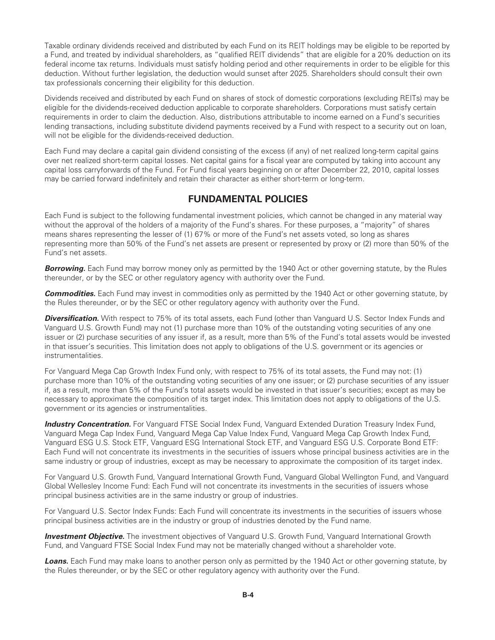<span id="page-6-0"></span>Taxable ordinary dividends received and distributed by each Fund on its REIT holdings may be eligible to be reported by a Fund, and treated by individual shareholders, as "qualified REIT dividends" that are eligible for a 20% deduction on its federal income tax returns. Individuals must satisfy holding period and other requirements in order to be eligible for this deduction. Without further legislation, the deduction would sunset after 2025. Shareholders should consult their own tax professionals concerning their eligibility for this deduction.

Dividends received and distributed by each Fund on shares of stock of domestic corporations (excluding REITs) may be eligible for the dividends-received deduction applicable to corporate shareholders. Corporations must satisfy certain requirements in order to claim the deduction. Also, distributions attributable to income earned on a Fund's securities lending transactions, including substitute dividend payments received by a Fund with respect to a security out on loan, will not be eligible for the dividends-received deduction.

Each Fund may declare a capital gain dividend consisting of the excess (if any) of net realized long-term capital gains over net realized short-term capital losses. Net capital gains for a fiscal year are computed by taking into account any capital loss carryforwards of the Fund. For Fund fiscal years beginning on or after December 22, 2010, capital losses may be carried forward indefinitely and retain their character as either short-term or long-term.

## **FUNDAMENTAL POLICIES**

Each Fund is subject to the following fundamental investment policies, which cannot be changed in any material way without the approval of the holders of a majority of the Fund's shares. For these purposes, a "majority" of shares means shares representing the lesser of (1) 67% or more of the Fund's net assets voted, so long as shares representing more than 50% of the Fund's net assets are present or represented by proxy or (2) more than 50% of the Fund's net assets.

*Borrowing.* Each Fund may borrow money only as permitted by the 1940 Act or other governing statute, by the Rules thereunder, or by the SEC or other regulatory agency with authority over the Fund.

*Commodities.* Each Fund may invest in commodities only as permitted by the 1940 Act or other governing statute, by the Rules thereunder, or by the SEC or other regulatory agency with authority over the Fund.

**Diversification.** With respect to 75% of its total assets, each Fund (other than Vanguard U.S. Sector Index Funds and Vanguard U.S. Growth Fund) may not (1) purchase more than 10% of the outstanding voting securities of any one issuer or (2) purchase securities of any issuer if, as a result, more than 5% of the Fund's total assets would be invested in that issuer's securities. This limitation does not apply to obligations of the U.S. government or its agencies or instrumentalities.

For Vanguard Mega Cap Growth Index Fund only, with respect to 75% of its total assets, the Fund may not: (1) purchase more than 10% of the outstanding voting securities of any one issuer; or (2) purchase securities of any issuer if, as a result, more than 5% of the Fund's total assets would be invested in that issuer's securities; except as may be necessary to approximate the composition of its target index. This limitation does not apply to obligations of the U.S. government or its agencies or instrumentalities.

**Industry Concentration.** For Vanguard FTSE Social Index Fund, Vanguard Extended Duration Treasury Index Fund, Vanguard Mega Cap Index Fund, Vanguard Mega Cap Value Index Fund, Vanguard Mega Cap Growth Index Fund, Vanguard ESG U.S. Stock ETF, Vanguard ESG International Stock ETF, and Vanguard ESG U.S. Corporate Bond ETF: Each Fund will not concentrate its investments in the securities of issuers whose principal business activities are in the same industry or group of industries, except as may be necessary to approximate the composition of its target index.

For Vanguard U.S. Growth Fund, Vanguard International Growth Fund, Vanguard Global Wellington Fund, and Vanguard Global Wellesley Income Fund: Each Fund will not concentrate its investments in the securities of issuers whose principal business activities are in the same industry or group of industries.

For Vanguard U.S. Sector Index Funds: Each Fund will concentrate its investments in the securities of issuers whose principal business activities are in the industry or group of industries denoted by the Fund name.

*Investment Objective.* The investment objectives of Vanguard U.S. Growth Fund, Vanguard International Growth Fund, and Vanguard FTSE Social Index Fund may not be materially changed without a shareholder vote.

*Loans.* Each Fund may make loans to another person only as permitted by the 1940 Act or other governing statute, by the Rules thereunder, or by the SEC or other regulatory agency with authority over the Fund.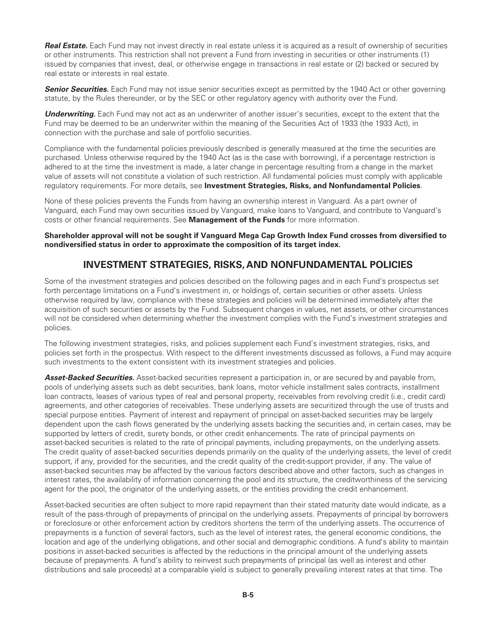<span id="page-7-0"></span>**Real Estate.** Each Fund may not invest directly in real estate unless it is acquired as a result of ownership of securities or other instruments. This restriction shall not prevent a Fund from investing in securities or other instruments (1) issued by companies that invest, deal, or otherwise engage in transactions in real estate or (2) backed or secured by real estate or interests in real estate.

**Senior Securities.** Each Fund may not issue senior securities except as permitted by the 1940 Act or other governing statute, by the Rules thereunder, or by the SEC or other regulatory agency with authority over the Fund.

**Underwriting.** Each Fund may not act as an underwriter of another issuer's securities, except to the extent that the Fund may be deemed to be an underwriter within the meaning of the Securities Act of 1933 (the 1933 Act), in connection with the purchase and sale of portfolio securities.

Compliance with the fundamental policies previously described is generally measured at the time the securities are purchased. Unless otherwise required by the 1940 Act (as is the case with borrowing), if a percentage restriction is adhered to at the time the investment is made, a later change in percentage resulting from a change in the market value of assets will not constitute a violation of such restriction. All fundamental policies must comply with applicable regulatory requirements. For more details, see **Investment Strategies, Risks, and Nonfundamental Policies**.

None of these policies prevents the Funds from having an ownership interest in Vanguard. As a part owner of Vanguard, each Fund may own securities issued by Vanguard, make loans to Vanguard, and contribute to Vanguard's costs or other financial requirements. See **Management of the Funds** for more information.

**Shareholder approval will not be sought if Vanguard Mega Cap Growth Index Fund crosses from diversified to nondiversified status in order to approximate the composition of its target index.**

## **INVESTMENT STRATEGIES, RISKS, AND NONFUNDAMENTAL POLICIES**

Some of the investment strategies and policies described on the following pages and in each Fund's prospectus set forth percentage limitations on a Fund's investment in, or holdings of, certain securities or other assets. Unless otherwise required by law, compliance with these strategies and policies will be determined immediately after the acquisition of such securities or assets by the Fund. Subsequent changes in values, net assets, or other circumstances will not be considered when determining whether the investment complies with the Fund's investment strategies and policies.

The following investment strategies, risks, and policies supplement each Fund's investment strategies, risks, and policies set forth in the prospectus. With respect to the different investments discussed as follows, a Fund may acquire such investments to the extent consistent with its investment strategies and policies.

*Asset-Backed Securities.* Asset-backed securities represent a participation in, or are secured by and payable from, pools of underlying assets such as debt securities, bank loans, motor vehicle installment sales contracts, installment loan contracts, leases of various types of real and personal property, receivables from revolving credit (i.e., credit card) agreements, and other categories of receivables. These underlying assets are securitized through the use of trusts and special purpose entities. Payment of interest and repayment of principal on asset-backed securities may be largely dependent upon the cash flows generated by the underlying assets backing the securities and, in certain cases, may be supported by letters of credit, surety bonds, or other credit enhancements. The rate of principal payments on asset-backed securities is related to the rate of principal payments, including prepayments, on the underlying assets. The credit quality of asset-backed securities depends primarily on the quality of the underlying assets, the level of credit support, if any, provided for the securities, and the credit quality of the credit-support provider, if any. The value of asset-backed securities may be affected by the various factors described above and other factors, such as changes in interest rates, the availability of information concerning the pool and its structure, the creditworthiness of the servicing agent for the pool, the originator of the underlying assets, or the entities providing the credit enhancement.

Asset-backed securities are often subject to more rapid repayment than their stated maturity date would indicate, as a result of the pass-through of prepayments of principal on the underlying assets. Prepayments of principal by borrowers or foreclosure or other enforcement action by creditors shortens the term of the underlying assets. The occurrence of prepayments is a function of several factors, such as the level of interest rates, the general economic conditions, the location and age of the underlying obligations, and other social and demographic conditions. A fund's ability to maintain positions in asset-backed securities is affected by the reductions in the principal amount of the underlying assets because of prepayments. A fund's ability to reinvest such prepayments of principal (as well as interest and other distributions and sale proceeds) at a comparable yield is subject to generally prevailing interest rates at that time. The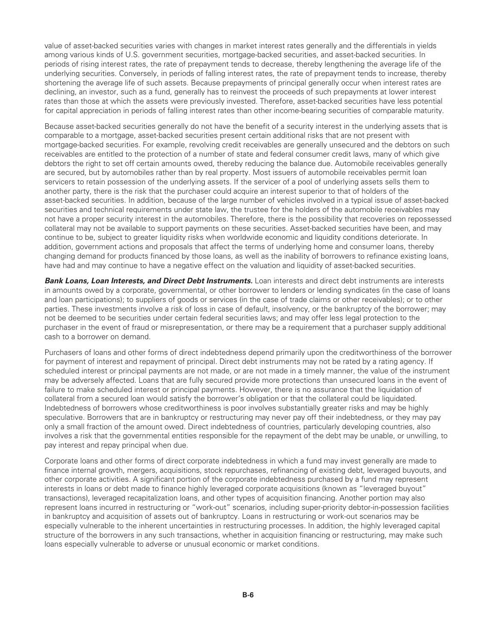value of asset-backed securities varies with changes in market interest rates generally and the differentials in yields among various kinds of U.S. government securities, mortgage-backed securities, and asset-backed securities. In periods of rising interest rates, the rate of prepayment tends to decrease, thereby lengthening the average life of the underlying securities. Conversely, in periods of falling interest rates, the rate of prepayment tends to increase, thereby shortening the average life of such assets. Because prepayments of principal generally occur when interest rates are declining, an investor, such as a fund, generally has to reinvest the proceeds of such prepayments at lower interest rates than those at which the assets were previously invested. Therefore, asset-backed securities have less potential for capital appreciation in periods of falling interest rates than other income-bearing securities of comparable maturity.

Because asset-backed securities generally do not have the benefit of a security interest in the underlying assets that is comparable to a mortgage, asset-backed securities present certain additional risks that are not present with mortgage-backed securities. For example, revolving credit receivables are generally unsecured and the debtors on such receivables are entitled to the protection of a number of state and federal consumer credit laws, many of which give debtors the right to set off certain amounts owed, thereby reducing the balance due. Automobile receivables generally are secured, but by automobiles rather than by real property. Most issuers of automobile receivables permit loan servicers to retain possession of the underlying assets. If the servicer of a pool of underlying assets sells them to another party, there is the risk that the purchaser could acquire an interest superior to that of holders of the asset-backed securities. In addition, because of the large number of vehicles involved in a typical issue of asset-backed securities and technical requirements under state law, the trustee for the holders of the automobile receivables may not have a proper security interest in the automobiles. Therefore, there is the possibility that recoveries on repossessed collateral may not be available to support payments on these securities. Asset-backed securities have been, and may continue to be, subject to greater liquidity risks when worldwide economic and liquidity conditions deteriorate. In addition, government actions and proposals that affect the terms of underlying home and consumer loans, thereby changing demand for products financed by those loans, as well as the inability of borrowers to refinance existing loans, have had and may continue to have a negative effect on the valuation and liquidity of asset-backed securities.

*Bank Loans, Loan Interests, and Direct Debt Instruments.* Loan interests and direct debt instruments are interests in amounts owed by a corporate, governmental, or other borrower to lenders or lending syndicates (in the case of loans and loan participations); to suppliers of goods or services (in the case of trade claims or other receivables); or to other parties. These investments involve a risk of loss in case of default, insolvency, or the bankruptcy of the borrower; may not be deemed to be securities under certain federal securities laws; and may offer less legal protection to the purchaser in the event of fraud or misrepresentation, or there may be a requirement that a purchaser supply additional cash to a borrower on demand.

Purchasers of loans and other forms of direct indebtedness depend primarily upon the creditworthiness of the borrower for payment of interest and repayment of principal. Direct debt instruments may not be rated by a rating agency. If scheduled interest or principal payments are not made, or are not made in a timely manner, the value of the instrument may be adversely affected. Loans that are fully secured provide more protections than unsecured loans in the event of failure to make scheduled interest or principal payments. However, there is no assurance that the liquidation of collateral from a secured loan would satisfy the borrower's obligation or that the collateral could be liquidated. Indebtedness of borrowers whose creditworthiness is poor involves substantially greater risks and may be highly speculative. Borrowers that are in bankruptcy or restructuring may never pay off their indebtedness, or they may pay only a small fraction of the amount owed. Direct indebtedness of countries, particularly developing countries, also involves a risk that the governmental entities responsible for the repayment of the debt may be unable, or unwilling, to pay interest and repay principal when due.

Corporate loans and other forms of direct corporate indebtedness in which a fund may invest generally are made to finance internal growth, mergers, acquisitions, stock repurchases, refinancing of existing debt, leveraged buyouts, and other corporate activities. A significant portion of the corporate indebtedness purchased by a fund may represent interests in loans or debt made to finance highly leveraged corporate acquisitions (known as "leveraged buyout" transactions), leveraged recapitalization loans, and other types of acquisition financing. Another portion may also represent loans incurred in restructuring or "work-out" scenarios, including super-priority debtor-in-possession facilities in bankruptcy and acquisition of assets out of bankruptcy. Loans in restructuring or work-out scenarios may be especially vulnerable to the inherent uncertainties in restructuring processes. In addition, the highly leveraged capital structure of the borrowers in any such transactions, whether in acquisition financing or restructuring, may make such loans especially vulnerable to adverse or unusual economic or market conditions.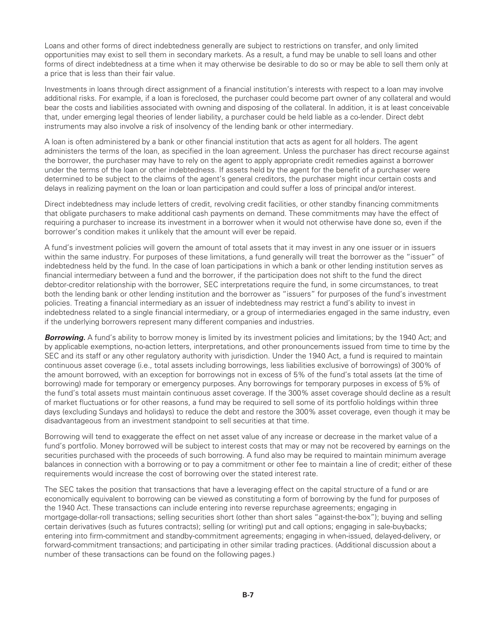Loans and other forms of direct indebtedness generally are subject to restrictions on transfer, and only limited opportunities may exist to sell them in secondary markets. As a result, a fund may be unable to sell loans and other forms of direct indebtedness at a time when it may otherwise be desirable to do so or may be able to sell them only at a price that is less than their fair value.

Investments in loans through direct assignment of a financial institution's interests with respect to a loan may involve additional risks. For example, if a loan is foreclosed, the purchaser could become part owner of any collateral and would bear the costs and liabilities associated with owning and disposing of the collateral. In addition, it is at least conceivable that, under emerging legal theories of lender liability, a purchaser could be held liable as a co-lender. Direct debt instruments may also involve a risk of insolvency of the lending bank or other intermediary.

A loan is often administered by a bank or other financial institution that acts as agent for all holders. The agent administers the terms of the loan, as specified in the loan agreement. Unless the purchaser has direct recourse against the borrower, the purchaser may have to rely on the agent to apply appropriate credit remedies against a borrower under the terms of the loan or other indebtedness. If assets held by the agent for the benefit of a purchaser were determined to be subject to the claims of the agent's general creditors, the purchaser might incur certain costs and delays in realizing payment on the loan or loan participation and could suffer a loss of principal and/or interest.

Direct indebtedness may include letters of credit, revolving credit facilities, or other standby financing commitments that obligate purchasers to make additional cash payments on demand. These commitments may have the effect of requiring a purchaser to increase its investment in a borrower when it would not otherwise have done so, even if the borrower's condition makes it unlikely that the amount will ever be repaid.

A fund's investment policies will govern the amount of total assets that it may invest in any one issuer or in issuers within the same industry. For purposes of these limitations, a fund generally will treat the borrower as the "issuer" of indebtedness held by the fund. In the case of loan participations in which a bank or other lending institution serves as financial intermediary between a fund and the borrower, if the participation does not shift to the fund the direct debtor-creditor relationship with the borrower, SEC interpretations require the fund, in some circumstances, to treat both the lending bank or other lending institution and the borrower as "issuers" for purposes of the fund's investment policies. Treating a financial intermediary as an issuer of indebtedness may restrict a fund's ability to invest in indebtedness related to a single financial intermediary, or a group of intermediaries engaged in the same industry, even if the underlying borrowers represent many different companies and industries.

*Borrowing.* A fund's ability to borrow money is limited by its investment policies and limitations; by the 1940 Act; and by applicable exemptions, no-action letters, interpretations, and other pronouncements issued from time to time by the SEC and its staff or any other regulatory authority with jurisdiction. Under the 1940 Act, a fund is required to maintain continuous asset coverage (i.e., total assets including borrowings, less liabilities exclusive of borrowings) of 300% of the amount borrowed, with an exception for borrowings not in excess of 5% of the fund's total assets (at the time of borrowing) made for temporary or emergency purposes. Any borrowings for temporary purposes in excess of 5% of the fund's total assets must maintain continuous asset coverage. If the 300% asset coverage should decline as a result of market fluctuations or for other reasons, a fund may be required to sell some of its portfolio holdings within three days (excluding Sundays and holidays) to reduce the debt and restore the 300% asset coverage, even though it may be disadvantageous from an investment standpoint to sell securities at that time.

Borrowing will tend to exaggerate the effect on net asset value of any increase or decrease in the market value of a fund's portfolio. Money borrowed will be subject to interest costs that may or may not be recovered by earnings on the securities purchased with the proceeds of such borrowing. A fund also may be required to maintain minimum average balances in connection with a borrowing or to pay a commitment or other fee to maintain a line of credit; either of these requirements would increase the cost of borrowing over the stated interest rate.

The SEC takes the position that transactions that have a leveraging effect on the capital structure of a fund or are economically equivalent to borrowing can be viewed as constituting a form of borrowing by the fund for purposes of the 1940 Act. These transactions can include entering into reverse repurchase agreements; engaging in mortgage-dollar-roll transactions; selling securities short (other than short sales "against-the-box"); buying and selling certain derivatives (such as futures contracts); selling (or writing) put and call options; engaging in sale-buybacks; entering into firm-commitment and standby-commitment agreements; engaging in when-issued, delayed-delivery, or forward-commitment transactions; and participating in other similar trading practices. (Additional discussion about a number of these transactions can be found on the following pages.)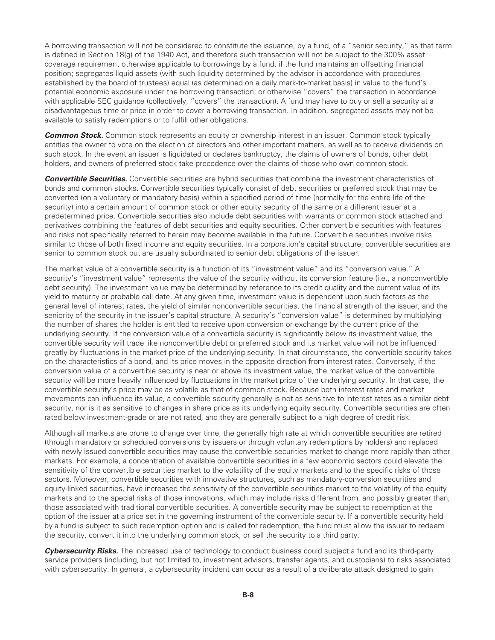A borrowing transaction will not be considered to constitute the issuance, by a fund, of a "senior security," as that term is defined in Section 18(g) of the 1940 Act, and therefore such transaction will not be subject to the 300% asset coverage requirement otherwise applicable to borrowings by a fund, if the fund maintains an offsetting financial position; segregates liquid assets (with such liquidity determined by the advisor in accordance with procedures established by the board of trustees) equal (as determined on a daily mark-to-market basis) in value to the fund's potential economic exposure under the borrowing transaction; or otherwise "covers" the transaction in accordance with applicable SEC guidance (collectively, "covers" the transaction). A fund may have to buy or sell a security at a disadvantageous time or price in order to cover a borrowing transaction. In addition, segregated assets may not be available to satisfy redemptions or to fulfill other obligations.

**Common Stock.** Common stock represents an equity or ownership interest in an issuer. Common stock typically entitles the owner to vote on the election of directors and other important matters, as well as to receive dividends on such stock. In the event an issuer is liquidated or declares bankruptcy, the claims of owners of bonds, other debt holders, and owners of preferred stock take precedence over the claims of those who own common stock.

*Convertible Securities.* Convertible securities are hybrid securities that combine the investment characteristics of bonds and common stocks. Convertible securities typically consist of debt securities or preferred stock that may be converted (on a voluntary or mandatory basis) within a specified period of time (normally for the entire life of the security) into a certain amount of common stock or other equity security of the same or a different issuer at a predetermined price. Convertible securities also include debt securities with warrants or common stock attached and derivatives combining the features of debt securities and equity securities. Other convertible securities with features and risks not specifically referred to herein may become available in the future. Convertible securities involve risks similar to those of both fixed income and equity securities. In a corporation's capital structure, convertible securities are senior to common stock but are usually subordinated to senior debt obligations of the issuer.

The market value of a convertible security is a function of its "investment value" and its "conversion value." A security's "investment value" represents the value of the security without its conversion feature (i.e., a nonconvertible debt security). The investment value may be determined by reference to its credit quality and the current value of its yield to maturity or probable call date. At any given time, investment value is dependent upon such factors as the general level of interest rates, the yield of similar nonconvertible securities, the financial strength of the issuer, and the seniority of the security in the issuer's capital structure. A security's "conversion value" is determined by multiplying the number of shares the holder is entitled to receive upon conversion or exchange by the current price of the underlying security. If the conversion value of a convertible security is significantly below its investment value, the convertible security will trade like nonconvertible debt or preferred stock and its market value will not be influenced greatly by fluctuations in the market price of the underlying security. In that circumstance, the convertible security takes on the characteristics of a bond, and its price moves in the opposite direction from interest rates. Conversely, if the conversion value of a convertible security is near or above its investment value, the market value of the convertible security will be more heavily influenced by fluctuations in the market price of the underlying security. In that case, the convertible security's price may be as volatile as that of common stock. Because both interest rates and market movements can influence its value, a convertible security generally is not as sensitive to interest rates as a similar debt security, nor is it as sensitive to changes in share price as its underlying equity security. Convertible securities are often rated below investment-grade or are not rated, and they are generally subject to a high degree of credit risk.

Although all markets are prone to change over time, the generally high rate at which convertible securities are retired (through mandatory or scheduled conversions by issuers or through voluntary redemptions by holders) and replaced with newly issued convertible securities may cause the convertible securities market to change more rapidly than other markets. For example, a concentration of available convertible securities in a few economic sectors could elevate the sensitivity of the convertible securities market to the volatility of the equity markets and to the specific risks of those sectors. Moreover, convertible securities with innovative structures, such as mandatory-conversion securities and equity-linked securities, have increased the sensitivity of the convertible securities market to the volatility of the equity markets and to the special risks of those innovations, which may include risks different from, and possibly greater than, those associated with traditional convertible securities. A convertible security may be subject to redemption at the option of the issuer at a price set in the governing instrument of the convertible security. If a convertible security held by a fund is subject to such redemption option and is called for redemption, the fund must allow the issuer to redeem the security, convert it into the underlying common stock, or sell the security to a third party.

*Cybersecurity Risks.* The increased use of technology to conduct business could subject a fund and its third-party service providers (including, but not limited to, investment advisors, transfer agents, and custodians) to risks associated with cybersecurity. In general, a cybersecurity incident can occur as a result of a deliberate attack designed to gain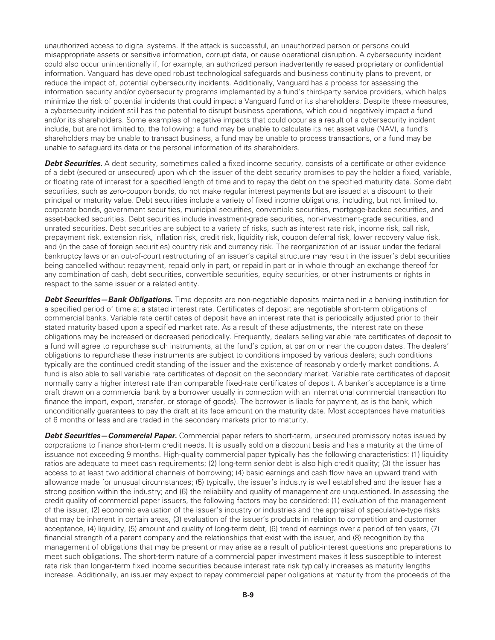unauthorized access to digital systems. If the attack is successful, an unauthorized person or persons could misappropriate assets or sensitive information, corrupt data, or cause operational disruption. A cybersecurity incident could also occur unintentionally if, for example, an authorized person inadvertently released proprietary or confidential information. Vanguard has developed robust technological safeguards and business continuity plans to prevent, or reduce the impact of, potential cybersecurity incidents. Additionally, Vanguard has a process for assessing the information security and/or cybersecurity programs implemented by a fund's third-party service providers, which helps minimize the risk of potential incidents that could impact a Vanguard fund or its shareholders. Despite these measures, a cybersecurity incident still has the potential to disrupt business operations, which could negatively impact a fund and/or its shareholders. Some examples of negative impacts that could occur as a result of a cybersecurity incident include, but are not limited to, the following: a fund may be unable to calculate its net asset value (NAV), a fund's shareholders may be unable to transact business, a fund may be unable to process transactions, or a fund may be unable to safeguard its data or the personal information of its shareholders.

**Debt Securities.** A debt security, sometimes called a fixed income security, consists of a certificate or other evidence of a debt (secured or unsecured) upon which the issuer of the debt security promises to pay the holder a fixed, variable, or floating rate of interest for a specified length of time and to repay the debt on the specified maturity date. Some debt securities, such as zero-coupon bonds, do not make regular interest payments but are issued at a discount to their principal or maturity value. Debt securities include a variety of fixed income obligations, including, but not limited to, corporate bonds, government securities, municipal securities, convertible securities, mortgage-backed securities, and asset-backed securities. Debt securities include investment-grade securities, non-investment-grade securities, and unrated securities. Debt securities are subject to a variety of risks, such as interest rate risk, income risk, call risk, prepayment risk, extension risk, inflation risk, credit risk, liquidity risk, coupon deferral risk, lower recovery value risk, and (in the case of foreign securities) country risk and currency risk. The reorganization of an issuer under the federal bankruptcy laws or an out-of-court restructuring of an issuer's capital structure may result in the issuer's debt securities being cancelled without repayment, repaid only in part, or repaid in part or in whole through an exchange thereof for any combination of cash, debt securities, convertible securities, equity securities, or other instruments or rights in respect to the same issuer or a related entity.

*Debt Securities—Bank Obligations.* Time deposits are non-negotiable deposits maintained in a banking institution for a specified period of time at a stated interest rate. Certificates of deposit are negotiable short-term obligations of commercial banks. Variable rate certificates of deposit have an interest rate that is periodically adjusted prior to their stated maturity based upon a specified market rate. As a result of these adjustments, the interest rate on these obligations may be increased or decreased periodically. Frequently, dealers selling variable rate certificates of deposit to a fund will agree to repurchase such instruments, at the fund's option, at par on or near the coupon dates. The dealers' obligations to repurchase these instruments are subject to conditions imposed by various dealers; such conditions typically are the continued credit standing of the issuer and the existence of reasonably orderly market conditions. A fund is also able to sell variable rate certificates of deposit on the secondary market. Variable rate certificates of deposit normally carry a higher interest rate than comparable fixed-rate certificates of deposit. A banker's acceptance is a time draft drawn on a commercial bank by a borrower usually in connection with an international commercial transaction (to finance the import, export, transfer, or storage of goods). The borrower is liable for payment, as is the bank, which unconditionally guarantees to pay the draft at its face amount on the maturity date. Most acceptances have maturities of 6 months or less and are traded in the secondary markets prior to maturity.

*Debt Securities—Commercial Paper.* Commercial paper refers to short-term, unsecured promissory notes issued by corporations to finance short-term credit needs. It is usually sold on a discount basis and has a maturity at the time of issuance not exceeding 9 months. High-quality commercial paper typically has the following characteristics: (1) liquidity ratios are adequate to meet cash requirements; (2) long-term senior debt is also high credit quality; (3) the issuer has access to at least two additional channels of borrowing; (4) basic earnings and cash flow have an upward trend with allowance made for unusual circumstances; (5) typically, the issuer's industry is well established and the issuer has a strong position within the industry; and (6) the reliability and quality of management are unquestioned. In assessing the credit quality of commercial paper issuers, the following factors may be considered: (1) evaluation of the management of the issuer, (2) economic evaluation of the issuer's industry or industries and the appraisal of speculative-type risks that may be inherent in certain areas, (3) evaluation of the issuer's products in relation to competition and customer acceptance, (4) liquidity, (5) amount and quality of long-term debt, (6) trend of earnings over a period of ten years, (7) financial strength of a parent company and the relationships that exist with the issuer, and (8) recognition by the management of obligations that may be present or may arise as a result of public-interest questions and preparations to meet such obligations. The short-term nature of a commercial paper investment makes it less susceptible to interest rate risk than longer-term fixed income securities because interest rate risk typically increases as maturity lengths increase. Additionally, an issuer may expect to repay commercial paper obligations at maturity from the proceeds of the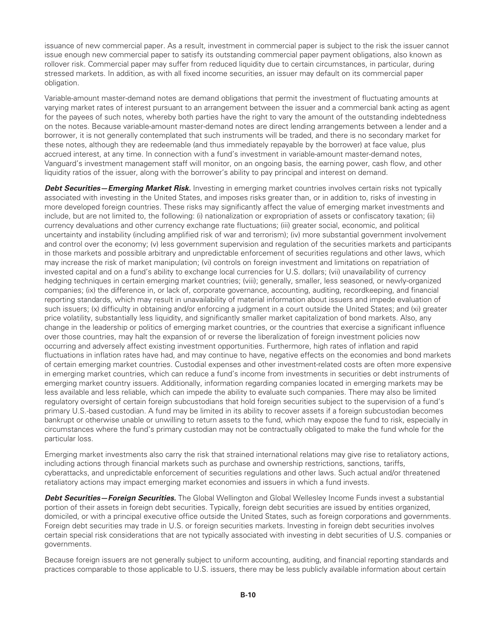issuance of new commercial paper. As a result, investment in commercial paper is subject to the risk the issuer cannot issue enough new commercial paper to satisfy its outstanding commercial paper payment obligations, also known as rollover risk. Commercial paper may suffer from reduced liquidity due to certain circumstances, in particular, during stressed markets. In addition, as with all fixed income securities, an issuer may default on its commercial paper obligation.

Variable-amount master-demand notes are demand obligations that permit the investment of fluctuating amounts at varying market rates of interest pursuant to an arrangement between the issuer and a commercial bank acting as agent for the payees of such notes, whereby both parties have the right to vary the amount of the outstanding indebtedness on the notes. Because variable-amount master-demand notes are direct lending arrangements between a lender and a borrower, it is not generally contemplated that such instruments will be traded, and there is no secondary market for these notes, although they are redeemable (and thus immediately repayable by the borrower) at face value, plus accrued interest, at any time. In connection with a fund's investment in variable-amount master-demand notes, Vanguard's investment management staff will monitor, on an ongoing basis, the earning power, cash flow, and other liquidity ratios of the issuer, along with the borrower's ability to pay principal and interest on demand.

*Debt Securities—Emerging Market Risk.* Investing in emerging market countries involves certain risks not typically associated with investing in the United States, and imposes risks greater than, or in addition to, risks of investing in more developed foreign countries. These risks may significantly affect the value of emerging market investments and include, but are not limited to, the following: (i) nationalization or expropriation of assets or confiscatory taxation; (ii) currency devaluations and other currency exchange rate fluctuations; (iii) greater social, economic, and political uncertainty and instability (including amplified risk of war and terrorism); (iv) more substantial government involvement and control over the economy; (v) less government supervision and regulation of the securities markets and participants in those markets and possible arbitrary and unpredictable enforcement of securities regulations and other laws, which may increase the risk of market manipulation; (vi) controls on foreign investment and limitations on repatriation of invested capital and on a fund's ability to exchange local currencies for U.S. dollars; (vii) unavailability of currency hedging techniques in certain emerging market countries; (viii); generally, smaller, less seasoned, or newly-organized companies; (ix) the difference in, or lack of, corporate governance, accounting, auditing, recordkeeping, and financial reporting standards, which may result in unavailability of material information about issuers and impede evaluation of such issuers; (x) difficulty in obtaining and/or enforcing a judgment in a court outside the United States; and (xi) greater price volatility, substantially less liquidity, and significantly smaller market capitalization of bond markets. Also, any change in the leadership or politics of emerging market countries, or the countries that exercise a significant influence over those countries, may halt the expansion of or reverse the liberalization of foreign investment policies now occurring and adversely affect existing investment opportunities. Furthermore, high rates of inflation and rapid fluctuations in inflation rates have had, and may continue to have, negative effects on the economies and bond markets of certain emerging market countries. Custodial expenses and other investment-related costs are often more expensive in emerging market countries, which can reduce a fund's income from investments in securities or debt instruments of emerging market country issuers. Additionally, information regarding companies located in emerging markets may be less available and less reliable, which can impede the ability to evaluate such companies. There may also be limited regulatory oversight of certain foreign subcustodians that hold foreign securities subject to the supervision of a fund's primary U.S.-based custodian. A fund may be limited in its ability to recover assets if a foreign subcustodian becomes bankrupt or otherwise unable or unwilling to return assets to the fund, which may expose the fund to risk, especially in circumstances where the fund's primary custodian may not be contractually obligated to make the fund whole for the particular loss.

Emerging market investments also carry the risk that strained international relations may give rise to retaliatory actions, including actions through financial markets such as purchase and ownership restrictions, sanctions, tariffs, cyberattacks, and unpredictable enforcement of securities regulations and other laws. Such actual and/or threatened retaliatory actions may impact emerging market economies and issuers in which a fund invests.

*Debt Securities—Foreign Securities.* The Global Wellington and Global Wellesley Income Funds invest a substantial portion of their assets in foreign debt securities. Typically, foreign debt securities are issued by entities organized, domiciled, or with a principal executive office outside the United States, such as foreign corporations and governments. Foreign debt securities may trade in U.S. or foreign securities markets. Investing in foreign debt securities involves certain special risk considerations that are not typically associated with investing in debt securities of U.S. companies or governments.

Because foreign issuers are not generally subject to uniform accounting, auditing, and financial reporting standards and practices comparable to those applicable to U.S. issuers, there may be less publicly available information about certain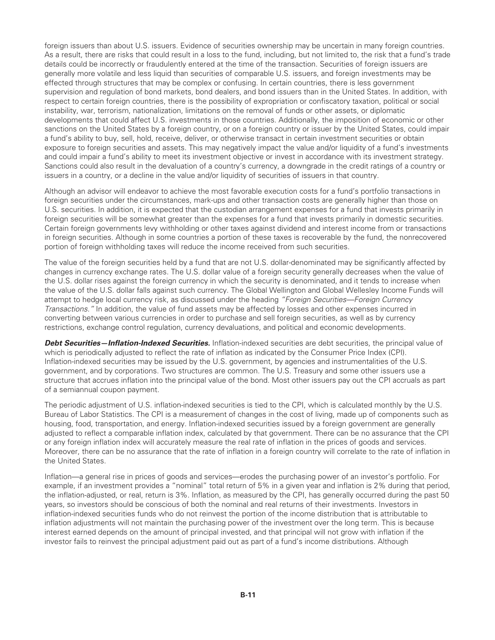foreign issuers than about U.S. issuers. Evidence of securities ownership may be uncertain in many foreign countries. As a result, there are risks that could result in a loss to the fund, including, but not limited to, the risk that a fund's trade details could be incorrectly or fraudulently entered at the time of the transaction. Securities of foreign issuers are generally more volatile and less liquid than securities of comparable U.S. issuers, and foreign investments may be effected through structures that may be complex or confusing. In certain countries, there is less government supervision and regulation of bond markets, bond dealers, and bond issuers than in the United States. In addition, with respect to certain foreign countries, there is the possibility of expropriation or confiscatory taxation, political or social instability, war, terrorism, nationalization, limitations on the removal of funds or other assets, or diplomatic developments that could affect U.S. investments in those countries. Additionally, the imposition of economic or other sanctions on the United States by a foreign country, or on a foreign country or issuer by the United States, could impair a fund's ability to buy, sell, hold, receive, deliver, or otherwise transact in certain investment securities or obtain exposure to foreign securities and assets. This may negatively impact the value and/or liquidity of a fund's investments and could impair a fund's ability to meet its investment objective or invest in accordance with its investment strategy. Sanctions could also result in the devaluation of a country's currency, a downgrade in the credit ratings of a country or issuers in a country, or a decline in the value and/or liquidity of securities of issuers in that country.

Although an advisor will endeavor to achieve the most favorable execution costs for a fund's portfolio transactions in foreign securities under the circumstances, mark-ups and other transaction costs are generally higher than those on U.S. securities. In addition, it is expected that the custodian arrangement expenses for a fund that invests primarily in foreign securities will be somewhat greater than the expenses for a fund that invests primarily in domestic securities. Certain foreign governments levy withholding or other taxes against dividend and interest income from or transactions in foreign securities. Although in some countries a portion of these taxes is recoverable by the fund, the nonrecovered portion of foreign withholding taxes will reduce the income received from such securities.

The value of the foreign securities held by a fund that are not U.S. dollar-denominated may be significantly affected by changes in currency exchange rates. The U.S. dollar value of a foreign security generally decreases when the value of the U.S. dollar rises against the foreign currency in which the security is denominated, and it tends to increase when the value of the U.S. dollar falls against such currency. The Global Wellington and Global Wellesley Income Funds will attempt to hedge local currency risk, as discussed under the heading *"Foreign Securities—Foreign Currency Transactions."* In addition, the value of fund assets may be affected by losses and other expenses incurred in converting between various currencies in order to purchase and sell foreign securities, as well as by currency restrictions, exchange control regulation, currency devaluations, and political and economic developments.

*Debt Securities—Inflation-Indexed Securities.* Inflation-indexed securities are debt securities, the principal value of which is periodically adjusted to reflect the rate of inflation as indicated by the Consumer Price Index (CPI). Inflation-indexed securities may be issued by the U.S. government, by agencies and instrumentalities of the U.S. government, and by corporations. Two structures are common. The U.S. Treasury and some other issuers use a structure that accrues inflation into the principal value of the bond. Most other issuers pay out the CPI accruals as part of a semiannual coupon payment.

The periodic adjustment of U.S. inflation-indexed securities is tied to the CPI, which is calculated monthly by the U.S. Bureau of Labor Statistics. The CPI is a measurement of changes in the cost of living, made up of components such as housing, food, transportation, and energy. Inflation-indexed securities issued by a foreign government are generally adjusted to reflect a comparable inflation index, calculated by that government. There can be no assurance that the CPI or any foreign inflation index will accurately measure the real rate of inflation in the prices of goods and services. Moreover, there can be no assurance that the rate of inflation in a foreign country will correlate to the rate of inflation in the United States.

Inflation—a general rise in prices of goods and services—erodes the purchasing power of an investor's portfolio. For example, if an investment provides a "nominal" total return of 5% in a given year and inflation is 2% during that period, the inflation-adjusted, or real, return is 3%. Inflation, as measured by the CPI, has generally occurred during the past 50 years, so investors should be conscious of both the nominal and real returns of their investments. Investors in inflation-indexed securities funds who do not reinvest the portion of the income distribution that is attributable to inflation adjustments will not maintain the purchasing power of the investment over the long term. This is because interest earned depends on the amount of principal invested, and that principal will not grow with inflation if the investor fails to reinvest the principal adjustment paid out as part of a fund's income distributions. Although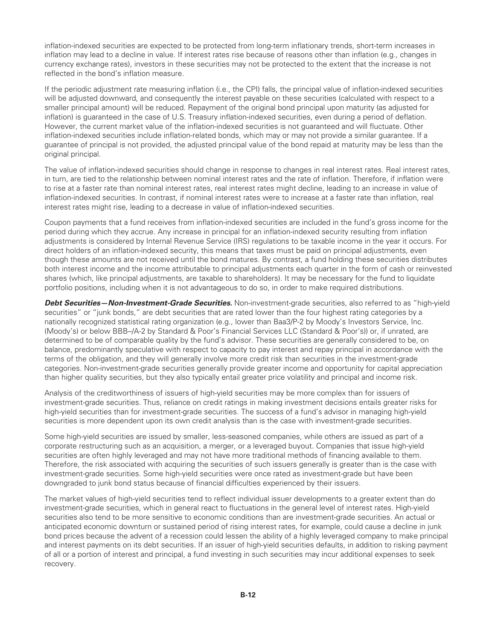inflation-indexed securities are expected to be protected from long-term inflationary trends, short-term increases in inflation may lead to a decline in value. If interest rates rise because of reasons other than inflation (e.g., changes in currency exchange rates), investors in these securities may not be protected to the extent that the increase is not reflected in the bond's inflation measure.

If the periodic adjustment rate measuring inflation (i.e., the CPI) falls, the principal value of inflation-indexed securities will be adjusted downward, and consequently the interest payable on these securities (calculated with respect to a smaller principal amount) will be reduced. Repayment of the original bond principal upon maturity (as adjusted for inflation) is guaranteed in the case of U.S. Treasury inflation-indexed securities, even during a period of deflation. However, the current market value of the inflation-indexed securities is not guaranteed and will fluctuate. Other inflation-indexed securities include inflation-related bonds, which may or may not provide a similar guarantee. If a guarantee of principal is not provided, the adjusted principal value of the bond repaid at maturity may be less than the original principal.

The value of inflation-indexed securities should change in response to changes in real interest rates. Real interest rates, in turn, are tied to the relationship between nominal interest rates and the rate of inflation. Therefore, if inflation were to rise at a faster rate than nominal interest rates, real interest rates might decline, leading to an increase in value of inflation-indexed securities. In contrast, if nominal interest rates were to increase at a faster rate than inflation, real interest rates might rise, leading to a decrease in value of inflation-indexed securities.

Coupon payments that a fund receives from inflation-indexed securities are included in the fund's gross income for the period during which they accrue. Any increase in principal for an inflation-indexed security resulting from inflation adjustments is considered by Internal Revenue Service (IRS) regulations to be taxable income in the year it occurs. For direct holders of an inflation-indexed security, this means that taxes must be paid on principal adjustments, even though these amounts are not received until the bond matures. By contrast, a fund holding these securities distributes both interest income and the income attributable to principal adjustments each quarter in the form of cash or reinvested shares (which, like principal adjustments, are taxable to shareholders). It may be necessary for the fund to liquidate portfolio positions, including when it is not advantageous to do so, in order to make required distributions.

*Debt Securities—Non-Investment-Grade Securities.* Non-investment-grade securities, also referred to as "high-yield securities" or "junk bonds," are debt securities that are rated lower than the four highest rating categories by a nationally recognized statistical rating organization (e.g., lower than Baa3/P-2 by Moody's Investors Service, Inc. (Moody's) or below BBB–/A-2 by Standard & Poor's Financial Services LLC (Standard & Poor's)) or, if unrated, are determined to be of comparable quality by the fund's advisor. These securities are generally considered to be, on balance, predominantly speculative with respect to capacity to pay interest and repay principal in accordance with the terms of the obligation, and they will generally involve more credit risk than securities in the investment-grade categories. Non-investment-grade securities generally provide greater income and opportunity for capital appreciation than higher quality securities, but they also typically entail greater price volatility and principal and income risk.

Analysis of the creditworthiness of issuers of high-yield securities may be more complex than for issuers of investment-grade securities. Thus, reliance on credit ratings in making investment decisions entails greater risks for high-yield securities than for investment-grade securities. The success of a fund's advisor in managing high-yield securities is more dependent upon its own credit analysis than is the case with investment-grade securities.

Some high-yield securities are issued by smaller, less-seasoned companies, while others are issued as part of a corporate restructuring such as an acquisition, a merger, or a leveraged buyout. Companies that issue high-yield securities are often highly leveraged and may not have more traditional methods of financing available to them. Therefore, the risk associated with acquiring the securities of such issuers generally is greater than is the case with investment-grade securities. Some high-yield securities were once rated as investment-grade but have been downgraded to junk bond status because of financial difficulties experienced by their issuers.

The market values of high-yield securities tend to reflect individual issuer developments to a greater extent than do investment-grade securities, which in general react to fluctuations in the general level of interest rates. High-yield securities also tend to be more sensitive to economic conditions than are investment-grade securities. An actual or anticipated economic downturn or sustained period of rising interest rates, for example, could cause a decline in junk bond prices because the advent of a recession could lessen the ability of a highly leveraged company to make principal and interest payments on its debt securities. If an issuer of high-yield securities defaults, in addition to risking payment of all or a portion of interest and principal, a fund investing in such securities may incur additional expenses to seek recovery.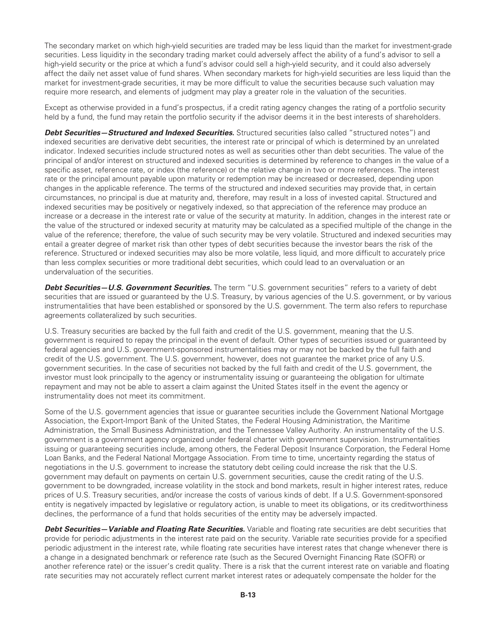The secondary market on which high-yield securities are traded may be less liquid than the market for investment-grade securities. Less liquidity in the secondary trading market could adversely affect the ability of a fund's advisor to sell a high-yield security or the price at which a fund's advisor could sell a high-yield security, and it could also adversely affect the daily net asset value of fund shares. When secondary markets for high-yield securities are less liquid than the market for investment-grade securities, it may be more difficult to value the securities because such valuation may require more research, and elements of judgment may play a greater role in the valuation of the securities.

Except as otherwise provided in a fund's prospectus, if a credit rating agency changes the rating of a portfolio security held by a fund, the fund may retain the portfolio security if the advisor deems it in the best interests of shareholders.

*Debt Securities—Structured and Indexed Securities.* Structured securities (also called "structured notes") and indexed securities are derivative debt securities, the interest rate or principal of which is determined by an unrelated indicator. Indexed securities include structured notes as well as securities other than debt securities. The value of the principal of and/or interest on structured and indexed securities is determined by reference to changes in the value of a specific asset, reference rate, or index (the reference) or the relative change in two or more references. The interest rate or the principal amount payable upon maturity or redemption may be increased or decreased, depending upon changes in the applicable reference. The terms of the structured and indexed securities may provide that, in certain circumstances, no principal is due at maturity and, therefore, may result in a loss of invested capital. Structured and indexed securities may be positively or negatively indexed, so that appreciation of the reference may produce an increase or a decrease in the interest rate or value of the security at maturity. In addition, changes in the interest rate or the value of the structured or indexed security at maturity may be calculated as a specified multiple of the change in the value of the reference; therefore, the value of such security may be very volatile. Structured and indexed securities may entail a greater degree of market risk than other types of debt securities because the investor bears the risk of the reference. Structured or indexed securities may also be more volatile, less liquid, and more difficult to accurately price than less complex securities or more traditional debt securities, which could lead to an overvaluation or an undervaluation of the securities.

*Debt Securities—U.S. Government Securities.* The term "U.S. government securities" refers to a variety of debt securities that are issued or guaranteed by the U.S. Treasury, by various agencies of the U.S. government, or by various instrumentalities that have been established or sponsored by the U.S. government. The term also refers to repurchase agreements collateralized by such securities.

U.S. Treasury securities are backed by the full faith and credit of the U.S. government, meaning that the U.S. government is required to repay the principal in the event of default. Other types of securities issued or guaranteed by federal agencies and U.S. government-sponsored instrumentalities may or may not be backed by the full faith and credit of the U.S. government. The U.S. government, however, does not guarantee the market price of any U.S. government securities. In the case of securities not backed by the full faith and credit of the U.S. government, the investor must look principally to the agency or instrumentality issuing or guaranteeing the obligation for ultimate repayment and may not be able to assert a claim against the United States itself in the event the agency or instrumentality does not meet its commitment.

Some of the U.S. government agencies that issue or guarantee securities include the Government National Mortgage Association, the Export-Import Bank of the United States, the Federal Housing Administration, the Maritime Administration, the Small Business Administration, and the Tennessee Valley Authority. An instrumentality of the U.S. government is a government agency organized under federal charter with government supervision. Instrumentalities issuing or guaranteeing securities include, among others, the Federal Deposit Insurance Corporation, the Federal Home Loan Banks, and the Federal National Mortgage Association. From time to time, uncertainty regarding the status of negotiations in the U.S. government to increase the statutory debt ceiling could increase the risk that the U.S. government may default on payments on certain U.S. government securities, cause the credit rating of the U.S. government to be downgraded, increase volatility in the stock and bond markets, result in higher interest rates, reduce prices of U.S. Treasury securities, and/or increase the costs of various kinds of debt. If a U.S. Government-sponsored entity is negatively impacted by legislative or regulatory action, is unable to meet its obligations, or its creditworthiness declines, the performance of a fund that holds securities of the entity may be adversely impacted.

**Debt Securities—Variable and Floating Rate Securities.** Variable and floating rate securities are debt securities that provide for periodic adjustments in the interest rate paid on the security. Variable rate securities provide for a specified periodic adjustment in the interest rate, while floating rate securities have interest rates that change whenever there is a change in a designated benchmark or reference rate (such as the Secured Overnight Financing Rate (SOFR) or another reference rate) or the issuer's credit quality. There is a risk that the current interest rate on variable and floating rate securities may not accurately reflect current market interest rates or adequately compensate the holder for the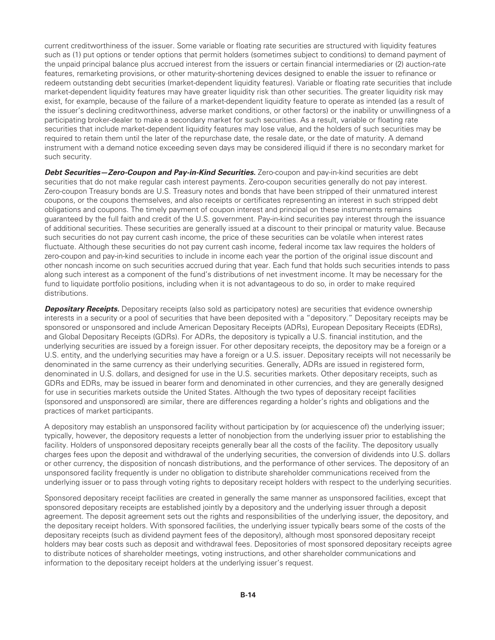current creditworthiness of the issuer. Some variable or floating rate securities are structured with liquidity features such as (1) put options or tender options that permit holders (sometimes subject to conditions) to demand payment of the unpaid principal balance plus accrued interest from the issuers or certain financial intermediaries or (2) auction-rate features, remarketing provisions, or other maturity-shortening devices designed to enable the issuer to refinance or redeem outstanding debt securities (market-dependent liquidity features). Variable or floating rate securities that include market-dependent liquidity features may have greater liquidity risk than other securities. The greater liquidity risk may exist, for example, because of the failure of a market-dependent liquidity feature to operate as intended (as a result of the issuer's declining creditworthiness, adverse market conditions, or other factors) or the inability or unwillingness of a participating broker-dealer to make a secondary market for such securities. As a result, variable or floating rate securities that include market-dependent liquidity features may lose value, and the holders of such securities may be required to retain them until the later of the repurchase date, the resale date, or the date of maturity. A demand instrument with a demand notice exceeding seven days may be considered illiquid if there is no secondary market for such security.

**Debt Securities—Zero-Coupon and Pay-in-Kind Securities.** Zero-coupon and pay-in-kind securities are debt securities that do not make regular cash interest payments. Zero-coupon securities generally do not pay interest. Zero-coupon Treasury bonds are U.S. Treasury notes and bonds that have been stripped of their unmatured interest coupons, or the coupons themselves, and also receipts or certificates representing an interest in such stripped debt obligations and coupons. The timely payment of coupon interest and principal on these instruments remains guaranteed by the full faith and credit of the U.S. government. Pay-in-kind securities pay interest through the issuance of additional securities. These securities are generally issued at a discount to their principal or maturity value. Because such securities do not pay current cash income, the price of these securities can be volatile when interest rates fluctuate. Although these securities do not pay current cash income, federal income tax law requires the holders of zero-coupon and pay-in-kind securities to include in income each year the portion of the original issue discount and other noncash income on such securities accrued during that year. Each fund that holds such securities intends to pass along such interest as a component of the fund's distributions of net investment income. It may be necessary for the fund to liquidate portfolio positions, including when it is not advantageous to do so, in order to make required distributions.

**Depositary Receipts.** Depositary receipts (also sold as participatory notes) are securities that evidence ownership interests in a security or a pool of securities that have been deposited with a "depository." Depositary receipts may be sponsored or unsponsored and include American Depositary Receipts (ADRs), European Depositary Receipts (EDRs), and Global Depositary Receipts (GDRs). For ADRs, the depository is typically a U.S. financial institution, and the underlying securities are issued by a foreign issuer. For other depositary receipts, the depository may be a foreign or a U.S. entity, and the underlying securities may have a foreign or a U.S. issuer. Depositary receipts will not necessarily be denominated in the same currency as their underlying securities. Generally, ADRs are issued in registered form, denominated in U.S. dollars, and designed for use in the U.S. securities markets. Other depositary receipts, such as GDRs and EDRs, may be issued in bearer form and denominated in other currencies, and they are generally designed for use in securities markets outside the United States. Although the two types of depositary receipt facilities (sponsored and unsponsored) are similar, there are differences regarding a holder's rights and obligations and the practices of market participants.

A depository may establish an unsponsored facility without participation by (or acquiescence of) the underlying issuer; typically, however, the depository requests a letter of nonobjection from the underlying issuer prior to establishing the facility. Holders of unsponsored depositary receipts generally bear all the costs of the facility. The depository usually charges fees upon the deposit and withdrawal of the underlying securities, the conversion of dividends into U.S. dollars or other currency, the disposition of noncash distributions, and the performance of other services. The depository of an unsponsored facility frequently is under no obligation to distribute shareholder communications received from the underlying issuer or to pass through voting rights to depositary receipt holders with respect to the underlying securities.

Sponsored depositary receipt facilities are created in generally the same manner as unsponsored facilities, except that sponsored depositary receipts are established jointly by a depository and the underlying issuer through a deposit agreement. The deposit agreement sets out the rights and responsibilities of the underlying issuer, the depository, and the depositary receipt holders. With sponsored facilities, the underlying issuer typically bears some of the costs of the depositary receipts (such as dividend payment fees of the depository), although most sponsored depositary receipt holders may bear costs such as deposit and withdrawal fees. Depositories of most sponsored depositary receipts agree to distribute notices of shareholder meetings, voting instructions, and other shareholder communications and information to the depositary receipt holders at the underlying issuer's request.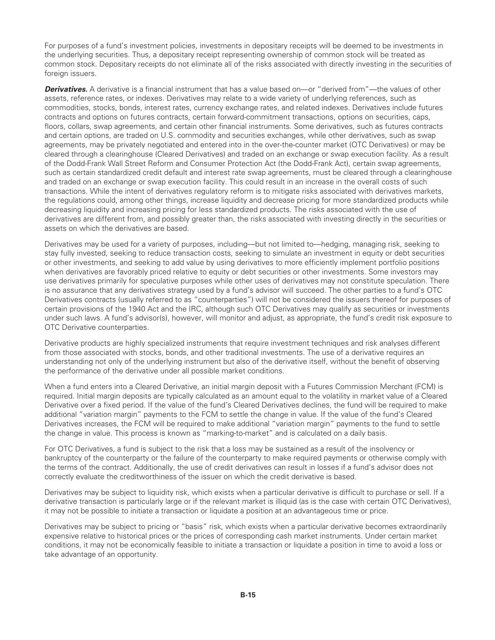For purposes of a fund's investment policies, investments in depositary receipts will be deemed to be investments in the underlying securities. Thus, a depositary receipt representing ownership of common stock will be treated as common stock. Depositary receipts do not eliminate all of the risks associated with directly investing in the securities of foreign issuers.

*Derivatives.* A derivative is a financial instrument that has a value based on—or "derived from"—the values of other assets, reference rates, or indexes. Derivatives may relate to a wide variety of underlying references, such as commodities, stocks, bonds, interest rates, currency exchange rates, and related indexes. Derivatives include futures contracts and options on futures contracts, certain forward-commitment transactions, options on securities, caps, floors, collars, swap agreements, and certain other financial instruments. Some derivatives, such as futures contracts and certain options, are traded on U.S. commodity and securities exchanges, while other derivatives, such as swap agreements, may be privately negotiated and entered into in the over-the-counter market (OTC Derivatives) or may be cleared through a clearinghouse (Cleared Derivatives) and traded on an exchange or swap execution facility. As a result of the Dodd-Frank Wall Street Reform and Consumer Protection Act (the Dodd-Frank Act), certain swap agreements, such as certain standardized credit default and interest rate swap agreements, must be cleared through a clearinghouse and traded on an exchange or swap execution facility. This could result in an increase in the overall costs of such transactions. While the intent of derivatives regulatory reform is to mitigate risks associated with derivatives markets, the regulations could, among other things, increase liquidity and decrease pricing for more standardized products while decreasing liquidity and increasing pricing for less standardized products. The risks associated with the use of derivatives are different from, and possibly greater than, the risks associated with investing directly in the securities or assets on which the derivatives are based.

Derivatives may be used for a variety of purposes, including—but not limited to—hedging, managing risk, seeking to stay fully invested, seeking to reduce transaction costs, seeking to simulate an investment in equity or debt securities or other investments, and seeking to add value by using derivatives to more efficiently implement portfolio positions when derivatives are favorably priced relative to equity or debt securities or other investments. Some investors may use derivatives primarily for speculative purposes while other uses of derivatives may not constitute speculation. There is no assurance that any derivatives strategy used by a fund's advisor will succeed. The other parties to a fund's OTC Derivatives contracts (usually referred to as "counterparties") will not be considered the issuers thereof for purposes of certain provisions of the 1940 Act and the IRC, although such OTC Derivatives may qualify as securities or investments under such laws. A fund's advisor(s), however, will monitor and adjust, as appropriate, the fund's credit risk exposure to OTC Derivative counterparties.

Derivative products are highly specialized instruments that require investment techniques and risk analyses different from those associated with stocks, bonds, and other traditional investments. The use of a derivative requires an understanding not only of the underlying instrument but also of the derivative itself, without the benefit of observing the performance of the derivative under all possible market conditions.

When a fund enters into a Cleared Derivative, an initial margin deposit with a Futures Commission Merchant (FCM) is required. Initial margin deposits are typically calculated as an amount equal to the volatility in market value of a Cleared Derivative over a fixed period. If the value of the fund's Cleared Derivatives declines, the fund will be required to make additional "variation margin" payments to the FCM to settle the change in value. If the value of the fund's Cleared Derivatives increases, the FCM will be required to make additional "variation margin" payments to the fund to settle the change in value. This process is known as "marking-to-market" and is calculated on a daily basis.

For OTC Derivatives, a fund is subject to the risk that a loss may be sustained as a result of the insolvency or bankruptcy of the counterparty or the failure of the counterparty to make required payments or otherwise comply with the terms of the contract. Additionally, the use of credit derivatives can result in losses if a fund's advisor does not correctly evaluate the creditworthiness of the issuer on which the credit derivative is based.

Derivatives may be subject to liquidity risk, which exists when a particular derivative is difficult to purchase or sell. If a derivative transaction is particularly large or if the relevant market is illiquid (as is the case with certain OTC Derivatives), it may not be possible to initiate a transaction or liquidate a position at an advantageous time or price.

Derivatives may be subject to pricing or "basis" risk, which exists when a particular derivative becomes extraordinarily expensive relative to historical prices or the prices of corresponding cash market instruments. Under certain market conditions, it may not be economically feasible to initiate a transaction or liquidate a position in time to avoid a loss or take advantage of an opportunity.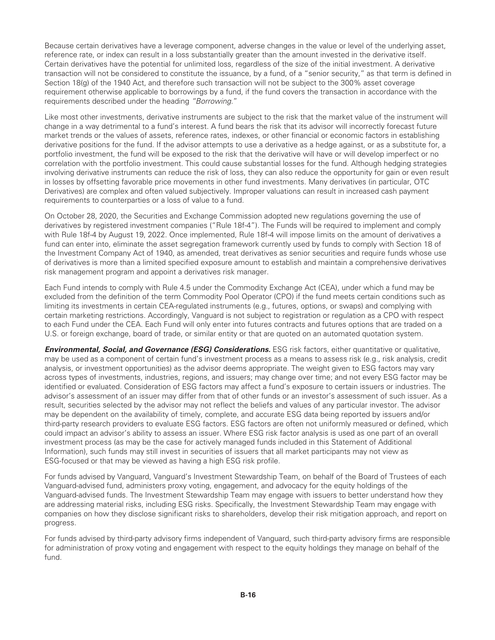Because certain derivatives have a leverage component, adverse changes in the value or level of the underlying asset, reference rate, or index can result in a loss substantially greater than the amount invested in the derivative itself. Certain derivatives have the potential for unlimited loss, regardless of the size of the initial investment. A derivative transaction will not be considered to constitute the issuance, by a fund, of a "senior security," as that term is defined in Section 18(g) of the 1940 Act, and therefore such transaction will not be subject to the 300% asset coverage requirement otherwise applicable to borrowings by a fund, if the fund covers the transaction in accordance with the requirements described under the heading *"Borrowing.*"

Like most other investments, derivative instruments are subject to the risk that the market value of the instrument will change in a way detrimental to a fund's interest. A fund bears the risk that its advisor will incorrectly forecast future market trends or the values of assets, reference rates, indexes, or other financial or economic factors in establishing derivative positions for the fund. If the advisor attempts to use a derivative as a hedge against, or as a substitute for, a portfolio investment, the fund will be exposed to the risk that the derivative will have or will develop imperfect or no correlation with the portfolio investment. This could cause substantial losses for the fund. Although hedging strategies involving derivative instruments can reduce the risk of loss, they can also reduce the opportunity for gain or even result in losses by offsetting favorable price movements in other fund investments. Many derivatives (in particular, OTC Derivatives) are complex and often valued subjectively. Improper valuations can result in increased cash payment requirements to counterparties or a loss of value to a fund.

On October 28, 2020, the Securities and Exchange Commission adopted new regulations governing the use of derivatives by registered investment companies ("Rule 18f-4"). The Funds will be required to implement and comply with Rule 18f-4 by August 19, 2022. Once implemented, Rule 18f-4 will impose limits on the amount of derivatives a fund can enter into, eliminate the asset segregation framework currently used by funds to comply with Section 18 of the Investment Company Act of 1940, as amended, treat derivatives as senior securities and require funds whose use of derivatives is more than a limited specified exposure amount to establish and maintain a comprehensive derivatives risk management program and appoint a derivatives risk manager.

Each Fund intends to comply with Rule 4.5 under the Commodity Exchange Act (CEA), under which a fund may be excluded from the definition of the term Commodity Pool Operator (CPO) if the fund meets certain conditions such as limiting its investments in certain CEA-regulated instruments (e.g., futures, options, or swaps) and complying with certain marketing restrictions. Accordingly, Vanguard is not subject to registration or regulation as a CPO with respect to each Fund under the CEA. Each Fund will only enter into futures contracts and futures options that are traded on a U.S. or foreign exchange, board of trade, or similar entity or that are quoted on an automated quotation system.

*Environmental, Social, and Governance (ESG) Considerations.* ESG risk factors, either quantitative or qualitative, may be used as a component of certain fund's investment process as a means to assess risk (e.g., risk analysis, credit analysis, or investment opportunities) as the advisor deems appropriate. The weight given to ESG factors may vary across types of investments, industries, regions, and issuers; may change over time; and not every ESG factor may be identified or evaluated. Consideration of ESG factors may affect a fund's exposure to certain issuers or industries. The advisor's assessment of an issuer may differ from that of other funds or an investor's assessment of such issuer. As a result, securities selected by the advisor may not reflect the beliefs and values of any particular investor. The advisor may be dependent on the availability of timely, complete, and accurate ESG data being reported by issuers and/or third-party research providers to evaluate ESG factors. ESG factors are often not uniformly measured or defined, which could impact an advisor's ability to assess an issuer. Where ESG risk factor analysis is used as one part of an overall investment process (as may be the case for actively managed funds included in this Statement of Additional Information), such funds may still invest in securities of issuers that all market participants may not view as ESG-focused or that may be viewed as having a high ESG risk profile.

For funds advised by Vanguard, Vanguard's Investment Stewardship Team, on behalf of the Board of Trustees of each Vanguard-advised fund, administers proxy voting, engagement, and advocacy for the equity holdings of the Vanguard-advised funds. The Investment Stewardship Team may engage with issuers to better understand how they are addressing material risks, including ESG risks. Specifically, the Investment Stewardship Team may engage with companies on how they disclose significant risks to shareholders, develop their risk mitigation approach, and report on progress.

For funds advised by third-party advisory firms independent of Vanguard, such third-party advisory firms are responsible for administration of proxy voting and engagement with respect to the equity holdings they manage on behalf of the fund.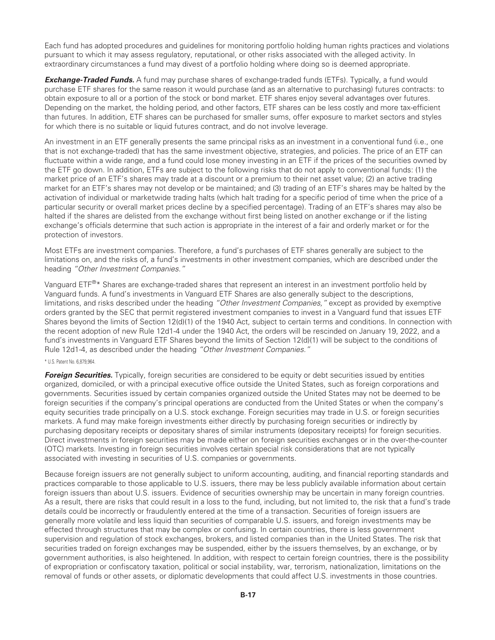Each fund has adopted procedures and guidelines for monitoring portfolio holding human rights practices and violations pursuant to which it may assess regulatory, reputational, or other risks associated with the alleged activity. In extraordinary circumstances a fund may divest of a portfolio holding where doing so is deemed appropriate.

*Exchange-Traded Funds.* A fund may purchase shares of exchange-traded funds (ETFs). Typically, a fund would purchase ETF shares for the same reason it would purchase (and as an alternative to purchasing) futures contracts: to obtain exposure to all or a portion of the stock or bond market. ETF shares enjoy several advantages over futures. Depending on the market, the holding period, and other factors, ETF shares can be less costly and more tax-efficient than futures. In addition, ETF shares can be purchased for smaller sums, offer exposure to market sectors and styles for which there is no suitable or liquid futures contract, and do not involve leverage.

An investment in an ETF generally presents the same principal risks as an investment in a conventional fund (i.e., one that is not exchange-traded) that has the same investment objective, strategies, and policies. The price of an ETF can fluctuate within a wide range, and a fund could lose money investing in an ETF if the prices of the securities owned by the ETF go down. In addition, ETFs are subject to the following risks that do not apply to conventional funds: (1) the market price of an ETF's shares may trade at a discount or a premium to their net asset value; (2) an active trading market for an ETF's shares may not develop or be maintained; and (3) trading of an ETF's shares may be halted by the activation of individual or marketwide trading halts (which halt trading for a specific period of time when the price of a particular security or overall market prices decline by a specified percentage). Trading of an ETF's shares may also be halted if the shares are delisted from the exchange without first being listed on another exchange or if the listing exchange's officials determine that such action is appropriate in the interest of a fair and orderly market or for the protection of investors.

Most ETFs are investment companies. Therefore, a fund's purchases of ETF shares generally are subject to the limitations on, and the risks of, a fund's investments in other investment companies, which are described under the heading *"Other Investment Companies."*

Vanguard ETF®\* Shares are exchange-traded shares that represent an interest in an investment portfolio held by Vanguard funds. A fund's investments in Vanguard ETF Shares are also generally subject to the descriptions, limitations, and risks described under the heading *"Other Investment Companies,"* except as provided by exemptive orders granted by the SEC that permit registered investment companies to invest in a Vanguard fund that issues ETF Shares beyond the limits of Section 12(d)(1) of the 1940 Act, subject to certain terms and conditions. In connection with the recent adoption of new Rule 12d1-4 under the 1940 Act, the orders will be rescinded on January 19, 2022, and a fund's investments in Vanguard ETF Shares beyond the limits of Section 12(d)(1) will be subject to the conditions of Rule 12d1-4, as described under the heading *"Other Investment Companies."*

#### \* U.S. Patent No. 6,879,964.

**Foreign Securities.** Typically, foreign securities are considered to be equity or debt securities issued by entities organized, domiciled, or with a principal executive office outside the United States, such as foreign corporations and governments. Securities issued by certain companies organized outside the United States may not be deemed to be foreign securities if the company's principal operations are conducted from the United States or when the company's equity securities trade principally on a U.S. stock exchange. Foreign securities may trade in U.S. or foreign securities markets. A fund may make foreign investments either directly by purchasing foreign securities or indirectly by purchasing depositary receipts or depositary shares of similar instruments (depositary receipts) for foreign securities. Direct investments in foreign securities may be made either on foreign securities exchanges or in the over-the-counter (OTC) markets. Investing in foreign securities involves certain special risk considerations that are not typically associated with investing in securities of U.S. companies or governments.

Because foreign issuers are not generally subject to uniform accounting, auditing, and financial reporting standards and practices comparable to those applicable to U.S. issuers, there may be less publicly available information about certain foreign issuers than about U.S. issuers. Evidence of securities ownership may be uncertain in many foreign countries. As a result, there are risks that could result in a loss to the fund, including, but not limited to, the risk that a fund's trade details could be incorrectly or fraudulently entered at the time of a transaction. Securities of foreign issuers are generally more volatile and less liquid than securities of comparable U.S. issuers, and foreign investments may be effected through structures that may be complex or confusing. In certain countries, there is less government supervision and regulation of stock exchanges, brokers, and listed companies than in the United States. The risk that securities traded on foreign exchanges may be suspended, either by the issuers themselves, by an exchange, or by government authorities, is also heightened. In addition, with respect to certain foreign countries, there is the possibility of expropriation or confiscatory taxation, political or social instability, war, terrorism, nationalization, limitations on the removal of funds or other assets, or diplomatic developments that could affect U.S. investments in those countries.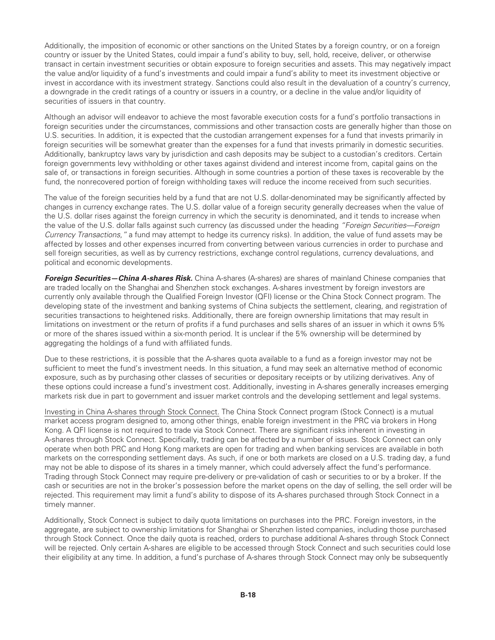Additionally, the imposition of economic or other sanctions on the United States by a foreign country, or on a foreign country or issuer by the United States, could impair a fund's ability to buy, sell, hold, receive, deliver, or otherwise transact in certain investment securities or obtain exposure to foreign securities and assets. This may negatively impact the value and/or liquidity of a fund's investments and could impair a fund's ability to meet its investment objective or invest in accordance with its investment strategy. Sanctions could also result in the devaluation of a country's currency, a downgrade in the credit ratings of a country or issuers in a country, or a decline in the value and/or liquidity of securities of issuers in that country.

Although an advisor will endeavor to achieve the most favorable execution costs for a fund's portfolio transactions in foreign securities under the circumstances, commissions and other transaction costs are generally higher than those on U.S. securities. In addition, it is expected that the custodian arrangement expenses for a fund that invests primarily in foreign securities will be somewhat greater than the expenses for a fund that invests primarily in domestic securities. Additionally, bankruptcy laws vary by jurisdiction and cash deposits may be subject to a custodian's creditors. Certain foreign governments levy withholding or other taxes against dividend and interest income from, capital gains on the sale of, or transactions in foreign securities. Although in some countries a portion of these taxes is recoverable by the fund, the nonrecovered portion of foreign withholding taxes will reduce the income received from such securities.

The value of the foreign securities held by a fund that are not U.S. dollar-denominated may be significantly affected by changes in currency exchange rates. The U.S. dollar value of a foreign security generally decreases when the value of the U.S. dollar rises against the foreign currency in which the security is denominated, and it tends to increase when the value of the U.S. dollar falls against such currency (as discussed under the heading *"Foreign Securities—Foreign Currency Transactions,"* a fund may attempt to hedge its currency risks). In addition, the value of fund assets may be affected by losses and other expenses incurred from converting between various currencies in order to purchase and sell foreign securities, as well as by currency restrictions, exchange control regulations, currency devaluations, and political and economic developments.

*Foreign Securities—China A-shares Risk.* China A-shares (A-shares) are shares of mainland Chinese companies that are traded locally on the Shanghai and Shenzhen stock exchanges. A-shares investment by foreign investors are currently only available through the Qualified Foreign Investor (QFI) license or the China Stock Connect program. The developing state of the investment and banking systems of China subjects the settlement, clearing, and registration of securities transactions to heightened risks. Additionally, there are foreign ownership limitations that may result in limitations on investment or the return of profits if a fund purchases and sells shares of an issuer in which it owns 5% or more of the shares issued within a six-month period. It is unclear if the 5% ownership will be determined by aggregating the holdings of a fund with affiliated funds.

Due to these restrictions, it is possible that the A-shares quota available to a fund as a foreign investor may not be sufficient to meet the fund's investment needs. In this situation, a fund may seek an alternative method of economic exposure, such as by purchasing other classes of securities or depositary receipts or by utilizing derivatives. Any of these options could increase a fund's investment cost. Additionally, investing in A-shares generally increases emerging markets risk due in part to government and issuer market controls and the developing settlement and legal systems.

Investing in China A-shares through Stock Connect. The China Stock Connect program (Stock Connect) is a mutual market access program designed to, among other things, enable foreign investment in the PRC via brokers in Hong Kong. A QFI license is not required to trade via Stock Connect. There are significant risks inherent in investing in A-shares through Stock Connect. Specifically, trading can be affected by a number of issues. Stock Connect can only operate when both PRC and Hong Kong markets are open for trading and when banking services are available in both markets on the corresponding settlement days. As such, if one or both markets are closed on a U.S. trading day, a fund may not be able to dispose of its shares in a timely manner, which could adversely affect the fund's performance. Trading through Stock Connect may require pre-delivery or pre-validation of cash or securities to or by a broker. If the cash or securities are not in the broker's possession before the market opens on the day of selling, the sell order will be rejected. This requirement may limit a fund's ability to dispose of its A-shares purchased through Stock Connect in a timely manner.

Additionally, Stock Connect is subject to daily quota limitations on purchases into the PRC. Foreign investors, in the aggregate, are subject to ownership limitations for Shanghai or Shenzhen listed companies, including those purchased through Stock Connect. Once the daily quota is reached, orders to purchase additional A-shares through Stock Connect will be rejected. Only certain A-shares are eligible to be accessed through Stock Connect and such securities could lose their eligibility at any time. In addition, a fund's purchase of A-shares through Stock Connect may only be subsequently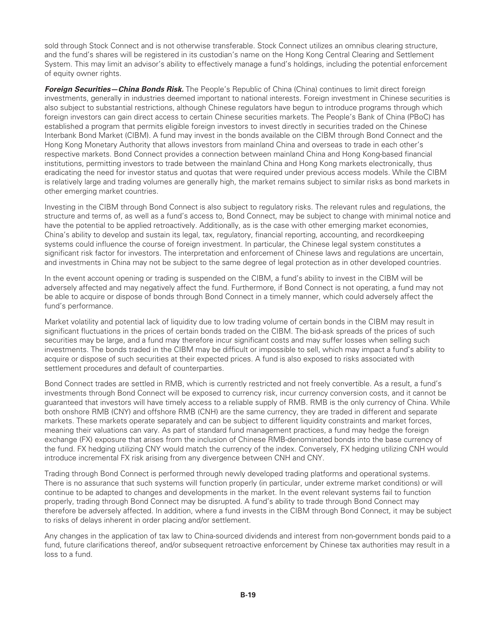sold through Stock Connect and is not otherwise transferable. Stock Connect utilizes an omnibus clearing structure, and the fund's shares will be registered in its custodian's name on the Hong Kong Central Clearing and Settlement System. This may limit an advisor's ability to effectively manage a fund's holdings, including the potential enforcement of equity owner rights.

*Foreign Securities—China Bonds Risk.* The People's Republic of China (China) continues to limit direct foreign investments, generally in industries deemed important to national interests. Foreign investment in Chinese securities is also subject to substantial restrictions, although Chinese regulators have begun to introduce programs through which foreign investors can gain direct access to certain Chinese securities markets. The People's Bank of China (PBoC) has established a program that permits eligible foreign investors to invest directly in securities traded on the Chinese Interbank Bond Market (CIBM). A fund may invest in the bonds available on the CIBM through Bond Connect and the Hong Kong Monetary Authority that allows investors from mainland China and overseas to trade in each other's respective markets. Bond Connect provides a connection between mainland China and Hong Kong-based financial institutions, permitting investors to trade between the mainland China and Hong Kong markets electronically, thus eradicating the need for investor status and quotas that were required under previous access models. While the CIBM is relatively large and trading volumes are generally high, the market remains subject to similar risks as bond markets in other emerging market countries.

Investing in the CIBM through Bond Connect is also subject to regulatory risks. The relevant rules and regulations, the structure and terms of, as well as a fund's access to, Bond Connect, may be subject to change with minimal notice and have the potential to be applied retroactively. Additionally, as is the case with other emerging market economies, China's ability to develop and sustain its legal, tax, regulatory, financial reporting, accounting, and recordkeeping systems could influence the course of foreign investment. In particular, the Chinese legal system constitutes a significant risk factor for investors. The interpretation and enforcement of Chinese laws and regulations are uncertain, and investments in China may not be subject to the same degree of legal protection as in other developed countries.

In the event account opening or trading is suspended on the CIBM, a fund's ability to invest in the CIBM will be adversely affected and may negatively affect the fund. Furthermore, if Bond Connect is not operating, a fund may not be able to acquire or dispose of bonds through Bond Connect in a timely manner, which could adversely affect the fund's performance.

Market volatility and potential lack of liquidity due to low trading volume of certain bonds in the CIBM may result in significant fluctuations in the prices of certain bonds traded on the CIBM. The bid-ask spreads of the prices of such securities may be large, and a fund may therefore incur significant costs and may suffer losses when selling such investments. The bonds traded in the CIBM may be difficult or impossible to sell, which may impact a fund's ability to acquire or dispose of such securities at their expected prices. A fund is also exposed to risks associated with settlement procedures and default of counterparties.

Bond Connect trades are settled in RMB, which is currently restricted and not freely convertible. As a result, a fund's investments through Bond Connect will be exposed to currency risk, incur currency conversion costs, and it cannot be guaranteed that investors will have timely access to a reliable supply of RMB. RMB is the only currency of China. While both onshore RMB (CNY) and offshore RMB (CNH) are the same currency, they are traded in different and separate markets. These markets operate separately and can be subject to different liquidity constraints and market forces, meaning their valuations can vary. As part of standard fund management practices, a fund may hedge the foreign exchange (FX) exposure that arises from the inclusion of Chinese RMB-denominated bonds into the base currency of the fund. FX hedging utilizing CNY would match the currency of the index. Conversely, FX hedging utilizing CNH would introduce incremental FX risk arising from any divergence between CNH and CNY.

Trading through Bond Connect is performed through newly developed trading platforms and operational systems. There is no assurance that such systems will function properly (in particular, under extreme market conditions) or will continue to be adapted to changes and developments in the market. In the event relevant systems fail to function properly, trading through Bond Connect may be disrupted. A fund's ability to trade through Bond Connect may therefore be adversely affected. In addition, where a fund invests in the CIBM through Bond Connect, it may be subject to risks of delays inherent in order placing and/or settlement.

Any changes in the application of tax law to China-sourced dividends and interest from non-government bonds paid to a fund, future clarifications thereof, and/or subsequent retroactive enforcement by Chinese tax authorities may result in a loss to a fund.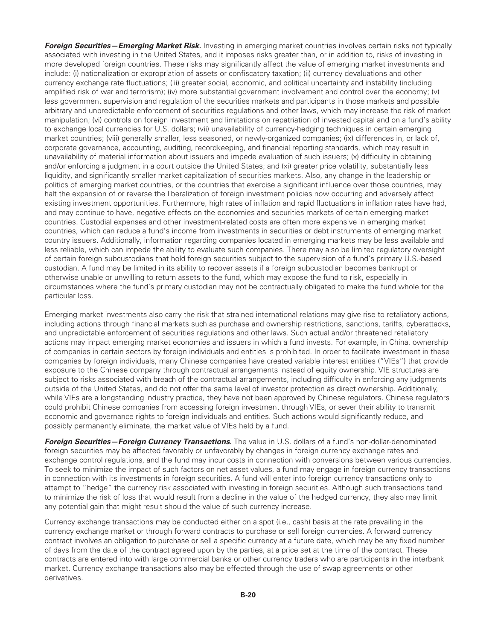*Foreign Securities—Emerging Market Risk.* Investing in emerging market countries involves certain risks not typically associated with investing in the United States, and it imposes risks greater than, or in addition to, risks of investing in more developed foreign countries. These risks may significantly affect the value of emerging market investments and include: (i) nationalization or expropriation of assets or confiscatory taxation; (ii) currency devaluations and other currency exchange rate fluctuations; (iii) greater social, economic, and political uncertainty and instability (including amplified risk of war and terrorism); (iv) more substantial government involvement and control over the economy; (v) less government supervision and regulation of the securities markets and participants in those markets and possible arbitrary and unpredictable enforcement of securities regulations and other laws, which may increase the risk of market manipulation; (vi) controls on foreign investment and limitations on repatriation of invested capital and on a fund's ability to exchange local currencies for U.S. dollars; (vii) unavailability of currency-hedging techniques in certain emerging market countries; (viii) generally smaller, less seasoned, or newly-organized companies; (ix) differences in, or lack of, corporate governance, accounting, auditing, recordkeeping, and financial reporting standards, which may result in unavailability of material information about issuers and impede evaluation of such issuers; (x) difficulty in obtaining and/or enforcing a judgment in a court outside the United States; and (xi) greater price volatility, substantially less liquidity, and significantly smaller market capitalization of securities markets. Also, any change in the leadership or politics of emerging market countries, or the countries that exercise a significant influence over those countries, may halt the expansion of or reverse the liberalization of foreign investment policies now occurring and adversely affect existing investment opportunities. Furthermore, high rates of inflation and rapid fluctuations in inflation rates have had, and may continue to have, negative effects on the economies and securities markets of certain emerging market countries. Custodial expenses and other investment-related costs are often more expensive in emerging market countries, which can reduce a fund's income from investments in securities or debt instruments of emerging market country issuers. Additionally, information regarding companies located in emerging markets may be less available and less reliable, which can impede the ability to evaluate such companies. There may also be limited regulatory oversight of certain foreign subcustodians that hold foreign securities subject to the supervision of a fund's primary U.S.-based custodian. A fund may be limited in its ability to recover assets if a foreign subcustodian becomes bankrupt or otherwise unable or unwilling to return assets to the fund, which may expose the fund to risk, especially in circumstances where the fund's primary custodian may not be contractually obligated to make the fund whole for the particular loss.

Emerging market investments also carry the risk that strained international relations may give rise to retaliatory actions, including actions through financial markets such as purchase and ownership restrictions, sanctions, tariffs, cyberattacks, and unpredictable enforcement of securities regulations and other laws. Such actual and/or threatened retaliatory actions may impact emerging market economies and issuers in which a fund invests. For example, in China, ownership of companies in certain sectors by foreign individuals and entities is prohibited. In order to facilitate investment in these companies by foreign individuals, many Chinese companies have created variable interest entities ("VIEs") that provide exposure to the Chinese company through contractual arrangements instead of equity ownership. VIE structures are subject to risks associated with breach of the contractual arrangements, including difficulty in enforcing any judgments outside of the United States, and do not offer the same level of investor protection as direct ownership. Additionally, while VIEs are a longstanding industry practice, they have not been approved by Chinese regulators. Chinese regulators could prohibit Chinese companies from accessing foreign investment through VIEs, or sever their ability to transmit economic and governance rights to foreign individuals and entities. Such actions would significantly reduce, and possibly permanently eliminate, the market value of VIEs held by a fund.

*Foreign Securities—Foreign Currency Transactions.* The value in U.S. dollars of a fund's non-dollar-denominated foreign securities may be affected favorably or unfavorably by changes in foreign currency exchange rates and exchange control regulations, and the fund may incur costs in connection with conversions between various currencies. To seek to minimize the impact of such factors on net asset values, a fund may engage in foreign currency transactions in connection with its investments in foreign securities. A fund will enter into foreign currency transactions only to attempt to "hedge" the currency risk associated with investing in foreign securities. Although such transactions tend to minimize the risk of loss that would result from a decline in the value of the hedged currency, they also may limit any potential gain that might result should the value of such currency increase.

Currency exchange transactions may be conducted either on a spot (i.e., cash) basis at the rate prevailing in the currency exchange market or through forward contracts to purchase or sell foreign currencies. A forward currency contract involves an obligation to purchase or sell a specific currency at a future date, which may be any fixed number of days from the date of the contract agreed upon by the parties, at a price set at the time of the contract. These contracts are entered into with large commercial banks or other currency traders who are participants in the interbank market. Currency exchange transactions also may be effected through the use of swap agreements or other derivatives.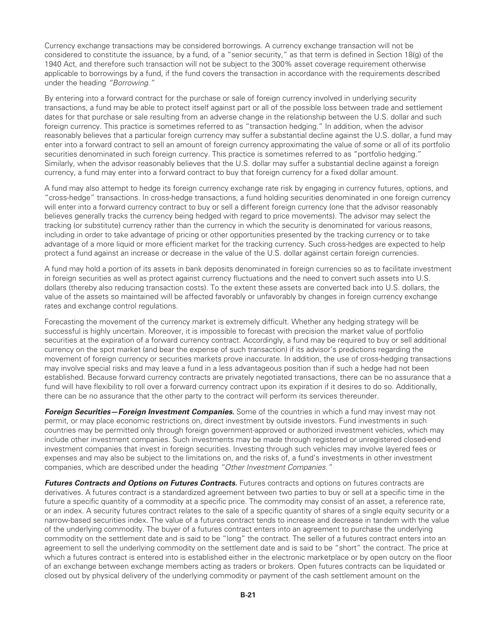Currency exchange transactions may be considered borrowings. A currency exchange transaction will not be considered to constitute the issuance, by a fund, of a "senior security," as that term is defined in Section 18(g) of the 1940 Act, and therefore such transaction will not be subject to the 300% asset coverage requirement otherwise applicable to borrowings by a fund, if the fund covers the transaction in accordance with the requirements described under the heading *"Borrowing."*

By entering into a forward contract for the purchase or sale of foreign currency involved in underlying security transactions, a fund may be able to protect itself against part or all of the possible loss between trade and settlement dates for that purchase or sale resulting from an adverse change in the relationship between the U.S. dollar and such foreign currency. This practice is sometimes referred to as "transaction hedging." In addition, when the advisor reasonably believes that a particular foreign currency may suffer a substantial decline against the U.S. dollar, a fund may enter into a forward contract to sell an amount of foreign currency approximating the value of some or all of its portfolio securities denominated in such foreign currency. This practice is sometimes referred to as "portfolio hedging." Similarly, when the advisor reasonably believes that the U.S. dollar may suffer a substantial decline against a foreign currency, a fund may enter into a forward contract to buy that foreign currency for a fixed dollar amount.

A fund may also attempt to hedge its foreign currency exchange rate risk by engaging in currency futures, options, and "cross-hedge" transactions. In cross-hedge transactions, a fund holding securities denominated in one foreign currency will enter into a forward currency contract to buy or sell a different foreign currency (one that the advisor reasonably believes generally tracks the currency being hedged with regard to price movements). The advisor may select the tracking (or substitute) currency rather than the currency in which the security is denominated for various reasons, including in order to take advantage of pricing or other opportunities presented by the tracking currency or to take advantage of a more liquid or more efficient market for the tracking currency. Such cross-hedges are expected to help protect a fund against an increase or decrease in the value of the U.S. dollar against certain foreign currencies.

A fund may hold a portion of its assets in bank deposits denominated in foreign currencies so as to facilitate investment in foreign securities as well as protect against currency fluctuations and the need to convert such assets into U.S. dollars (thereby also reducing transaction costs). To the extent these assets are converted back into U.S. dollars, the value of the assets so maintained will be affected favorably or unfavorably by changes in foreign currency exchange rates and exchange control regulations.

Forecasting the movement of the currency market is extremely difficult. Whether any hedging strategy will be successful is highly uncertain. Moreover, it is impossible to forecast with precision the market value of portfolio securities at the expiration of a forward currency contract. Accordingly, a fund may be required to buy or sell additional currency on the spot market (and bear the expense of such transaction) if its advisor's predictions regarding the movement of foreign currency or securities markets prove inaccurate. In addition, the use of cross-hedging transactions may involve special risks and may leave a fund in a less advantageous position than if such a hedge had not been established. Because forward currency contracts are privately negotiated transactions, there can be no assurance that a fund will have flexibility to roll over a forward currency contract upon its expiration if it desires to do so. Additionally, there can be no assurance that the other party to the contract will perform its services thereunder.

*Foreign Securities—Foreign Investment Companies.* Some of the countries in which a fund may invest may not permit, or may place economic restrictions on, direct investment by outside investors. Fund investments in such countries may be permitted only through foreign government-approved or authorized investment vehicles, which may include other investment companies. Such investments may be made through registered or unregistered closed-end investment companies that invest in foreign securities. Investing through such vehicles may involve layered fees or expenses and may also be subject to the limitations on, and the risks of, a fund's investments in other investment companies, which are described under the heading *"Other Investment Companies."*

*Futures Contracts and Options on Futures Contracts.* Futures contracts and options on futures contracts are derivatives. A futures contract is a standardized agreement between two parties to buy or sell at a specific time in the future a specific quantity of a commodity at a specific price. The commodity may consist of an asset, a reference rate, or an index. A security futures contract relates to the sale of a specific quantity of shares of a single equity security or a narrow-based securities index. The value of a futures contract tends to increase and decrease in tandem with the value of the underlying commodity. The buyer of a futures contract enters into an agreement to purchase the underlying commodity on the settlement date and is said to be "long" the contract. The seller of a futures contract enters into an agreement to sell the underlying commodity on the settlement date and is said to be "short" the contract. The price at which a futures contract is entered into is established either in the electronic marketplace or by open outcry on the floor of an exchange between exchange members acting as traders or brokers. Open futures contracts can be liquidated or closed out by physical delivery of the underlying commodity or payment of the cash settlement amount on the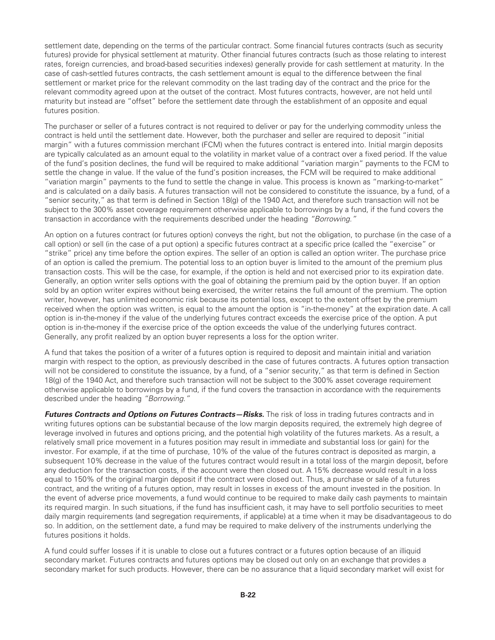settlement date, depending on the terms of the particular contract. Some financial futures contracts (such as security futures) provide for physical settlement at maturity. Other financial futures contracts (such as those relating to interest rates, foreign currencies, and broad-based securities indexes) generally provide for cash settlement at maturity. In the case of cash-settled futures contracts, the cash settlement amount is equal to the difference between the final settlement or market price for the relevant commodity on the last trading day of the contract and the price for the relevant commodity agreed upon at the outset of the contract. Most futures contracts, however, are not held until maturity but instead are "offset" before the settlement date through the establishment of an opposite and equal futures position.

The purchaser or seller of a futures contract is not required to deliver or pay for the underlying commodity unless the contract is held until the settlement date. However, both the purchaser and seller are required to deposit "initial margin" with a futures commission merchant (FCM) when the futures contract is entered into. Initial margin deposits are typically calculated as an amount equal to the volatility in market value of a contract over a fixed period. If the value of the fund's position declines, the fund will be required to make additional "variation margin" payments to the FCM to settle the change in value. If the value of the fund's position increases, the FCM will be required to make additional "variation margin" payments to the fund to settle the change in value. This process is known as "marking-to-market" and is calculated on a daily basis. A futures transaction will not be considered to constitute the issuance, by a fund, of a "senior security," as that term is defined in Section  $18(q)$  of the 1940 Act, and therefore such transaction will not be subject to the 300% asset coverage requirement otherwise applicable to borrowings by a fund, if the fund covers the transaction in accordance with the requirements described under the heading *"Borrowing."*

An option on a futures contract (or futures option) conveys the right, but not the obligation, to purchase (in the case of a call option) or sell (in the case of a put option) a specific futures contract at a specific price (called the "exercise" or "strike" price) any time before the option expires. The seller of an option is called an option writer. The purchase price of an option is called the premium. The potential loss to an option buyer is limited to the amount of the premium plus transaction costs. This will be the case, for example, if the option is held and not exercised prior to its expiration date. Generally, an option writer sells options with the goal of obtaining the premium paid by the option buyer. If an option sold by an option writer expires without being exercised, the writer retains the full amount of the premium. The option writer, however, has unlimited economic risk because its potential loss, except to the extent offset by the premium received when the option was written, is equal to the amount the option is "in-the-money" at the expiration date. A call option is in-the-money if the value of the underlying futures contract exceeds the exercise price of the option. A put option is in-the-money if the exercise price of the option exceeds the value of the underlying futures contract. Generally, any profit realized by an option buyer represents a loss for the option writer.

A fund that takes the position of a writer of a futures option is required to deposit and maintain initial and variation margin with respect to the option, as previously described in the case of futures contracts. A futures option transaction will not be considered to constitute the issuance, by a fund, of a "senior security," as that term is defined in Section 18(g) of the 1940 Act, and therefore such transaction will not be subject to the 300% asset coverage requirement otherwise applicable to borrowings by a fund, if the fund covers the transaction in accordance with the requirements described under the heading *"Borrowing."*

*Futures Contracts and Options on Futures Contracts—Risks.* The risk of loss in trading futures contracts and in writing futures options can be substantial because of the low margin deposits required, the extremely high degree of leverage involved in futures and options pricing, and the potential high volatility of the futures markets. As a result, a relatively small price movement in a futures position may result in immediate and substantial loss (or gain) for the investor. For example, if at the time of purchase, 10% of the value of the futures contract is deposited as margin, a subsequent 10% decrease in the value of the futures contract would result in a total loss of the margin deposit, before any deduction for the transaction costs, if the account were then closed out. A 15% decrease would result in a loss equal to 150% of the original margin deposit if the contract were closed out. Thus, a purchase or sale of a futures contract, and the writing of a futures option, may result in losses in excess of the amount invested in the position. In the event of adverse price movements, a fund would continue to be required to make daily cash payments to maintain its required margin. In such situations, if the fund has insufficient cash, it may have to sell portfolio securities to meet daily margin requirements (and segregation requirements, if applicable) at a time when it may be disadvantageous to do so. In addition, on the settlement date, a fund may be required to make delivery of the instruments underlying the futures positions it holds.

A fund could suffer losses if it is unable to close out a futures contract or a futures option because of an illiquid secondary market. Futures contracts and futures options may be closed out only on an exchange that provides a secondary market for such products. However, there can be no assurance that a liquid secondary market will exist for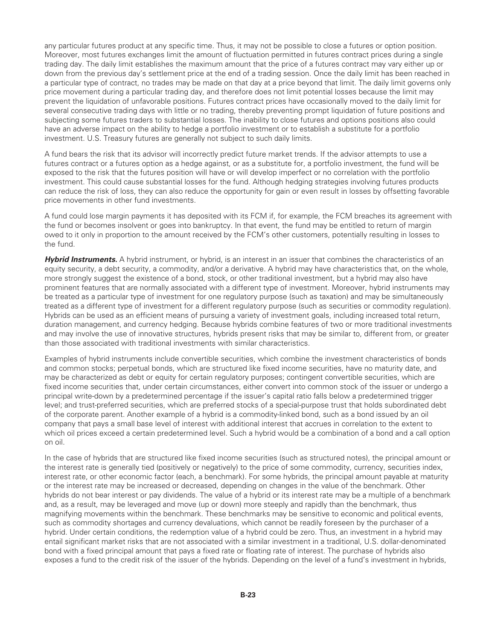any particular futures product at any specific time. Thus, it may not be possible to close a futures or option position. Moreover, most futures exchanges limit the amount of fluctuation permitted in futures contract prices during a single trading day. The daily limit establishes the maximum amount that the price of a futures contract may vary either up or down from the previous day's settlement price at the end of a trading session. Once the daily limit has been reached in a particular type of contract, no trades may be made on that day at a price beyond that limit. The daily limit governs only price movement during a particular trading day, and therefore does not limit potential losses because the limit may prevent the liquidation of unfavorable positions. Futures contract prices have occasionally moved to the daily limit for several consecutive trading days with little or no trading, thereby preventing prompt liquidation of future positions and subjecting some futures traders to substantial losses. The inability to close futures and options positions also could have an adverse impact on the ability to hedge a portfolio investment or to establish a substitute for a portfolio investment. U.S. Treasury futures are generally not subject to such daily limits.

A fund bears the risk that its advisor will incorrectly predict future market trends. If the advisor attempts to use a futures contract or a futures option as a hedge against, or as a substitute for, a portfolio investment, the fund will be exposed to the risk that the futures position will have or will develop imperfect or no correlation with the portfolio investment. This could cause substantial losses for the fund. Although hedging strategies involving futures products can reduce the risk of loss, they can also reduce the opportunity for gain or even result in losses by offsetting favorable price movements in other fund investments.

A fund could lose margin payments it has deposited with its FCM if, for example, the FCM breaches its agreement with the fund or becomes insolvent or goes into bankruptcy. In that event, the fund may be entitled to return of margin owed to it only in proportion to the amount received by the FCM's other customers, potentially resulting in losses to the fund.

*Hybrid Instruments.* A hybrid instrument, or hybrid, is an interest in an issuer that combines the characteristics of an equity security, a debt security, a commodity, and/or a derivative. A hybrid may have characteristics that, on the whole, more strongly suggest the existence of a bond, stock, or other traditional investment, but a hybrid may also have prominent features that are normally associated with a different type of investment. Moreover, hybrid instruments may be treated as a particular type of investment for one regulatory purpose (such as taxation) and may be simultaneously treated as a different type of investment for a different regulatory purpose (such as securities or commodity regulation). Hybrids can be used as an efficient means of pursuing a variety of investment goals, including increased total return, duration management, and currency hedging. Because hybrids combine features of two or more traditional investments and may involve the use of innovative structures, hybrids present risks that may be similar to, different from, or greater than those associated with traditional investments with similar characteristics.

Examples of hybrid instruments include convertible securities, which combine the investment characteristics of bonds and common stocks; perpetual bonds, which are structured like fixed income securities, have no maturity date, and may be characterized as debt or equity for certain regulatory purposes; contingent convertible securities, which are fixed income securities that, under certain circumstances, either convert into common stock of the issuer or undergo a principal write-down by a predetermined percentage if the issuer's capital ratio falls below a predetermined trigger level; and trust-preferred securities, which are preferred stocks of a special-purpose trust that holds subordinated debt of the corporate parent. Another example of a hybrid is a commodity-linked bond, such as a bond issued by an oil company that pays a small base level of interest with additional interest that accrues in correlation to the extent to which oil prices exceed a certain predetermined level. Such a hybrid would be a combination of a bond and a call option on oil.

In the case of hybrids that are structured like fixed income securities (such as structured notes), the principal amount or the interest rate is generally tied (positively or negatively) to the price of some commodity, currency, securities index, interest rate, or other economic factor (each, a benchmark). For some hybrids, the principal amount payable at maturity or the interest rate may be increased or decreased, depending on changes in the value of the benchmark. Other hybrids do not bear interest or pay dividends. The value of a hybrid or its interest rate may be a multiple of a benchmark and, as a result, may be leveraged and move (up or down) more steeply and rapidly than the benchmark, thus magnifying movements within the benchmark. These benchmarks may be sensitive to economic and political events, such as commodity shortages and currency devaluations, which cannot be readily foreseen by the purchaser of a hybrid. Under certain conditions, the redemption value of a hybrid could be zero. Thus, an investment in a hybrid may entail significant market risks that are not associated with a similar investment in a traditional, U.S. dollar-denominated bond with a fixed principal amount that pays a fixed rate or floating rate of interest. The purchase of hybrids also exposes a fund to the credit risk of the issuer of the hybrids. Depending on the level of a fund's investment in hybrids,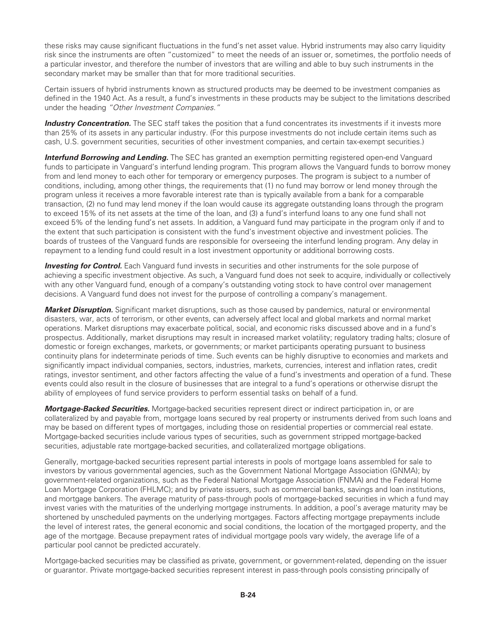these risks may cause significant fluctuations in the fund's net asset value. Hybrid instruments may also carry liquidity risk since the instruments are often "customized" to meet the needs of an issuer or, sometimes, the portfolio needs of a particular investor, and therefore the number of investors that are willing and able to buy such instruments in the secondary market may be smaller than that for more traditional securities.

Certain issuers of hybrid instruments known as structured products may be deemed to be investment companies as defined in the 1940 Act. As a result, a fund's investments in these products may be subject to the limitations described under the heading *"Other Investment Companies."*

**Industry Concentration.** The SEC staff takes the position that a fund concentrates its investments if it invests more than 25% of its assets in any particular industry. (For this purpose investments do not include certain items such as cash, U.S. government securities, securities of other investment companies, and certain tax-exempt securities.)

*Interfund Borrowing and Lending.* The SEC has granted an exemption permitting registered open-end Vanguard funds to participate in Vanguard's interfund lending program. This program allows the Vanguard funds to borrow money from and lend money to each other for temporary or emergency purposes. The program is subject to a number of conditions, including, among other things, the requirements that (1) no fund may borrow or lend money through the program unless it receives a more favorable interest rate than is typically available from a bank for a comparable transaction, (2) no fund may lend money if the loan would cause its aggregate outstanding loans through the program to exceed 15% of its net assets at the time of the loan, and (3) a fund's interfund loans to any one fund shall not exceed 5% of the lending fund's net assets. In addition, a Vanguard fund may participate in the program only if and to the extent that such participation is consistent with the fund's investment objective and investment policies. The boards of trustees of the Vanguard funds are responsible for overseeing the interfund lending program. Any delay in repayment to a lending fund could result in a lost investment opportunity or additional borrowing costs.

**Investing for Control.** Each Vanguard fund invests in securities and other instruments for the sole purpose of achieving a specific investment objective. As such, a Vanguard fund does not seek to acquire, individually or collectively with any other Vanguard fund, enough of a company's outstanding voting stock to have control over management decisions. A Vanguard fund does not invest for the purpose of controlling a company's management.

*Market Disruption.* Significant market disruptions, such as those caused by pandemics, natural or environmental disasters, war, acts of terrorism, or other events, can adversely affect local and global markets and normal market operations. Market disruptions may exacerbate political, social, and economic risks discussed above and in a fund's prospectus. Additionally, market disruptions may result in increased market volatility; regulatory trading halts; closure of domestic or foreign exchanges, markets, or governments; or market participants operating pursuant to business continuity plans for indeterminate periods of time. Such events can be highly disruptive to economies and markets and significantly impact individual companies, sectors, industries, markets, currencies, interest and inflation rates, credit ratings, investor sentiment, and other factors affecting the value of a fund's investments and operation of a fund. These events could also result in the closure of businesses that are integral to a fund's operations or otherwise disrupt the ability of employees of fund service providers to perform essential tasks on behalf of a fund.

*Mortgage-Backed Securities.* Mortgage-backed securities represent direct or indirect participation in, or are collateralized by and payable from, mortgage loans secured by real property or instruments derived from such loans and may be based on different types of mortgages, including those on residential properties or commercial real estate. Mortgage-backed securities include various types of securities, such as government stripped mortgage-backed securities, adjustable rate mortgage-backed securities, and collateralized mortgage obligations.

Generally, mortgage-backed securities represent partial interests in pools of mortgage loans assembled for sale to investors by various governmental agencies, such as the Government National Mortgage Association (GNMA); by government-related organizations, such as the Federal National Mortgage Association (FNMA) and the Federal Home Loan Mortgage Corporation (FHLMC); and by private issuers, such as commercial banks, savings and loan institutions, and mortgage bankers. The average maturity of pass-through pools of mortgage-backed securities in which a fund may invest varies with the maturities of the underlying mortgage instruments. In addition, a pool's average maturity may be shortened by unscheduled payments on the underlying mortgages. Factors affecting mortgage prepayments include the level of interest rates, the general economic and social conditions, the location of the mortgaged property, and the age of the mortgage. Because prepayment rates of individual mortgage pools vary widely, the average life of a particular pool cannot be predicted accurately.

Mortgage-backed securities may be classified as private, government, or government-related, depending on the issuer or guarantor. Private mortgage-backed securities represent interest in pass-through pools consisting principally of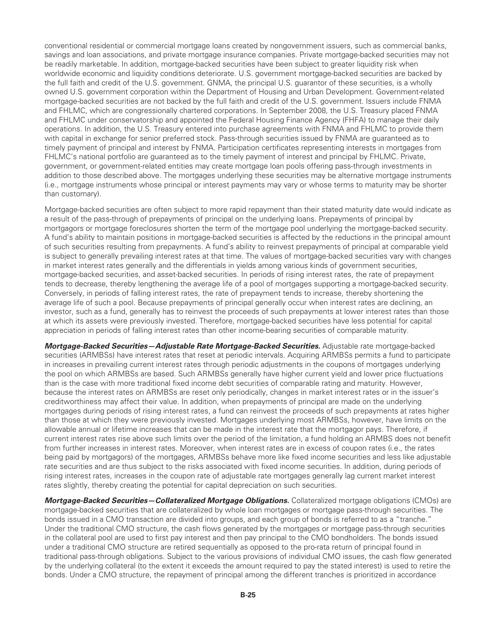conventional residential or commercial mortgage loans created by nongovernment issuers, such as commercial banks, savings and loan associations, and private mortgage insurance companies. Private mortgage-backed securities may not be readily marketable. In addition, mortgage-backed securities have been subject to greater liquidity risk when worldwide economic and liquidity conditions deteriorate. U.S. government mortgage-backed securities are backed by the full faith and credit of the U.S. government. GNMA, the principal U.S. guarantor of these securities, is a wholly owned U.S. government corporation within the Department of Housing and Urban Development. Government-related mortgage-backed securities are not backed by the full faith and credit of the U.S. government. Issuers include FNMA and FHLMC, which are congressionally chartered corporations. In September 2008, the U.S. Treasury placed FNMA and FHLMC under conservatorship and appointed the Federal Housing Finance Agency (FHFA) to manage their daily operations. In addition, the U.S. Treasury entered into purchase agreements with FNMA and FHLMC to provide them with capital in exchange for senior preferred stock. Pass-through securities issued by FNMA are guaranteed as to timely payment of principal and interest by FNMA. Participation certificates representing interests in mortgages from FHLMC's national portfolio are guaranteed as to the timely payment of interest and principal by FHLMC. Private, government, or government-related entities may create mortgage loan pools offering pass-through investments in addition to those described above. The mortgages underlying these securities may be alternative mortgage instruments (i.e., mortgage instruments whose principal or interest payments may vary or whose terms to maturity may be shorter than customary).

Mortgage-backed securities are often subject to more rapid repayment than their stated maturity date would indicate as a result of the pass-through of prepayments of principal on the underlying loans. Prepayments of principal by mortgagors or mortgage foreclosures shorten the term of the mortgage pool underlying the mortgage-backed security. A fund's ability to maintain positions in mortgage-backed securities is affected by the reductions in the principal amount of such securities resulting from prepayments. A fund's ability to reinvest prepayments of principal at comparable yield is subject to generally prevailing interest rates at that time. The values of mortgage-backed securities vary with changes in market interest rates generally and the differentials in yields among various kinds of government securities, mortgage-backed securities, and asset-backed securities. In periods of rising interest rates, the rate of prepayment tends to decrease, thereby lengthening the average life of a pool of mortgages supporting a mortgage-backed security. Conversely, in periods of falling interest rates, the rate of prepayment tends to increase, thereby shortening the average life of such a pool. Because prepayments of principal generally occur when interest rates are declining, an investor, such as a fund, generally has to reinvest the proceeds of such prepayments at lower interest rates than those at which its assets were previously invested. Therefore, mortgage-backed securities have less potential for capital appreciation in periods of falling interest rates than other income-bearing securities of comparable maturity.

*Mortgage-Backed Securities—Adjustable Rate Mortgage-Backed Securities.* Adjustable rate mortgage-backed securities (ARMBSs) have interest rates that reset at periodic intervals. Acquiring ARMBSs permits a fund to participate in increases in prevailing current interest rates through periodic adjustments in the coupons of mortgages underlying the pool on which ARMBSs are based. Such ARMBSs generally have higher current yield and lower price fluctuations than is the case with more traditional fixed income debt securities of comparable rating and maturity. However, because the interest rates on ARMBSs are reset only periodically, changes in market interest rates or in the issuer's creditworthiness may affect their value. In addition, when prepayments of principal are made on the underlying mortgages during periods of rising interest rates, a fund can reinvest the proceeds of such prepayments at rates higher than those at which they were previously invested. Mortgages underlying most ARMBSs, however, have limits on the allowable annual or lifetime increases that can be made in the interest rate that the mortgagor pays. Therefore, if current interest rates rise above such limits over the period of the limitation, a fund holding an ARMBS does not benefit from further increases in interest rates. Moreover, when interest rates are in excess of coupon rates (i.e., the rates being paid by mortgagors) of the mortgages, ARMBSs behave more like fixed income securities and less like adjustable rate securities and are thus subject to the risks associated with fixed income securities. In addition, during periods of rising interest rates, increases in the coupon rate of adjustable rate mortgages generally lag current market interest rates slightly, thereby creating the potential for capital depreciation on such securities.

*Mortgage-Backed Securities—Collateralized Mortgage Obligations.* Collateralized mortgage obligations (CMOs) are mortgage-backed securities that are collateralized by whole loan mortgages or mortgage pass-through securities. The bonds issued in a CMO transaction are divided into groups, and each group of bonds is referred to as a "tranche." Under the traditional CMO structure, the cash flows generated by the mortgages or mortgage pass-through securities in the collateral pool are used to first pay interest and then pay principal to the CMO bondholders. The bonds issued under a traditional CMO structure are retired sequentially as opposed to the pro-rata return of principal found in traditional pass-through obligations. Subject to the various provisions of individual CMO issues, the cash flow generated by the underlying collateral (to the extent it exceeds the amount required to pay the stated interest) is used to retire the bonds. Under a CMO structure, the repayment of principal among the different tranches is prioritized in accordance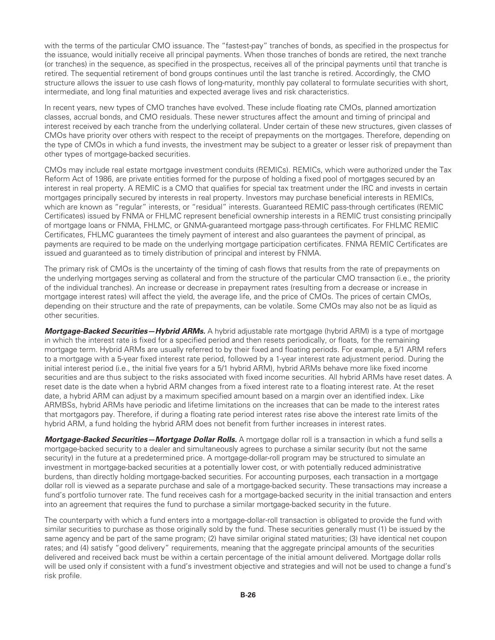with the terms of the particular CMO issuance. The "fastest-pay" tranches of bonds, as specified in the prospectus for the issuance, would initially receive all principal payments. When those tranches of bonds are retired, the next tranche (or tranches) in the sequence, as specified in the prospectus, receives all of the principal payments until that tranche is retired. The sequential retirement of bond groups continues until the last tranche is retired. Accordingly, the CMO structure allows the issuer to use cash flows of long-maturity, monthly pay collateral to formulate securities with short, intermediate, and long final maturities and expected average lives and risk characteristics.

In recent years, new types of CMO tranches have evolved. These include floating rate CMOs, planned amortization classes, accrual bonds, and CMO residuals. These newer structures affect the amount and timing of principal and interest received by each tranche from the underlying collateral. Under certain of these new structures, given classes of CMOs have priority over others with respect to the receipt of prepayments on the mortgages. Therefore, depending on the type of CMOs in which a fund invests, the investment may be subject to a greater or lesser risk of prepayment than other types of mortgage-backed securities.

CMOs may include real estate mortgage investment conduits (REMICs). REMICs, which were authorized under the Tax Reform Act of 1986, are private entities formed for the purpose of holding a fixed pool of mortgages secured by an interest in real property. A REMIC is a CMO that qualifies for special tax treatment under the IRC and invests in certain mortgages principally secured by interests in real property. Investors may purchase beneficial interests in REMICs, which are known as "regular" interests, or "residual" interests. Guaranteed REMIC pass-through certificates (REMIC Certificates) issued by FNMA or FHLMC represent beneficial ownership interests in a REMIC trust consisting principally of mortgage loans or FNMA, FHLMC, or GNMA-guaranteed mortgage pass-through certificates. For FHLMC REMIC Certificates, FHLMC guarantees the timely payment of interest and also guarantees the payment of principal, as payments are required to be made on the underlying mortgage participation certificates. FNMA REMIC Certificates are issued and guaranteed as to timely distribution of principal and interest by FNMA.

The primary risk of CMOs is the uncertainty of the timing of cash flows that results from the rate of prepayments on the underlying mortgages serving as collateral and from the structure of the particular CMO transaction (i.e., the priority of the individual tranches). An increase or decrease in prepayment rates (resulting from a decrease or increase in mortgage interest rates) will affect the yield, the average life, and the price of CMOs. The prices of certain CMOs, depending on their structure and the rate of prepayments, can be volatile. Some CMOs may also not be as liquid as other securities.

*Mortgage-Backed Securities—Hybrid ARMs.* A hybrid adjustable rate mortgage (hybrid ARM) is a type of mortgage in which the interest rate is fixed for a specified period and then resets periodically, or floats, for the remaining mortgage term. Hybrid ARMs are usually referred to by their fixed and floating periods. For example, a 5/1 ARM refers to a mortgage with a 5-year fixed interest rate period, followed by a 1-year interest rate adjustment period. During the initial interest period (i.e., the initial five years for a 5/1 hybrid ARM), hybrid ARMs behave more like fixed income securities and are thus subject to the risks associated with fixed income securities. All hybrid ARMs have reset dates. A reset date is the date when a hybrid ARM changes from a fixed interest rate to a floating interest rate. At the reset date, a hybrid ARM can adjust by a maximum specified amount based on a margin over an identified index. Like ARMBSs, hybrid ARMs have periodic and lifetime limitations on the increases that can be made to the interest rates that mortgagors pay. Therefore, if during a floating rate period interest rates rise above the interest rate limits of the hybrid ARM, a fund holding the hybrid ARM does not benefit from further increases in interest rates.

*Mortgage-Backed Securities—Mortgage Dollar Rolls.* A mortgage dollar roll is a transaction in which a fund sells a mortgage-backed security to a dealer and simultaneously agrees to purchase a similar security (but not the same security) in the future at a predetermined price. A mortgage-dollar-roll program may be structured to simulate an investment in mortgage-backed securities at a potentially lower cost, or with potentially reduced administrative burdens, than directly holding mortgage-backed securities. For accounting purposes, each transaction in a mortgage dollar roll is viewed as a separate purchase and sale of a mortgage-backed security. These transactions may increase a fund's portfolio turnover rate. The fund receives cash for a mortgage-backed security in the initial transaction and enters into an agreement that requires the fund to purchase a similar mortgage-backed security in the future.

The counterparty with which a fund enters into a mortgage-dollar-roll transaction is obligated to provide the fund with similar securities to purchase as those originally sold by the fund. These securities generally must (1) be issued by the same agency and be part of the same program; (2) have similar original stated maturities; (3) have identical net coupon rates; and (4) satisfy "good delivery" requirements, meaning that the aggregate principal amounts of the securities delivered and received back must be within a certain percentage of the initial amount delivered. Mortgage dollar rolls will be used only if consistent with a fund's investment objective and strategies and will not be used to change a fund's risk profile.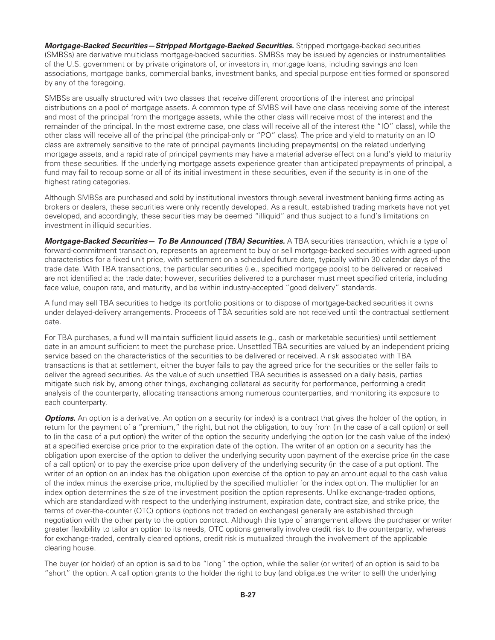*Mortgage-Backed Securities—Stripped Mortgage-Backed Securities.* Stripped mortgage-backed securities (SMBSs) are derivative multiclass mortgage-backed securities. SMBSs may be issued by agencies or instrumentalities of the U.S. government or by private originators of, or investors in, mortgage loans, including savings and loan associations, mortgage banks, commercial banks, investment banks, and special purpose entities formed or sponsored by any of the foregoing.

SMBSs are usually structured with two classes that receive different proportions of the interest and principal distributions on a pool of mortgage assets. A common type of SMBS will have one class receiving some of the interest and most of the principal from the mortgage assets, while the other class will receive most of the interest and the remainder of the principal. In the most extreme case, one class will receive all of the interest (the "IO" class), while the other class will receive all of the principal (the principal-only or "PO" class). The price and yield to maturity on an IO class are extremely sensitive to the rate of principal payments (including prepayments) on the related underlying mortgage assets, and a rapid rate of principal payments may have a material adverse effect on a fund's yield to maturity from these securities. If the underlying mortgage assets experience greater than anticipated prepayments of principal, a fund may fail to recoup some or all of its initial investment in these securities, even if the security is in one of the highest rating categories.

Although SMBSs are purchased and sold by institutional investors through several investment banking firms acting as brokers or dealers, these securities were only recently developed. As a result, established trading markets have not yet developed, and accordingly, these securities may be deemed "illiquid" and thus subject to a fund's limitations on investment in illiquid securities.

*Mortgage-Backed Securities— To Be Announced (TBA) Securities.* A TBA securities transaction, which is a type of forward-commitment transaction, represents an agreement to buy or sell mortgage-backed securities with agreed-upon characteristics for a fixed unit price, with settlement on a scheduled future date, typically within 30 calendar days of the trade date. With TBA transactions, the particular securities (i.e., specified mortgage pools) to be delivered or received are not identified at the trade date; however, securities delivered to a purchaser must meet specified criteria, including face value, coupon rate, and maturity, and be within industry-accepted "good delivery" standards.

A fund may sell TBA securities to hedge its portfolio positions or to dispose of mortgage-backed securities it owns under delayed-delivery arrangements. Proceeds of TBA securities sold are not received until the contractual settlement date.

For TBA purchases, a fund will maintain sufficient liquid assets (e.g., cash or marketable securities) until settlement date in an amount sufficient to meet the purchase price. Unsettled TBA securities are valued by an independent pricing service based on the characteristics of the securities to be delivered or received. A risk associated with TBA transactions is that at settlement, either the buyer fails to pay the agreed price for the securities or the seller fails to deliver the agreed securities. As the value of such unsettled TBA securities is assessed on a daily basis, parties mitigate such risk by, among other things, exchanging collateral as security for performance, performing a credit analysis of the counterparty, allocating transactions among numerous counterparties, and monitoring its exposure to each counterparty.

**Options.** An option is a derivative. An option on a security (or index) is a contract that gives the holder of the option, in return for the payment of a "premium," the right, but not the obligation, to buy from (in the case of a call option) or sell to (in the case of a put option) the writer of the option the security underlying the option (or the cash value of the index) at a specified exercise price prior to the expiration date of the option. The writer of an option on a security has the obligation upon exercise of the option to deliver the underlying security upon payment of the exercise price (in the case of a call option) or to pay the exercise price upon delivery of the underlying security (in the case of a put option). The writer of an option on an index has the obligation upon exercise of the option to pay an amount equal to the cash value of the index minus the exercise price, multiplied by the specified multiplier for the index option. The multiplier for an index option determines the size of the investment position the option represents. Unlike exchange-traded options, which are standardized with respect to the underlying instrument, expiration date, contract size, and strike price, the terms of over-the-counter (OTC) options (options not traded on exchanges) generally are established through negotiation with the other party to the option contract. Although this type of arrangement allows the purchaser or writer greater flexibility to tailor an option to its needs, OTC options generally involve credit risk to the counterparty, whereas for exchange-traded, centrally cleared options, credit risk is mutualized through the involvement of the applicable clearing house.

The buyer (or holder) of an option is said to be "long" the option, while the seller (or writer) of an option is said to be "short" the option. A call option grants to the holder the right to buy (and obligates the writer to sell) the underlying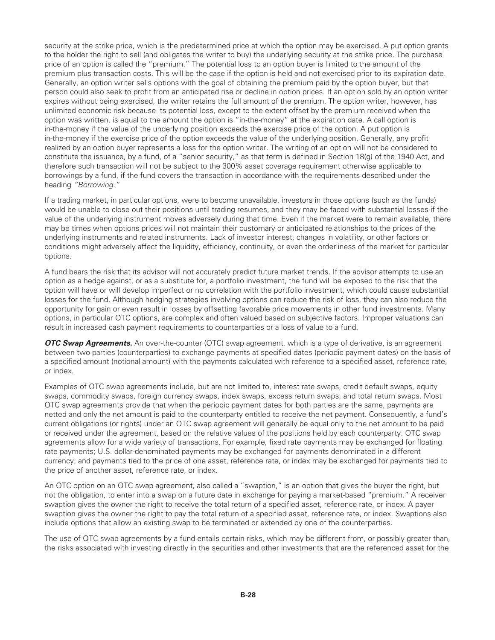security at the strike price, which is the predetermined price at which the option may be exercised. A put option grants to the holder the right to sell (and obligates the writer to buy) the underlying security at the strike price. The purchase price of an option is called the "premium." The potential loss to an option buyer is limited to the amount of the premium plus transaction costs. This will be the case if the option is held and not exercised prior to its expiration date. Generally, an option writer sells options with the goal of obtaining the premium paid by the option buyer, but that person could also seek to profit from an anticipated rise or decline in option prices. If an option sold by an option writer expires without being exercised, the writer retains the full amount of the premium. The option writer, however, has unlimited economic risk because its potential loss, except to the extent offset by the premium received when the option was written, is equal to the amount the option is "in-the-money" at the expiration date. A call option is in-the-money if the value of the underlying position exceeds the exercise price of the option. A put option is in-the-money if the exercise price of the option exceeds the value of the underlying position. Generally, any profit realized by an option buyer represents a loss for the option writer. The writing of an option will not be considered to constitute the issuance, by a fund, of a "senior security," as that term is defined in Section 18(g) of the 1940 Act, and therefore such transaction will not be subject to the 300% asset coverage requirement otherwise applicable to borrowings by a fund, if the fund covers the transaction in accordance with the requirements described under the heading *"Borrowing."*

If a trading market, in particular options, were to become unavailable, investors in those options (such as the funds) would be unable to close out their positions until trading resumes, and they may be faced with substantial losses if the value of the underlying instrument moves adversely during that time. Even if the market were to remain available, there may be times when options prices will not maintain their customary or anticipated relationships to the prices of the underlying instruments and related instruments. Lack of investor interest, changes in volatility, or other factors or conditions might adversely affect the liquidity, efficiency, continuity, or even the orderliness of the market for particular options.

A fund bears the risk that its advisor will not accurately predict future market trends. If the advisor attempts to use an option as a hedge against, or as a substitute for, a portfolio investment, the fund will be exposed to the risk that the option will have or will develop imperfect or no correlation with the portfolio investment, which could cause substantial losses for the fund. Although hedging strategies involving options can reduce the risk of loss, they can also reduce the opportunity for gain or even result in losses by offsetting favorable price movements in other fund investments. Many options, in particular OTC options, are complex and often valued based on subjective factors. Improper valuations can result in increased cash payment requirements to counterparties or a loss of value to a fund.

*OTC Swap Agreements.* An over-the-counter (OTC) swap agreement, which is a type of derivative, is an agreement between two parties (counterparties) to exchange payments at specified dates (periodic payment dates) on the basis of a specified amount (notional amount) with the payments calculated with reference to a specified asset, reference rate, or index.

Examples of OTC swap agreements include, but are not limited to, interest rate swaps, credit default swaps, equity swaps, commodity swaps, foreign currency swaps, index swaps, excess return swaps, and total return swaps. Most OTC swap agreements provide that when the periodic payment dates for both parties are the same, payments are netted and only the net amount is paid to the counterparty entitled to receive the net payment. Consequently, a fund's current obligations (or rights) under an OTC swap agreement will generally be equal only to the net amount to be paid or received under the agreement, based on the relative values of the positions held by each counterparty. OTC swap agreements allow for a wide variety of transactions. For example, fixed rate payments may be exchanged for floating rate payments; U.S. dollar-denominated payments may be exchanged for payments denominated in a different currency; and payments tied to the price of one asset, reference rate, or index may be exchanged for payments tied to the price of another asset, reference rate, or index.

An OTC option on an OTC swap agreement, also called a "swaption," is an option that gives the buyer the right, but not the obligation, to enter into a swap on a future date in exchange for paying a market-based "premium." A receiver swaption gives the owner the right to receive the total return of a specified asset, reference rate, or index. A payer swaption gives the owner the right to pay the total return of a specified asset, reference rate, or index. Swaptions also include options that allow an existing swap to be terminated or extended by one of the counterparties.

The use of OTC swap agreements by a fund entails certain risks, which may be different from, or possibly greater than, the risks associated with investing directly in the securities and other investments that are the referenced asset for the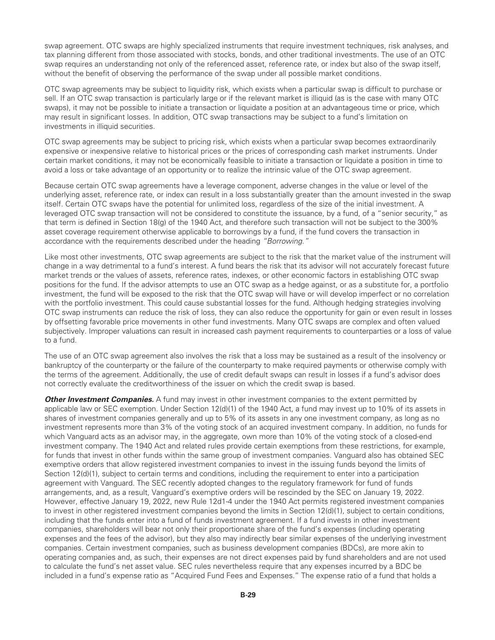swap agreement. OTC swaps are highly specialized instruments that require investment techniques, risk analyses, and tax planning different from those associated with stocks, bonds, and other traditional investments. The use of an OTC swap requires an understanding not only of the referenced asset, reference rate, or index but also of the swap itself, without the benefit of observing the performance of the swap under all possible market conditions.

OTC swap agreements may be subject to liquidity risk, which exists when a particular swap is difficult to purchase or sell. If an OTC swap transaction is particularly large or if the relevant market is illiquid (as is the case with many OTC swaps), it may not be possible to initiate a transaction or liquidate a position at an advantageous time or price, which may result in significant losses. In addition, OTC swap transactions may be subject to a fund's limitation on investments in illiquid securities.

OTC swap agreements may be subject to pricing risk, which exists when a particular swap becomes extraordinarily expensive or inexpensive relative to historical prices or the prices of corresponding cash market instruments. Under certain market conditions, it may not be economically feasible to initiate a transaction or liquidate a position in time to avoid a loss or take advantage of an opportunity or to realize the intrinsic value of the OTC swap agreement.

Because certain OTC swap agreements have a leverage component, adverse changes in the value or level of the underlying asset, reference rate, or index can result in a loss substantially greater than the amount invested in the swap itself. Certain OTC swaps have the potential for unlimited loss, regardless of the size of the initial investment. A leveraged OTC swap transaction will not be considered to constitute the issuance, by a fund, of a "senior security," as that term is defined in Section 18(g) of the 1940 Act, and therefore such transaction will not be subject to the 300% asset coverage requirement otherwise applicable to borrowings by a fund, if the fund covers the transaction in accordance with the requirements described under the heading *"Borrowing."*

Like most other investments, OTC swap agreements are subject to the risk that the market value of the instrument will change in a way detrimental to a fund's interest. A fund bears the risk that its advisor will not accurately forecast future market trends or the values of assets, reference rates, indexes, or other economic factors in establishing OTC swap positions for the fund. If the advisor attempts to use an OTC swap as a hedge against, or as a substitute for, a portfolio investment, the fund will be exposed to the risk that the OTC swap will have or will develop imperfect or no correlation with the portfolio investment. This could cause substantial losses for the fund. Although hedging strategies involving OTC swap instruments can reduce the risk of loss, they can also reduce the opportunity for gain or even result in losses by offsetting favorable price movements in other fund investments. Many OTC swaps are complex and often valued subjectively. Improper valuations can result in increased cash payment requirements to counterparties or a loss of value to a fund.

The use of an OTC swap agreement also involves the risk that a loss may be sustained as a result of the insolvency or bankruptcy of the counterparty or the failure of the counterparty to make required payments or otherwise comply with the terms of the agreement. Additionally, the use of credit default swaps can result in losses if a fund's advisor does not correctly evaluate the creditworthiness of the issuer on which the credit swap is based.

**Other Investment Companies.** A fund may invest in other investment companies to the extent permitted by applicable law or SEC exemption. Under Section 12(d)(1) of the 1940 Act, a fund may invest up to 10% of its assets in shares of investment companies generally and up to 5% of its assets in any one investment company, as long as no investment represents more than 3% of the voting stock of an acquired investment company. In addition, no funds for which Vanguard acts as an advisor may, in the aggregate, own more than 10% of the voting stock of a closed-end investment company. The 1940 Act and related rules provide certain exemptions from these restrictions, for example, for funds that invest in other funds within the same group of investment companies. Vanguard also has obtained SEC exemptive orders that allow registered investment companies to invest in the issuing funds beyond the limits of Section 12(d)(1), subject to certain terms and conditions, including the requirement to enter into a participation agreement with Vanguard. The SEC recently adopted changes to the regulatory framework for fund of funds arrangements, and, as a result, Vanguard's exemptive orders will be rescinded by the SEC on January 19, 2022. However, effective January 19, 2022, new Rule 12d1-4 under the 1940 Act permits registered investment companies to invest in other registered investment companies beyond the limits in Section 12(d)(1), subject to certain conditions, including that the funds enter into a fund of funds investment agreement. If a fund invests in other investment companies, shareholders will bear not only their proportionate share of the fund's expenses (including operating expenses and the fees of the advisor), but they also may indirectly bear similar expenses of the underlying investment companies. Certain investment companies, such as business development companies (BDCs), are more akin to operating companies and, as such, their expenses are not direct expenses paid by fund shareholders and are not used to calculate the fund's net asset value. SEC rules nevertheless require that any expenses incurred by a BDC be included in a fund's expense ratio as "Acquired Fund Fees and Expenses." The expense ratio of a fund that holds a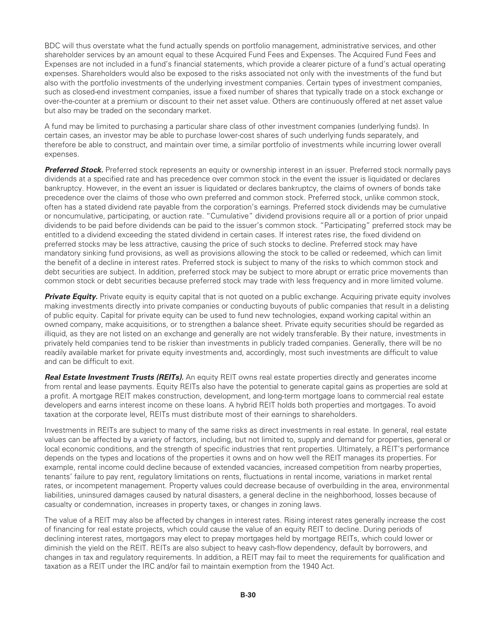BDC will thus overstate what the fund actually spends on portfolio management, administrative services, and other shareholder services by an amount equal to these Acquired Fund Fees and Expenses. The Acquired Fund Fees and Expenses are not included in a fund's financial statements, which provide a clearer picture of a fund's actual operating expenses. Shareholders would also be exposed to the risks associated not only with the investments of the fund but also with the portfolio investments of the underlying investment companies. Certain types of investment companies, such as closed-end investment companies, issue a fixed number of shares that typically trade on a stock exchange or over-the-counter at a premium or discount to their net asset value. Others are continuously offered at net asset value but also may be traded on the secondary market.

A fund may be limited to purchasing a particular share class of other investment companies (underlying funds). In certain cases, an investor may be able to purchase lower-cost shares of such underlying funds separately, and therefore be able to construct, and maintain over time, a similar portfolio of investments while incurring lower overall expenses.

*Preferred Stock.* Preferred stock represents an equity or ownership interest in an issuer. Preferred stock normally pays dividends at a specified rate and has precedence over common stock in the event the issuer is liquidated or declares bankruptcy. However, in the event an issuer is liquidated or declares bankruptcy, the claims of owners of bonds take precedence over the claims of those who own preferred and common stock. Preferred stock, unlike common stock, often has a stated dividend rate payable from the corporation's earnings. Preferred stock dividends may be cumulative or noncumulative, participating, or auction rate. "Cumulative" dividend provisions require all or a portion of prior unpaid dividends to be paid before dividends can be paid to the issuer's common stock. "Participating" preferred stock may be entitled to a dividend exceeding the stated dividend in certain cases. If interest rates rise, the fixed dividend on preferred stocks may be less attractive, causing the price of such stocks to decline. Preferred stock may have mandatory sinking fund provisions, as well as provisions allowing the stock to be called or redeemed, which can limit the benefit of a decline in interest rates. Preferred stock is subject to many of the risks to which common stock and debt securities are subject. In addition, preferred stock may be subject to more abrupt or erratic price movements than common stock or debt securities because preferred stock may trade with less frequency and in more limited volume.

**Private Equity.** Private equity is equity capital that is not quoted on a public exchange. Acquiring private equity involves making investments directly into private companies or conducting buyouts of public companies that result in a delisting of public equity. Capital for private equity can be used to fund new technologies, expand working capital within an owned company, make acquisitions, or to strengthen a balance sheet. Private equity securities should be regarded as illiquid, as they are not listed on an exchange and generally are not widely transferable. By their nature, investments in privately held companies tend to be riskier than investments in publicly traded companies. Generally, there will be no readily available market for private equity investments and, accordingly, most such investments are difficult to value and can be difficult to exit.

*Real Estate Investment Trusts (REITs).* An equity REIT owns real estate properties directly and generates income from rental and lease payments. Equity REITs also have the potential to generate capital gains as properties are sold at a profit. A mortgage REIT makes construction, development, and long-term mortgage loans to commercial real estate developers and earns interest income on these loans. A hybrid REIT holds both properties and mortgages. To avoid taxation at the corporate level, REITs must distribute most of their earnings to shareholders.

Investments in REITs are subject to many of the same risks as direct investments in real estate. In general, real estate values can be affected by a variety of factors, including, but not limited to, supply and demand for properties, general or local economic conditions, and the strength of specific industries that rent properties. Ultimately, a REIT's performance depends on the types and locations of the properties it owns and on how well the REIT manages its properties. For example, rental income could decline because of extended vacancies, increased competition from nearby properties, tenants' failure to pay rent, regulatory limitations on rents, fluctuations in rental income, variations in market rental rates, or incompetent management. Property values could decrease because of overbuilding in the area, environmental liabilities, uninsured damages caused by natural disasters, a general decline in the neighborhood, losses because of casualty or condemnation, increases in property taxes, or changes in zoning laws.

The value of a REIT may also be affected by changes in interest rates. Rising interest rates generally increase the cost of financing for real estate projects, which could cause the value of an equity REIT to decline. During periods of declining interest rates, mortgagors may elect to prepay mortgages held by mortgage REITs, which could lower or diminish the yield on the REIT. REITs are also subject to heavy cash-flow dependency, default by borrowers, and changes in tax and regulatory requirements. In addition, a REIT may fail to meet the requirements for qualification and taxation as a REIT under the IRC and/or fail to maintain exemption from the 1940 Act.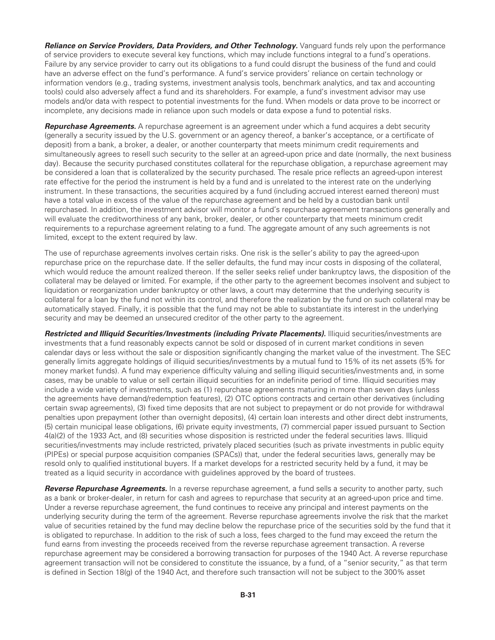*Reliance on Service Providers, Data Providers, and Other Technology. Vanguard funds rely upon the performance* of service providers to execute several key functions, which may include functions integral to a fund's operations. Failure by any service provider to carry out its obligations to a fund could disrupt the business of the fund and could have an adverse effect on the fund's performance. A fund's service providers' reliance on certain technology or information vendors (e.g., trading systems, investment analysis tools, benchmark analytics, and tax and accounting tools) could also adversely affect a fund and its shareholders. For example, a fund's investment advisor may use models and/or data with respect to potential investments for the fund. When models or data prove to be incorrect or incomplete, any decisions made in reliance upon such models or data expose a fund to potential risks.

*Repurchase Agreements.* A repurchase agreement is an agreement under which a fund acquires a debt security (generally a security issued by the U.S. government or an agency thereof, a banker's acceptance, or a certificate of deposit) from a bank, a broker, a dealer, or another counterparty that meets minimum credit requirements and simultaneously agrees to resell such security to the seller at an agreed-upon price and date (normally, the next business day). Because the security purchased constitutes collateral for the repurchase obligation, a repurchase agreement may be considered a loan that is collateralized by the security purchased. The resale price reflects an agreed-upon interest rate effective for the period the instrument is held by a fund and is unrelated to the interest rate on the underlying instrument. In these transactions, the securities acquired by a fund (including accrued interest earned thereon) must have a total value in excess of the value of the repurchase agreement and be held by a custodian bank until repurchased. In addition, the investment advisor will monitor a fund's repurchase agreement transactions generally and will evaluate the creditworthiness of any bank, broker, dealer, or other counterparty that meets minimum credit requirements to a repurchase agreement relating to a fund. The aggregate amount of any such agreements is not limited, except to the extent required by law.

The use of repurchase agreements involves certain risks. One risk is the seller's ability to pay the agreed-upon repurchase price on the repurchase date. If the seller defaults, the fund may incur costs in disposing of the collateral, which would reduce the amount realized thereon. If the seller seeks relief under bankruptcy laws, the disposition of the collateral may be delayed or limited. For example, if the other party to the agreement becomes insolvent and subject to liquidation or reorganization under bankruptcy or other laws, a court may determine that the underlying security is collateral for a loan by the fund not within its control, and therefore the realization by the fund on such collateral may be automatically stayed. Finally, it is possible that the fund may not be able to substantiate its interest in the underlying security and may be deemed an unsecured creditor of the other party to the agreement.

*Restricted and Illiquid Securities/Investments (including Private Placements).* Illiquid securities/investments are investments that a fund reasonably expects cannot be sold or disposed of in current market conditions in seven calendar days or less without the sale or disposition significantly changing the market value of the investment. The SEC generally limits aggregate holdings of illiquid securities/investments by a mutual fund to 15% of its net assets (5% for money market funds). A fund may experience difficulty valuing and selling illiquid securities/investments and, in some cases, may be unable to value or sell certain illiquid securities for an indefinite period of time. Illiquid securities may include a wide variety of investments, such as (1) repurchase agreements maturing in more than seven days (unless the agreements have demand/redemption features), (2) OTC options contracts and certain other derivatives (including certain swap agreements), (3) fixed time deposits that are not subject to prepayment or do not provide for withdrawal penalties upon prepayment (other than overnight deposits), (4) certain loan interests and other direct debt instruments, (5) certain municipal lease obligations, (6) private equity investments, (7) commercial paper issued pursuant to Section 4(a)(2) of the 1933 Act, and (8) securities whose disposition is restricted under the federal securities laws. Illiquid securities/investments may include restricted, privately placed securities (such as private investments in public equity (PIPEs) or special purpose acquisition companies (SPACs)) that, under the federal securities laws, generally may be resold only to qualified institutional buyers. If a market develops for a restricted security held by a fund, it may be treated as a liquid security in accordance with guidelines approved by the board of trustees.

*Reverse Repurchase Agreements.* In a reverse repurchase agreement, a fund sells a security to another party, such as a bank or broker-dealer, in return for cash and agrees to repurchase that security at an agreed-upon price and time. Under a reverse repurchase agreement, the fund continues to receive any principal and interest payments on the underlying security during the term of the agreement. Reverse repurchase agreements involve the risk that the market value of securities retained by the fund may decline below the repurchase price of the securities sold by the fund that it is obligated to repurchase. In addition to the risk of such a loss, fees charged to the fund may exceed the return the fund earns from investing the proceeds received from the reverse repurchase agreement transaction. A reverse repurchase agreement may be considered a borrowing transaction for purposes of the 1940 Act. A reverse repurchase agreement transaction will not be considered to constitute the issuance, by a fund, of a "senior security," as that term is defined in Section 18(g) of the 1940 Act, and therefore such transaction will not be subject to the 300% asset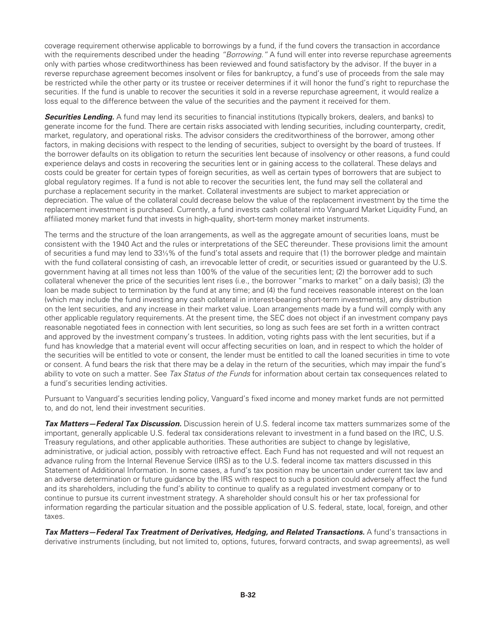coverage requirement otherwise applicable to borrowings by a fund, if the fund covers the transaction in accordance with the requirements described under the heading *"Borrowing."* A fund will enter into reverse repurchase agreements only with parties whose creditworthiness has been reviewed and found satisfactory by the advisor. If the buyer in a reverse repurchase agreement becomes insolvent or files for bankruptcy, a fund's use of proceeds from the sale may be restricted while the other party or its trustee or receiver determines if it will honor the fund's right to repurchase the securities. If the fund is unable to recover the securities it sold in a reverse repurchase agreement, it would realize a loss equal to the difference between the value of the securities and the payment it received for them.

**Securities Lending.** A fund may lend its securities to financial institutions (typically brokers, dealers, and banks) to generate income for the fund. There are certain risks associated with lending securities, including counterparty, credit, market, regulatory, and operational risks. The advisor considers the creditworthiness of the borrower, among other factors, in making decisions with respect to the lending of securities, subject to oversight by the board of trustees. If the borrower defaults on its obligation to return the securities lent because of insolvency or other reasons, a fund could experience delays and costs in recovering the securities lent or in gaining access to the collateral. These delays and costs could be greater for certain types of foreign securities, as well as certain types of borrowers that are subject to global regulatory regimes. If a fund is not able to recover the securities lent, the fund may sell the collateral and purchase a replacement security in the market. Collateral investments are subject to market appreciation or depreciation. The value of the collateral could decrease below the value of the replacement investment by the time the replacement investment is purchased. Currently, a fund invests cash collateral into Vanguard Market Liquidity Fund, an affiliated money market fund that invests in high-quality, short-term money market instruments.

The terms and the structure of the loan arrangements, as well as the aggregate amount of securities loans, must be consistent with the 1940 Act and the rules or interpretations of the SEC thereunder. These provisions limit the amount of securities a fund may lend to 33⅓% of the fund's total assets and require that (1) the borrower pledge and maintain with the fund collateral consisting of cash, an irrevocable letter of credit, or securities issued or guaranteed by the U.S. government having at all times not less than 100% of the value of the securities lent; (2) the borrower add to such collateral whenever the price of the securities lent rises (i.e., the borrower "marks to market" on a daily basis); (3) the loan be made subject to termination by the fund at any time; and (4) the fund receives reasonable interest on the loan (which may include the fund investing any cash collateral in interest-bearing short-term investments), any distribution on the lent securities, and any increase in their market value. Loan arrangements made by a fund will comply with any other applicable regulatory requirements. At the present time, the SEC does not object if an investment company pays reasonable negotiated fees in connection with lent securities, so long as such fees are set forth in a written contract and approved by the investment company's trustees. In addition, voting rights pass with the lent securities, but if a fund has knowledge that a material event will occur affecting securities on loan, and in respect to which the holder of the securities will be entitled to vote or consent, the lender must be entitled to call the loaned securities in time to vote or consent. A fund bears the risk that there may be a delay in the return of the securities, which may impair the fund's ability to vote on such a matter. See *Tax Status of the Funds* for information about certain tax consequences related to a fund's securities lending activities.

Pursuant to Vanguard's securities lending policy, Vanguard's fixed income and money market funds are not permitted to, and do not, lend their investment securities.

*Tax Matters—Federal Tax Discussion.* Discussion herein of U.S. federal income tax matters summarizes some of the important, generally applicable U.S. federal tax considerations relevant to investment in a fund based on the IRC, U.S. Treasury regulations, and other applicable authorities. These authorities are subject to change by legislative, administrative, or judicial action, possibly with retroactive effect. Each Fund has not requested and will not request an advance ruling from the Internal Revenue Service (IRS) as to the U.S. federal income tax matters discussed in this Statement of Additional Information. In some cases, a fund's tax position may be uncertain under current tax law and an adverse determination or future guidance by the IRS with respect to such a position could adversely affect the fund and its shareholders, including the fund's ability to continue to qualify as a regulated investment company or to continue to pursue its current investment strategy. A shareholder should consult his or her tax professional for information regarding the particular situation and the possible application of U.S. federal, state, local, foreign, and other taxes.

*Tax Matters—Federal Tax Treatment of Derivatives, Hedging, and Related Transactions.* A fund's transactions in derivative instruments (including, but not limited to, options, futures, forward contracts, and swap agreements), as well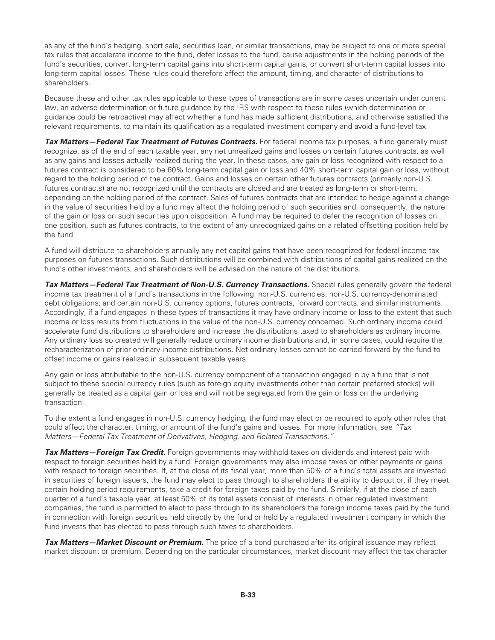as any of the fund's hedging, short sale, securities loan, or similar transactions, may be subject to one or more special tax rules that accelerate income to the fund, defer losses to the fund, cause adjustments in the holding periods of the fund's securities, convert long-term capital gains into short-term capital gains, or convert short-term capital losses into long-term capital losses. These rules could therefore affect the amount, timing, and character of distributions to shareholders.

Because these and other tax rules applicable to these types of transactions are in some cases uncertain under current law, an adverse determination or future guidance by the IRS with respect to these rules (which determination or guidance could be retroactive) may affect whether a fund has made sufficient distributions, and otherwise satisfied the relevant requirements, to maintain its qualification as a regulated investment company and avoid a fund-level tax.

*Tax Matters—Federal Tax Treatment of Futures Contracts.* For federal income tax purposes, a fund generally must recognize, as of the end of each taxable year, any net unrealized gains and losses on certain futures contracts, as well as any gains and losses actually realized during the year. In these cases, any gain or loss recognized with respect to a futures contract is considered to be 60% long-term capital gain or loss and 40% short-term capital gain or loss, without regard to the holding period of the contract. Gains and losses on certain other futures contracts (primarily non-U.S. futures contracts) are not recognized until the contracts are closed and are treated as long-term or short-term, depending on the holding period of the contract. Sales of futures contracts that are intended to hedge against a change in the value of securities held by a fund may affect the holding period of such securities and, consequently, the nature of the gain or loss on such securities upon disposition. A fund may be required to defer the recognition of losses on one position, such as futures contracts, to the extent of any unrecognized gains on a related offsetting position held by the fund.

A fund will distribute to shareholders annually any net capital gains that have been recognized for federal income tax purposes on futures transactions. Such distributions will be combined with distributions of capital gains realized on the fund's other investments, and shareholders will be advised on the nature of the distributions.

*Tax Matters—Federal Tax Treatment of Non-U.S. Currency Transactions.* Special rules generally govern the federal income tax treatment of a fund's transactions in the following: non-U.S. currencies; non-U.S. currency-denominated debt obligations; and certain non-U.S. currency options, futures contracts, forward contracts, and similar instruments. Accordingly, if a fund engages in these types of transactions it may have ordinary income or loss to the extent that such income or loss results from fluctuations in the value of the non-U.S. currency concerned. Such ordinary income could accelerate fund distributions to shareholders and increase the distributions taxed to shareholders as ordinary income. Any ordinary loss so created will generally reduce ordinary income distributions and, in some cases, could require the recharacterization of prior ordinary income distributions. Net ordinary losses cannot be carried forward by the fund to offset income or gains realized in subsequent taxable years.

Any gain or loss attributable to the non-U.S. currency component of a transaction engaged in by a fund that is not subject to these special currency rules (such as foreign equity investments other than certain preferred stocks) will generally be treated as a capital gain or loss and will not be segregated from the gain or loss on the underlying transaction.

To the extent a fund engages in non-U.S. currency hedging, the fund may elect or be required to apply other rules that could affect the character, timing, or amount of the fund's gains and losses. For more information, see *"Tax Matters—Federal Tax Treatment of Derivatives, Hedging, and Related Transactions."*

*Tax Matters—Foreign Tax Credit.* Foreign governments may withhold taxes on dividends and interest paid with respect to foreign securities held by a fund. Foreign governments may also impose taxes on other payments or gains with respect to foreign securities. If, at the close of its fiscal year, more than 50% of a fund's total assets are invested in securities of foreign issuers, the fund may elect to pass through to shareholders the ability to deduct or, if they meet certain holding period requirements, take a credit for foreign taxes paid by the fund. Similarly, if at the close of each quarter of a fund's taxable year, at least 50% of its total assets consist of interests in other regulated investment companies, the fund is permitted to elect to pass through to its shareholders the foreign income taxes paid by the fund in connection with foreign securities held directly by the fund or held by a regulated investment company in which the fund invests that has elected to pass through such taxes to shareholders.

*Tax Matters—Market Discount or Premium.* The price of a bond purchased after its original issuance may reflect market discount or premium. Depending on the particular circumstances, market discount may affect the tax character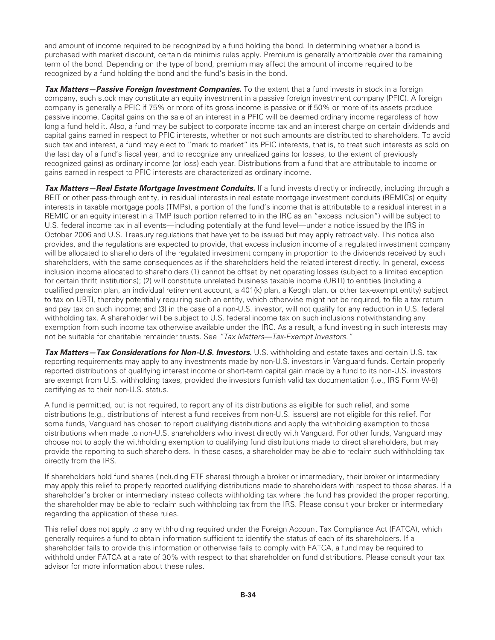and amount of income required to be recognized by a fund holding the bond. In determining whether a bond is purchased with market discount, certain de minimis rules apply. Premium is generally amortizable over the remaining term of the bond. Depending on the type of bond, premium may affect the amount of income required to be recognized by a fund holding the bond and the fund's basis in the bond.

*Tax Matters—Passive Foreign Investment Companies.* To the extent that a fund invests in stock in a foreign company, such stock may constitute an equity investment in a passive foreign investment company (PFIC). A foreign company is generally a PFIC if 75% or more of its gross income is passive or if 50% or more of its assets produce passive income. Capital gains on the sale of an interest in a PFIC will be deemed ordinary income regardless of how long a fund held it. Also, a fund may be subject to corporate income tax and an interest charge on certain dividends and capital gains earned in respect to PFIC interests, whether or not such amounts are distributed to shareholders. To avoid such tax and interest, a fund may elect to "mark to market" its PFIC interests, that is, to treat such interests as sold on the last day of a fund's fiscal year, and to recognize any unrealized gains (or losses, to the extent of previously recognized gains) as ordinary income (or loss) each year. Distributions from a fund that are attributable to income or gains earned in respect to PFIC interests are characterized as ordinary income.

*Tax Matters—Real Estate Mortgage Investment Conduits.* If a fund invests directly or indirectly, including through a REIT or other pass-through entity, in residual interests in real estate mortgage investment conduits (REMICs) or equity interests in taxable mortgage pools (TMPs), a portion of the fund's income that is attributable to a residual interest in a REMIC or an equity interest in a TMP (such portion referred to in the IRC as an "excess inclusion") will be subject to U.S. federal income tax in all events—including potentially at the fund level—under a notice issued by the IRS in October 2006 and U.S. Treasury regulations that have yet to be issued but may apply retroactively. This notice also provides, and the regulations are expected to provide, that excess inclusion income of a regulated investment company will be allocated to shareholders of the regulated investment company in proportion to the dividends received by such shareholders, with the same consequences as if the shareholders held the related interest directly. In general, excess inclusion income allocated to shareholders (1) cannot be offset by net operating losses (subject to a limited exception for certain thrift institutions); (2) will constitute unrelated business taxable income (UBTI) to entities (including a qualified pension plan, an individual retirement account, a 401(k) plan, a Keogh plan, or other tax-exempt entity) subject to tax on UBTI, thereby potentially requiring such an entity, which otherwise might not be required, to file a tax return and pay tax on such income; and (3) in the case of a non-U.S. investor, will not qualify for any reduction in U.S. federal withholding tax. A shareholder will be subject to U.S. federal income tax on such inclusions notwithstanding any exemption from such income tax otherwise available under the IRC. As a result, a fund investing in such interests may not be suitable for charitable remainder trusts. See *"Tax Matters—Tax-Exempt Investors."*

*Tax Matters—Tax Considerations for Non-U.S. Investors.* U.S. withholding and estate taxes and certain U.S. tax reporting requirements may apply to any investments made by non-U.S. investors in Vanguard funds. Certain properly reported distributions of qualifying interest income or short-term capital gain made by a fund to its non-U.S. investors are exempt from U.S. withholding taxes, provided the investors furnish valid tax documentation (i.e., IRS Form W-8) certifying as to their non-U.S. status.

A fund is permitted, but is not required, to report any of its distributions as eligible for such relief, and some distributions (e.g., distributions of interest a fund receives from non-U.S. issuers) are not eligible for this relief. For some funds, Vanguard has chosen to report qualifying distributions and apply the withholding exemption to those distributions when made to non-U.S. shareholders who invest directly with Vanguard. For other funds, Vanguard may choose not to apply the withholding exemption to qualifying fund distributions made to direct shareholders, but may provide the reporting to such shareholders. In these cases, a shareholder may be able to reclaim such withholding tax directly from the IRS.

If shareholders hold fund shares (including ETF shares) through a broker or intermediary, their broker or intermediary may apply this relief to properly reported qualifying distributions made to shareholders with respect to those shares. If a shareholder's broker or intermediary instead collects withholding tax where the fund has provided the proper reporting, the shareholder may be able to reclaim such withholding tax from the IRS. Please consult your broker or intermediary regarding the application of these rules.

This relief does not apply to any withholding required under the Foreign Account Tax Compliance Act (FATCA), which generally requires a fund to obtain information sufficient to identify the status of each of its shareholders. If a shareholder fails to provide this information or otherwise fails to comply with FATCA, a fund may be required to withhold under FATCA at a rate of 30% with respect to that shareholder on fund distributions. Please consult your tax advisor for more information about these rules.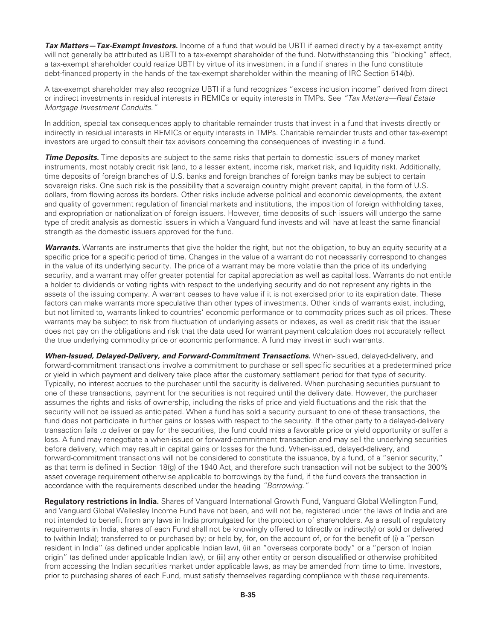*Tax Matters—Tax-Exempt Investors.* Income of a fund that would be UBTI if earned directly by a tax-exempt entity will not generally be attributed as UBTI to a tax-exempt shareholder of the fund. Notwithstanding this "blocking" effect, a tax-exempt shareholder could realize UBTI by virtue of its investment in a fund if shares in the fund constitute debt-financed property in the hands of the tax-exempt shareholder within the meaning of IRC Section 514(b).

A tax-exempt shareholder may also recognize UBTI if a fund recognizes "excess inclusion income" derived from direct or indirect investments in residual interests in REMICs or equity interests in TMPs. See *"Tax Matters—Real Estate Mortgage Investment Conduits."*

In addition, special tax consequences apply to charitable remainder trusts that invest in a fund that invests directly or indirectly in residual interests in REMICs or equity interests in TMPs. Charitable remainder trusts and other tax-exempt investors are urged to consult their tax advisors concerning the consequences of investing in a fund.

*Time Deposits.* Time deposits are subject to the same risks that pertain to domestic issuers of money market instruments, most notably credit risk (and, to a lesser extent, income risk, market risk, and liquidity risk). Additionally, time deposits of foreign branches of U.S. banks and foreign branches of foreign banks may be subject to certain sovereign risks. One such risk is the possibility that a sovereign country might prevent capital, in the form of U.S. dollars, from flowing across its borders. Other risks include adverse political and economic developments, the extent and quality of government regulation of financial markets and institutions, the imposition of foreign withholding taxes, and expropriation or nationalization of foreign issuers. However, time deposits of such issuers will undergo the same type of credit analysis as domestic issuers in which a Vanguard fund invests and will have at least the same financial strength as the domestic issuers approved for the fund.

*Warrants.* Warrants are instruments that give the holder the right, but not the obligation, to buy an equity security at a specific price for a specific period of time. Changes in the value of a warrant do not necessarily correspond to changes in the value of its underlying security. The price of a warrant may be more volatile than the price of its underlying security, and a warrant may offer greater potential for capital appreciation as well as capital loss. Warrants do not entitle a holder to dividends or voting rights with respect to the underlying security and do not represent any rights in the assets of the issuing company. A warrant ceases to have value if it is not exercised prior to its expiration date. These factors can make warrants more speculative than other types of investments. Other kinds of warrants exist, including, but not limited to, warrants linked to countries' economic performance or to commodity prices such as oil prices. These warrants may be subject to risk from fluctuation of underlying assets or indexes, as well as credit risk that the issuer does not pay on the obligations and risk that the data used for warrant payment calculation does not accurately reflect the true underlying commodity price or economic performance. A fund may invest in such warrants.

*When-Issued, Delayed-Delivery, and Forward-Commitment Transactions.* When-issued, delayed-delivery, and forward-commitment transactions involve a commitment to purchase or sell specific securities at a predetermined price or yield in which payment and delivery take place after the customary settlement period for that type of security. Typically, no interest accrues to the purchaser until the security is delivered. When purchasing securities pursuant to one of these transactions, payment for the securities is not required until the delivery date. However, the purchaser assumes the rights and risks of ownership, including the risks of price and yield fluctuations and the risk that the security will not be issued as anticipated. When a fund has sold a security pursuant to one of these transactions, the fund does not participate in further gains or losses with respect to the security. If the other party to a delayed-delivery transaction fails to deliver or pay for the securities, the fund could miss a favorable price or yield opportunity or suffer a loss. A fund may renegotiate a when-issued or forward-commitment transaction and may sell the underlying securities before delivery, which may result in capital gains or losses for the fund. When-issued, delayed-delivery, and forward-commitment transactions will not be considered to constitute the issuance, by a fund, of a "senior security," as that term is defined in Section 18(g) of the 1940 Act, and therefore such transaction will not be subject to the 300% asset coverage requirement otherwise applicable to borrowings by the fund, if the fund covers the transaction in accordance with the requirements described under the heading *"Borrowing."*

**Regulatory restrictions in India.** Shares of Vanguard International Growth Fund, Vanguard Global Wellington Fund, and Vanguard Global Wellesley Income Fund have not been, and will not be, registered under the laws of India and are not intended to benefit from any laws in India promulgated for the protection of shareholders. As a result of regulatory requirements in India, shares of each Fund shall not be knowingly offered to (directly or indirectly) or sold or delivered to (within India); transferred to or purchased by; or held by, for, on the account of, or for the benefit of (i) a "person resident in India" (as defined under applicable Indian law), (ii) an "overseas corporate body" or a "person of Indian origin" (as defined under applicable Indian law), or (iii) any other entity or person disqualified or otherwise prohibited from accessing the Indian securities market under applicable laws, as may be amended from time to time. Investors, prior to purchasing shares of each Fund, must satisfy themselves regarding compliance with these requirements.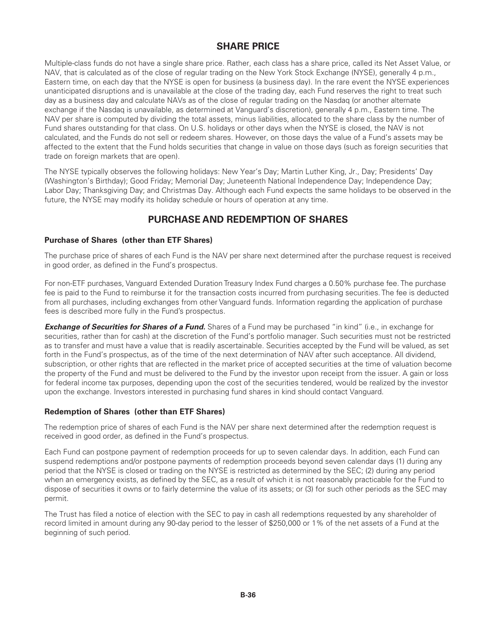## **SHARE PRICE**

Multiple-class funds do not have a single share price. Rather, each class has a share price, called its Net Asset Value, or NAV, that is calculated as of the close of regular trading on the New York Stock Exchange (NYSE), generally 4 p.m., Eastern time, on each day that the NYSE is open for business (a business day). In the rare event the NYSE experiences unanticipated disruptions and is unavailable at the close of the trading day, each Fund reserves the right to treat such day as a business day and calculate NAVs as of the close of regular trading on the Nasdaq (or another alternate exchange if the Nasdaq is unavailable, as determined at Vanguard's discretion), generally 4 p.m., Eastern time. The NAV per share is computed by dividing the total assets, minus liabilities, allocated to the share class by the number of Fund shares outstanding for that class. On U.S. holidays or other days when the NYSE is closed, the NAV is not calculated, and the Funds do not sell or redeem shares. However, on those days the value of a Fund's assets may be affected to the extent that the Fund holds securities that change in value on those days (such as foreign securities that trade on foreign markets that are open).

The NYSE typically observes the following holidays: New Year's Day; Martin Luther King, Jr., Day; Presidents' Day (Washington's Birthday); Good Friday; Memorial Day; Juneteenth National Independence Day; Independence Day; Labor Day; Thanksgiving Day; and Christmas Day. Although each Fund expects the same holidays to be observed in the future, the NYSE may modify its holiday schedule or hours of operation at any time.

# **PURCHASE AND REDEMPTION OF SHARES**

### **Purchase of Shares (other than ETF Shares)**

The purchase price of shares of each Fund is the NAV per share next determined after the purchase request is received in good order, as defined in the Fund's prospectus.

For non-ETF purchases, Vanguard Extended Duration Treasury Index Fund charges a 0.50% purchase fee. The purchase fee is paid to the Fund to reimburse it for the transaction costs incurred from purchasing securities. The fee is deducted from all purchases, including exchanges from other Vanguard funds. Information regarding the application of purchase fees is described more fully in the Fund's prospectus.

**Exchange of Securities for Shares of a Fund.** Shares of a Fund may be purchased "in kind" (i.e., in exchange for securities, rather than for cash) at the discretion of the Fund's portfolio manager. Such securities must not be restricted as to transfer and must have a value that is readily ascertainable. Securities accepted by the Fund will be valued, as set forth in the Fund's prospectus, as of the time of the next determination of NAV after such acceptance. All dividend, subscription, or other rights that are reflected in the market price of accepted securities at the time of valuation become the property of the Fund and must be delivered to the Fund by the investor upon receipt from the issuer. A gain or loss for federal income tax purposes, depending upon the cost of the securities tendered, would be realized by the investor upon the exchange. Investors interested in purchasing fund shares in kind should contact Vanguard.

### **Redemption of Shares (other than ETF Shares)**

The redemption price of shares of each Fund is the NAV per share next determined after the redemption request is received in good order, as defined in the Fund's prospectus.

Each Fund can postpone payment of redemption proceeds for up to seven calendar days. In addition, each Fund can suspend redemptions and/or postpone payments of redemption proceeds beyond seven calendar days (1) during any period that the NYSE is closed or trading on the NYSE is restricted as determined by the SEC; (2) during any period when an emergency exists, as defined by the SEC, as a result of which it is not reasonably practicable for the Fund to dispose of securities it owns or to fairly determine the value of its assets; or (3) for such other periods as the SEC may permit.

The Trust has filed a notice of election with the SEC to pay in cash all redemptions requested by any shareholder of record limited in amount during any 90-day period to the lesser of \$250,000 or 1% of the net assets of a Fund at the beginning of such period.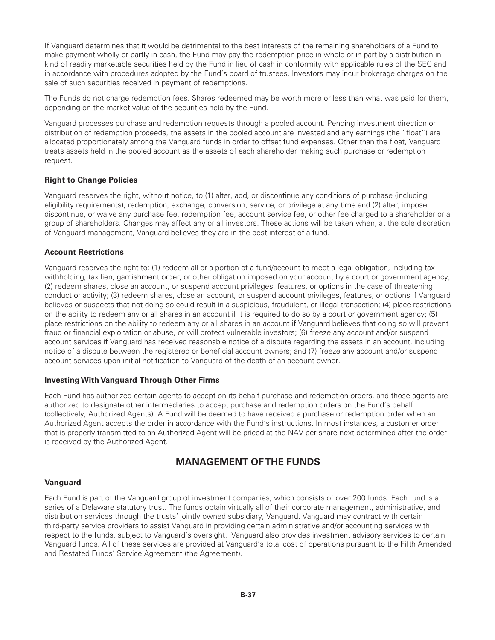If Vanguard determines that it would be detrimental to the best interests of the remaining shareholders of a Fund to make payment wholly or partly in cash, the Fund may pay the redemption price in whole or in part by a distribution in kind of readily marketable securities held by the Fund in lieu of cash in conformity with applicable rules of the SEC and in accordance with procedures adopted by the Fund's board of trustees. Investors may incur brokerage charges on the sale of such securities received in payment of redemptions.

The Funds do not charge redemption fees. Shares redeemed may be worth more or less than what was paid for them, depending on the market value of the securities held by the Fund.

Vanguard processes purchase and redemption requests through a pooled account. Pending investment direction or distribution of redemption proceeds, the assets in the pooled account are invested and any earnings (the "float") are allocated proportionately among the Vanguard funds in order to offset fund expenses. Other than the float, Vanguard treats assets held in the pooled account as the assets of each shareholder making such purchase or redemption request.

#### **Right to Change Policies**

Vanguard reserves the right, without notice, to (1) alter, add, or discontinue any conditions of purchase (including eligibility requirements), redemption, exchange, conversion, service, or privilege at any time and (2) alter, impose, discontinue, or waive any purchase fee, redemption fee, account service fee, or other fee charged to a shareholder or a group of shareholders. Changes may affect any or all investors. These actions will be taken when, at the sole discretion of Vanguard management, Vanguard believes they are in the best interest of a fund.

#### **Account Restrictions**

Vanguard reserves the right to: (1) redeem all or a portion of a fund/account to meet a legal obligation, including tax withholding, tax lien, garnishment order, or other obligation imposed on your account by a court or government agency; (2) redeem shares, close an account, or suspend account privileges, features, or options in the case of threatening conduct or activity; (3) redeem shares, close an account, or suspend account privileges, features, or options if Vanguard believes or suspects that not doing so could result in a suspicious, fraudulent, or illegal transaction; (4) place restrictions on the ability to redeem any or all shares in an account if it is required to do so by a court or government agency; (5) place restrictions on the ability to redeem any or all shares in an account if Vanguard believes that doing so will prevent fraud or financial exploitation or abuse, or will protect vulnerable investors; (6) freeze any account and/or suspend account services if Vanguard has received reasonable notice of a dispute regarding the assets in an account, including notice of a dispute between the registered or beneficial account owners; and (7) freeze any account and/or suspend account services upon initial notification to Vanguard of the death of an account owner.

#### **InvestingWith Vanguard Through Other Firms**

Each Fund has authorized certain agents to accept on its behalf purchase and redemption orders, and those agents are authorized to designate other intermediaries to accept purchase and redemption orders on the Fund's behalf (collectively, Authorized Agents). A Fund will be deemed to have received a purchase or redemption order when an Authorized Agent accepts the order in accordance with the Fund's instructions. In most instances, a customer order that is properly transmitted to an Authorized Agent will be priced at the NAV per share next determined after the order is received by the Authorized Agent.

## **MANAGEMENT OF THE FUNDS**

#### **Vanguard**

Each Fund is part of the Vanguard group of investment companies, which consists of over 200 funds. Each fund is a series of a Delaware statutory trust. The funds obtain virtually all of their corporate management, administrative, and distribution services through the trusts' jointly owned subsidiary, Vanguard. Vanguard may contract with certain third-party service providers to assist Vanguard in providing certain administrative and/or accounting services with respect to the funds, subject to Vanguard's oversight. Vanguard also provides investment advisory services to certain Vanguard funds. All of these services are provided at Vanguard's total cost of operations pursuant to the Fifth Amended and Restated Funds' Service Agreement (the Agreement).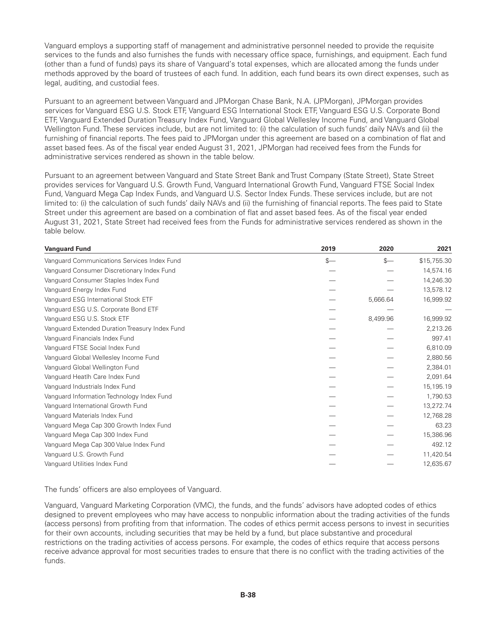Vanguard employs a supporting staff of management and administrative personnel needed to provide the requisite services to the funds and also furnishes the funds with necessary office space, furnishings, and equipment. Each fund (other than a fund of funds) pays its share of Vanguard's total expenses, which are allocated among the funds under methods approved by the board of trustees of each fund. In addition, each fund bears its own direct expenses, such as legal, auditing, and custodial fees.

Pursuant to an agreement between Vanguard and JPMorgan Chase Bank, N.A. (JPMorgan), JPMorgan provides services for Vanguard ESG U.S. Stock ETF, Vanguard ESG International Stock ETF, Vanguard ESG U.S. Corporate Bond ETF, Vanguard Extended Duration Treasury Index Fund, Vanguard Global Wellesley Income Fund, and Vanguard Global Wellington Fund. These services include, but are not limited to: (i) the calculation of such funds' daily NAVs and (ii) the furnishing of financial reports. The fees paid to JPMorgan under this agreement are based on a combination of flat and asset based fees. As of the fiscal year ended August 31, 2021, JPMorgan had received fees from the Funds for administrative services rendered as shown in the table below.

Pursuant to an agreement between Vanguard and State Street Bank and Trust Company (State Street), State Street provides services for Vanguard U.S. Growth Fund, Vanguard International Growth Fund, Vanguard FTSE Social Index Fund, Vanguard Mega Cap Index Funds, and Vanguard U.S. Sector Index Funds. These services include, but are not limited to: (i) the calculation of such funds' daily NAVs and (ii) the furnishing of financial reports. The fees paid to State Street under this agreement are based on a combination of flat and asset based fees. As of the fiscal year ended August 31, 2021, State Street had received fees from the Funds for administrative services rendered as shown in the table below.

| <b>Vanguard Fund</b>                           | 2019 | 2020     | 2021        |
|------------------------------------------------|------|----------|-------------|
| Vanguard Communications Services Index Fund    | $s-$ | $s-$     | \$15,755.30 |
| Vanguard Consumer Discretionary Index Fund     |      |          | 14,574.16   |
| Vanguard Consumer Staples Index Fund           |      |          | 14,246.30   |
| Vanguard Energy Index Fund                     |      |          | 13,578.12   |
| Vanguard ESG International Stock ETF           |      | 5,666.64 | 16,999.92   |
| Vanguard ESG U.S. Corporate Bond ETF           |      |          |             |
| Vanguard ESG U.S. Stock ETF                    |      | 8,499.96 | 16,999.92   |
| Vanguard Extended Duration Treasury Index Fund |      |          | 2,213.26    |
| Vanguard Financials Index Fund                 |      |          | 997.41      |
| Vanguard FTSE Social Index Fund                |      |          | 6,810.09    |
| Vanguard Global Wellesley Income Fund          |      |          | 2,880.56    |
| Vanguard Global Wellington Fund                |      |          | 2,384.01    |
| Vanguard Heatlh Care Index Fund                |      |          | 2,091.64    |
| Vanguard Industrials Index Fund                |      |          | 15,195.19   |
| Vanguard Information Technology Index Fund     |      |          | 1,790.53    |
| Vanguard International Growth Fund             |      |          | 13,272.74   |
| Vanguard Materials Index Fund                  |      |          | 12,768.28   |
| Vanguard Mega Cap 300 Growth Index Fund        |      |          | 63.23       |
| Vanguard Mega Cap 300 Index Fund               |      |          | 15,386.96   |
| Vanguard Mega Cap 300 Value Index Fund         |      |          | 492.12      |
| Vanguard U.S. Growth Fund                      |      |          | 11,420.54   |
| Vanguard Utilities Index Fund                  |      |          | 12,635.67   |

The funds' officers are also employees of Vanguard.

Vanguard, Vanguard Marketing Corporation (VMC), the funds, and the funds' advisors have adopted codes of ethics designed to prevent employees who may have access to nonpublic information about the trading activities of the funds (access persons) from profiting from that information. The codes of ethics permit access persons to invest in securities for their own accounts, including securities that may be held by a fund, but place substantive and procedural restrictions on the trading activities of access persons. For example, the codes of ethics require that access persons receive advance approval for most securities trades to ensure that there is no conflict with the trading activities of the funds.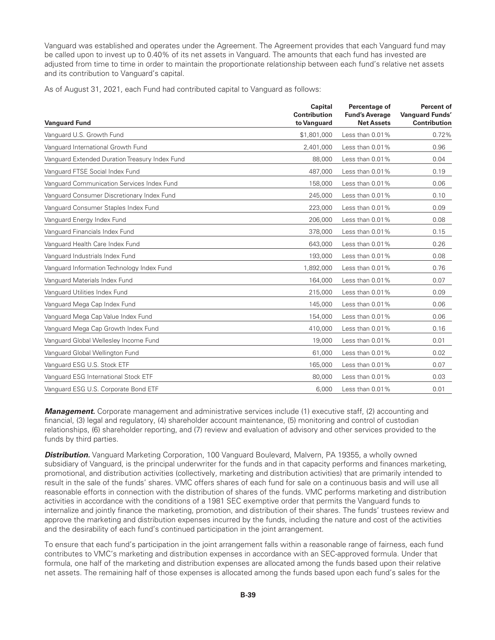Vanguard was established and operates under the Agreement. The Agreement provides that each Vanguard fund may be called upon to invest up to 0.40% of its net assets in Vanguard. The amounts that each fund has invested are adjusted from time to time in order to maintain the proportionate relationship between each fund's relative net assets and its contribution to Vanguard's capital.

As of August 31, 2021, each Fund had contributed capital to Vanguard as follows:

| <b>Vanguard Fund</b>                           | Capital<br><b>Contribution</b><br>to Vanguard | Percentage of<br><b>Fund's Average</b><br><b>Net Assets</b> | <b>Percent of</b><br><b>Vanguard Funds'</b><br><b>Contribution</b> |
|------------------------------------------------|-----------------------------------------------|-------------------------------------------------------------|--------------------------------------------------------------------|
| Vanguard U.S. Growth Fund                      | \$1,801,000                                   | Less than $0.01\%$                                          | 0.72%                                                              |
| Vanguard International Growth Fund             | 2,401,000                                     | Less than 0.01%                                             | 0.96                                                               |
| Vanguard Extended Duration Treasury Index Fund | 88,000                                        | Less than $0.01\%$                                          | 0.04                                                               |
| Vanguard FTSE Social Index Fund                | 487,000                                       | Less than 0.01%                                             | 0.19                                                               |
| Vanguard Communication Services Index Fund     | 158,000                                       | Less than $0.01\%$                                          | 0.06                                                               |
| Vanguard Consumer Discretionary Index Fund     | 245,000                                       | Less than $0.01\%$                                          | 0.10                                                               |
| Vanguard Consumer Staples Index Fund           | 223,000                                       | Less than $0.01\%$                                          | 0.09                                                               |
| Vanguard Energy Index Fund                     | 206,000                                       | Less than 0.01%                                             | 0.08                                                               |
| Vanquard Financials Index Fund                 | 378,000                                       | Less than $0.01\%$                                          | 0.15                                                               |
| Vanquard Health Care Index Fund                | 643.000                                       | Less than $0.01\%$                                          | 0.26                                                               |
| Vanguard Industrials Index Fund                | 193,000                                       | Less than $0.01\%$                                          | 0.08                                                               |
| Vanguard Information Technology Index Fund     | 1,892,000                                     | Less than $0.01\%$                                          | 0.76                                                               |
| Vanguard Materials Index Fund                  | 164,000                                       | Less than 0.01%                                             | 0.07                                                               |
| Vanguard Utilities Index Fund                  | 215,000                                       | Less than 0.01%                                             | 0.09                                                               |
| Vanguard Mega Cap Index Fund                   | 145,000                                       | Less than $0.01\%$                                          | 0.06                                                               |
| Vanguard Mega Cap Value Index Fund             | 154,000                                       | Less than $0.01\%$                                          | 0.06                                                               |
| Vanguard Mega Cap Growth Index Fund            | 410,000                                       | Less than 0.01%                                             | 0.16                                                               |
| Vanquard Global Wellesley Income Fund          | 19,000                                        | Less than $0.01\%$                                          | 0.01                                                               |
| Vanguard Global Wellington Fund                | 61,000                                        | Less than $0.01\%$                                          | 0.02                                                               |
| Vanguard ESG U.S. Stock ETF                    | 165,000                                       | Less than 0.01%                                             | 0.07                                                               |
| Vanguard ESG International Stock ETF           | 80,000                                        | Less than 0.01%                                             | 0.03                                                               |
| Vanguard ESG U.S. Corporate Bond ETF           | 6,000                                         | Less than $0.01\%$                                          | 0.01                                                               |

**Management.** Corporate management and administrative services include (1) executive staff, (2) accounting and financial, (3) legal and regulatory, (4) shareholder account maintenance, (5) monitoring and control of custodian relationships, (6) shareholder reporting, and (7) review and evaluation of advisory and other services provided to the funds by third parties.

*Distribution.* Vanguard Marketing Corporation, 100 Vanguard Boulevard, Malvern, PA 19355, a wholly owned subsidiary of Vanguard, is the principal underwriter for the funds and in that capacity performs and finances marketing, promotional, and distribution activities (collectively, marketing and distribution activities) that are primarily intended to result in the sale of the funds' shares. VMC offers shares of each fund for sale on a continuous basis and will use all reasonable efforts in connection with the distribution of shares of the funds. VMC performs marketing and distribution activities in accordance with the conditions of a 1981 SEC exemptive order that permits the Vanguard funds to internalize and jointly finance the marketing, promotion, and distribution of their shares. The funds' trustees review and approve the marketing and distribution expenses incurred by the funds, including the nature and cost of the activities and the desirability of each fund's continued participation in the joint arrangement.

To ensure that each fund's participation in the joint arrangement falls within a reasonable range of fairness, each fund contributes to VMC's marketing and distribution expenses in accordance with an SEC-approved formula. Under that formula, one half of the marketing and distribution expenses are allocated among the funds based upon their relative net assets. The remaining half of those expenses is allocated among the funds based upon each fund's sales for the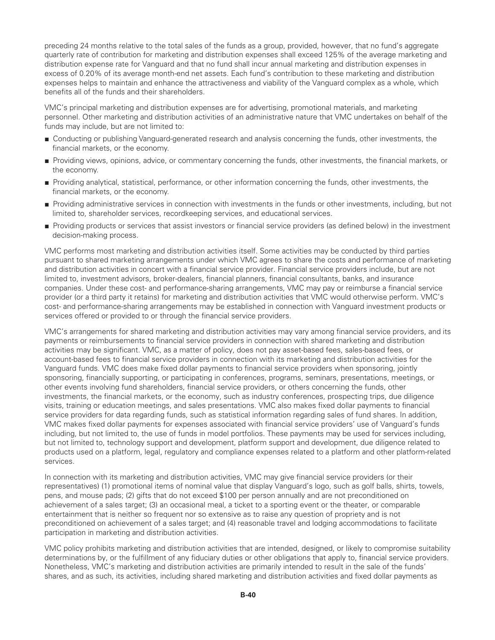preceding 24 months relative to the total sales of the funds as a group, provided, however, that no fund's aggregate quarterly rate of contribution for marketing and distribution expenses shall exceed 125% of the average marketing and distribution expense rate for Vanguard and that no fund shall incur annual marketing and distribution expenses in excess of 0.20% of its average month-end net assets. Each fund's contribution to these marketing and distribution expenses helps to maintain and enhance the attractiveness and viability of the Vanguard complex as a whole, which benefits all of the funds and their shareholders.

VMC's principal marketing and distribution expenses are for advertising, promotional materials, and marketing personnel. Other marketing and distribution activities of an administrative nature that VMC undertakes on behalf of the funds may include, but are not limited to:

- Conducting or publishing Vanguard-generated research and analysis concerning the funds, other investments, the financial markets, or the economy.
- Providing views, opinions, advice, or commentary concerning the funds, other investments, the financial markets, or the economy.
- Providing analytical, statistical, performance, or other information concerning the funds, other investments, the financial markets, or the economy.
- Providing administrative services in connection with investments in the funds or other investments, including, but not limited to, shareholder services, recordkeeping services, and educational services.
- Providing products or services that assist investors or financial service providers (as defined below) in the investment decision-making process.

VMC performs most marketing and distribution activities itself. Some activities may be conducted by third parties pursuant to shared marketing arrangements under which VMC agrees to share the costs and performance of marketing and distribution activities in concert with a financial service provider. Financial service providers include, but are not limited to, investment advisors, broker-dealers, financial planners, financial consultants, banks, and insurance companies. Under these cost- and performance-sharing arrangements, VMC may pay or reimburse a financial service provider (or a third party it retains) for marketing and distribution activities that VMC would otherwise perform. VMC's cost- and performance-sharing arrangements may be established in connection with Vanguard investment products or services offered or provided to or through the financial service providers.

VMC's arrangements for shared marketing and distribution activities may vary among financial service providers, and its payments or reimbursements to financial service providers in connection with shared marketing and distribution activities may be significant. VMC, as a matter of policy, does not pay asset-based fees, sales-based fees, or account-based fees to financial service providers in connection with its marketing and distribution activities for the Vanguard funds. VMC does make fixed dollar payments to financial service providers when sponsoring, jointly sponsoring, financially supporting, or participating in conferences, programs, seminars, presentations, meetings, or other events involving fund shareholders, financial service providers, or others concerning the funds, other investments, the financial markets, or the economy, such as industry conferences, prospecting trips, due diligence visits, training or education meetings, and sales presentations. VMC also makes fixed dollar payments to financial service providers for data regarding funds, such as statistical information regarding sales of fund shares. In addition, VMC makes fixed dollar payments for expenses associated with financial service providers' use of Vanguard's funds including, but not limited to, the use of funds in model portfolios. These payments may be used for services including, but not limited to, technology support and development, platform support and development, due diligence related to products used on a platform, legal, regulatory and compliance expenses related to a platform and other platform-related services.

In connection with its marketing and distribution activities, VMC may give financial service providers (or their representatives) (1) promotional items of nominal value that display Vanguard's logo, such as golf balls, shirts, towels, pens, and mouse pads; (2) gifts that do not exceed \$100 per person annually and are not preconditioned on achievement of a sales target; (3) an occasional meal, a ticket to a sporting event or the theater, or comparable entertainment that is neither so frequent nor so extensive as to raise any question of propriety and is not preconditioned on achievement of a sales target; and (4) reasonable travel and lodging accommodations to facilitate participation in marketing and distribution activities.

VMC policy prohibits marketing and distribution activities that are intended, designed, or likely to compromise suitability determinations by, or the fulfillment of any fiduciary duties or other obligations that apply to, financial service providers. Nonetheless, VMC's marketing and distribution activities are primarily intended to result in the sale of the funds' shares, and as such, its activities, including shared marketing and distribution activities and fixed dollar payments as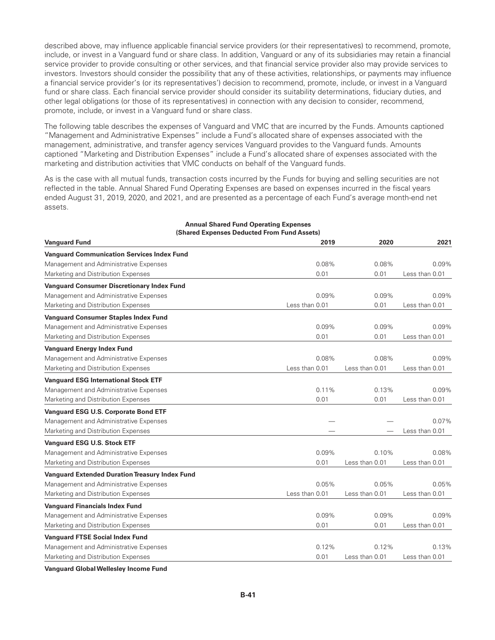described above, may influence applicable financial service providers (or their representatives) to recommend, promote, include, or invest in a Vanguard fund or share class. In addition, Vanguard or any of its subsidiaries may retain a financial service provider to provide consulting or other services, and that financial service provider also may provide services to investors. Investors should consider the possibility that any of these activities, relationships, or payments may influence a financial service provider's (or its representatives') decision to recommend, promote, include, or invest in a Vanguard fund or share class. Each financial service provider should consider its suitability determinations, fiduciary duties, and other legal obligations (or those of its representatives) in connection with any decision to consider, recommend, promote, include, or invest in a Vanguard fund or share class.

The following table describes the expenses of Vanguard and VMC that are incurred by the Funds. Amounts captioned "Management and Administrative Expenses" include a Fund's allocated share of expenses associated with the management, administrative, and transfer agency services Vanguard provides to the Vanguard funds. Amounts captioned "Marketing and Distribution Expenses" include a Fund's allocated share of expenses associated with the marketing and distribution activities that VMC conducts on behalf of the Vanguard funds.

As is the case with all mutual funds, transaction costs incurred by the Funds for buying and selling securities are not reflected in the table. Annual Shared Fund Operating Expenses are based on expenses incurred in the fiscal years ended August 31, 2019, 2020, and 2021, and are presented as a percentage of each Fund's average month-end net assets.

| <b>Vanguard Fund</b>                                  | (Shared Expenses Deducted From Fund Assets)<br>2019 | 2020             | 2021             |
|-------------------------------------------------------|-----------------------------------------------------|------------------|------------------|
| <b>Vanguard Communication Services Index Fund</b>     |                                                     |                  |                  |
| Management and Administrative Expenses                | 0.08%                                               | 0.08%            | 0.09%            |
| Marketing and Distribution Expenses                   | 0.01                                                | 0.01             | Less than $0.01$ |
| <b>Vanguard Consumer Discretionary Index Fund</b>     |                                                     |                  |                  |
| Management and Administrative Expenses                | 0.09%                                               | 0.09%            | 0.09%            |
| Marketing and Distribution Expenses                   | Less than 0.01                                      | 0.01             | Less than 0.01   |
| <b>Vanguard Consumer Staples Index Fund</b>           |                                                     |                  |                  |
| Management and Administrative Expenses                | 0.09%                                               | 0.09%            | $0.09\%$         |
| Marketing and Distribution Expenses                   | 0.01                                                | 0.01             | Less than 0.01   |
| <b>Vanguard Energy Index Fund</b>                     |                                                     |                  |                  |
| Management and Administrative Expenses                | $0.08\%$                                            | 0.08%            | 0.09%            |
| Marketing and Distribution Expenses                   | Less than 0.01                                      | Less than 0.01   | Less than 0.01   |
| <b>Vanguard ESG International Stock ETF</b>           |                                                     |                  |                  |
| Management and Administrative Expenses                | 0.11%                                               | 0.13%            | 0.09%            |
| Marketing and Distribution Expenses                   | 0.01                                                | 0.01             | Less than 0.01   |
| <b>Vanguard ESG U.S. Corporate Bond ETF</b>           |                                                     |                  |                  |
| Management and Administrative Expenses                |                                                     |                  | 0.07%            |
| Marketing and Distribution Expenses                   |                                                     |                  | Less than 0.01   |
| <b>Vanguard ESG U.S. Stock ETF</b>                    |                                                     |                  |                  |
| Management and Administrative Expenses                | 0.09%                                               | 0.10%            | 0.08%            |
| Marketing and Distribution Expenses                   | 0.01                                                | Less than 0.01   | Less than 0.01   |
| <b>Vanguard Extended Duration Treasury Index Fund</b> |                                                     |                  |                  |
| Management and Administrative Expenses                | 0.05%                                               | 0.05%            | 0.05%            |
| Marketing and Distribution Expenses                   | Less than 0.01                                      | Less than $0.01$ | Less than $0.01$ |
| <b>Vanguard Financials Index Fund</b>                 |                                                     |                  |                  |
| Management and Administrative Expenses                | 0.09%                                               | 0.09%            | 0.09%            |
| Marketing and Distribution Expenses                   | 0.01                                                | 0.01             | Less than 0.01   |
| <b>Vanguard FTSE Social Index Fund</b>                |                                                     |                  |                  |
| Management and Administrative Expenses                | 0.12%                                               | 0.12%            | 0.13%            |
| Marketing and Distribution Expenses                   | 0.01                                                | Less than 0.01   | Less than 0.01   |

#### **Annual Shared Fund Operating Expenses (Shared Expenses Deducted From Fund Assets)**

**Vanguard GlobalWellesley Income Fund**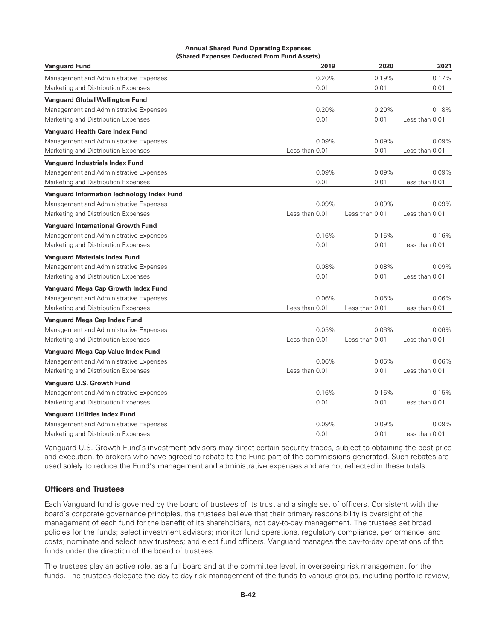#### **Annual Shared Fund Operating Expenses (Shared Expenses Deducted From Fund Assets)**

| <b>Vanguard Fund</b>                              | 2019           | 2020           | 2021           |
|---------------------------------------------------|----------------|----------------|----------------|
| Management and Administrative Expenses            | 0.20%          | 0.19%          | 0.17%          |
| Marketing and Distribution Expenses               | 0.01           | 0.01           | 0.01           |
| <b>Vanguard Global Wellington Fund</b>            |                |                |                |
| Management and Administrative Expenses            | 0.20%          | 0.20%          | 0.18%          |
| Marketing and Distribution Expenses               | 0.01           | 0.01           | Less than 0.01 |
| <b>Vanguard Health Care Index Fund</b>            |                |                |                |
| Management and Administrative Expenses            | 0.09%          | 0.09%          | 0.09%          |
| Marketing and Distribution Expenses               | Less than 0.01 | 0.01           | Less than 0.01 |
| <b>Vanguard Industrials Index Fund</b>            |                |                |                |
| Management and Administrative Expenses            | 0.09%          | 0.09%          | 0.09%          |
| Marketing and Distribution Expenses               | 0.01           | 0.01           | Less than 0.01 |
| <b>Vanguard Information Technology Index Fund</b> |                |                |                |
| Management and Administrative Expenses            | 0.09%          | 0.09%          | 0.09%          |
| Marketing and Distribution Expenses               | Less than 0.01 | Less than 0.01 | Less than 0.01 |
| <b>Vanguard International Growth Fund</b>         |                |                |                |
| Management and Administrative Expenses            | 0.16%          | 0.15%          | 0.16%          |
| Marketing and Distribution Expenses               | 0.01           | 0.01           | Less than 0.01 |
| <b>Vanguard Materials Index Fund</b>              |                |                |                |
| Management and Administrative Expenses            | 0.08%          | 0.08%          | 0.09%          |
| Marketing and Distribution Expenses               | 0.01           | 0.01           | Less than 0.01 |
| Vanguard Mega Cap Growth Index Fund               |                |                |                |
| Management and Administrative Expenses            | 0.06%          | 0.06%          | 0.06%          |
| Marketing and Distribution Expenses               | Less than 0.01 | Less than 0.01 | Less than 0.01 |
| Vanguard Mega Cap Index Fund                      |                |                |                |
| Management and Administrative Expenses            | 0.05%          | 0.06%          | 0.06%          |
| Marketing and Distribution Expenses               | Less than 0.01 | Less than 0.01 | Less than 0.01 |
| Vanguard Mega Cap Value Index Fund                |                |                |                |
| Management and Administrative Expenses            | 0.06%          | 0.06%          | 0.06%          |
| Marketing and Distribution Expenses               | Less than 0.01 | 0.01           | Less than 0.01 |
| Vanguard U.S. Growth Fund                         |                |                |                |
| Management and Administrative Expenses            | 0.16%          | 0.16%          | 0.15%          |
| Marketing and Distribution Expenses               | 0.01           | 0.01           | Less than 0.01 |
| <b>Vanguard Utilities Index Fund</b>              |                |                |                |
| Management and Administrative Expenses            | 0.09%          | 0.09%          | 0.09%          |
| Marketing and Distribution Expenses               | 0.01           | 0.01           | Less than 0.01 |

Vanguard U.S. Growth Fund's investment advisors may direct certain security trades, subject to obtaining the best price and execution, to brokers who have agreed to rebate to the Fund part of the commissions generated. Such rebates are used solely to reduce the Fund's management and administrative expenses and are not reflected in these totals.

### **Officers and Trustees**

Each Vanguard fund is governed by the board of trustees of its trust and a single set of officers. Consistent with the board's corporate governance principles, the trustees believe that their primary responsibility is oversight of the management of each fund for the benefit of its shareholders, not day-to-day management. The trustees set broad policies for the funds; select investment advisors; monitor fund operations, regulatory compliance, performance, and costs; nominate and select new trustees; and elect fund officers. Vanguard manages the day-to-day operations of the funds under the direction of the board of trustees.

The trustees play an active role, as a full board and at the committee level, in overseeing risk management for the funds. The trustees delegate the day-to-day risk management of the funds to various groups, including portfolio review,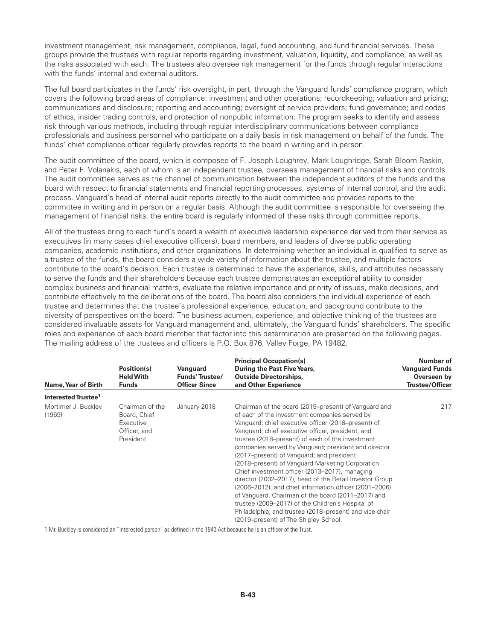investment management, risk management, compliance, legal, fund accounting, and fund financial services. These groups provide the trustees with regular reports regarding investment, valuation, liquidity, and compliance, as well as the risks associated with each. The trustees also oversee risk management for the funds through regular interactions with the funds' internal and external auditors.

The full board participates in the funds' risk oversight, in part, through the Vanguard funds' compliance program, which covers the following broad areas of compliance: investment and other operations; recordkeeping; valuation and pricing; communications and disclosure; reporting and accounting; oversight of service providers; fund governance; and codes of ethics, insider trading controls, and protection of nonpublic information. The program seeks to identify and assess risk through various methods, including through regular interdisciplinary communications between compliance professionals and business personnel who participate on a daily basis in risk management on behalf of the funds. The funds' chief compliance officer regularly provides reports to the board in writing and in person.

The audit committee of the board, which is composed of F. Joseph Loughrey, Mark Loughridge, Sarah Bloom Raskin, and Peter F. Volanakis, each of whom is an independent trustee, oversees management of financial risks and controls. The audit committee serves as the channel of communication between the independent auditors of the funds and the board with respect to financial statements and financial reporting processes, systems of internal control, and the audit process. Vanguard's head of internal audit reports directly to the audit committee and provides reports to the committee in writing and in person on a regular basis. Although the audit committee is responsible for overseeing the management of financial risks, the entire board is regularly informed of these risks through committee reports.

All of the trustees bring to each fund's board a wealth of executive leadership experience derived from their service as executives (in many cases chief executive officers), board members, and leaders of diverse public operating companies, academic institutions, and other organizations. In determining whether an individual is qualified to serve as a trustee of the funds, the board considers a wide variety of information about the trustee, and multiple factors contribute to the board's decision. Each trustee is determined to have the experience, skills, and attributes necessary to serve the funds and their shareholders because each trustee demonstrates an exceptional ability to consider complex business and financial matters, evaluate the relative importance and priority of issues, make decisions, and contribute effectively to the deliberations of the board. The board also considers the individual experience of each trustee and determines that the trustee's professional experience, education, and background contribute to the diversity of perspectives on the board. The business acumen, experience, and objective thinking of the trustees are considered invaluable assets for Vanguard management and, ultimately, the Vanguard funds' shareholders. The specific roles and experience of each board member that factor into this determination are presented on the following pages. The mailing address of the trustees and officers is P.O. Box 876, Valley Forge, PA 19482.

| Name, Year of Birth             | Position(s)<br><b>Held With</b><br><b>Funds</b>                           | Vanguard<br><b>Funds'Trustee/</b><br><b>Officer Since</b> | <b>Principal Occupation(s)</b><br>During the Past Five Years,<br><b>Outside Directorships,</b><br>and Other Experience                                                                                                                                                                                                                                                                                                                                                                                                                                                                                                                                                                                                                                                                                                | Number of<br><b>Vanguard Funds</b><br>Overseen by<br><b>Trustee/Officer</b> |
|---------------------------------|---------------------------------------------------------------------------|-----------------------------------------------------------|-----------------------------------------------------------------------------------------------------------------------------------------------------------------------------------------------------------------------------------------------------------------------------------------------------------------------------------------------------------------------------------------------------------------------------------------------------------------------------------------------------------------------------------------------------------------------------------------------------------------------------------------------------------------------------------------------------------------------------------------------------------------------------------------------------------------------|-----------------------------------------------------------------------------|
| Interested Trustee <sup>1</sup> |                                                                           |                                                           |                                                                                                                                                                                                                                                                                                                                                                                                                                                                                                                                                                                                                                                                                                                                                                                                                       |                                                                             |
| Mortimer J. Buckley<br>(1969)   | Chairman of the<br>Board, Chief<br>Executive<br>Officer, and<br>President | January 2018                                              | Chairman of the board (2019–present) of Vanguard and<br>of each of the investment companies served by<br>Vanguard; chief executive officer (2018–present) of<br>Vanquard; chief executive officer, president, and<br>trustee (2018–present) of each of the investment<br>companies served by Vanguard; president and director<br>(2017–present) of Vanguard; and president<br>(2018–present) of Vanguard Marketing Corporation.<br>Chief investment officer (2013–2017), managing<br>director (2002–2017), head of the Retail Investor Group<br>(2006–2012), and chief information officer (2001–2006)<br>of Vanguard. Chairman of the board (2011–2017) and<br>trustee (2009–2017) of the Children's Hospital of<br>Philadelphia; and trustee (2018–present) and vice chair<br>(2019–present) of The Shipley School. | 217                                                                         |

1 Mr. Buckley is considered an "interested person" as defined in the 1940 Act because he is an officer of the Trust.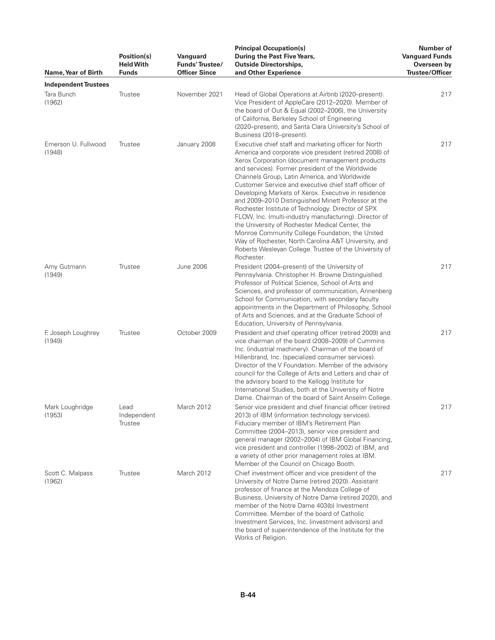| Name, Year of Birth           | Position(s)<br><b>Held With</b><br><b>Funds</b> | Vanguard<br>Funds' Trustee/<br><b>Officer Since</b> | <b>Principal Occupation(s)</b><br>During the Past Five Years,<br><b>Outside Directorships,</b><br>and Other Experience                                                                                                                                                                                                                                                                                                                                                                                                                                                                                                                                                                                                                                                                              | Number of<br><b>Vanguard Funds</b><br>Overseen by<br>Trustee/Officer |
|-------------------------------|-------------------------------------------------|-----------------------------------------------------|-----------------------------------------------------------------------------------------------------------------------------------------------------------------------------------------------------------------------------------------------------------------------------------------------------------------------------------------------------------------------------------------------------------------------------------------------------------------------------------------------------------------------------------------------------------------------------------------------------------------------------------------------------------------------------------------------------------------------------------------------------------------------------------------------------|----------------------------------------------------------------------|
| <b>Independent Trustees</b>   |                                                 |                                                     |                                                                                                                                                                                                                                                                                                                                                                                                                                                                                                                                                                                                                                                                                                                                                                                                     |                                                                      |
| Tara Bunch<br>(1962)          | Trustee                                         | November 2021                                       | Head of Global Operations at Airbnb (2020–present).<br>Vice President of AppleCare (2012-2020). Member of<br>the board of Out & Equal (2002-2006), the University<br>of California, Berkeley School of Engineering<br>(2020-present), and Santa Clara University's School of<br>Business (2018–present).                                                                                                                                                                                                                                                                                                                                                                                                                                                                                            | 217                                                                  |
| Emerson U. Fullwood<br>(1948) | Trustee                                         | January 2008                                        | Executive chief staff and marketing officer for North<br>America and corporate vice president (retired 2008) of<br>Xerox Corporation (document management products<br>and services). Former president of the Worldwide<br>Channels Group, Latin America, and Worldwide<br>Customer Service and executive chief staff officer of<br>Developing Markets of Xerox. Executive in residence<br>and 2009-2010 Distinguished Minett Professor at the<br>Rochester Institute of Technology. Director of SPX<br>FLOW, Inc. (multi-industry manufacturing). Director of<br>the University of Rochester Medical Center, the<br>Monroe Community College Foundation, the United<br>Way of Rochester, North Carolina A&T University, and<br>Roberts Wesleyan College. Trustee of the University of<br>Rochester. | 217                                                                  |
| Amy Gutmann<br>(1949)         | Trustee                                         | <b>June 2006</b>                                    | President (2004–present) of the University of<br>Pennsylvania. Christopher H. Browne Distinguished<br>Professor of Political Science, School of Arts and<br>Sciences, and professor of communication, Annenberg<br>School for Communication, with secondary faculty<br>appointments in the Department of Philosophy, School<br>of Arts and Sciences, and at the Graduate School of<br>Education, University of Pennsylvania.                                                                                                                                                                                                                                                                                                                                                                        | 217                                                                  |
| F. Joseph Loughrey<br>(1949)  | Trustee                                         | October 2009                                        | President and chief operating officer (retired 2009) and<br>vice chairman of the board (2008-2009) of Cummins<br>Inc. (industrial machinery). Chairman of the board of<br>Hillenbrand, Inc. (specialized consumer services).<br>Director of the V Foundation. Member of the advisory<br>council for the College of Arts and Letters and chair of<br>the advisory board to the Kellogg Institute for<br>International Studies, both at the University of Notre<br>Dame. Chairman of the board of Saint Anselm College.                                                                                                                                                                                                                                                                               | 217                                                                  |
| Mark Loughridge<br>(1953)     | Lead<br>Independent<br>Trustee                  | March 2012                                          | Senior vice president and chief financial officer (retired<br>2013) of IBM (information technology services).<br>Fiduciary member of IBM's Retirement Plan<br>Committee (2004–2013), senior vice president and<br>general manager (2002-2004) of IBM Global Financing,<br>vice president and controller (1998–2002) of IBM, and<br>a variety of other prior management roles at IBM.<br>Member of the Council on Chicago Booth.                                                                                                                                                                                                                                                                                                                                                                     | 217                                                                  |
| Scott C. Malpass<br>(1962)    | Trustee                                         | March 2012                                          | Chief investment officer and vice president of the<br>University of Notre Dame (retired 2020). Assistant<br>professor of finance at the Mendoza College of<br>Business, University of Notre Dame (retired 2020), and<br>member of the Notre Dame 403(b) Investment<br>Committee. Member of the board of Catholic<br>Investment Services, Inc. (investment advisors) and<br>the board of superintendence of the Institute for the<br>Works of Religion.                                                                                                                                                                                                                                                                                                                                              | 217                                                                  |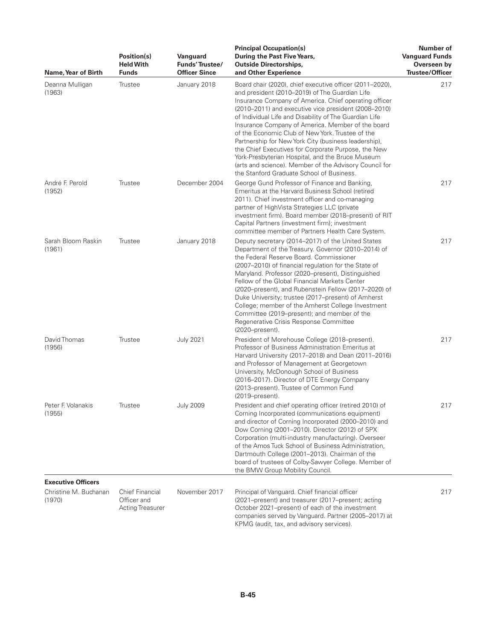| Name, Year of Birth                                          | Position(s)<br><b>Held With</b><br><b>Funds</b>                  | Vanguard<br>Funds' Trustee/<br><b>Officer Since</b> | <b>Principal Occupation(s)</b><br>During the Past Five Years,<br><b>Outside Directorships,</b><br>and Other Experience                                                                                                                                                                                                                                                                                                                                                                                                                                                                                                                                                   | Number of<br><b>Vanguard Funds</b><br>Overseen by<br><b>Trustee/Officer</b> |
|--------------------------------------------------------------|------------------------------------------------------------------|-----------------------------------------------------|--------------------------------------------------------------------------------------------------------------------------------------------------------------------------------------------------------------------------------------------------------------------------------------------------------------------------------------------------------------------------------------------------------------------------------------------------------------------------------------------------------------------------------------------------------------------------------------------------------------------------------------------------------------------------|-----------------------------------------------------------------------------|
| Deanna Mulligan<br>(1963)                                    | Trustee                                                          | January 2018                                        | Board chair (2020), chief executive officer (2011-2020),<br>and president (2010-2019) of The Guardian Life<br>Insurance Company of America. Chief operating officer<br>(2010–2011) and executive vice president (2008–2010)<br>of Individual Life and Disability of The Guardian Life<br>Insurance Company of America. Member of the board<br>of the Economic Club of New York. Trustee of the<br>Partnership for New York City (business leadership),<br>the Chief Executives for Corporate Purpose, the New<br>York-Presbyterian Hospital, and the Bruce Museum<br>(arts and science). Member of the Advisory Council for<br>the Stanford Graduate School of Business. | 217                                                                         |
| André F. Perold<br>(1952)                                    | Trustee                                                          | December 2004                                       | George Gund Professor of Finance and Banking,<br>Emeritus at the Harvard Business School (retired<br>2011). Chief investment officer and co-managing<br>partner of HighVista Strategies LLC (private<br>investment firm). Board member (2018-present) of RIT<br>Capital Partners (investment firm); investment<br>committee member of Partners Health Care System.                                                                                                                                                                                                                                                                                                       | 217                                                                         |
| Sarah Bloom Raskin<br>(1961)                                 | Trustee                                                          | January 2018                                        | Deputy secretary (2014–2017) of the United States<br>Department of the Treasury. Governor (2010-2014) of<br>the Federal Reserve Board, Commissioner<br>(2007-2010) of financial regulation for the State of<br>Maryland. Professor (2020–present), Distinguished<br>Fellow of the Global Financial Markets Center<br>(2020–present), and Rubenstein Fellow (2017–2020) of<br>Duke University; trustee (2017–present) of Amherst<br>College; member of the Amherst College Investment<br>Committee (2019–present); and member of the<br>Regenerative Crisis Response Committee<br>(2020-present).                                                                         | 217                                                                         |
| David Thomas<br>(1956)                                       | Trustee                                                          | <b>July 2021</b>                                    | President of Morehouse College (2018–present).<br>Professor of Business Administration Emeritus at<br>Harvard University (2017-2018) and Dean (2011-2016)<br>and Professor of Management at Georgetown<br>University, McDonough School of Business<br>(2016-2017). Director of DTE Energy Company<br>(2013–present). Trustee of Common Fund<br>(2019–present).                                                                                                                                                                                                                                                                                                           | 217                                                                         |
| Peter F. Volanakis<br>(1955)                                 | Trustee                                                          | <b>July 2009</b>                                    | President and chief operating officer (retired 2010) of<br>Corning Incorporated (communications equipment)<br>and director of Corning Incorporated (2000–2010) and<br>Dow Corning (2001-2010). Director (2012) of SPX<br>Corporation (multi-industry manufacturing). Overseer<br>of the Amos Tuck School of Business Administration,<br>Dartmouth College (2001-2013). Chairman of the<br>board of trustees of Colby-Sawyer College. Member of<br>the BMW Group Mobility Council.                                                                                                                                                                                        | 217                                                                         |
| <b>Executive Officers</b><br>Christine M. Buchanan<br>(1970) | <b>Chief Financial</b><br>Officer and<br><b>Acting Treasurer</b> | November 2017                                       | Principal of Vanguard. Chief financial officer<br>(2021–present) and treasurer (2017–present; acting<br>October 2021–present) of each of the investment<br>companies served by Vanguard. Partner (2005-2017) at<br>KPMG (audit, tax, and advisory services).                                                                                                                                                                                                                                                                                                                                                                                                             | 217                                                                         |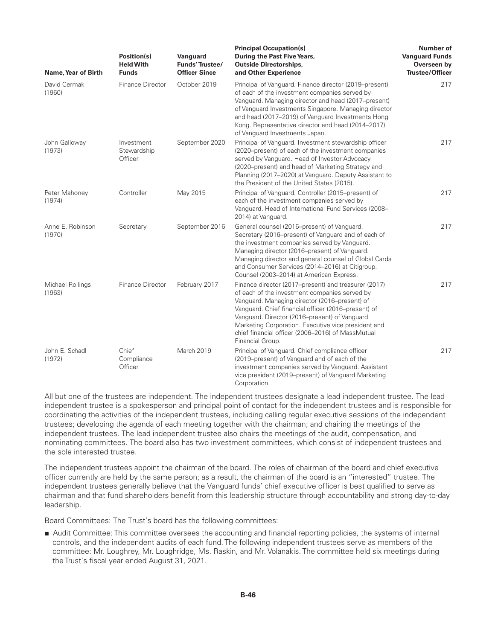| Name, Year of Birth        | Position(s)<br><b>Held With</b><br><b>Funds</b> | Vanguard<br>Funds' Trustee/<br><b>Officer Since</b> | <b>Principal Occupation(s)</b><br>During the Past Five Years,<br><b>Outside Directorships,</b><br>and Other Experience                                                                                                                                                                                                                                                                         | <b>Number of</b><br><b>Vanguard Funds</b><br>Overseen by<br><b>Trustee/Officer</b> |
|----------------------------|-------------------------------------------------|-----------------------------------------------------|------------------------------------------------------------------------------------------------------------------------------------------------------------------------------------------------------------------------------------------------------------------------------------------------------------------------------------------------------------------------------------------------|------------------------------------------------------------------------------------|
| David Cermak<br>(1960)     | Finance Director                                | October 2019                                        | Principal of Vanguard. Finance director (2019–present)<br>of each of the investment companies served by<br>Vanguard. Managing director and head (2017–present)<br>of Vanguard Investments Singapore. Managing director<br>and head (2017-2019) of Vanguard Investments Hong<br>Kong. Representative director and head (2014-2017)<br>of Vanquard Investments Japan.                            | 217                                                                                |
| John Galloway<br>(1973)    | Investment<br>Stewardship<br>Officer            | September 2020                                      | Principal of Vanguard. Investment stewardship officer<br>(2020–present) of each of the investment companies<br>served by Vanguard. Head of Investor Advocacy<br>(2020–present) and head of Marketing Strategy and<br>Planning (2017–2020) at Vanguard. Deputy Assistant to<br>the President of the United States (2015).                                                                       | 217                                                                                |
| Peter Mahoney<br>(1974)    | Controller                                      | May 2015                                            | Principal of Vanguard. Controller (2015–present) of<br>each of the investment companies served by<br>Vanguard. Head of International Fund Services (2008-<br>2014) at Vanguard.                                                                                                                                                                                                                | 217                                                                                |
| Anne E. Robinson<br>(1970) | Secretary                                       | September 2016                                      | General counsel (2016–present) of Vanguard.<br>Secretary (2016–present) of Vanguard and of each of<br>the investment companies served by Vanquard.<br>Managing director (2016–present) of Vanguard.<br>Managing director and general counsel of Global Cards<br>and Consumer Services (2014-2016) at Citigroup.<br>Counsel (2003-2014) at American Express.                                    | 217                                                                                |
| Michael Rollings<br>(1963) | Finance Director                                | February 2017                                       | Finance director (2017–present) and treasurer (2017)<br>of each of the investment companies served by<br>Vanguard. Managing director (2016–present) of<br>Vanguard. Chief financial officer (2016–present) of<br>Vanguard. Director (2016–present) of Vanguard<br>Marketing Corporation. Executive vice president and<br>chief financial officer (2006-2016) of MassMutual<br>Financial Group. | 217                                                                                |
| John E. Schadl<br>(1972)   | Chief<br>Compliance<br>Officer                  | March 2019                                          | Principal of Vanguard. Chief compliance officer<br>(2019–present) of Vanguard and of each of the<br>investment companies served by Vanguard. Assistant<br>vice president (2019–present) of Vanguard Marketing<br>Corporation.                                                                                                                                                                  | 217                                                                                |

All but one of the trustees are independent. The independent trustees designate a lead independent trustee. The lead independent trustee is a spokesperson and principal point of contact for the independent trustees and is responsible for coordinating the activities of the independent trustees, including calling regular executive sessions of the independent trustees; developing the agenda of each meeting together with the chairman; and chairing the meetings of the independent trustees. The lead independent trustee also chairs the meetings of the audit, compensation, and nominating committees. The board also has two investment committees, which consist of independent trustees and the sole interested trustee.

The independent trustees appoint the chairman of the board. The roles of chairman of the board and chief executive officer currently are held by the same person; as a result, the chairman of the board is an "interested" trustee. The independent trustees generally believe that the Vanguard funds' chief executive officer is best qualified to serve as chairman and that fund shareholders benefit from this leadership structure through accountability and strong day-to-day leadership.

Board Committees: The Trust's board has the following committees:

■ Audit Committee: This committee oversees the accounting and financial reporting policies, the systems of internal controls, and the independent audits of each fund. The following independent trustees serve as members of the committee: Mr. Loughrey, Mr. Loughridge, Ms. Raskin, and Mr. Volanakis. The committee held six meetings during the Trust's fiscal year ended August 31, 2021.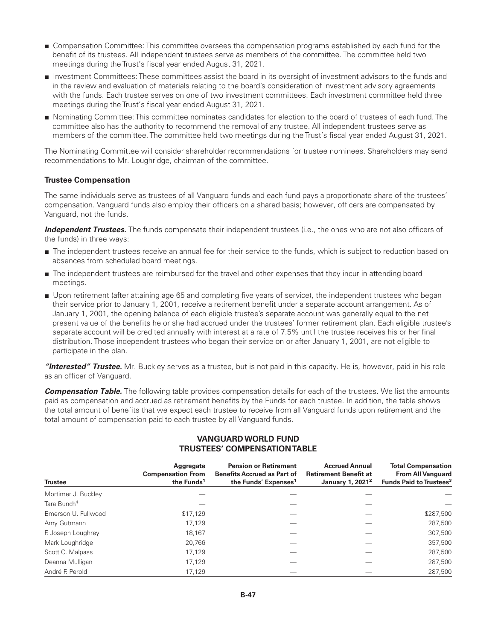- Compensation Committee: This committee oversees the compensation programs established by each fund for the benefit of its trustees. All independent trustees serve as members of the committee. The committee held two meetings during the Trust's fiscal year ended August 31, 2021.
- Investment Committees: These committees assist the board in its oversight of investment advisors to the funds and in the review and evaluation of materials relating to the board's consideration of investment advisory agreements with the funds. Each trustee serves on one of two investment committees. Each investment committee held three meetings during the Trust's fiscal year ended August 31, 2021.
- Nominating Committee: This committee nominates candidates for election to the board of trustees of each fund. The committee also has the authority to recommend the removal of any trustee. All independent trustees serve as members of the committee. The committee held two meetings during the Trust's fiscal year ended August 31, 2021.

The Nominating Committee will consider shareholder recommendations for trustee nominees. Shareholders may send recommendations to Mr. Loughridge, chairman of the committee.

#### **Trustee Compensation**

The same individuals serve as trustees of all Vanguard funds and each fund pays a proportionate share of the trustees' compensation. Vanguard funds also employ their officers on a shared basis; however, officers are compensated by Vanguard, not the funds.

*Independent Trustees.* The funds compensate their independent trustees (i.e., the ones who are not also officers of the funds) in three ways:

- The independent trustees receive an annual fee for their service to the funds, which is subject to reduction based on absences from scheduled board meetings.
- The independent trustees are reimbursed for the travel and other expenses that they incur in attending board meetings.
- Upon retirement (after attaining age 65 and completing five years of service), the independent trustees who began their service prior to January 1, 2001, receive a retirement benefit under a separate account arrangement. As of January 1, 2001, the opening balance of each eligible trustee's separate account was generally equal to the net present value of the benefits he or she had accrued under the trustees' former retirement plan. Each eligible trustee's separate account will be credited annually with interest at a rate of 7.5% until the trustee receives his or her final distribution. Those independent trustees who began their service on or after January 1, 2001, are not eligible to participate in the plan.

*"Interested" Trustee.* Mr. Buckley serves as a trustee, but is not paid in this capacity. He is, however, paid in his role as an officer of Vanguard.

*Compensation Table.* The following table provides compensation details for each of the trustees. We list the amounts paid as compensation and accrued as retirement benefits by the Funds for each trustee. In addition, the table shows the total amount of benefits that we expect each trustee to receive from all Vanguard funds upon retirement and the total amount of compensation paid to each trustee by all Vanguard funds.

| <b>Trustee</b>          | Aggregate<br><b>Compensation From</b><br>the Funds <sup>1</sup> | <b>Pension or Retirement</b><br><b>Benefits Accrued as Part of</b><br>the Funds' Expenses <sup>1</sup> | <b>Accrued Annual</b><br><b>Retirement Benefit at</b><br>January 1, 2021 <sup>2</sup> | <b>Total Compensation</b><br><b>From All Vanguard</b><br>Funds Paid to Trustees <sup>3</sup> |
|-------------------------|-----------------------------------------------------------------|--------------------------------------------------------------------------------------------------------|---------------------------------------------------------------------------------------|----------------------------------------------------------------------------------------------|
| Mortimer J. Buckley     |                                                                 |                                                                                                        |                                                                                       |                                                                                              |
| Tara Bunch <sup>4</sup> |                                                                 |                                                                                                        |                                                                                       |                                                                                              |
| Emerson U. Fullwood     | \$17,129                                                        |                                                                                                        |                                                                                       | \$287,500                                                                                    |
| Amy Gutmann             | 17.129                                                          |                                                                                                        |                                                                                       | 287,500                                                                                      |
| F. Joseph Loughrey      | 18,167                                                          |                                                                                                        |                                                                                       | 307,500                                                                                      |
| Mark Loughridge         | 20.766                                                          |                                                                                                        |                                                                                       | 357,500                                                                                      |
| Scott C. Malpass        | 17,129                                                          |                                                                                                        |                                                                                       | 287,500                                                                                      |
| Deanna Mulligan         | 17.129                                                          |                                                                                                        |                                                                                       | 287.500                                                                                      |
| André F. Perold         | 17.129                                                          |                                                                                                        |                                                                                       | 287.500                                                                                      |

### **VANGUARDWORLD FUND TRUSTEES' COMPENSATION TABLE**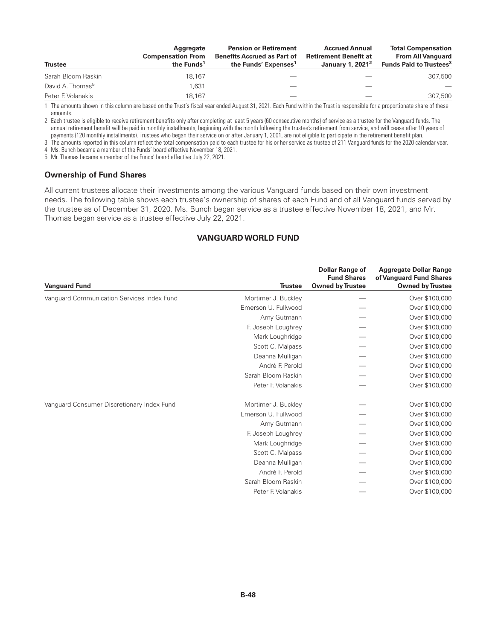| <b>Trustee</b>               | Aggregate<br><b>Compensation From</b><br>the Funds <sup>1</sup> | <b>Pension or Retirement</b><br><b>Benefits Accrued as Part of</b><br>the Funds' Expenses <sup>1</sup> | <b>Accrued Annual</b><br><b>Retirement Benefit at</b><br>January 1, 2021 <sup>2</sup> | <b>Total Compensation</b><br><b>From All Vanguard</b><br>Funds Paid to Trustees <sup>3</sup> |
|------------------------------|-----------------------------------------------------------------|--------------------------------------------------------------------------------------------------------|---------------------------------------------------------------------------------------|----------------------------------------------------------------------------------------------|
| Sarah Bloom Raskin           | 18.167                                                          |                                                                                                        |                                                                                       | 307,500                                                                                      |
| David A. Thomas <sup>5</sup> | 1,631                                                           |                                                                                                        |                                                                                       |                                                                                              |
| Peter F. Volanakis           | 18.167                                                          |                                                                                                        |                                                                                       | 307,500                                                                                      |

1 The amounts shown in this column are based on the Trust's fiscal year ended August 31, 2021. Each Fund within the Trust is responsible for a proportionate share of these amounts.

2 Each trustee is eligible to receive retirement benefits only after completing at least 5 years (60 consecutive months) of service as a trustee for the Vanguard funds. The annual retirement benefit will be paid in monthly installments, beginning with the month following the trustee's retirement from service, and will cease after 10 years of payments (120 monthly installments). Trustees who began their service on or after January 1, 2001, are not eligible to participate in the retirement benefit plan.

3 The amounts reported in this column reflect the total compensation paid to each trustee for his or her service as trustee of 211 Vanguard funds for the 2020 calendar year. 4 Ms. Bunch became a member of the Funds' board effective November 18, 2021.

5 Mr. Thomas became a member of the Funds' board effective July 22, 2021.

#### **Ownership of Fund Shares**

All current trustees allocate their investments among the various Vanguard funds based on their own investment needs. The following table shows each trustee's ownership of shares of each Fund and of all Vanguard funds served by the trustee as of December 31, 2020. Ms. Bunch began service as a trustee effective November 18, 2021, and Mr. Thomas began service as a trustee effective July 22, 2021.

### **VANGUARDWORLD FUND**

| <b>Vanguard Fund</b>                       | <b>Trustee</b>      | <b>Dollar Range of</b><br><b>Fund Shares</b><br><b>Owned by Trustee</b> | <b>Aggregate Dollar Range</b><br>of Vanguard Fund Shares<br><b>Owned by Trustee</b> |
|--------------------------------------------|---------------------|-------------------------------------------------------------------------|-------------------------------------------------------------------------------------|
| Vanguard Communication Services Index Fund | Mortimer J. Buckley |                                                                         | Over \$100,000                                                                      |
|                                            | Emerson U. Fullwood |                                                                         | Over \$100,000                                                                      |
|                                            | Amy Gutmann         |                                                                         | Over \$100,000                                                                      |
|                                            | F. Joseph Loughrey  |                                                                         | Over \$100,000                                                                      |
|                                            | Mark Loughridge     |                                                                         | Over \$100,000                                                                      |
|                                            | Scott C. Malpass    |                                                                         | Over \$100,000                                                                      |
|                                            | Deanna Mulligan     |                                                                         | Over \$100,000                                                                      |
|                                            | André F. Perold     |                                                                         | Over \$100,000                                                                      |
|                                            | Sarah Bloom Raskin  |                                                                         | Over \$100,000                                                                      |
|                                            | Peter F. Volanakis  |                                                                         | Over \$100,000                                                                      |
| Vanguard Consumer Discretionary Index Fund | Mortimer J. Buckley |                                                                         | Over \$100,000                                                                      |
|                                            | Emerson U. Fullwood |                                                                         | Over \$100,000                                                                      |
|                                            | Amy Gutmann         |                                                                         | Over \$100,000                                                                      |
|                                            | F. Joseph Loughrey  |                                                                         | Over \$100,000                                                                      |
|                                            | Mark Loughridge     |                                                                         | Over \$100,000                                                                      |
|                                            | Scott C. Malpass    |                                                                         | Over \$100,000                                                                      |
|                                            | Deanna Mulligan     |                                                                         | Over \$100,000                                                                      |
|                                            | André F. Perold     |                                                                         | Over \$100,000                                                                      |
|                                            | Sarah Bloom Raskin  |                                                                         | Over \$100,000                                                                      |
|                                            | Peter F. Volanakis  |                                                                         | Over \$100,000                                                                      |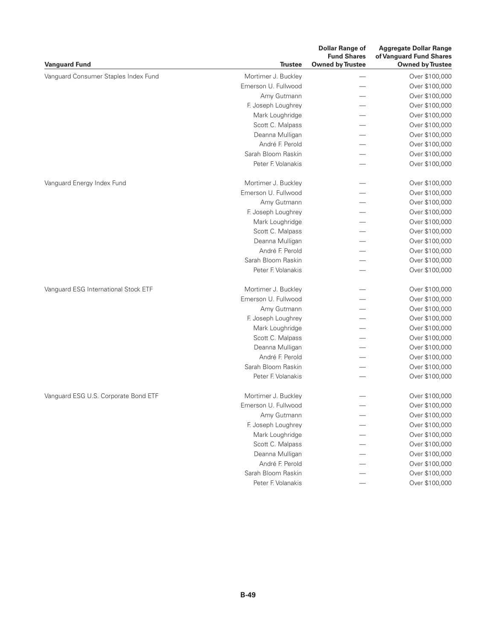| <b>Vanguard Fund</b>                 | <b>Trustee</b>      | <b>Dollar Range of</b><br><b>Fund Shares</b><br><b>Owned by Trustee</b> | <b>Aggregate Dollar Range</b><br>of Vanguard Fund Shares<br><b>Owned by Trustee</b> |
|--------------------------------------|---------------------|-------------------------------------------------------------------------|-------------------------------------------------------------------------------------|
| Vanguard Consumer Staples Index Fund | Mortimer J. Buckley |                                                                         | Over \$100,000                                                                      |
|                                      | Emerson U. Fullwood |                                                                         | Over \$100,000                                                                      |
|                                      | Amy Gutmann         |                                                                         | Over \$100,000                                                                      |
|                                      | F. Joseph Loughrey  |                                                                         | Over \$100,000                                                                      |
|                                      | Mark Loughridge     |                                                                         | Over \$100,000                                                                      |
|                                      | Scott C. Malpass    |                                                                         | Over \$100,000                                                                      |
|                                      | Deanna Mulligan     |                                                                         | Over \$100,000                                                                      |
|                                      | André F. Perold     |                                                                         | Over \$100,000                                                                      |
|                                      | Sarah Bloom Raskin  |                                                                         | Over \$100,000                                                                      |
|                                      | Peter F. Volanakis  |                                                                         | Over \$100,000                                                                      |
| Vanguard Energy Index Fund           | Mortimer J. Buckley |                                                                         | Over \$100,000                                                                      |
|                                      | Emerson U. Fullwood |                                                                         | Over \$100,000                                                                      |
|                                      | Amy Gutmann         |                                                                         | Over \$100,000                                                                      |
|                                      | F. Joseph Loughrey  |                                                                         | Over \$100,000                                                                      |
|                                      | Mark Loughridge     |                                                                         | Over \$100,000                                                                      |
|                                      | Scott C. Malpass    |                                                                         | Over \$100,000                                                                      |
|                                      | Deanna Mulligan     |                                                                         | Over \$100,000                                                                      |
|                                      | André F. Perold     |                                                                         | Over \$100,000                                                                      |
|                                      | Sarah Bloom Raskin  |                                                                         | Over \$100,000                                                                      |
|                                      | Peter F. Volanakis  |                                                                         | Over \$100,000                                                                      |
| Vanguard ESG International Stock ETF | Mortimer J. Buckley |                                                                         | Over \$100,000                                                                      |
|                                      | Emerson U. Fullwood |                                                                         | Over \$100,000                                                                      |
|                                      | Amy Gutmann         |                                                                         | Over \$100,000                                                                      |
|                                      | F. Joseph Loughrey  |                                                                         | Over \$100,000                                                                      |
|                                      | Mark Loughridge     |                                                                         | Over \$100,000                                                                      |
|                                      | Scott C. Malpass    |                                                                         | Over \$100,000                                                                      |
|                                      | Deanna Mulligan     |                                                                         | Over \$100,000                                                                      |
|                                      | André F. Perold     |                                                                         | Over \$100,000                                                                      |
|                                      | Sarah Bloom Raskin  |                                                                         | Over \$100,000                                                                      |
|                                      | Peter F. Volanakis  |                                                                         | Over \$100,000                                                                      |
| Vanguard ESG U.S. Corporate Bond ETF | Mortimer J. Buckley |                                                                         | Over \$100,000                                                                      |
|                                      | Emerson U. Fullwood |                                                                         | Over \$100,000                                                                      |
|                                      | Amy Gutmann         |                                                                         | Over \$100,000                                                                      |
|                                      | F. Joseph Loughrey  |                                                                         | Over \$100,000                                                                      |
|                                      | Mark Loughridge     |                                                                         | Over \$100,000                                                                      |
|                                      | Scott C. Malpass    |                                                                         | Over \$100,000                                                                      |
|                                      | Deanna Mulligan     |                                                                         | Over \$100,000                                                                      |
|                                      | André F. Perold     |                                                                         | Over \$100,000                                                                      |
|                                      | Sarah Bloom Raskin  |                                                                         | Over \$100,000                                                                      |
|                                      | Peter F. Volanakis  |                                                                         | Over \$100,000                                                                      |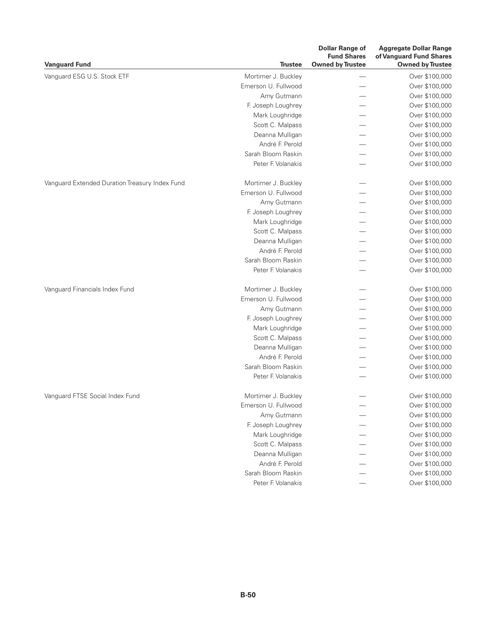| <b>Vanguard Fund</b>                           | <b>Trustee</b>      | <b>Dollar Range of</b><br><b>Fund Shares</b><br><b>Owned by Trustee</b> | <b>Aggregate Dollar Range</b><br>of Vanguard Fund Shares<br><b>Owned by Trustee</b> |
|------------------------------------------------|---------------------|-------------------------------------------------------------------------|-------------------------------------------------------------------------------------|
| Vanguard ESG U.S. Stock ETF                    | Mortimer J. Buckley |                                                                         | Over \$100,000                                                                      |
|                                                | Emerson U. Fullwood |                                                                         | Over \$100,000                                                                      |
|                                                | Amy Gutmann         |                                                                         | Over \$100,000                                                                      |
|                                                | F. Joseph Loughrey  |                                                                         | Over \$100,000                                                                      |
|                                                | Mark Loughridge     |                                                                         | Over \$100,000                                                                      |
|                                                | Scott C. Malpass    |                                                                         | Over \$100,000                                                                      |
|                                                | Deanna Mulligan     |                                                                         | Over \$100,000                                                                      |
|                                                | André F. Perold     |                                                                         | Over \$100,000                                                                      |
|                                                | Sarah Bloom Raskin  |                                                                         | Over \$100,000                                                                      |
|                                                | Peter F. Volanakis  |                                                                         | Over \$100,000                                                                      |
| Vanguard Extended Duration Treasury Index Fund | Mortimer J. Buckley |                                                                         | Over \$100,000                                                                      |
|                                                | Emerson U. Fullwood |                                                                         | Over \$100,000                                                                      |
|                                                | Amy Gutmann         |                                                                         | Over \$100,000                                                                      |
|                                                | F. Joseph Loughrey  |                                                                         | Over \$100,000                                                                      |
|                                                | Mark Loughridge     |                                                                         | Over \$100,000                                                                      |
|                                                | Scott C. Malpass    |                                                                         | Over \$100,000                                                                      |
|                                                | Deanna Mulligan     |                                                                         | Over \$100,000                                                                      |
|                                                | André F. Perold     |                                                                         | Over \$100,000                                                                      |
|                                                | Sarah Bloom Raskin  |                                                                         | Over \$100,000                                                                      |
|                                                | Peter F. Volanakis  |                                                                         | Over \$100,000                                                                      |
| Vanguard Financials Index Fund                 | Mortimer J. Buckley |                                                                         | Over \$100,000                                                                      |
|                                                | Emerson U. Fullwood |                                                                         | Over \$100,000                                                                      |
|                                                | Amy Gutmann         |                                                                         | Over \$100,000                                                                      |
|                                                | F. Joseph Loughrey  |                                                                         | Over \$100,000                                                                      |
|                                                | Mark Loughridge     |                                                                         | Over \$100,000                                                                      |
|                                                | Scott C. Malpass    |                                                                         | Over \$100,000                                                                      |
|                                                | Deanna Mulligan     |                                                                         | Over \$100,000                                                                      |
|                                                | André F. Perold     |                                                                         | Over \$100,000                                                                      |
|                                                | Sarah Bloom Raskin  |                                                                         | Over \$100,000                                                                      |
|                                                | Peter F. Volanakis  |                                                                         | Over \$100,000                                                                      |
| Vanguard FTSE Social Index Fund                | Mortimer J. Buckley |                                                                         | Over \$100,000                                                                      |
|                                                | Emerson U. Fullwood |                                                                         | Over \$100,000                                                                      |
|                                                | Amy Gutmann         |                                                                         | Over \$100,000                                                                      |
|                                                | F. Joseph Loughrey  |                                                                         | Over \$100,000                                                                      |
|                                                | Mark Loughridge     |                                                                         | Over \$100,000                                                                      |
|                                                | Scott C. Malpass    |                                                                         | Over \$100,000                                                                      |
|                                                | Deanna Mulligan     |                                                                         | Over \$100,000                                                                      |
|                                                | André F. Perold     |                                                                         | Over \$100,000                                                                      |
|                                                | Sarah Bloom Raskin  |                                                                         | Over \$100,000                                                                      |
|                                                | Peter F. Volanakis  |                                                                         | Over \$100,000                                                                      |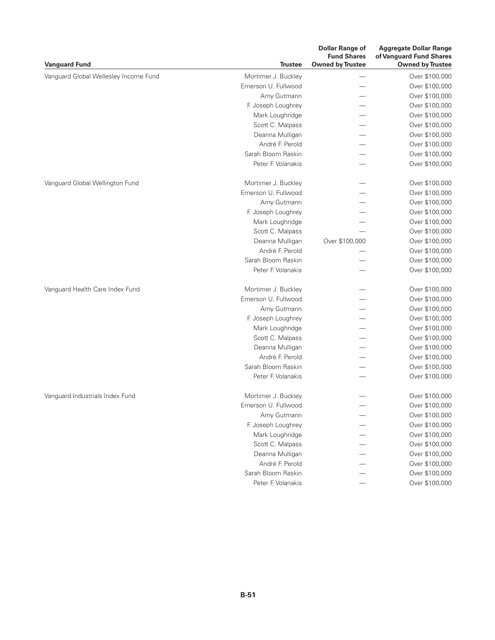| <b>Vanguard Fund</b>                  | <b>Trustee</b>      | <b>Dollar Range of</b><br><b>Fund Shares</b><br><b>Owned by Trustee</b> | <b>Aggregate Dollar Range</b><br>of Vanguard Fund Shares<br><b>Owned by Trustee</b> |
|---------------------------------------|---------------------|-------------------------------------------------------------------------|-------------------------------------------------------------------------------------|
| Vanguard Global Wellesley Income Fund | Mortimer J. Buckley |                                                                         | Over \$100,000                                                                      |
|                                       | Emerson U. Fullwood |                                                                         | Over \$100,000                                                                      |
|                                       | Amy Gutmann         |                                                                         | Over \$100,000                                                                      |
|                                       | F. Joseph Loughrey  |                                                                         | Over \$100,000                                                                      |
|                                       | Mark Loughridge     |                                                                         | Over \$100,000                                                                      |
|                                       | Scott C. Malpass    |                                                                         | Over \$100,000                                                                      |
|                                       | Deanna Mulligan     |                                                                         | Over \$100,000                                                                      |
|                                       | André F. Perold     |                                                                         | Over \$100,000                                                                      |
|                                       | Sarah Bloom Raskin  |                                                                         | Over \$100,000                                                                      |
|                                       | Peter F. Volanakis  |                                                                         | Over \$100,000                                                                      |
| Vanguard Global Wellington Fund       | Mortimer J. Buckley |                                                                         | Over \$100,000                                                                      |
|                                       | Emerson U. Fullwood |                                                                         | Over \$100,000                                                                      |
|                                       | Amy Gutmann         |                                                                         | Over \$100,000                                                                      |
|                                       | F. Joseph Loughrey  |                                                                         | Over \$100,000                                                                      |
|                                       | Mark Loughridge     |                                                                         | Over \$100,000                                                                      |
|                                       | Scott C. Malpass    |                                                                         | Over \$100,000                                                                      |
|                                       | Deanna Mulligan     | Over \$100,000                                                          | Over \$100,000                                                                      |
|                                       | André F. Perold     |                                                                         | Over \$100,000                                                                      |
|                                       | Sarah Bloom Raskin  |                                                                         | Over \$100,000                                                                      |
|                                       | Peter F. Volanakis  |                                                                         | Over \$100,000                                                                      |
| Vanguard Health Care Index Fund       | Mortimer J. Buckley |                                                                         | Over \$100,000                                                                      |
|                                       | Emerson U. Fullwood |                                                                         | Over \$100,000                                                                      |
|                                       | Amy Gutmann         |                                                                         | Over \$100,000                                                                      |
|                                       | F. Joseph Loughrey  |                                                                         | Over \$100,000                                                                      |
|                                       | Mark Loughridge     |                                                                         | Over \$100,000                                                                      |
|                                       | Scott C. Malpass    |                                                                         | Over \$100,000                                                                      |
|                                       | Deanna Mulligan     |                                                                         | Over \$100,000                                                                      |
|                                       | André F. Perold     |                                                                         | Over \$100,000                                                                      |
|                                       | Sarah Bloom Raskin  |                                                                         | Over \$100,000                                                                      |
|                                       | Peter F. Volanakis  |                                                                         | Over \$100,000                                                                      |
| Vanquard Industrials Index Fund       | Mortimer J. Buckley |                                                                         | Over \$100,000                                                                      |
|                                       | Emerson U. Fullwood |                                                                         | Over \$100,000                                                                      |
|                                       | Amy Gutmann         |                                                                         | Over \$100,000                                                                      |
|                                       | F. Joseph Loughrey  |                                                                         | Over \$100,000                                                                      |
|                                       | Mark Loughridge     |                                                                         | Over \$100,000                                                                      |
|                                       | Scott C. Malpass    |                                                                         | Over \$100,000                                                                      |
|                                       | Deanna Mulligan     |                                                                         | Over \$100,000                                                                      |
|                                       | André F. Perold     |                                                                         | Over \$100,000                                                                      |
|                                       | Sarah Bloom Raskin  |                                                                         | Over \$100,000                                                                      |
|                                       | Peter F. Volanakis  |                                                                         | Over \$100,000                                                                      |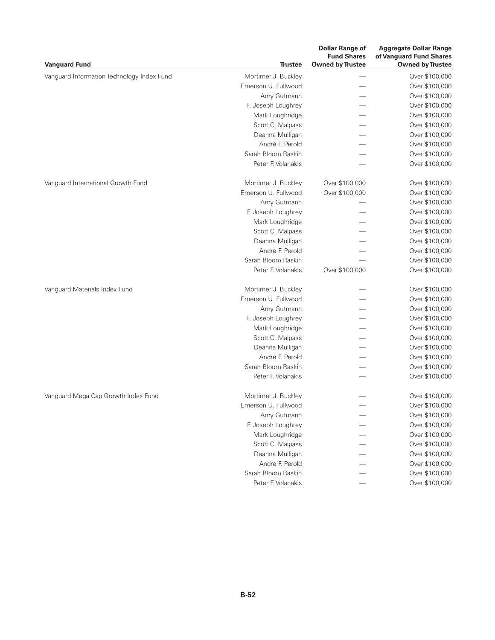| <b>Vanguard Fund</b>                       | <b>Trustee</b>      | <b>Dollar Range of</b><br><b>Fund Shares</b><br><b>Owned by Trustee</b> | <b>Aggregate Dollar Range</b><br>of Vanguard Fund Shares<br><b>Owned by Trustee</b> |
|--------------------------------------------|---------------------|-------------------------------------------------------------------------|-------------------------------------------------------------------------------------|
| Vanguard Information Technology Index Fund | Mortimer J. Buckley |                                                                         | Over \$100,000                                                                      |
|                                            | Emerson U. Fullwood |                                                                         | Over \$100,000                                                                      |
|                                            | Amy Gutmann         |                                                                         | Over \$100,000                                                                      |
|                                            | F. Joseph Loughrey  |                                                                         | Over \$100,000                                                                      |
|                                            | Mark Loughridge     |                                                                         | Over \$100,000                                                                      |
|                                            | Scott C. Malpass    |                                                                         | Over \$100,000                                                                      |
|                                            | Deanna Mulligan     |                                                                         | Over \$100,000                                                                      |
|                                            | André F. Perold     |                                                                         | Over \$100,000                                                                      |
|                                            | Sarah Bloom Raskin  |                                                                         | Over \$100,000                                                                      |
|                                            | Peter F. Volanakis  |                                                                         | Over \$100,000                                                                      |
| Vanguard International Growth Fund         | Mortimer J. Buckley | Over \$100,000                                                          | Over \$100,000                                                                      |
|                                            | Emerson U. Fullwood | Over \$100,000                                                          | Over \$100,000                                                                      |
|                                            | Amy Gutmann         |                                                                         | Over \$100,000                                                                      |
|                                            | F. Joseph Loughrey  |                                                                         | Over \$100,000                                                                      |
|                                            | Mark Loughridge     |                                                                         | Over \$100,000                                                                      |
|                                            | Scott C. Malpass    |                                                                         | Over \$100,000                                                                      |
|                                            | Deanna Mulligan     |                                                                         | Over \$100,000                                                                      |
|                                            | André F. Perold     |                                                                         | Over \$100,000                                                                      |
|                                            | Sarah Bloom Raskin  |                                                                         | Over \$100,000                                                                      |
|                                            | Peter F. Volanakis  | Over \$100,000                                                          | Over \$100,000                                                                      |
| Vanguard Materials Index Fund              | Mortimer J. Buckley |                                                                         | Over \$100,000                                                                      |
|                                            | Emerson U. Fullwood |                                                                         | Over \$100,000                                                                      |
|                                            | Amy Gutmann         |                                                                         | Over \$100,000                                                                      |
|                                            | F. Joseph Loughrey  |                                                                         | Over \$100,000                                                                      |
|                                            | Mark Loughridge     |                                                                         | Over \$100,000                                                                      |
|                                            | Scott C. Malpass    |                                                                         | Over \$100,000                                                                      |
|                                            | Deanna Mulligan     |                                                                         | Over \$100,000                                                                      |
|                                            | André F. Perold     |                                                                         | Over \$100,000                                                                      |
|                                            | Sarah Bloom Raskin  |                                                                         | Over \$100,000                                                                      |
|                                            | Peter F. Volanakis  |                                                                         | Over \$100,000                                                                      |
| Vanguard Mega Cap Growth Index Fund        | Mortimer J. Buckley |                                                                         | Over \$100,000                                                                      |
|                                            | Emerson U. Fullwood |                                                                         | Over \$100,000                                                                      |
|                                            | Amy Gutmann         |                                                                         | Over \$100,000                                                                      |
|                                            | F. Joseph Loughrey  |                                                                         | Over \$100,000                                                                      |
|                                            | Mark Loughridge     |                                                                         | Over \$100,000                                                                      |
|                                            | Scott C. Malpass    |                                                                         | Over \$100,000                                                                      |
|                                            | Deanna Mulligan     |                                                                         | Over \$100,000                                                                      |
|                                            | André F. Perold     |                                                                         | Over \$100,000                                                                      |
|                                            | Sarah Bloom Raskin  |                                                                         | Over \$100,000                                                                      |
|                                            | Peter F. Volanakis  |                                                                         | Over \$100,000                                                                      |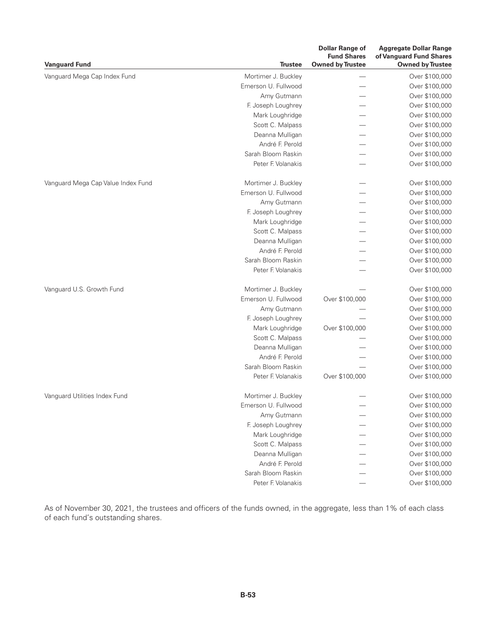| <b>Vanguard Fund</b>               | <b>Trustee</b>      | <b>Dollar Range of</b><br><b>Fund Shares</b><br><b>Owned by Trustee</b> | <b>Aggregate Dollar Range</b><br>of Vanguard Fund Shares<br><b>Owned by Trustee</b> |
|------------------------------------|---------------------|-------------------------------------------------------------------------|-------------------------------------------------------------------------------------|
| Vanguard Mega Cap Index Fund       | Mortimer J. Buckley |                                                                         | Over \$100,000                                                                      |
|                                    | Emerson U. Fullwood |                                                                         | Over \$100,000                                                                      |
|                                    | Amy Gutmann         |                                                                         | Over \$100,000                                                                      |
|                                    | F. Joseph Loughrey  |                                                                         | Over \$100,000                                                                      |
|                                    | Mark Loughridge     |                                                                         | Over \$100,000                                                                      |
|                                    | Scott C. Malpass    |                                                                         | Over \$100,000                                                                      |
|                                    | Deanna Mulligan     |                                                                         | Over \$100,000                                                                      |
|                                    | André F. Perold     |                                                                         | Over \$100,000                                                                      |
|                                    | Sarah Bloom Raskin  |                                                                         | Over \$100,000                                                                      |
|                                    | Peter F. Volanakis  |                                                                         | Over \$100,000                                                                      |
| Vanguard Mega Cap Value Index Fund | Mortimer J. Buckley |                                                                         | Over \$100,000                                                                      |
|                                    | Emerson U. Fullwood |                                                                         | Over \$100,000                                                                      |
|                                    | Amy Gutmann         |                                                                         | Over \$100,000                                                                      |
|                                    | F. Joseph Loughrey  |                                                                         | Over \$100,000                                                                      |
|                                    | Mark Loughridge     |                                                                         | Over \$100,000                                                                      |
|                                    | Scott C. Malpass    |                                                                         | Over \$100,000                                                                      |
|                                    | Deanna Mulligan     |                                                                         | Over \$100,000                                                                      |
|                                    | André F. Perold     |                                                                         | Over \$100,000                                                                      |
|                                    | Sarah Bloom Raskin  |                                                                         | Over \$100,000                                                                      |
|                                    | Peter F. Volanakis  |                                                                         | Over \$100,000                                                                      |
| Vanguard U.S. Growth Fund          | Mortimer J. Buckley |                                                                         | Over \$100,000                                                                      |
|                                    | Emerson U. Fullwood | Over \$100,000                                                          | Over \$100,000                                                                      |
|                                    | Amy Gutmann         |                                                                         | Over \$100,000                                                                      |
|                                    | F. Joseph Loughrey  |                                                                         | Over \$100,000                                                                      |
|                                    | Mark Loughridge     | Over \$100,000                                                          | Over \$100,000                                                                      |
|                                    | Scott C. Malpass    |                                                                         | Over \$100,000                                                                      |
|                                    | Deanna Mulligan     |                                                                         | Over \$100,000                                                                      |
|                                    | André F. Perold     |                                                                         | Over \$100,000                                                                      |
|                                    | Sarah Bloom Raskin  |                                                                         | Over \$100,000                                                                      |
|                                    | Peter F. Volanakis  | Over \$100,000                                                          | Over \$100,000                                                                      |
| Vanguard Utilities Index Fund      | Mortimer J. Buckley |                                                                         | Over \$100,000                                                                      |
|                                    | Emerson U. Fullwood |                                                                         | Over \$100,000                                                                      |
|                                    | Amy Gutmann         |                                                                         | Over \$100,000                                                                      |
|                                    | F. Joseph Loughrey  |                                                                         | Over \$100,000                                                                      |
|                                    | Mark Loughridge     |                                                                         | Over \$100,000                                                                      |
|                                    | Scott C. Malpass    |                                                                         | Over \$100,000                                                                      |
|                                    | Deanna Mulligan     |                                                                         | Over \$100,000                                                                      |
|                                    | André F. Perold     |                                                                         | Over \$100,000                                                                      |
|                                    | Sarah Bloom Raskin  |                                                                         | Over \$100,000                                                                      |
|                                    | Peter F. Volanakis  |                                                                         | Over \$100,000                                                                      |

As of November 30, 2021, the trustees and officers of the funds owned, in the aggregate, less than 1% of each class of each fund's outstanding shares.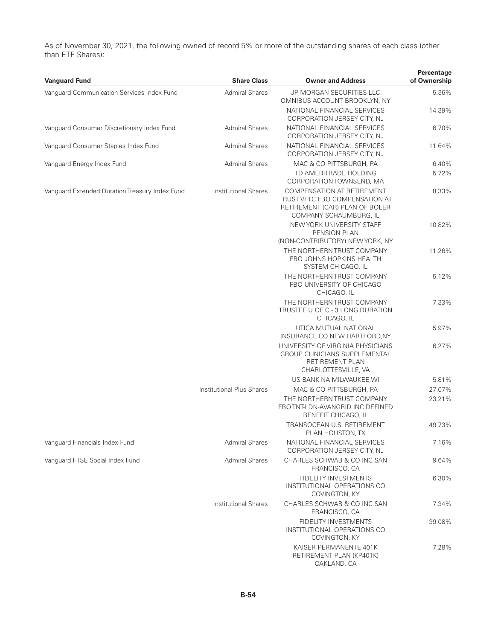As of November 30, 2021, the following owned of record 5% or more of the outstanding shares of each class (other than ETF Shares):

|                                                | <b>Share Class</b>               | <b>Owner and Address</b>                                                                                                        | Percentage   |
|------------------------------------------------|----------------------------------|---------------------------------------------------------------------------------------------------------------------------------|--------------|
| <b>Vanguard Fund</b>                           |                                  |                                                                                                                                 | of Ownership |
| Vanquard Communication Services Index Fund     | <b>Admiral Shares</b>            | JP MORGAN SECURITIES LLC<br>OMNIBUS ACCOUNT BROOKLYN, NY                                                                        | 5.36%        |
|                                                |                                  | NATIONAL FINANCIAL SERVICES<br>CORPORATION JERSEY CITY, NJ                                                                      | 14.39%       |
| Vanquard Consumer Discretionary Index Fund     | <b>Admiral Shares</b>            | NATIONAL FINANCIAL SERVICES<br>CORPORATION JERSEY CITY, NJ                                                                      | 6.70%        |
| Vanguard Consumer Staples Index Fund           | <b>Admiral Shares</b>            | NATIONAL FINANCIAL SERVICES<br>CORPORATION JERSEY CITY, NJ                                                                      | 11.64%       |
| Vanguard Energy Index Fund                     | <b>Admiral Shares</b>            | MAC & CO PITTSBURGH, PA                                                                                                         | 6.40%        |
|                                                |                                  | TD AMERITRADE HOLDING<br>CORPORATION TOWNSEND, MA                                                                               | 5.72%        |
| Vanguard Extended Duration Treasury Index Fund | <b>Institutional Shares</b>      | <b>COMPENSATION AT RETIREMENT</b><br>TRUST VFTC FBO COMPENSATION AT<br>RETIREMENT (CAR) PLAN OF BOLER<br>COMPANY SCHAUMBURG, IL | 8.33%        |
|                                                |                                  | NEW YORK UNIVERSITY STAFF<br>PENSION PLAN                                                                                       | 10.82%       |
|                                                |                                  | (NON-CONTRIBUTORY) NEW YORK, NY                                                                                                 |              |
|                                                |                                  | THE NORTHERN TRUST COMPANY<br><b>FBO JOHNS HOPKINS HEALTH</b><br>SYSTEM CHICAGO, IL                                             | 11.26%       |
|                                                |                                  | THE NORTHERN TRUST COMPANY<br>FBO UNIVERSITY OF CHICAGO<br>CHICAGO, IL                                                          | 5.12%        |
|                                                |                                  | THE NORTHERN TRUST COMPANY<br>TRUSTEE U OF C - 3 LONG DURATION<br>CHICAGO, IL                                                   | 7.33%        |
|                                                |                                  | UTICA MUTUAL NATIONAL<br>INSURANCE CO NEW HARTFORD, NY                                                                          | 5.97%        |
|                                                |                                  | UNIVERSITY OF VIRGINIA PHYSICIANS<br><b>GROUP CLINICIANS SUPPLEMENTAL</b><br>RETIREMENT PLAN<br>CHARLOTTESVILLE, VA             | 6.27%        |
|                                                |                                  | US BANK NA MILWAUKEE, WI                                                                                                        | 5.81%        |
|                                                | <b>Institutional Plus Shares</b> | MAC & CO PITTSBURGH, PA                                                                                                         | 27.07%       |
|                                                |                                  | THE NORTHERN TRUST COMPANY<br>FBO TNT-LDN-AVANGRID INC DEFINED<br>BENEFIT CHICAGO, IL                                           | 23.21%       |
|                                                |                                  | TRANSOCEAN U.S. RETIREMENT<br>PLAN HOUSTON, TX                                                                                  | 49.73%       |
| Vanguard Financials Index Fund                 | <b>Admiral Shares</b>            | NATIONAL FINANCIAL SERVICES<br>CORPORATION JERSEY CITY, NJ                                                                      | 7.16%        |
| Vanguard FTSE Social Index Fund                | <b>Admiral Shares</b>            | CHARLES SCHWAB & CO INC SAN<br>FRANCISCO, CA                                                                                    | 9.64%        |
|                                                |                                  | FIDELITY INVESTMENTS<br>INSTITUTIONAL OPERATIONS CO<br>COVINGTON, KY                                                            | 6.30%        |
|                                                | <b>Institutional Shares</b>      | CHARLES SCHWAB & CO INC SAN<br>FRANCISCO, CA                                                                                    | 7.34%        |
|                                                |                                  | FIDELITY INVESTMENTS<br>INSTITUTIONAL OPERATIONS CO<br>COVINGTON, KY                                                            | 39.08%       |
|                                                |                                  | KAISER PERMANENTE 401K<br>RETIREMENT PLAN (KP401K)<br>OAKLAND, CA                                                               | 7.28%        |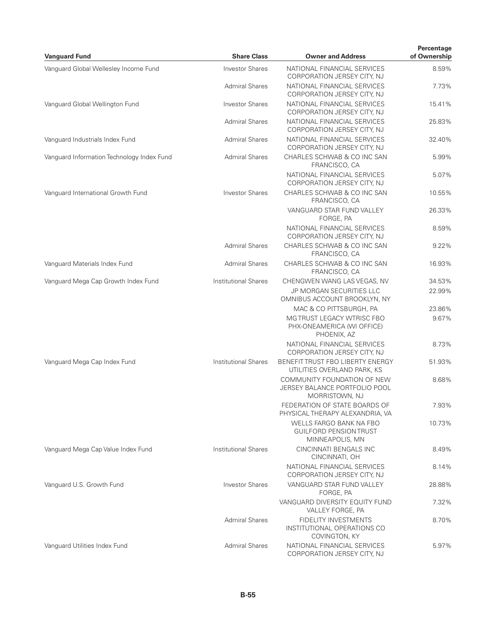| <b>Vanguard Fund</b>                       | <b>Share Class</b>          | <b>Owner and Address</b>                                                       | Percentage<br>of Ownership |
|--------------------------------------------|-----------------------------|--------------------------------------------------------------------------------|----------------------------|
| Vanguard Global Wellesley Income Fund      | <b>Investor Shares</b>      | NATIONAL FINANCIAL SERVICES<br>CORPORATION JERSEY CITY, NJ                     | 8.59%                      |
|                                            | <b>Admiral Shares</b>       | NATIONAL FINANCIAL SERVICES<br>CORPORATION JERSEY CITY, NJ                     | 7.73%                      |
| Vanguard Global Wellington Fund            | <b>Investor Shares</b>      | NATIONAL FINANCIAL SERVICES<br>CORPORATION JERSEY CITY, NJ                     | 15.41%                     |
|                                            | <b>Admiral Shares</b>       | NATIONAL FINANCIAL SERVICES<br>CORPORATION JERSEY CITY, NJ                     | 25.83%                     |
| Vanguard Industrials Index Fund            | <b>Admiral Shares</b>       | NATIONAL FINANCIAL SERVICES<br>CORPORATION JERSEY CITY, NJ                     | 32.40%                     |
| Vanquard Information Technology Index Fund | <b>Admiral Shares</b>       | CHARLES SCHWAB & CO INC SAN<br>FRANCISCO, CA                                   | 5.99%                      |
|                                            |                             | NATIONAL FINANCIAL SERVICES<br>CORPORATION JERSEY CITY, NJ                     | 5.07%                      |
| Vanguard International Growth Fund         | <b>Investor Shares</b>      | CHARLES SCHWAB & CO INC SAN<br>FRANCISCO, CA                                   | 10.55%                     |
|                                            |                             | VANGUARD STAR FUND VALLEY<br>FORGE, PA                                         | 26.33%                     |
|                                            |                             | NATIONAL FINANCIAL SERVICES<br>CORPORATION JERSEY CITY, NJ                     | 8.59%                      |
|                                            | <b>Admiral Shares</b>       | CHARLES SCHWAB & CO INC SAN<br>FRANCISCO, CA                                   | 9.22%                      |
| Vanguard Materials Index Fund              | <b>Admiral Shares</b>       | CHARLES SCHWAB & CO INC SAN<br>FRANCISCO, CA                                   | 16.93%                     |
| Vanguard Mega Cap Growth Index Fund        | <b>Institutional Shares</b> | CHENGWEN WANG LAS VEGAS, NV                                                    | 34.53%                     |
|                                            |                             | JP MORGAN SECURITIES LLC<br>OMNIBUS ACCOUNT BROOKLYN, NY                       | 22.99%                     |
|                                            |                             | MAC & CO PITTSBURGH, PA                                                        | 23.86%                     |
|                                            |                             | MG TRUST LEGACY WTRISC FBO<br>PHX-ONEAMERICA (WI OFFICE)<br>PHOENIX, AZ        | 9.67%                      |
|                                            |                             | NATIONAL FINANCIAL SERVICES<br>CORPORATION JERSEY CITY, NJ                     | 8.73%                      |
| Vanquard Mega Cap Index Fund               | <b>Institutional Shares</b> | BENEFIT TRUST FBO LIBERTY ENERGY<br>UTILITIES OVERLAND PARK, KS                | 51.93%                     |
|                                            |                             | COMMUNITY FOUNDATION OF NEW<br>JERSEY BALANCE PORTFOLIO POOL<br>MORRISTOWN, NJ | 8.68%                      |
|                                            |                             | FEDERATION OF STATE BOARDS OF<br>PHYSICAL THERAPY ALEXANDRIA, VA               | 7.93%                      |
|                                            |                             | WELLS FARGO BANK NA FBO<br><b>GUILFORD PENSION TRUST</b><br>MINNEAPOLIS, MN    | 10.73%                     |
| Vanguard Mega Cap Value Index Fund         | <b>Institutional Shares</b> | CINCINNATI BENGALS INC<br>CINCINNATI, OH                                       | 8.49%                      |
|                                            |                             | NATIONAL FINANCIAL SERVICES<br>CORPORATION JERSEY CITY, NJ                     | 8.14%                      |
| Vanguard U.S. Growth Fund                  | <b>Investor Shares</b>      | VANGUARD STAR FUND VALLEY<br>FORGE, PA                                         | 28.88%                     |
|                                            |                             | VANGUARD DIVERSITY EQUITY FUND<br>VALLEY FORGE, PA                             | 7.32%                      |
|                                            | <b>Admiral Shares</b>       | FIDELITY INVESTMENTS<br>INSTITUTIONAL OPERATIONS CO<br>COVINGTON, KY           | 8.70%                      |
| Vanguard Utilities Index Fund              | <b>Admiral Shares</b>       | NATIONAL FINANCIAL SERVICES<br>CORPORATION JERSEY CITY, NJ                     | 5.97%                      |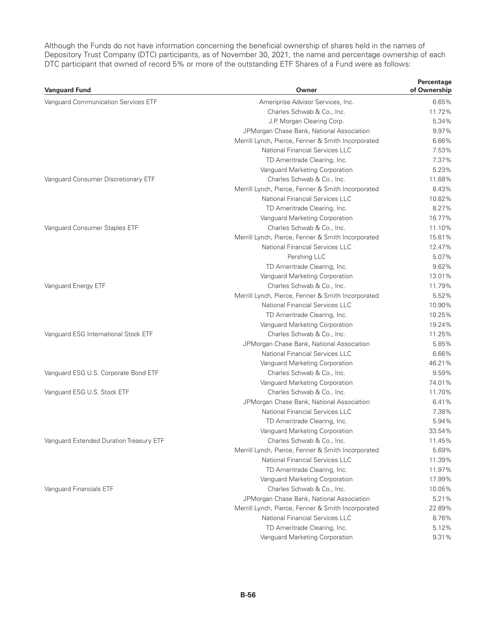Although the Funds do not have information concerning the beneficial ownership of shares held in the names of Depository Trust Company (DTC) participants, as of November 30, 2021, the name and percentage ownership of each DTC participant that owned of record 5% or more of the outstanding ETF Shares of a Fund were as follows:

| <b>Vanguard Fund</b>                    | Owner                                              | Percentage<br>of Ownership |
|-----------------------------------------|----------------------------------------------------|----------------------------|
| Vanguard Communication Services ETF     | Ameriprise Advisor Services, Inc.                  | 6.65%                      |
|                                         | Charles Schwab & Co., Inc.                         | 11.72%                     |
|                                         | J.P. Morgan Clearing Corp.                         | 5.34%                      |
|                                         | JPMorgan Chase Bank, National Association          | 9.97%                      |
|                                         | Merrill Lynch, Pierce, Fenner & Smith Incorporated | 6.66%                      |
|                                         | <b>National Financial Services LLC</b>             | 7.53%                      |
|                                         | TD Ameritrade Clearing, Inc.                       | 7.37%                      |
|                                         | Vanguard Marketing Corporation                     | 5.23%                      |
| Vanquard Consumer Discretionary ETF     | Charles Schwab & Co., Inc.                         | 11.68%                     |
|                                         | Merrill Lynch, Pierce, Fenner & Smith Incorporated | 8.43%                      |
|                                         | National Financial Services LLC                    | 10.82%                     |
|                                         | TD Ameritrade Clearing, Inc.                       | 8.27%                      |
|                                         | Vanguard Marketing Corporation                     | 16.77%                     |
| Vanguard Consumer Staples ETF           | Charles Schwab & Co., Inc.                         | 11.10%                     |
|                                         | Merrill Lynch, Pierce, Fenner & Smith Incorporated | 15.81%                     |
|                                         | National Financial Services LLC                    | 12.47%                     |
|                                         | Pershing LLC                                       | 5.07%                      |
|                                         | TD Ameritrade Clearing, Inc.                       | 9.62%                      |
|                                         | Vanguard Marketing Corporation                     | 13.01%                     |
| Vanguard Energy ETF                     | Charles Schwab & Co., Inc.                         | 11.79%                     |
|                                         | Merrill Lynch, Pierce, Fenner & Smith Incorporated | 5.52%                      |
|                                         | National Financial Services LLC                    | 10.90%                     |
|                                         | TD Ameritrade Clearing, Inc.                       | 10.25%                     |
|                                         | Vanguard Marketing Corporation                     | 19.24%                     |
| Vanguard ESG International Stock ETF    | Charles Schwab & Co., Inc.                         | 11.25%                     |
|                                         | JPMorgan Chase Bank, National Association          | 5.85%                      |
|                                         | National Financial Services LLC                    | 6.66%                      |
|                                         | Vanguard Marketing Corporation                     | 46.21%                     |
| Vanguard ESG U.S. Corporate Bond ETF    | Charles Schwab & Co., Inc.                         | 9.59%                      |
|                                         | Vanguard Marketing Corporation                     | 74.01%                     |
| Vanquard ESG U.S. Stock ETF             | Charles Schwab & Co., Inc.                         | 11.70%                     |
|                                         | JPMorgan Chase Bank, National Association          | 6.41%                      |
|                                         | National Financial Services LLC                    | 7.38%                      |
|                                         | TD Ameritrade Clearing, Inc.                       | 5.94%                      |
|                                         | Vanguard Marketing Corporation                     | 33.54%                     |
| Vanguard Extended Duration Treasury ETF | Charles Schwab & Co., Inc.                         | 11.45%                     |
|                                         | Merrill Lynch, Pierce, Fenner & Smith Incorporated | 5.69%                      |
|                                         | National Financial Services LLC                    | 11.39%                     |
|                                         | TD Ameritrade Clearing, Inc.                       | 11.97%                     |
|                                         | Vanguard Marketing Corporation                     | 17.99%                     |
| Vanguard Financials ETF                 | Charles Schwab & Co., Inc.                         | 10.05%                     |
|                                         | JPMorgan Chase Bank, National Association          | 5.21%                      |
|                                         | Merrill Lynch, Pierce, Fenner & Smith Incorporated | 22.89%                     |
|                                         | National Financial Services LLC                    | 8.76%                      |
|                                         | TD Ameritrade Clearing, Inc.                       | 5.12%                      |
|                                         | Vanguard Marketing Corporation                     | 9.31%                      |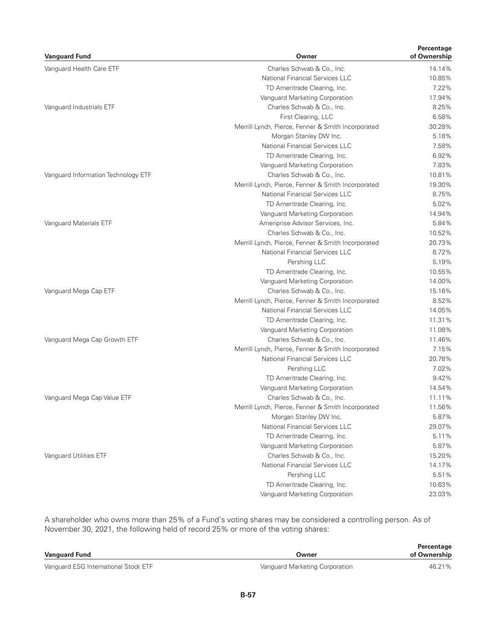| <b>Vanguard Fund</b>                | Owner                                              | Percentage<br>of Ownership |
|-------------------------------------|----------------------------------------------------|----------------------------|
| Vanguard Health Care ETF            | Charles Schwab & Co., Inc.                         | 14.14%                     |
|                                     | <b>National Financial Services LLC</b>             | 10.85%                     |
|                                     | TD Ameritrade Clearing, Inc.                       | 7.22%                      |
|                                     | Vanguard Marketing Corporation                     | 17.94%                     |
| Vanguard Industrials ETF            | Charles Schwab & Co., Inc.                         | 8.25%                      |
|                                     | First Clearing, LLC                                | 6.58%                      |
|                                     | Merrill Lynch, Pierce, Fenner & Smith Incorporated | 30.28%                     |
|                                     | Morgan Stanley DW Inc.                             | 5.18%                      |
|                                     | National Financial Services LLC                    | 7.58%                      |
|                                     | TD Ameritrade Clearing, Inc.                       | 6.92%                      |
|                                     | Vanguard Marketing Corporation                     | 7.83%                      |
| Vanguard Information Technology ETF | Charles Schwab & Co., Inc.                         | 10.81%                     |
|                                     | Merrill Lynch, Pierce, Fenner & Smith Incorporated | 19.30%                     |
|                                     | National Financial Services LLC                    | 8.75%                      |
|                                     | TD Ameritrade Clearing, Inc.                       | 5.02%                      |
|                                     | Vanguard Marketing Corporation                     | 14.94%                     |
| Vanguard Materials ETF              | Ameriprise Advisor Services, Inc.                  | 5.84%                      |
|                                     | Charles Schwab & Co., Inc.                         | 10.52%                     |
|                                     | Merrill Lynch, Pierce, Fenner & Smith Incorporated | 20.73%                     |
|                                     | National Financial Services LLC                    | 8.72%                      |
|                                     | Pershing LLC                                       | 5.19%                      |
|                                     | TD Ameritrade Clearing, Inc.                       | 10.55%                     |
|                                     | Vanguard Marketing Corporation                     | 14.00%                     |
| Vanguard Mega Cap ETF               | Charles Schwab & Co., Inc.                         | 15.16%                     |
|                                     | Merrill Lynch, Pierce, Fenner & Smith Incorporated | 8.52%                      |
|                                     | National Financial Services LLC                    | 14.05%                     |
|                                     | TD Ameritrade Clearing, Inc.                       | 11.31%                     |
|                                     | Vanguard Marketing Corporation                     | 11.08%                     |
| Vanguard Mega Cap Growth ETF        | Charles Schwab & Co., Inc.                         | 11.46%                     |
|                                     | Merrill Lynch, Pierce, Fenner & Smith Incorporated | 7.15%                      |
|                                     | National Financial Services LLC                    | 20.78%                     |
|                                     | Pershing LLC                                       | 7.02%                      |
|                                     | TD Ameritrade Clearing, Inc.                       | 9.42%                      |
|                                     | Vanguard Marketing Corporation                     | 14.54%                     |
| Vanguard Mega Cap Value ETF         | Charles Schwab & Co., Inc.                         | 11.11%                     |
|                                     | Merrill Lynch, Pierce, Fenner & Smith Incorporated | 11.56%                     |
|                                     | Morgan Stanley DW Inc.                             | 5.87%                      |
|                                     | <b>National Financial Services LLC</b>             | 29.07%                     |
|                                     | TD Ameritrade Clearing, Inc.                       | 5.11%                      |
|                                     | Vanguard Marketing Corporation                     | 5.87%                      |
| Vanguard Utilities ETF              | Charles Schwab & Co., Inc.                         | 15.20%                     |
|                                     | <b>National Financial Services LLC</b>             | 14.17%                     |
|                                     | Pershing LLC                                       | 5.51%                      |
|                                     | TD Ameritrade Clearing, Inc.                       | 10.63%                     |
|                                     | Vanguard Marketing Corporation                     | 23.03%                     |

A shareholder who owns more than 25% of a Fund's voting shares may be considered a controlling person. As of November 30, 2021, the following held of record 25% or more of the voting shares:

|                                      |                                | Percentage   |
|--------------------------------------|--------------------------------|--------------|
| <b>Vanguard Fund</b>                 | Owner                          | of Ownership |
| Vanquard ESG International Stock ETF | Vanguard Marketing Corporation | 46.21%       |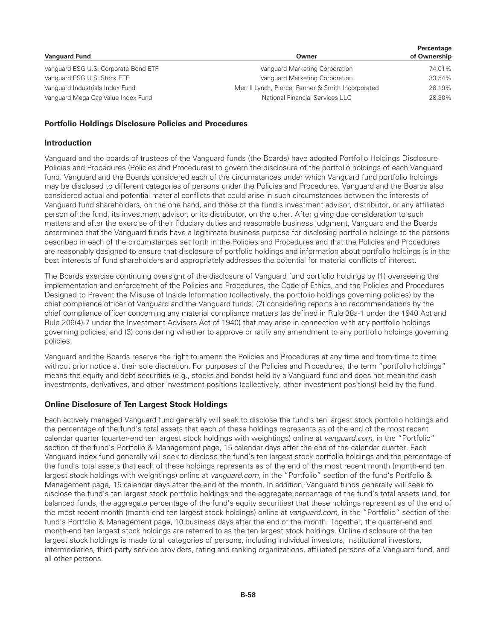|                                      |                                                    | Percentage   |
|--------------------------------------|----------------------------------------------------|--------------|
| <b>Vanguard Fund</b>                 | Owner                                              | of Ownership |
| Vanguard ESG U.S. Corporate Bond ETF | Vanguard Marketing Corporation                     | 74.01%       |
| Vanguard ESG U.S. Stock ETF          | Vanguard Marketing Corporation                     | 33.54%       |
| Vanguard Industrials Index Fund      | Merrill Lynch, Pierce, Fenner & Smith Incorporated | 28.19%       |
| Vanguard Mega Cap Value Index Fund   | National Financial Services LLC                    | 28.30%       |

#### **Portfolio Holdings Disclosure Policies and Procedures**

#### **Introduction**

Vanguard and the boards of trustees of the Vanguard funds (the Boards) have adopted Portfolio Holdings Disclosure Policies and Procedures (Policies and Procedures) to govern the disclosure of the portfolio holdings of each Vanguard fund. Vanguard and the Boards considered each of the circumstances under which Vanguard fund portfolio holdings may be disclosed to different categories of persons under the Policies and Procedures. Vanguard and the Boards also considered actual and potential material conflicts that could arise in such circumstances between the interests of Vanguard fund shareholders, on the one hand, and those of the fund's investment advisor, distributor, or any affiliated person of the fund, its investment advisor, or its distributor, on the other. After giving due consideration to such matters and after the exercise of their fiduciary duties and reasonable business judgment, Vanguard and the Boards determined that the Vanguard funds have a legitimate business purpose for disclosing portfolio holdings to the persons described in each of the circumstances set forth in the Policies and Procedures and that the Policies and Procedures are reasonably designed to ensure that disclosure of portfolio holdings and information about portfolio holdings is in the best interests of fund shareholders and appropriately addresses the potential for material conflicts of interest.

The Boards exercise continuing oversight of the disclosure of Vanguard fund portfolio holdings by (1) overseeing the implementation and enforcement of the Policies and Procedures, the Code of Ethics, and the Policies and Procedures Designed to Prevent the Misuse of Inside Information (collectively, the portfolio holdings governing policies) by the chief compliance officer of Vanguard and the Vanguard funds; (2) considering reports and recommendations by the chief compliance officer concerning any material compliance matters (as defined in Rule 38a-1 under the 1940 Act and Rule 206(4)-7 under the Investment Advisers Act of 1940) that may arise in connection with any portfolio holdings governing policies; and (3) considering whether to approve or ratify any amendment to any portfolio holdings governing policies.

Vanguard and the Boards reserve the right to amend the Policies and Procedures at any time and from time to time without prior notice at their sole discretion. For purposes of the Policies and Procedures, the term "portfolio holdings" means the equity and debt securities (e.g., stocks and bonds) held by a Vanguard fund and does not mean the cash investments, derivatives, and other investment positions (collectively, other investment positions) held by the fund.

#### **Online Disclosure of Ten Largest Stock Holdings**

Each actively managed Vanguard fund generally will seek to disclose the fund's ten largest stock portfolio holdings and the percentage of the fund's total assets that each of these holdings represents as of the end of the most recent calendar quarter (quarter-end ten largest stock holdings with weightings) online at *vanguard.com,* in the "Portfolio" section of the fund's Portfolio & Management page, 15 calendar days after the end of the calendar quarter. Each Vanguard index fund generally will seek to disclose the fund's ten largest stock portfolio holdings and the percentage of the fund's total assets that each of these holdings represents as of the end of the most recent month (month-end ten largest stock holdings with weightings) online at *vanguard.com,* in the "Portfolio" section of the fund's Portfolio & Management page, 15 calendar days after the end of the month. In addition, Vanguard funds generally will seek to disclose the fund's ten largest stock portfolio holdings and the aggregate percentage of the fund's total assets (and, for balanced funds, the aggregate percentage of the fund's equity securities) that these holdings represent as of the end of the most recent month (month-end ten largest stock holdings) online at *vanguard.com,* in the "Portfolio" section of the fund's Portfolio & Management page, 10 business days after the end of the month. Together, the quarter-end and month-end ten largest stock holdings are referred to as the ten largest stock holdings. Online disclosure of the ten largest stock holdings is made to all categories of persons, including individual investors, institutional investors, intermediaries, third-party service providers, rating and ranking organizations, affiliated persons of a Vanguard fund, and all other persons.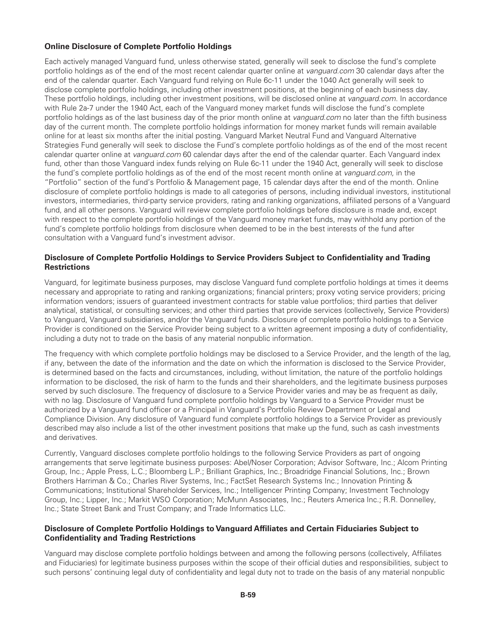## **Online Disclosure of Complete Portfolio Holdings**

Each actively managed Vanguard fund, unless otherwise stated, generally will seek to disclose the fund's complete portfolio holdings as of the end of the most recent calendar quarter online at *vanguard.com* 30 calendar days after the end of the calendar quarter. Each Vanguard fund relying on Rule 6c-11 under the 1040 Act generally will seek to disclose complete portfolio holdings, including other investment positions, at the beginning of each business day. These portfolio holdings, including other investment positions, will be disclosed online at *vanguard.com.* In accordance with Rule 2a-7 under the 1940 Act, each of the Vanguard money market funds will disclose the fund's complete portfolio holdings as of the last business day of the prior month online at *vanguard.com* no later than the fifth business day of the current month. The complete portfolio holdings information for money market funds will remain available online for at least six months after the initial posting. Vanguard Market Neutral Fund and Vanguard Alternative Strategies Fund generally will seek to disclose the Fund's complete portfolio holdings as of the end of the most recent calendar quarter online at *vanguard.com* 60 calendar days after the end of the calendar quarter. Each Vanguard index fund, other than those Vanguard index funds relying on Rule 6c-11 under the 1940 Act, generally will seek to disclose the fund's complete portfolio holdings as of the end of the most recent month online at *vanguard.com,* in the "Portfolio" section of the fund's Portfolio & Management page, 15 calendar days after the end of the month. Online disclosure of complete portfolio holdings is made to all categories of persons, including individual investors, institutional investors, intermediaries, third-party service providers, rating and ranking organizations, affiliated persons of a Vanguard fund, and all other persons. Vanguard will review complete portfolio holdings before disclosure is made and, except with respect to the complete portfolio holdings of the Vanguard money market funds, may withhold any portion of the fund's complete portfolio holdings from disclosure when deemed to be in the best interests of the fund after consultation with a Vanguard fund's investment advisor.

#### **Disclosure of Complete Portfolio Holdings to Service Providers Subject to Confidentiality and Trading Restrictions**

Vanguard, for legitimate business purposes, may disclose Vanguard fund complete portfolio holdings at times it deems necessary and appropriate to rating and ranking organizations; financial printers; proxy voting service providers; pricing information vendors; issuers of guaranteed investment contracts for stable value portfolios; third parties that deliver analytical, statistical, or consulting services; and other third parties that provide services (collectively, Service Providers) to Vanguard, Vanguard subsidiaries, and/or the Vanguard funds. Disclosure of complete portfolio holdings to a Service Provider is conditioned on the Service Provider being subject to a written agreement imposing a duty of confidentiality, including a duty not to trade on the basis of any material nonpublic information.

The frequency with which complete portfolio holdings may be disclosed to a Service Provider, and the length of the lag, if any, between the date of the information and the date on which the information is disclosed to the Service Provider, is determined based on the facts and circumstances, including, without limitation, the nature of the portfolio holdings information to be disclosed, the risk of harm to the funds and their shareholders, and the legitimate business purposes served by such disclosure. The frequency of disclosure to a Service Provider varies and may be as frequent as daily, with no lag. Disclosure of Vanguard fund complete portfolio holdings by Vanguard to a Service Provider must be authorized by a Vanguard fund officer or a Principal in Vanguard's Portfolio Review Department or Legal and Compliance Division. Any disclosure of Vanguard fund complete portfolio holdings to a Service Provider as previously described may also include a list of the other investment positions that make up the fund, such as cash investments and derivatives.

Currently, Vanguard discloses complete portfolio holdings to the following Service Providers as part of ongoing arrangements that serve legitimate business purposes: Abel/Noser Corporation; Advisor Software, Inc.; Alcom Printing Group, Inc.; Apple Press, L.C.; Bloomberg L.P.; Brilliant Graphics, Inc.; Broadridge Financial Solutions, Inc.; Brown Brothers Harriman & Co.; Charles River Systems, Inc.; FactSet Research Systems Inc.; Innovation Printing & Communications; Institutional Shareholder Services, Inc.; Intelligencer Printing Company; Investment Technology Group, Inc.; Lipper, Inc.; Markit WSO Corporation; McMunn Associates, Inc.; Reuters America Inc.; R.R. Donnelley, Inc.; State Street Bank and Trust Company; and Trade Informatics LLC.

### **Disclosure of Complete Portfolio Holdings to Vanguard Affiliates and Certain Fiduciaries Subject to Confidentiality and Trading Restrictions**

Vanguard may disclose complete portfolio holdings between and among the following persons (collectively, Affiliates and Fiduciaries) for legitimate business purposes within the scope of their official duties and responsibilities, subject to such persons' continuing legal duty of confidentiality and legal duty not to trade on the basis of any material nonpublic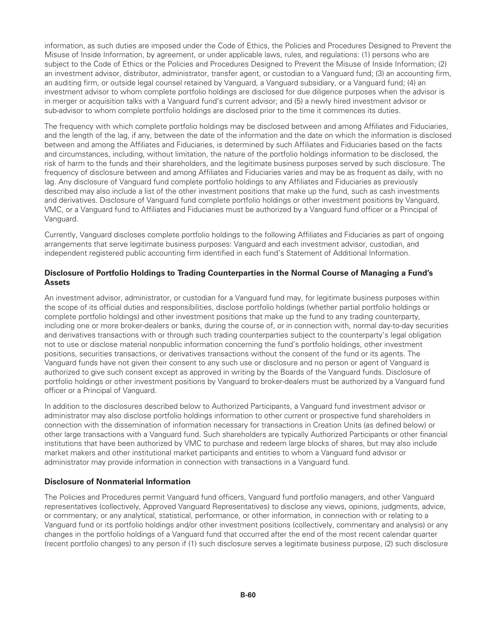information, as such duties are imposed under the Code of Ethics, the Policies and Procedures Designed to Prevent the Misuse of Inside Information, by agreement, or under applicable laws, rules, and regulations: (1) persons who are subject to the Code of Ethics or the Policies and Procedures Designed to Prevent the Misuse of Inside Information; (2) an investment advisor, distributor, administrator, transfer agent, or custodian to a Vanguard fund; (3) an accounting firm, an auditing firm, or outside legal counsel retained by Vanguard, a Vanguard subsidiary, or a Vanguard fund; (4) an investment advisor to whom complete portfolio holdings are disclosed for due diligence purposes when the advisor is in merger or acquisition talks with a Vanguard fund's current advisor; and (5) a newly hired investment advisor or sub-advisor to whom complete portfolio holdings are disclosed prior to the time it commences its duties.

The frequency with which complete portfolio holdings may be disclosed between and among Affiliates and Fiduciaries, and the length of the lag, if any, between the date of the information and the date on which the information is disclosed between and among the Affiliates and Fiduciaries, is determined by such Affiliates and Fiduciaries based on the facts and circumstances, including, without limitation, the nature of the portfolio holdings information to be disclosed, the risk of harm to the funds and their shareholders, and the legitimate business purposes served by such disclosure. The frequency of disclosure between and among Affiliates and Fiduciaries varies and may be as frequent as daily, with no lag. Any disclosure of Vanguard fund complete portfolio holdings to any Affiliates and Fiduciaries as previously described may also include a list of the other investment positions that make up the fund, such as cash investments and derivatives. Disclosure of Vanguard fund complete portfolio holdings or other investment positions by Vanguard, VMC, or a Vanguard fund to Affiliates and Fiduciaries must be authorized by a Vanguard fund officer or a Principal of Vanguard.

Currently, Vanguard discloses complete portfolio holdings to the following Affiliates and Fiduciaries as part of ongoing arrangements that serve legitimate business purposes: Vanguard and each investment advisor, custodian, and independent registered public accounting firm identified in each fund's Statement of Additional Information.

### **Disclosure of Portfolio Holdings to Trading Counterparties in the Normal Course of Managing a Fund's Assets**

An investment advisor, administrator, or custodian for a Vanguard fund may, for legitimate business purposes within the scope of its official duties and responsibilities, disclose portfolio holdings (whether partial portfolio holdings or complete portfolio holdings) and other investment positions that make up the fund to any trading counterparty, including one or more broker-dealers or banks, during the course of, or in connection with, normal day-to-day securities and derivatives transactions with or through such trading counterparties subject to the counterparty's legal obligation not to use or disclose material nonpublic information concerning the fund's portfolio holdings, other investment positions, securities transactions, or derivatives transactions without the consent of the fund or its agents. The Vanguard funds have not given their consent to any such use or disclosure and no person or agent of Vanguard is authorized to give such consent except as approved in writing by the Boards of the Vanguard funds. Disclosure of portfolio holdings or other investment positions by Vanguard to broker-dealers must be authorized by a Vanguard fund officer or a Principal of Vanguard.

In addition to the disclosures described below to Authorized Participants, a Vanguard fund investment advisor or administrator may also disclose portfolio holdings information to other current or prospective fund shareholders in connection with the dissemination of information necessary for transactions in Creation Units (as defined below) or other large transactions with a Vanguard fund. Such shareholders are typically Authorized Participants or other financial institutions that have been authorized by VMC to purchase and redeem large blocks of shares, but may also include market makers and other institutional market participants and entities to whom a Vanguard fund advisor or administrator may provide information in connection with transactions in a Vanguard fund.

### **Disclosure of Nonmaterial Information**

The Policies and Procedures permit Vanguard fund officers, Vanguard fund portfolio managers, and other Vanguard representatives (collectively, Approved Vanguard Representatives) to disclose any views, opinions, judgments, advice, or commentary, or any analytical, statistical, performance, or other information, in connection with or relating to a Vanguard fund or its portfolio holdings and/or other investment positions (collectively, commentary and analysis) or any changes in the portfolio holdings of a Vanguard fund that occurred after the end of the most recent calendar quarter (recent portfolio changes) to any person if (1) such disclosure serves a legitimate business purpose, (2) such disclosure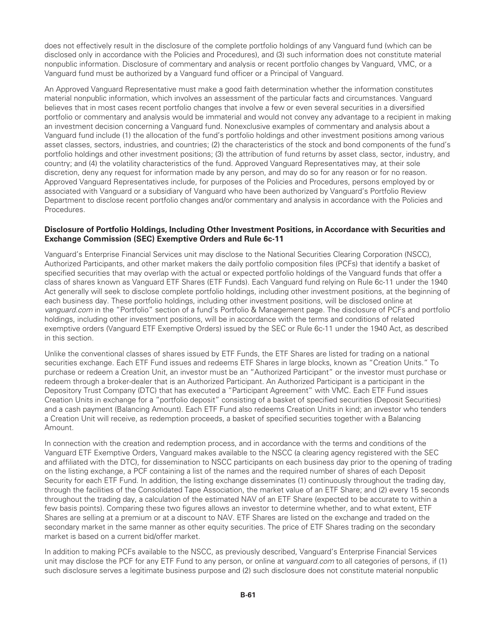does not effectively result in the disclosure of the complete portfolio holdings of any Vanguard fund (which can be disclosed only in accordance with the Policies and Procedures), and (3) such information does not constitute material nonpublic information. Disclosure of commentary and analysis or recent portfolio changes by Vanguard, VMC, or a Vanguard fund must be authorized by a Vanguard fund officer or a Principal of Vanguard.

An Approved Vanguard Representative must make a good faith determination whether the information constitutes material nonpublic information, which involves an assessment of the particular facts and circumstances. Vanguard believes that in most cases recent portfolio changes that involve a few or even several securities in a diversified portfolio or commentary and analysis would be immaterial and would not convey any advantage to a recipient in making an investment decision concerning a Vanguard fund. Nonexclusive examples of commentary and analysis about a Vanguard fund include (1) the allocation of the fund's portfolio holdings and other investment positions among various asset classes, sectors, industries, and countries; (2) the characteristics of the stock and bond components of the fund's portfolio holdings and other investment positions; (3) the attribution of fund returns by asset class, sector, industry, and country; and (4) the volatility characteristics of the fund. Approved Vanguard Representatives may, at their sole discretion, deny any request for information made by any person, and may do so for any reason or for no reason. Approved Vanguard Representatives include, for purposes of the Policies and Procedures, persons employed by or associated with Vanguard or a subsidiary of Vanguard who have been authorized by Vanguard's Portfolio Review Department to disclose recent portfolio changes and/or commentary and analysis in accordance with the Policies and Procedures.

#### **Disclosure of Portfolio Holdings, Including Other Investment Positions, in Accordance with Securities and Exchange Commission (SEC) Exemptive Orders and Rule 6c-11**

Vanguard's Enterprise Financial Services unit may disclose to the National Securities Clearing Corporation (NSCC), Authorized Participants, and other market makers the daily portfolio composition files (PCFs) that identify a basket of specified securities that may overlap with the actual or expected portfolio holdings of the Vanguard funds that offer a class of shares known as Vanguard ETF Shares (ETF Funds). Each Vanguard fund relying on Rule 6c-11 under the 1940 Act generally will seek to disclose complete portfolio holdings, including other investment positions, at the beginning of each business day. These portfolio holdings, including other investment positions, will be disclosed online at *vanguard.com* in the "Portfolio" section of a fund's Portfolio & Management page. The disclosure of PCFs and portfolio holdings, including other investment positions, will be in accordance with the terms and conditions of related exemptive orders (Vanguard ETF Exemptive Orders) issued by the SEC or Rule 6c-11 under the 1940 Act, as described in this section.

Unlike the conventional classes of shares issued by ETF Funds, the ETF Shares are listed for trading on a national securities exchange. Each ETF Fund issues and redeems ETF Shares in large blocks, known as "Creation Units." To purchase or redeem a Creation Unit, an investor must be an "Authorized Participant" or the investor must purchase or redeem through a broker-dealer that is an Authorized Participant. An Authorized Participant is a participant in the Depository Trust Company (DTC) that has executed a "Participant Agreement" with VMC. Each ETF Fund issues Creation Units in exchange for a "portfolio deposit" consisting of a basket of specified securities (Deposit Securities) and a cash payment (Balancing Amount). Each ETF Fund also redeems Creation Units in kind; an investor who tenders a Creation Unit will receive, as redemption proceeds, a basket of specified securities together with a Balancing Amount.

In connection with the creation and redemption process, and in accordance with the terms and conditions of the Vanguard ETF Exemptive Orders, Vanguard makes available to the NSCC (a clearing agency registered with the SEC and affiliated with the DTC), for dissemination to NSCC participants on each business day prior to the opening of trading on the listing exchange, a PCF containing a list of the names and the required number of shares of each Deposit Security for each ETF Fund. In addition, the listing exchange disseminates (1) continuously throughout the trading day, through the facilities of the Consolidated Tape Association, the market value of an ETF Share; and (2) every 15 seconds throughout the trading day, a calculation of the estimated NAV of an ETF Share (expected to be accurate to within a few basis points). Comparing these two figures allows an investor to determine whether, and to what extent, ETF Shares are selling at a premium or at a discount to NAV. ETF Shares are listed on the exchange and traded on the secondary market in the same manner as other equity securities. The price of ETF Shares trading on the secondary market is based on a current bid/offer market.

In addition to making PCFs available to the NSCC, as previously described, Vanguard's Enterprise Financial Services unit may disclose the PCF for any ETF Fund to any person, or online at *vanguard.com* to all categories of persons, if (1) such disclosure serves a legitimate business purpose and (2) such disclosure does not constitute material nonpublic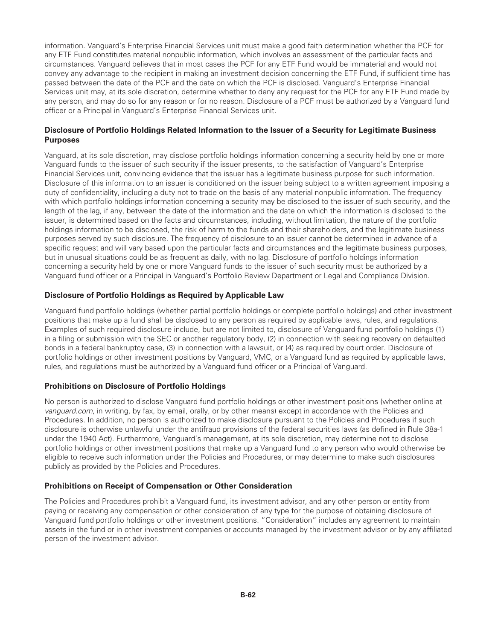information. Vanguard's Enterprise Financial Services unit must make a good faith determination whether the PCF for any ETF Fund constitutes material nonpublic information, which involves an assessment of the particular facts and circumstances. Vanguard believes that in most cases the PCF for any ETF Fund would be immaterial and would not convey any advantage to the recipient in making an investment decision concerning the ETF Fund, if sufficient time has passed between the date of the PCF and the date on which the PCF is disclosed. Vanguard's Enterprise Financial Services unit may, at its sole discretion, determine whether to deny any request for the PCF for any ETF Fund made by any person, and may do so for any reason or for no reason. Disclosure of a PCF must be authorized by a Vanguard fund officer or a Principal in Vanguard's Enterprise Financial Services unit.

### **Disclosure of Portfolio Holdings Related Information to the Issuer of a Security for Legitimate Business Purposes**

Vanguard, at its sole discretion, may disclose portfolio holdings information concerning a security held by one or more Vanguard funds to the issuer of such security if the issuer presents, to the satisfaction of Vanguard's Enterprise Financial Services unit, convincing evidence that the issuer has a legitimate business purpose for such information. Disclosure of this information to an issuer is conditioned on the issuer being subject to a written agreement imposing a duty of confidentiality, including a duty not to trade on the basis of any material nonpublic information. The frequency with which portfolio holdings information concerning a security may be disclosed to the issuer of such security, and the length of the lag, if any, between the date of the information and the date on which the information is disclosed to the issuer, is determined based on the facts and circumstances, including, without limitation, the nature of the portfolio holdings information to be disclosed, the risk of harm to the funds and their shareholders, and the legitimate business purposes served by such disclosure. The frequency of disclosure to an issuer cannot be determined in advance of a specific request and will vary based upon the particular facts and circumstances and the legitimate business purposes, but in unusual situations could be as frequent as daily, with no lag. Disclosure of portfolio holdings information concerning a security held by one or more Vanguard funds to the issuer of such security must be authorized by a Vanguard fund officer or a Principal in Vanguard's Portfolio Review Department or Legal and Compliance Division.

### **Disclosure of Portfolio Holdings as Required by Applicable Law**

Vanguard fund portfolio holdings (whether partial portfolio holdings or complete portfolio holdings) and other investment positions that make up a fund shall be disclosed to any person as required by applicable laws, rules, and regulations. Examples of such required disclosure include, but are not limited to, disclosure of Vanguard fund portfolio holdings (1) in a filing or submission with the SEC or another regulatory body, (2) in connection with seeking recovery on defaulted bonds in a federal bankruptcy case, (3) in connection with a lawsuit, or (4) as required by court order. Disclosure of portfolio holdings or other investment positions by Vanguard, VMC, or a Vanguard fund as required by applicable laws, rules, and regulations must be authorized by a Vanguard fund officer or a Principal of Vanguard.

#### **Prohibitions on Disclosure of Portfolio Holdings**

No person is authorized to disclose Vanguard fund portfolio holdings or other investment positions (whether online at *vanguard.com*, in writing, by fax, by email, orally, or by other means) except in accordance with the Policies and Procedures. In addition, no person is authorized to make disclosure pursuant to the Policies and Procedures if such disclosure is otherwise unlawful under the antifraud provisions of the federal securities laws (as defined in Rule 38a-1 under the 1940 Act). Furthermore, Vanguard's management, at its sole discretion, may determine not to disclose portfolio holdings or other investment positions that make up a Vanguard fund to any person who would otherwise be eligible to receive such information under the Policies and Procedures, or may determine to make such disclosures publicly as provided by the Policies and Procedures.

#### **Prohibitions on Receipt of Compensation or Other Consideration**

The Policies and Procedures prohibit a Vanguard fund, its investment advisor, and any other person or entity from paying or receiving any compensation or other consideration of any type for the purpose of obtaining disclosure of Vanguard fund portfolio holdings or other investment positions. "Consideration" includes any agreement to maintain assets in the fund or in other investment companies or accounts managed by the investment advisor or by any affiliated person of the investment advisor.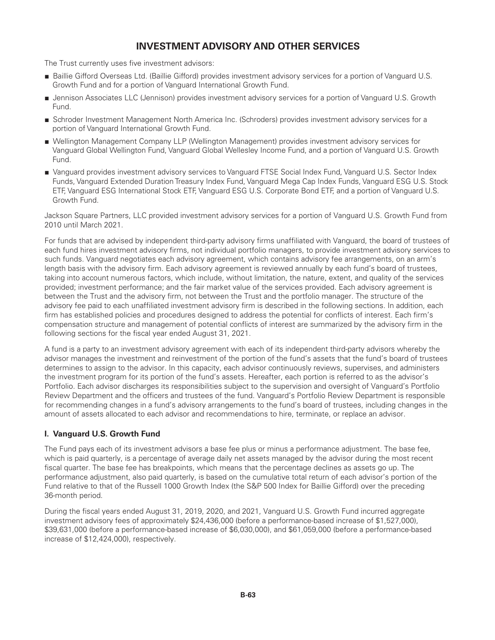# **INVESTMENT ADVISORY AND OTHER SERVICES**

The Trust currently uses five investment advisors:

- Baillie Gifford Overseas Ltd. (Baillie Gifford) provides investment advisory services for a portion of Vanguard U.S. Growth Fund and for a portion of Vanguard International Growth Fund.
- Jennison Associates LLC (Jennison) provides investment advisory services for a portion of Vanguard U.S. Growth Fund.
- Schroder Investment Management North America Inc. (Schroders) provides investment advisory services for a portion of Vanguard International Growth Fund.
- Wellington Management Company LLP (Wellington Management) provides investment advisory services for Vanguard Global Wellington Fund, Vanguard Global Wellesley Income Fund, and a portion of Vanguard U.S. Growth Fund.
- Vanguard provides investment advisory services to Vanguard FTSE Social Index Fund, Vanguard U.S. Sector Index Funds, Vanguard Extended Duration Treasury Index Fund, Vanguard Mega Cap Index Funds, Vanguard ESG U.S. Stock ETF, Vanguard ESG International Stock ETF, Vanguard ESG U.S. Corporate Bond ETF, and a portion of Vanguard U.S. Growth Fund.

Jackson Square Partners, LLC provided investment advisory services for a portion of Vanguard U.S. Growth Fund from 2010 until March 2021.

For funds that are advised by independent third-party advisory firms unaffiliated with Vanguard, the board of trustees of each fund hires investment advisory firms, not individual portfolio managers, to provide investment advisory services to such funds. Vanguard negotiates each advisory agreement, which contains advisory fee arrangements, on an arm's length basis with the advisory firm. Each advisory agreement is reviewed annually by each fund's board of trustees, taking into account numerous factors, which include, without limitation, the nature, extent, and quality of the services provided; investment performance; and the fair market value of the services provided. Each advisory agreement is between the Trust and the advisory firm, not between the Trust and the portfolio manager. The structure of the advisory fee paid to each unaffiliated investment advisory firm is described in the following sections. In addition, each firm has established policies and procedures designed to address the potential for conflicts of interest. Each firm's compensation structure and management of potential conflicts of interest are summarized by the advisory firm in the following sections for the fiscal year ended August 31, 2021.

A fund is a party to an investment advisory agreement with each of its independent third-party advisors whereby the advisor manages the investment and reinvestment of the portion of the fund's assets that the fund's board of trustees determines to assign to the advisor. In this capacity, each advisor continuously reviews, supervises, and administers the investment program for its portion of the fund's assets. Hereafter, each portion is referred to as the advisor's Portfolio. Each advisor discharges its responsibilities subject to the supervision and oversight of Vanguard's Portfolio Review Department and the officers and trustees of the fund. Vanguard's Portfolio Review Department is responsible for recommending changes in a fund's advisory arrangements to the fund's board of trustees, including changes in the amount of assets allocated to each advisor and recommendations to hire, terminate, or replace an advisor.

### **I. Vanguard U.S. Growth Fund**

The Fund pays each of its investment advisors a base fee plus or minus a performance adjustment. The base fee, which is paid quarterly, is a percentage of average daily net assets managed by the advisor during the most recent fiscal quarter. The base fee has breakpoints, which means that the percentage declines as assets go up. The performance adjustment, also paid quarterly, is based on the cumulative total return of each advisor's portion of the Fund relative to that of the Russell 1000 Growth Index (the S&P 500 Index for Baillie Gifford) over the preceding 36-month period.

During the fiscal years ended August 31, 2019, 2020, and 2021, Vanguard U.S. Growth Fund incurred aggregate investment advisory fees of approximately \$24,436,000 (before a performance-based increase of \$1,527,000), \$39,631,000 (before a performance-based increase of \$6,030,000), and \$61,059,000 (before a performance-based increase of \$12,424,000), respectively.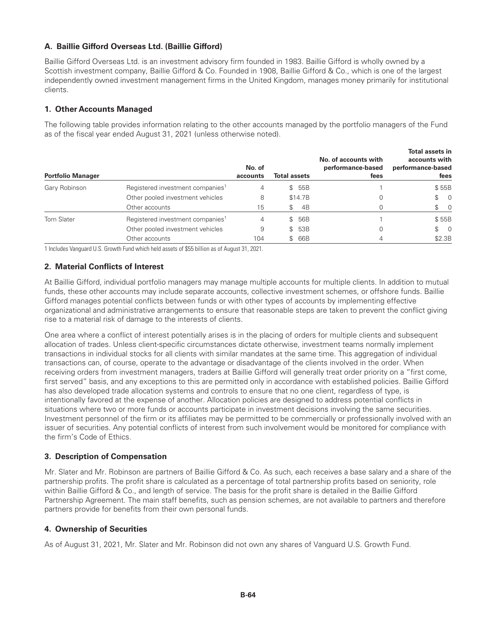## **A. Baillie Gifford Overseas Ltd. (Baillie Gifford)**

Baillie Gifford Overseas Ltd. is an investment advisory firm founded in 1983. Baillie Gifford is wholly owned by a Scottish investment company, Baillie Gifford & Co. Founded in 1908, Baillie Gifford & Co., which is one of the largest independently owned investment management firms in the United Kingdom, manages money primarily for institutional clients.

### **1. Other Accounts Managed**

The following table provides information relating to the other accounts managed by the portfolio managers of the Fund as of the fiscal year ended August 31, 2021 (unless otherwise noted).

| <b>Portfolio Manager</b> |                                              | No. of<br>accounts | <b>Total assets</b> |         | No. of accounts with<br>performance-based<br>fees | <b>Total assets in</b><br>accounts with<br>performance-based<br>fees |
|--------------------------|----------------------------------------------|--------------------|---------------------|---------|---------------------------------------------------|----------------------------------------------------------------------|
| Gary Robinson            | Registered investment companies <sup>1</sup> | 4                  |                     | \$55B   |                                                   | \$55B                                                                |
|                          | Other pooled investment vehicles             | 8                  |                     | \$14.7B |                                                   | $\begin{matrix} 1 & 0 \\ 0 & 1 \end{matrix}$                         |
|                          | Other accounts                               | 15                 | \$                  | 4B      |                                                   | $\begin{matrix} 1 & 0 \\ 0 & 0 \end{matrix}$                         |
| Tom Slater               | Registered investment companies <sup>1</sup> | 4                  |                     | \$ 56B  |                                                   | \$55B                                                                |
|                          | Other pooled investment vehicles             | 9                  |                     | \$53B   |                                                   | $\begin{matrix} 1 & 0 \\ 0 & 1 \end{matrix}$                         |
|                          | Other accounts                               | 104                | \$                  | 66B     |                                                   | \$2.3B                                                               |

1 Includes Vanguard U.S. Growth Fund which held assets of \$55 billion as of August 31, 2021.

### **2. Material Conflicts of Interest**

At Baillie Gifford, individual portfolio managers may manage multiple accounts for multiple clients. In addition to mutual funds, these other accounts may include separate accounts, collective investment schemes, or offshore funds. Baillie Gifford manages potential conflicts between funds or with other types of accounts by implementing effective organizational and administrative arrangements to ensure that reasonable steps are taken to prevent the conflict giving rise to a material risk of damage to the interests of clients.

One area where a conflict of interest potentially arises is in the placing of orders for multiple clients and subsequent allocation of trades. Unless client-specific circumstances dictate otherwise, investment teams normally implement transactions in individual stocks for all clients with similar mandates at the same time. This aggregation of individual transactions can, of course, operate to the advantage or disadvantage of the clients involved in the order. When receiving orders from investment managers, traders at Baillie Gifford will generally treat order priority on a "first come, first served" basis, and any exceptions to this are permitted only in accordance with established policies. Baillie Gifford has also developed trade allocation systems and controls to ensure that no one client, regardless of type, is intentionally favored at the expense of another. Allocation policies are designed to address potential conflicts in situations where two or more funds or accounts participate in investment decisions involving the same securities. Investment personnel of the firm or its affiliates may be permitted to be commercially or professionally involved with an issuer of securities. Any potential conflicts of interest from such involvement would be monitored for compliance with the firm's Code of Ethics.

### **3. Description of Compensation**

Mr. Slater and Mr. Robinson are partners of Baillie Gifford & Co. As such, each receives a base salary and a share of the partnership profits. The profit share is calculated as a percentage of total partnership profits based on seniority, role within Baillie Gifford & Co., and length of service. The basis for the profit share is detailed in the Baillie Gifford Partnership Agreement. The main staff benefits, such as pension schemes, are not available to partners and therefore partners provide for benefits from their own personal funds.

### **4. Ownership of Securities**

As of August 31, 2021, Mr. Slater and Mr. Robinson did not own any shares of Vanguard U.S. Growth Fund.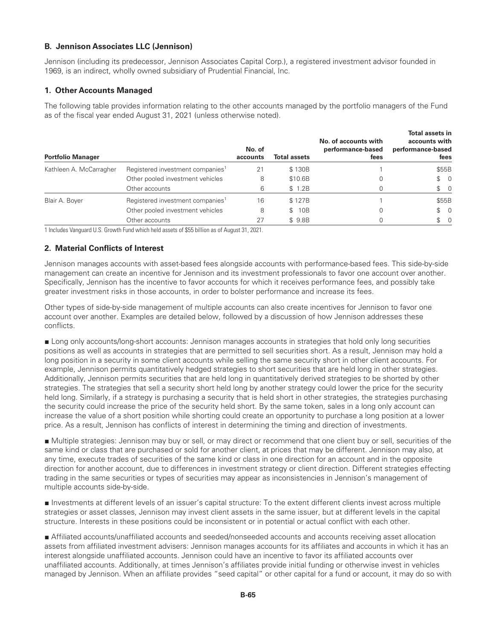### **B. Jennison Associates LLC (Jennison)**

Jennison (including its predecessor, Jennison Associates Capital Corp.), a registered investment advisor founded in 1969, is an indirect, wholly owned subsidiary of Prudential Financial, Inc.

#### **1. Other Accounts Managed**

The following table provides information relating to the other accounts managed by the portfolio managers of the Fund as of the fiscal year ended August 31, 2021 (unless otherwise noted).

| <b>Portfolio Manager</b> |                                              | No. of<br>accounts | <b>Total assets</b>   | No. of accounts with<br>performance-based<br>fees | Total assets in<br>accounts with<br>performance-based<br>fees |
|--------------------------|----------------------------------------------|--------------------|-----------------------|---------------------------------------------------|---------------------------------------------------------------|
| Kathleen A. McCarragher  | Registered investment companies <sup>1</sup> | 21                 | \$130B                |                                                   | \$55B                                                         |
|                          | Other pooled investment vehicles             | 8                  | \$10.6B               |                                                   | $\textcircled{S}$ 0                                           |
|                          | Other accounts                               | 6                  | \$1.2B                |                                                   | $\begin{matrix} 1 & 0 \\ 0 & 1 \end{matrix}$                  |
| Blair A. Boyer           | Registered investment companies <sup>1</sup> | 16                 | \$127B                |                                                   | \$55B                                                         |
|                          | Other pooled investment vehicles             | 8                  | 10B<br>$\mathbb{S}^-$ | 0                                                 | $\textcircled{S}$ 0                                           |
|                          | Other accounts                               | 27                 | \$9.8B                |                                                   | $\begin{matrix} 1 & 0 \\ 0 & 1 \end{matrix}$                  |

1 Includes Vanguard U.S. Growth Fund which held assets of \$55 billion as of August 31, 2021.

#### **2. Material Conflicts of Interest**

Jennison manages accounts with asset-based fees alongside accounts with performance-based fees. This side-by-side management can create an incentive for Jennison and its investment professionals to favor one account over another. Specifically, Jennison has the incentive to favor accounts for which it receives performance fees, and possibly take greater investment risks in those accounts, in order to bolster performance and increase its fees.

Other types of side-by-side management of multiple accounts can also create incentives for Jennison to favor one account over another. Examples are detailed below, followed by a discussion of how Jennison addresses these conflicts.

■ Long only accounts/long-short accounts: Jennison manages accounts in strategies that hold only long securities positions as well as accounts in strategies that are permitted to sell securities short. As a result, Jennison may hold a long position in a security in some client accounts while selling the same security short in other client accounts. For example, Jennison permits quantitatively hedged strategies to short securities that are held long in other strategies. Additionally, Jennison permits securities that are held long in quantitatively derived strategies to be shorted by other strategies. The strategies that sell a security short held long by another strategy could lower the price for the security held long. Similarly, if a strategy is purchasing a security that is held short in other strategies, the strategies purchasing the security could increase the price of the security held short. By the same token, sales in a long only account can increase the value of a short position while shorting could create an opportunity to purchase a long position at a lower price. As a result, Jennison has conflicts of interest in determining the timing and direction of investments.

■ Multiple strategies: Jennison may buy or sell, or may direct or recommend that one client buy or sell, securities of the same kind or class that are purchased or sold for another client, at prices that may be different. Jennison may also, at any time, execute trades of securities of the same kind or class in one direction for an account and in the opposite direction for another account, due to differences in investment strategy or client direction. Different strategies effecting trading in the same securities or types of securities may appear as inconsistencies in Jennison's management of multiple accounts side-by-side.

■ Investments at different levels of an issuer's capital structure: To the extent different clients invest across multiple strategies or asset classes, Jennison may invest client assets in the same issuer, but at different levels in the capital structure. Interests in these positions could be inconsistent or in potential or actual conflict with each other.

■ Affiliated accounts/unaffiliated accounts and seeded/nonseeded accounts and accounts receiving asset allocation assets from affiliated investment advisers: Jennison manages accounts for its affiliates and accounts in which it has an interest alongside unaffiliated accounts. Jennison could have an incentive to favor its affiliated accounts over unaffiliated accounts. Additionally, at times Jennison's affiliates provide initial funding or otherwise invest in vehicles managed by Jennison. When an affiliate provides "seed capital" or other capital for a fund or account, it may do so with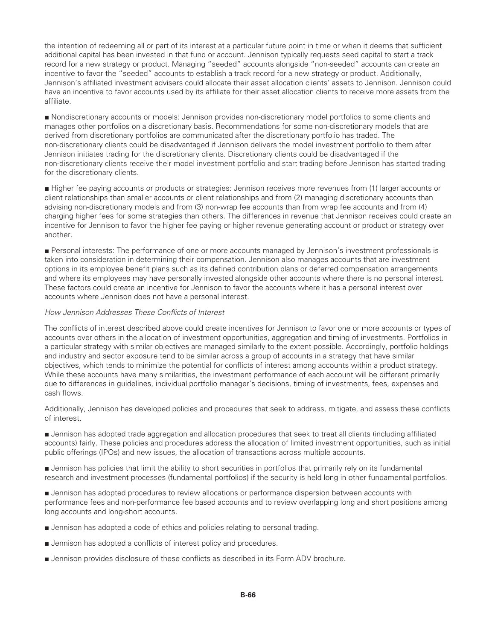the intention of redeeming all or part of its interest at a particular future point in time or when it deems that sufficient additional capital has been invested in that fund or account. Jennison typically requests seed capital to start a track record for a new strategy or product. Managing "seeded" accounts alongside "non-seeded" accounts can create an incentive to favor the "seeded" accounts to establish a track record for a new strategy or product. Additionally, Jennison's affiliated investment advisers could allocate their asset allocation clients' assets to Jennison. Jennison could have an incentive to favor accounts used by its affiliate for their asset allocation clients to receive more assets from the affiliate.

■ Nondiscretionary accounts or models: Jennison provides non-discretionary model portfolios to some clients and manages other portfolios on a discretionary basis. Recommendations for some non-discretionary models that are derived from discretionary portfolios are communicated after the discretionary portfolio has traded. The non-discretionary clients could be disadvantaged if Jennison delivers the model investment portfolio to them after Jennison initiates trading for the discretionary clients. Discretionary clients could be disadvantaged if the non-discretionary clients receive their model investment portfolio and start trading before Jennison has started trading for the discretionary clients.

■ Higher fee paying accounts or products or strategies: Jennison receives more revenues from (1) larger accounts or client relationships than smaller accounts or client relationships and from (2) managing discretionary accounts than advising non-discretionary models and from (3) non-wrap fee accounts than from wrap fee accounts and from (4) charging higher fees for some strategies than others. The differences in revenue that Jennison receives could create an incentive for Jennison to favor the higher fee paying or higher revenue generating account or product or strategy over another.

■ Personal interests: The performance of one or more accounts managed by Jennison's investment professionals is taken into consideration in determining their compensation. Jennison also manages accounts that are investment options in its employee benefit plans such as its defined contribution plans or deferred compensation arrangements and where its employees may have personally invested alongside other accounts where there is no personal interest. These factors could create an incentive for Jennison to favor the accounts where it has a personal interest over accounts where Jennison does not have a personal interest.

#### *How Jennison Addresses These Conflicts of Interest*

The conflicts of interest described above could create incentives for Jennison to favor one or more accounts or types of accounts over others in the allocation of investment opportunities, aggregation and timing of investments. Portfolios in a particular strategy with similar objectives are managed similarly to the extent possible. Accordingly, portfolio holdings and industry and sector exposure tend to be similar across a group of accounts in a strategy that have similar objectives, which tends to minimize the potential for conflicts of interest among accounts within a product strategy. While these accounts have many similarities, the investment performance of each account will be different primarily due to differences in guidelines, individual portfolio manager's decisions, timing of investments, fees, expenses and cash flows.

Additionally, Jennison has developed policies and procedures that seek to address, mitigate, and assess these conflicts of interest.

■ Jennison has adopted trade aggregation and allocation procedures that seek to treat all clients (including affiliated accounts) fairly. These policies and procedures address the allocation of limited investment opportunities, such as initial public offerings (IPOs) and new issues, the allocation of transactions across multiple accounts.

■ Jennison has policies that limit the ability to short securities in portfolios that primarily rely on its fundamental research and investment processes (fundamental portfolios) if the security is held long in other fundamental portfolios.

■ Jennison has adopted procedures to review allocations or performance dispersion between accounts with performance fees and non-performance fee based accounts and to review overlapping long and short positions among long accounts and long-short accounts.

- Jennison has adopted a code of ethics and policies relating to personal trading.
- Jennison has adopted a conflicts of interest policy and procedures.
- Jennison provides disclosure of these conflicts as described in its Form ADV brochure.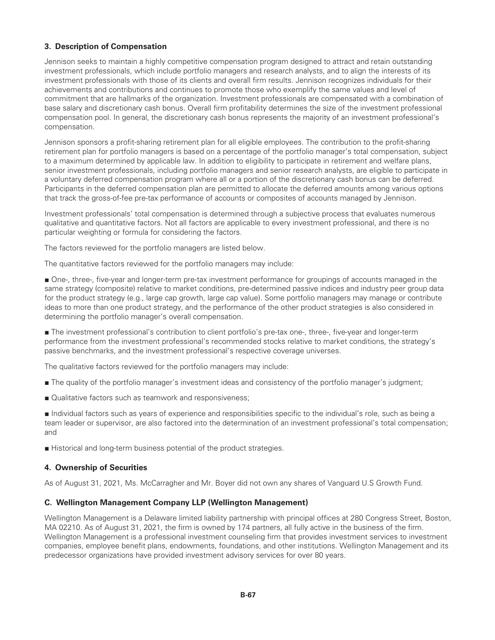### **3. Description of Compensation**

Jennison seeks to maintain a highly competitive compensation program designed to attract and retain outstanding investment professionals, which include portfolio managers and research analysts, and to align the interests of its investment professionals with those of its clients and overall firm results. Jennison recognizes individuals for their achievements and contributions and continues to promote those who exemplify the same values and level of commitment that are hallmarks of the organization. Investment professionals are compensated with a combination of base salary and discretionary cash bonus. Overall firm profitability determines the size of the investment professional compensation pool. In general, the discretionary cash bonus represents the majority of an investment professional's compensation.

Jennison sponsors a profit-sharing retirement plan for all eligible employees. The contribution to the profit-sharing retirement plan for portfolio managers is based on a percentage of the portfolio manager's total compensation, subject to a maximum determined by applicable law. In addition to eligibility to participate in retirement and welfare plans, senior investment professionals, including portfolio managers and senior research analysts, are eligible to participate in a voluntary deferred compensation program where all or a portion of the discretionary cash bonus can be deferred. Participants in the deferred compensation plan are permitted to allocate the deferred amounts among various options that track the gross-of-fee pre-tax performance of accounts or composites of accounts managed by Jennison.

Investment professionals' total compensation is determined through a subjective process that evaluates numerous qualitative and quantitative factors. Not all factors are applicable to every investment professional, and there is no particular weighting or formula for considering the factors.

The factors reviewed for the portfolio managers are listed below.

The quantitative factors reviewed for the portfolio managers may include:

■ One-, three-, five-year and longer-term pre-tax investment performance for groupings of accounts managed in the same strategy (composite) relative to market conditions, pre-determined passive indices and industry peer group data for the product strategy (e.g., large cap growth, large cap value). Some portfolio managers may manage or contribute ideas to more than one product strategy, and the performance of the other product strategies is also considered in determining the portfolio manager's overall compensation.

■ The investment professional's contribution to client portfolio's pre-tax one-, three-, five-year and longer-term performance from the investment professional's recommended stocks relative to market conditions, the strategy's passive benchmarks, and the investment professional's respective coverage universes.

The qualitative factors reviewed for the portfolio managers may include:

- The quality of the portfolio manager's investment ideas and consistency of the portfolio manager's judgment;
- Qualitative factors such as teamwork and responsiveness;

■ Individual factors such as years of experience and responsibilities specific to the individual's role, such as being a team leader or supervisor, are also factored into the determination of an investment professional's total compensation; and

■ Historical and long-term business potential of the product strategies.

#### **4. Ownership of Securities**

As of August 31, 2021, Ms. McCarragher and Mr. Boyer did not own any shares of Vanguard U.S Growth Fund.

#### **C. Wellington Management Company LLP (Wellington Management)**

Wellington Management is a Delaware limited liability partnership with principal offices at 280 Congress Street, Boston, MA 02210. As of August 31, 2021, the firm is owned by 174 partners, all fully active in the business of the firm. Wellington Management is a professional investment counseling firm that provides investment services to investment companies, employee benefit plans, endowments, foundations, and other institutions. Wellington Management and its predecessor organizations have provided investment advisory services for over 80 years.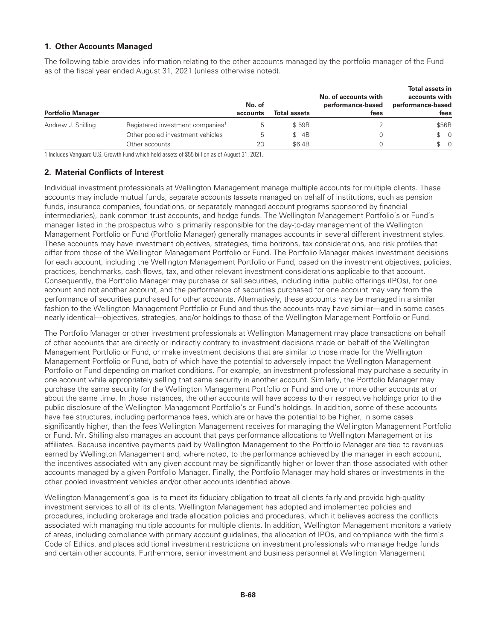#### **1. Other Accounts Managed**

The following table provides information relating to the other accounts managed by the portfolio manager of the Fund as of the fiscal year ended August 31, 2021 (unless otherwise noted).

| <b>Portfolio Manager</b> |                                              | No. of<br>accounts | <b>Total assets</b> | No. of accounts with<br>performance-based<br>fees | <b>Total assets in</b><br>accounts with<br>performance-based<br>fees |
|--------------------------|----------------------------------------------|--------------------|---------------------|---------------------------------------------------|----------------------------------------------------------------------|
| Andrew J. Shilling       | Registered investment companies <sup>1</sup> | b                  | \$59B               |                                                   | \$56B                                                                |
|                          | Other pooled investment vehicles             | 5                  | \$4B                |                                                   | $\textcircled{S}$ 0                                                  |
|                          | Other accounts                               | 23                 | \$6.4B              |                                                   | $\textcircled{S}$ 0                                                  |

1 Includes Vanguard U.S. Growth Fund which held assets of \$55 billion as of August 31, 2021.

#### **2. Material Conflicts of Interest**

Individual investment professionals at Wellington Management manage multiple accounts for multiple clients. These accounts may include mutual funds, separate accounts (assets managed on behalf of institutions, such as pension funds, insurance companies, foundations, or separately managed account programs sponsored by financial intermediaries), bank common trust accounts, and hedge funds. The Wellington Management Portfolio's or Fund's manager listed in the prospectus who is primarily responsible for the day-to-day management of the Wellington Management Portfolio or Fund (Portfolio Manager) generally manages accounts in several different investment styles. These accounts may have investment objectives, strategies, time horizons, tax considerations, and risk profiles that differ from those of the Wellington Management Portfolio or Fund. The Portfolio Manager makes investment decisions for each account, including the Wellington Management Portfolio or Fund, based on the investment objectives, policies, practices, benchmarks, cash flows, tax, and other relevant investment considerations applicable to that account. Consequently, the Portfolio Manager may purchase or sell securities, including initial public offerings (IPOs), for one account and not another account, and the performance of securities purchased for one account may vary from the performance of securities purchased for other accounts. Alternatively, these accounts may be managed in a similar fashion to the Wellington Management Portfolio or Fund and thus the accounts may have similar—and in some cases nearly identical—objectives, strategies, and/or holdings to those of the Wellington Management Portfolio or Fund.

The Portfolio Manager or other investment professionals at Wellington Management may place transactions on behalf of other accounts that are directly or indirectly contrary to investment decisions made on behalf of the Wellington Management Portfolio or Fund, or make investment decisions that are similar to those made for the Wellington Management Portfolio or Fund, both of which have the potential to adversely impact the Wellington Management Portfolio or Fund depending on market conditions. For example, an investment professional may purchase a security in one account while appropriately selling that same security in another account. Similarly, the Portfolio Manager may purchase the same security for the Wellington Management Portfolio or Fund and one or more other accounts at or about the same time. In those instances, the other accounts will have access to their respective holdings prior to the public disclosure of the Wellington Management Portfolio's or Fund's holdings. In addition, some of these accounts have fee structures, including performance fees, which are or have the potential to be higher, in some cases significantly higher, than the fees Wellington Management receives for managing the Wellington Management Portfolio or Fund. Mr. Shilling also manages an account that pays performance allocations to Wellington Management or its affiliates. Because incentive payments paid by Wellington Management to the Portfolio Manager are tied to revenues earned by Wellington Management and, where noted, to the performance achieved by the manager in each account, the incentives associated with any given account may be significantly higher or lower than those associated with other accounts managed by a given Portfolio Manager. Finally, the Portfolio Manager may hold shares or investments in the other pooled investment vehicles and/or other accounts identified above.

Wellington Management's goal is to meet its fiduciary obligation to treat all clients fairly and provide high-quality investment services to all of its clients. Wellington Management has adopted and implemented policies and procedures, including brokerage and trade allocation policies and procedures, which it believes address the conflicts associated with managing multiple accounts for multiple clients. In addition, Wellington Management monitors a variety of areas, including compliance with primary account guidelines, the allocation of IPOs, and compliance with the firm's Code of Ethics, and places additional investment restrictions on investment professionals who manage hedge funds and certain other accounts. Furthermore, senior investment and business personnel at Wellington Management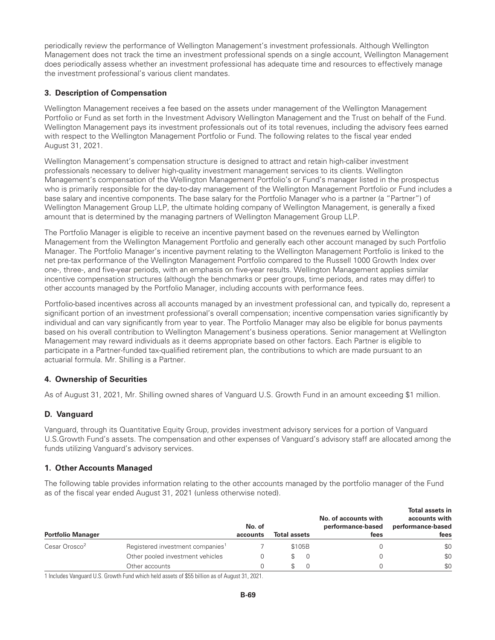periodically review the performance of Wellington Management's investment professionals. Although Wellington Management does not track the time an investment professional spends on a single account, Wellington Management does periodically assess whether an investment professional has adequate time and resources to effectively manage the investment professional's various client mandates.

## **3. Description of Compensation**

Wellington Management receives a fee based on the assets under management of the Wellington Management Portfolio or Fund as set forth in the Investment Advisory Wellington Management and the Trust on behalf of the Fund. Wellington Management pays its investment professionals out of its total revenues, including the advisory fees earned with respect to the Wellington Management Portfolio or Fund. The following relates to the fiscal year ended August 31, 2021.

Wellington Management's compensation structure is designed to attract and retain high-caliber investment professionals necessary to deliver high-quality investment management services to its clients. Wellington Management's compensation of the Wellington Management Portfolio's or Fund's manager listed in the prospectus who is primarily responsible for the day-to-day management of the Wellington Management Portfolio or Fund includes a base salary and incentive components. The base salary for the Portfolio Manager who is a partner (a "Partner") of Wellington Management Group LLP, the ultimate holding company of Wellington Management, is generally a fixed amount that is determined by the managing partners of Wellington Management Group LLP.

The Portfolio Manager is eligible to receive an incentive payment based on the revenues earned by Wellington Management from the Wellington Management Portfolio and generally each other account managed by such Portfolio Manager. The Portfolio Manager's incentive payment relating to the Wellington Management Portfolio is linked to the net pre-tax performance of the Wellington Management Portfolio compared to the Russell 1000 Growth Index over one-, three-, and five-year periods, with an emphasis on five-year results. Wellington Management applies similar incentive compensation structures (although the benchmarks or peer groups, time periods, and rates may differ) to other accounts managed by the Portfolio Manager, including accounts with performance fees.

Portfolio-based incentives across all accounts managed by an investment professional can, and typically do, represent a significant portion of an investment professional's overall compensation; incentive compensation varies significantly by individual and can vary significantly from year to year. The Portfolio Manager may also be eligible for bonus payments based on his overall contribution to Wellington Management's business operations. Senior management at Wellington Management may reward individuals as it deems appropriate based on other factors. Each Partner is eligible to participate in a Partner-funded tax-qualified retirement plan, the contributions to which are made pursuant to an actuarial formula. Mr. Shilling is a Partner.

### **4. Ownership of Securities**

As of August 31, 2021, Mr. Shilling owned shares of Vanguard U.S. Growth Fund in an amount exceeding \$1 million.

### **D. Vanguard**

Vanguard, through its Quantitative Equity Group, provides investment advisory services for a portion of Vanguard U.S.Growth Fund's assets. The compensation and other expenses of Vanguard's advisory staff are allocated among the funds utilizing Vanguard's advisory services.

### **1. Other Accounts Managed**

The following table provides information relating to the other accounts managed by the portfolio manager of the Fund as of the fiscal year ended August 31, 2021 (unless otherwise noted).

| <b>Portfolio Manager</b>  |                                              | No. of<br>accounts | <b>Total assets</b> | No. of accounts with<br>performance-based<br>fees | <b>Total assets in</b><br>accounts with<br>performance-based<br>fees |
|---------------------------|----------------------------------------------|--------------------|---------------------|---------------------------------------------------|----------------------------------------------------------------------|
| Cesar Orosco <sup>2</sup> | Registered investment companies <sup>1</sup> |                    | \$105B              |                                                   | \$0                                                                  |
|                           | Other pooled investment vehicles             |                    | 0                   |                                                   | \$0                                                                  |
|                           | Other accounts                               |                    |                     |                                                   | \$0                                                                  |

1 Includes Vanguard U.S. Growth Fund which held assets of \$55 billion as of August 31, 2021.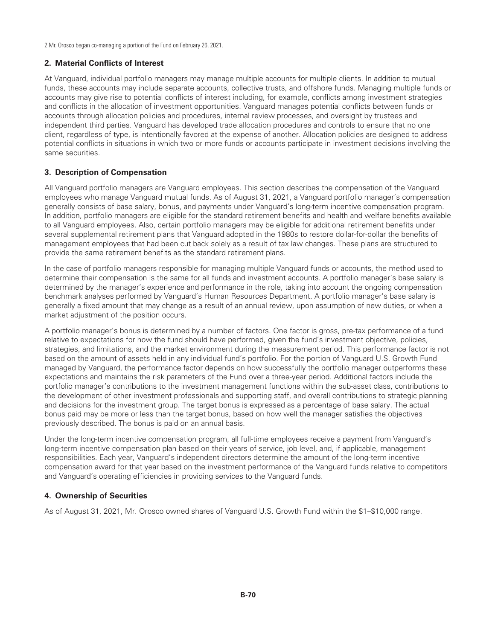2 Mr. Orosco began co-managing a portion of the Fund on February 26, 2021.

# **2. Material Conflicts of Interest**

At Vanguard, individual portfolio managers may manage multiple accounts for multiple clients. In addition to mutual funds, these accounts may include separate accounts, collective trusts, and offshore funds. Managing multiple funds or accounts may give rise to potential conflicts of interest including, for example, conflicts among investment strategies and conflicts in the allocation of investment opportunities. Vanguard manages potential conflicts between funds or accounts through allocation policies and procedures, internal review processes, and oversight by trustees and independent third parties. Vanguard has developed trade allocation procedures and controls to ensure that no one client, regardless of type, is intentionally favored at the expense of another. Allocation policies are designed to address potential conflicts in situations in which two or more funds or accounts participate in investment decisions involving the same securities.

# **3. Description of Compensation**

All Vanguard portfolio managers are Vanguard employees. This section describes the compensation of the Vanguard employees who manage Vanguard mutual funds. As of August 31, 2021, a Vanguard portfolio manager's compensation generally consists of base salary, bonus, and payments under Vanguard's long-term incentive compensation program. In addition, portfolio managers are eligible for the standard retirement benefits and health and welfare benefits available to all Vanguard employees. Also, certain portfolio managers may be eligible for additional retirement benefits under several supplemental retirement plans that Vanguard adopted in the 1980s to restore dollar-for-dollar the benefits of management employees that had been cut back solely as a result of tax law changes. These plans are structured to provide the same retirement benefits as the standard retirement plans.

In the case of portfolio managers responsible for managing multiple Vanguard funds or accounts, the method used to determine their compensation is the same for all funds and investment accounts. A portfolio manager's base salary is determined by the manager's experience and performance in the role, taking into account the ongoing compensation benchmark analyses performed by Vanguard's Human Resources Department. A portfolio manager's base salary is generally a fixed amount that may change as a result of an annual review, upon assumption of new duties, or when a market adjustment of the position occurs.

A portfolio manager's bonus is determined by a number of factors. One factor is gross, pre-tax performance of a fund relative to expectations for how the fund should have performed, given the fund's investment objective, policies, strategies, and limitations, and the market environment during the measurement period. This performance factor is not based on the amount of assets held in any individual fund's portfolio. For the portion of Vanguard U.S. Growth Fund managed by Vanguard, the performance factor depends on how successfully the portfolio manager outperforms these expectations and maintains the risk parameters of the Fund over a three-year period. Additional factors include the portfolio manager's contributions to the investment management functions within the sub-asset class, contributions to the development of other investment professionals and supporting staff, and overall contributions to strategic planning and decisions for the investment group. The target bonus is expressed as a percentage of base salary. The actual bonus paid may be more or less than the target bonus, based on how well the manager satisfies the objectives previously described. The bonus is paid on an annual basis.

Under the long-term incentive compensation program, all full-time employees receive a payment from Vanguard's long-term incentive compensation plan based on their years of service, job level, and, if applicable, management responsibilities. Each year, Vanguard's independent directors determine the amount of the long-term incentive compensation award for that year based on the investment performance of the Vanguard funds relative to competitors and Vanguard's operating efficiencies in providing services to the Vanguard funds.

# **4. Ownership of Securities**

As of August 31, 2021, Mr. Orosco owned shares of Vanguard U.S. Growth Fund within the \$1–\$10,000 range.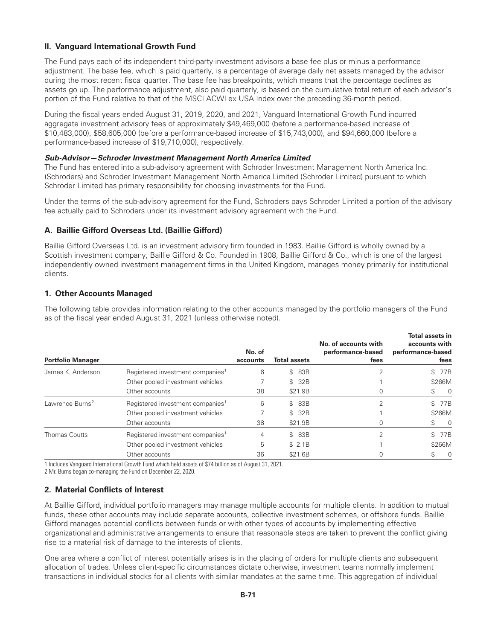# **II. Vanguard International Growth Fund**

The Fund pays each of its independent third-party investment advisors a base fee plus or minus a performance adjustment. The base fee, which is paid quarterly, is a percentage of average daily net assets managed by the advisor during the most recent fiscal quarter. The base fee has breakpoints, which means that the percentage declines as assets go up. The performance adjustment, also paid quarterly, is based on the cumulative total return of each advisor's portion of the Fund relative to that of the MSCI ACWI ex USA Index over the preceding 36-month period.

During the fiscal years ended August 31, 2019, 2020, and 2021, Vanguard International Growth Fund incurred aggregate investment advisory fees of approximately \$49,469,000 (before a performance-based increase of \$10,483,000), \$58,605,000 (before a performance-based increase of \$15,743,000), and \$94,660,000 (before a performance-based increase of \$19,710,000), respectively.

#### *Sub-Advisor—Schroder Investment Management North America Limited*

The Fund has entered into a sub-advisory agreement with Schroder Investment Management North America Inc. (Schroders) and Schroder Investment Management North America Limited (Schroder Limited) pursuant to which Schroder Limited has primary responsibility for choosing investments for the Fund.

Under the terms of the sub-advisory agreement for the Fund, Schroders pays Schroder Limited a portion of the advisory fee actually paid to Schroders under its investment advisory agreement with the Fund.

### **A. Baillie Gifford Overseas Ltd. (Baillie Gifford)**

Baillie Gifford Overseas Ltd. is an investment advisory firm founded in 1983. Baillie Gifford is wholly owned by a Scottish investment company, Baillie Gifford & Co. Founded in 1908, Baillie Gifford & Co., which is one of the largest independently owned investment management firms in the United Kingdom, manages money primarily for institutional clients.

# **1. Other Accounts Managed**

The following table provides information relating to the other accounts managed by the portfolio managers of the Fund as of the fiscal year ended August 31, 2021 (unless otherwise noted).

| <b>Portfolio Manager</b>    |                                              | No. of<br>accounts | <b>Total assets</b> | No. of accounts with<br>performance-based<br>fees | <b>Total assets in</b><br>accounts with<br>performance-based<br>fees |
|-----------------------------|----------------------------------------------|--------------------|---------------------|---------------------------------------------------|----------------------------------------------------------------------|
| James K. Anderson           | Registered investment companies <sup>1</sup> | 6                  | 83B<br>$\mathbb{S}$ |                                                   | 77B<br>\$                                                            |
|                             | Other pooled investment vehicles             |                    | \$ 32B              |                                                   | \$266M                                                               |
|                             | Other accounts                               | 38                 | \$21.9B             | 0                                                 | $\overline{0}$<br>\$                                                 |
| Lawrence Burns <sup>2</sup> | Registered investment companies <sup>1</sup> | 6                  | \$ 83B              | C                                                 | \$ 77B                                                               |
|                             | Other pooled investment vehicles             |                    | \$ 32B              |                                                   | \$266M                                                               |
|                             | Other accounts                               | 38                 | \$21.9B             | 0                                                 | $\overline{0}$<br>\$.                                                |
| <b>Thomas Coutts</b>        | Registered investment companies <sup>1</sup> | 4                  | \$ 83B              |                                                   | 77B                                                                  |
|                             | Other pooled investment vehicles             | 5                  | \$2.1B              |                                                   | \$266M                                                               |
|                             | Other accounts                               | 36                 | \$21.6B             | 0                                                 | S.<br>- 0                                                            |

1 Includes Vanguard International Growth Fund which held assets of \$74 billion as of August 31, 2021.

2 Mr. Burns began co-managing the Fund on December 22, 2020.

### **2. Material Conflicts of Interest**

At Baillie Gifford, individual portfolio managers may manage multiple accounts for multiple clients. In addition to mutual funds, these other accounts may include separate accounts, collective investment schemes, or offshore funds. Baillie Gifford manages potential conflicts between funds or with other types of accounts by implementing effective organizational and administrative arrangements to ensure that reasonable steps are taken to prevent the conflict giving rise to a material risk of damage to the interests of clients.

One area where a conflict of interest potentially arises is in the placing of orders for multiple clients and subsequent allocation of trades. Unless client-specific circumstances dictate otherwise, investment teams normally implement transactions in individual stocks for all clients with similar mandates at the same time. This aggregation of individual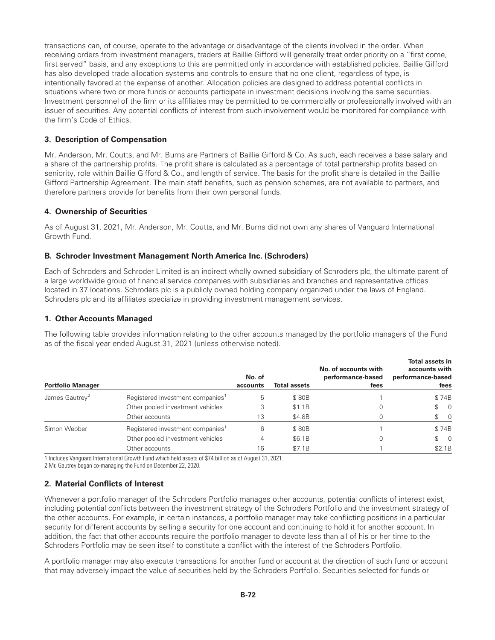transactions can, of course, operate to the advantage or disadvantage of the clients involved in the order. When receiving orders from investment managers, traders at Baillie Gifford will generally treat order priority on a "first come, first served" basis, and any exceptions to this are permitted only in accordance with established policies. Baillie Gifford has also developed trade allocation systems and controls to ensure that no one client, regardless of type, is intentionally favored at the expense of another. Allocation policies are designed to address potential conflicts in situations where two or more funds or accounts participate in investment decisions involving the same securities. Investment personnel of the firm or its affiliates may be permitted to be commercially or professionally involved with an issuer of securities. Any potential conflicts of interest from such involvement would be monitored for compliance with the firm's Code of Ethics.

# **3. Description of Compensation**

Mr. Anderson, Mr. Coutts, and Mr. Burns are Partners of Baillie Gifford & Co. As such, each receives a base salary and a share of the partnership profits. The profit share is calculated as a percentage of total partnership profits based on seniority, role within Baillie Gifford & Co., and length of service. The basis for the profit share is detailed in the Baillie Gifford Partnership Agreement. The main staff benefits, such as pension schemes, are not available to partners, and therefore partners provide for benefits from their own personal funds.

# **4. Ownership of Securities**

As of August 31, 2021, Mr. Anderson, Mr. Coutts, and Mr. Burns did not own any shares of Vanguard International Growth Fund.

# **B. Schroder Investment Management North America Inc. (Schroders)**

Each of Schroders and Schroder Limited is an indirect wholly owned subsidiary of Schroders plc, the ultimate parent of a large worldwide group of financial service companies with subsidiaries and branches and representative offices located in 37 locations. Schroders plc is a publicly owned holding company organized under the laws of England. Schroders plc and its affiliates specialize in providing investment management services.

### **1. Other Accounts Managed**

The following table provides information relating to the other accounts managed by the portfolio managers of the Fund as of the fiscal year ended August 31, 2021 (unless otherwise noted).

| <b>Portfolio Manager</b>   |                                              | No. of<br>accounts | <b>Total assets</b> | No. of accounts with<br>performance-based<br>fees | <b>Total assets in</b><br>accounts with<br>performance-based<br>fees |
|----------------------------|----------------------------------------------|--------------------|---------------------|---------------------------------------------------|----------------------------------------------------------------------|
| James Gautrey <sup>2</sup> | Registered investment companies <sup>1</sup> | 5                  | \$80B               |                                                   | \$74B                                                                |
|                            | Other pooled investment vehicles             |                    | \$1.1B              |                                                   | $\begin{matrix} 1 & 0 \\ 0 & 1 \end{matrix}$                         |
|                            | Other accounts                               | 13                 | \$4.8B              |                                                   | $\begin{matrix} 1 & 0 \\ 0 & 1 \end{matrix}$                         |
| Simon Webber               | Registered investment companies <sup>1</sup> | 6                  | \$80B               |                                                   | \$74B                                                                |
|                            | Other pooled investment vehicles             | 4                  | \$6.1B              |                                                   | $\begin{matrix} 1 & 0 \\ 0 & 1 \end{matrix}$                         |
|                            | Other accounts                               | 16                 | \$7.1B              |                                                   | \$2.1B                                                               |

1 Includes Vanguard International Growth Fund which held assets of \$74 billion as of August 31, 2021.

2 Mr. Gautrey began co-managing the Fund on December 22, 2020.

# **2. Material Conflicts of Interest**

Whenever a portfolio manager of the Schroders Portfolio manages other accounts, potential conflicts of interest exist, including potential conflicts between the investment strategy of the Schroders Portfolio and the investment strategy of the other accounts. For example, in certain instances, a portfolio manager may take conflicting positions in a particular security for different accounts by selling a security for one account and continuing to hold it for another account. In addition, the fact that other accounts require the portfolio manager to devote less than all of his or her time to the Schroders Portfolio may be seen itself to constitute a conflict with the interest of the Schroders Portfolio.

A portfolio manager may also execute transactions for another fund or account at the direction of such fund or account that may adversely impact the value of securities held by the Schroders Portfolio. Securities selected for funds or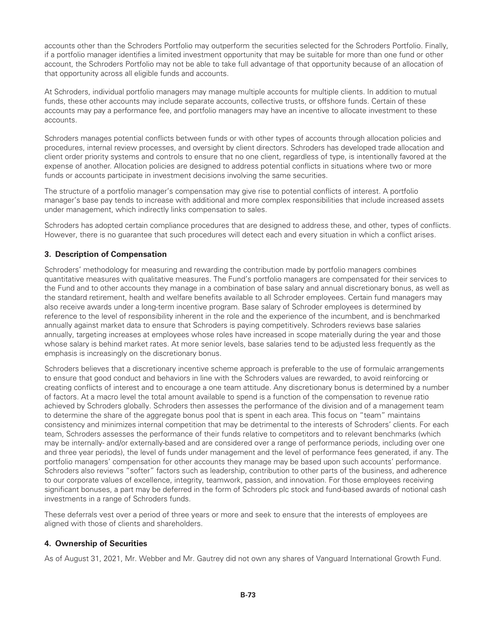accounts other than the Schroders Portfolio may outperform the securities selected for the Schroders Portfolio. Finally, if a portfolio manager identifies a limited investment opportunity that may be suitable for more than one fund or other account, the Schroders Portfolio may not be able to take full advantage of that opportunity because of an allocation of that opportunity across all eligible funds and accounts.

At Schroders, individual portfolio managers may manage multiple accounts for multiple clients. In addition to mutual funds, these other accounts may include separate accounts, collective trusts, or offshore funds. Certain of these accounts may pay a performance fee, and portfolio managers may have an incentive to allocate investment to these accounts.

Schroders manages potential conflicts between funds or with other types of accounts through allocation policies and procedures, internal review processes, and oversight by client directors. Schroders has developed trade allocation and client order priority systems and controls to ensure that no one client, regardless of type, is intentionally favored at the expense of another. Allocation policies are designed to address potential conflicts in situations where two or more funds or accounts participate in investment decisions involving the same securities.

The structure of a portfolio manager's compensation may give rise to potential conflicts of interest. A portfolio manager's base pay tends to increase with additional and more complex responsibilities that include increased assets under management, which indirectly links compensation to sales.

Schroders has adopted certain compliance procedures that are designed to address these, and other, types of conflicts. However, there is no guarantee that such procedures will detect each and every situation in which a conflict arises.

# **3. Description of Compensation**

Schroders' methodology for measuring and rewarding the contribution made by portfolio managers combines quantitative measures with qualitative measures. The Fund's portfolio managers are compensated for their services to the Fund and to other accounts they manage in a combination of base salary and annual discretionary bonus, as well as the standard retirement, health and welfare benefits available to all Schroder employees. Certain fund managers may also receive awards under a long-term incentive program. Base salary of Schroder employees is determined by reference to the level of responsibility inherent in the role and the experience of the incumbent, and is benchmarked annually against market data to ensure that Schroders is paying competitively. Schroders reviews base salaries annually, targeting increases at employees whose roles have increased in scope materially during the year and those whose salary is behind market rates. At more senior levels, base salaries tend to be adjusted less frequently as the emphasis is increasingly on the discretionary bonus.

Schroders believes that a discretionary incentive scheme approach is preferable to the use of formulaic arrangements to ensure that good conduct and behaviors in line with the Schroders values are rewarded, to avoid reinforcing or creating conflicts of interest and to encourage a one team attitude. Any discretionary bonus is determined by a number of factors. At a macro level the total amount available to spend is a function of the compensation to revenue ratio achieved by Schroders globally. Schroders then assesses the performance of the division and of a management team to determine the share of the aggregate bonus pool that is spent in each area. This focus on "team" maintains consistency and minimizes internal competition that may be detrimental to the interests of Schroders' clients. For each team, Schroders assesses the performance of their funds relative to competitors and to relevant benchmarks (which may be internally- and/or externally-based and are considered over a range of performance periods, including over one and three year periods), the level of funds under management and the level of performance fees generated, if any. The portfolio managers' compensation for other accounts they manage may be based upon such accounts' performance. Schroders also reviews "softer" factors such as leadership, contribution to other parts of the business, and adherence to our corporate values of excellence, integrity, teamwork, passion, and innovation. For those employees receiving significant bonuses, a part may be deferred in the form of Schroders plc stock and fund-based awards of notional cash investments in a range of Schroders funds.

These deferrals vest over a period of three years or more and seek to ensure that the interests of employees are aligned with those of clients and shareholders.

### **4. Ownership of Securities**

As of August 31, 2021, Mr. Webber and Mr. Gautrey did not own any shares of Vanguard International Growth Fund.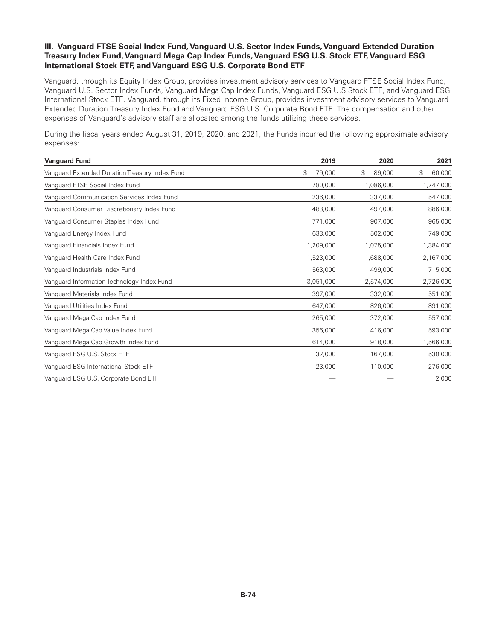# **III. Vanguard FTSE Social Index Fund, Vanguard U.S. Sector Index Funds, Vanguard Extended Duration Treasury Index Fund, Vanguard Mega Cap Index Funds, Vanguard ESG U.S. Stock ETF, Vanguard ESG International Stock ETF, and Vanguard ESG U.S. Corporate Bond ETF**

Vanguard, through its Equity Index Group, provides investment advisory services to Vanguard FTSE Social Index Fund, Vanguard U.S. Sector Index Funds, Vanguard Mega Cap Index Funds, Vanguard ESG U.S Stock ETF, and Vanguard ESG International Stock ETF. Vanguard, through its Fixed Income Group, provides investment advisory services to Vanguard Extended Duration Treasury Index Fund and Vanguard ESG U.S. Corporate Bond ETF. The compensation and other expenses of Vanguard's advisory staff are allocated among the funds utilizing these services.

During the fiscal years ended August 31, 2019, 2020, and 2021, the Funds incurred the following approximate advisory expenses:

| <b>Vanguard Fund</b>                           | 2019                     | 2020         | 2021         |
|------------------------------------------------|--------------------------|--------------|--------------|
| Vanguard Extended Duration Treasury Index Fund | $$\mathbb{S}$$<br>79,000 | 89,000<br>\$ | 60,000<br>\$ |
| Vanguard FTSE Social Index Fund                | 780,000                  | 1,086,000    | 1,747,000    |
| Vanguard Communication Services Index Fund     | 236,000                  | 337,000      | 547,000      |
| Vanguard Consumer Discretionary Index Fund     | 483,000                  | 497,000      | 886,000      |
| Vanguard Consumer Staples Index Fund           | 771,000                  | 907,000      | 965,000      |
| Vanguard Energy Index Fund                     | 633,000                  | 502,000      | 749,000      |
| Vanguard Financials Index Fund                 | 1,209,000                | 1,075,000    | 1,384,000    |
| Vanguard Health Care Index Fund                | 1,523,000                | 1,688,000    | 2,167,000    |
| Vanguard Industrials Index Fund                | 563,000                  | 499,000      | 715,000      |
| Vanguard Information Technology Index Fund     | 3,051,000                | 2,574,000    | 2,726,000    |
| Vanguard Materials Index Fund                  | 397,000                  | 332,000      | 551,000      |
| Vanguard Utilities Index Fund                  | 647,000                  | 826,000      | 891,000      |
| Vanguard Mega Cap Index Fund                   | 265,000                  | 372,000      | 557,000      |
| Vanguard Mega Cap Value Index Fund             | 356,000                  | 416,000      | 593,000      |
| Vanguard Mega Cap Growth Index Fund            | 614,000                  | 918,000      | 1,566,000    |
| Vanguard ESG U.S. Stock ETF                    | 32,000                   | 167,000      | 530,000      |
| Vanguard ESG International Stock ETF           | 23,000                   | 110,000      | 276,000      |
| Vanguard ESG U.S. Corporate Bond ETF           |                          |              | 2,000        |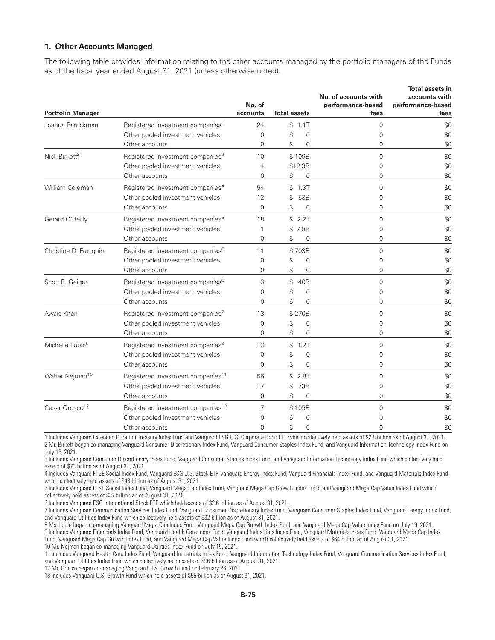#### **1. Other Accounts Managed**

The following table provides information relating to the other accounts managed by the portfolio managers of the Funds as of the fiscal year ended August 31, 2021 (unless otherwise noted).

| <b>Portfolio Manager</b>    |                                               | No. of<br>accounts | <b>Total assets</b> |                | No. of accounts with<br>performance-based<br>fees | <b>Total assets in</b><br>accounts with<br>performance-based<br>fees |
|-----------------------------|-----------------------------------------------|--------------------|---------------------|----------------|---------------------------------------------------|----------------------------------------------------------------------|
| Joshua Barrickman           | Registered investment companies <sup>1</sup>  | 24                 | \$                  | 1.1T           | $\Omega$                                          | \$0                                                                  |
|                             | Other pooled investment vehicles              | $\Omega$           | \$                  | $\Omega$       | 0                                                 | \$0                                                                  |
|                             | Other accounts                                | $\Omega$           | \$                  | $\Omega$       | $\Omega$                                          | \$0                                                                  |
| Nick Birkett <sup>2</sup>   | Registered investment companies <sup>3</sup>  | 10                 |                     | \$109B         | $\Omega$                                          | \$0                                                                  |
|                             | Other pooled investment vehicles              | $\overline{4}$     |                     | \$12.3B        | 0                                                 | \$0                                                                  |
|                             | Other accounts                                | $\Omega$           | \$                  | $\mathbf 0$    | $\Omega$                                          | \$0                                                                  |
| William Coleman             | Registered investment companies <sup>4</sup>  | 54                 |                     | \$1.3T         | $\Omega$                                          | \$0                                                                  |
|                             | Other pooled investment vehicles              | 12                 | \$                  | 53B            | 0                                                 | \$0                                                                  |
|                             | Other accounts                                | $\Omega$           | \$                  | 0              | $\Omega$                                          | \$0                                                                  |
| Gerard O'Reilly             | Registered investment companies <sup>5</sup>  | 18                 |                     | \$2.2T         | $\Omega$                                          | \$0                                                                  |
|                             | Other pooled investment vehicles              |                    |                     | \$7.8B         | 0                                                 | \$0                                                                  |
|                             | Other accounts                                | $\Omega$           | \$                  | 0              | 0                                                 | \$0                                                                  |
| Christine D. Franquin       | Registered investment companies <sup>6</sup>  | 11                 |                     | \$703B         | $\Omega$                                          | \$0                                                                  |
|                             | Other pooled investment vehicles              | 0                  | \$                  | $\mathbf 0$    | 0                                                 | \$0                                                                  |
|                             | Other accounts                                | 0                  | \$                  | 0              | 0                                                 | \$0                                                                  |
| Scott E. Geiger             | Registered investment companies <sup>6</sup>  | 3                  | \$                  | 40B            | $\Omega$                                          | \$0                                                                  |
|                             | Other pooled investment vehicles              | $\Omega$           | \$                  | $\mathbf 0$    | $\Omega$                                          | \$0                                                                  |
|                             | Other accounts                                | $\Omega$           | $\mathcal{L}$       | $\Omega$       | $\Omega$                                          | \$0                                                                  |
| Awais Khan                  | Registered investment companies <sup>7</sup>  | 13                 |                     | \$270B         | $\Omega$                                          | \$0                                                                  |
|                             | Other pooled investment vehicles              | $\Omega$           | \$                  | 0              | 0                                                 | \$0                                                                  |
|                             | Other accounts                                | $\Omega$           | \$                  | $\Omega$       | $\Omega$                                          | \$0                                                                  |
| Michelle Louie <sup>8</sup> | Registered investment companies <sup>9</sup>  | 13                 | $\mathbb{S}$        | 1.2T           | $\Omega$                                          | \$0                                                                  |
|                             | Other pooled investment vehicles              | $\overline{0}$     | \$                  | $\overline{0}$ | 0                                                 | \$0                                                                  |
|                             | Other accounts                                | $\Omega$           | \$                  | $\mathbf 0$    | $\Omega$                                          | \$0                                                                  |
| Walter Nejman <sup>10</sup> | Registered investment companies <sup>11</sup> | 56                 | \$                  | 2.8T           | $\Omega$                                          | \$0                                                                  |
|                             | Other pooled investment vehicles              | 17                 | \$                  | 73B            | 0                                                 | \$0                                                                  |
|                             | Other accounts                                | $\Omega$           | \$                  | 0              | 0                                                 | \$0                                                                  |
| Cesar Orosco <sup>12</sup>  | Registered investment companies <sup>13</sup> | 7                  |                     | \$105B         | 0                                                 | \$0                                                                  |
|                             | Other pooled investment vehicles              | $\Omega$           | \$                  | $\mathbf 0$    | 0                                                 | \$0                                                                  |
|                             | Other accounts                                | $\Omega$           | \$                  | $\overline{0}$ | $\Omega$                                          | \$0                                                                  |

1 Includes Vanguard Extended Duration Treasury Index Fund and Vanguard ESG U.S. Corporate Bond ETF which collectively held assets of \$2.8 billion as of August 31, 2021. 2 Mr. Birkett began co-managing Vanguard Consumer Discretionary Index Fund, Vanguard Consumer Staples Index Fund, and Vanguard Information Technology Index Fund on July 19, 2021.

3 Includes Vanguard Consumer Discretionary Index Fund, Vanguard Consumer Staples Index Fund, and Vanguard Information Technology Index Fund which collectively held assets of \$73 billion as of August 31, 2021.

4 Includes Vanguard FTSE Social Index Fund, Vanguard ESG U.S. Stock ETF, Vanguard Energy Index Fund, Vanguard Financials Index Fund, and Vanguard Materials Index Fund which collectively held assets of \$43 billion as of August 31, 2021.

5 Includes Vanguard FTSE Social Index Fund, Vanguard Mega Cap Index Fund, Vanguard Mega Cap Growth Index Fund, and Vanguard Mega Cap Value Index Fund which collectively held assets of \$37 billion as of August 31, 2021.

6 Includes Vanguard ESG International Stock ETF which held assets of \$2.6 billion as of August 31, 2021.

7 Includes Vanguard Communication Services Index Fund, Vanguard Consumer Discretionary Index Fund, Vanguard Consumer Staples Index Fund, Vanguard Energy Index Fund, and Vanguard Utilities Index Fund which collectively held assets of \$32 billion as of August 31, 2021.

8 Ms. Louie began co-managing Vanguard Mega Cap Index Fund, Vanguard Mega Cap Growth Index Fund, and Vanguard Mega Cap Value Index Fund on July 19, 2021. 9 Includes Vanguard Financials Index Fund, Vanguard Health Care Index Fund, Vanguard Industrials Index Fund, Vanguard Materials Index Fund, Vanguard Mega Cap Index Fund, Vanguard Mega Cap Growth Index Fund, and Vanguard Mega Cap Value Index Fund which collectively held assets of \$64 billion as of August 31, 2021. 10 Mr. Nejman began co-managing Vanguard Utilities Index Fund on July 19, 2021.

11 Includes Vanguard Health Care Index Fund, Vanguard Industrials Index Fund, Vanguard Information Technology Index Fund, Vanguard Communication Services Index Fund, and Vanguard Utilities Index Fund which collectively held assets of \$96 billion as of August 31, 2021.

12 Mr. Orosco began co-managing Vanguard U.S. Growth Fund on February 26, 2021.

13 Includes Vanguard U.S. Growth Fund which held assets of \$55 billion as of August 31, 2021.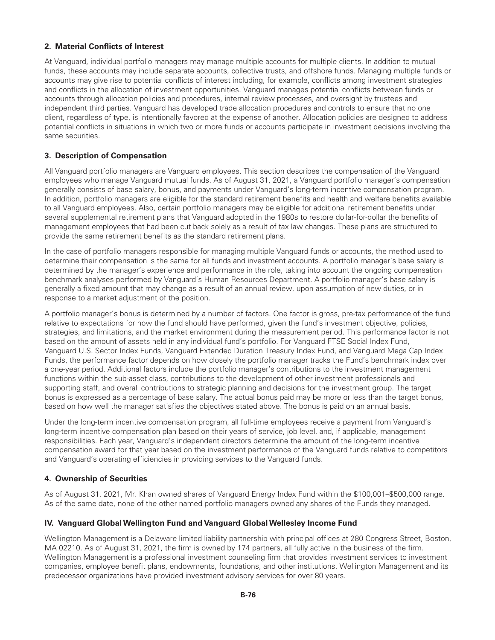# **2. Material Conflicts of Interest**

At Vanguard, individual portfolio managers may manage multiple accounts for multiple clients. In addition to mutual funds, these accounts may include separate accounts, collective trusts, and offshore funds. Managing multiple funds or accounts may give rise to potential conflicts of interest including, for example, conflicts among investment strategies and conflicts in the allocation of investment opportunities. Vanguard manages potential conflicts between funds or accounts through allocation policies and procedures, internal review processes, and oversight by trustees and independent third parties. Vanguard has developed trade allocation procedures and controls to ensure that no one client, regardless of type, is intentionally favored at the expense of another. Allocation policies are designed to address potential conflicts in situations in which two or more funds or accounts participate in investment decisions involving the same securities.

# **3. Description of Compensation**

All Vanguard portfolio managers are Vanguard employees. This section describes the compensation of the Vanguard employees who manage Vanguard mutual funds. As of August 31, 2021, a Vanguard portfolio manager's compensation generally consists of base salary, bonus, and payments under Vanguard's long-term incentive compensation program. In addition, portfolio managers are eligible for the standard retirement benefits and health and welfare benefits available to all Vanguard employees. Also, certain portfolio managers may be eligible for additional retirement benefits under several supplemental retirement plans that Vanguard adopted in the 1980s to restore dollar-for-dollar the benefits of management employees that had been cut back solely as a result of tax law changes. These plans are structured to provide the same retirement benefits as the standard retirement plans.

In the case of portfolio managers responsible for managing multiple Vanguard funds or accounts, the method used to determine their compensation is the same for all funds and investment accounts. A portfolio manager's base salary is determined by the manager's experience and performance in the role, taking into account the ongoing compensation benchmark analyses performed by Vanguard's Human Resources Department. A portfolio manager's base salary is generally a fixed amount that may change as a result of an annual review, upon assumption of new duties, or in response to a market adjustment of the position.

A portfolio manager's bonus is determined by a number of factors. One factor is gross, pre-tax performance of the fund relative to expectations for how the fund should have performed, given the fund's investment objective, policies, strategies, and limitations, and the market environment during the measurement period. This performance factor is not based on the amount of assets held in any individual fund's portfolio. For Vanguard FTSE Social Index Fund, Vanguard U.S. Sector Index Funds, Vanguard Extended Duration Treasury Index Fund, and Vanguard Mega Cap Index Funds, the performance factor depends on how closely the portfolio manager tracks the Fund's benchmark index over a one-year period. Additional factors include the portfolio manager's contributions to the investment management functions within the sub-asset class, contributions to the development of other investment professionals and supporting staff, and overall contributions to strategic planning and decisions for the investment group. The target bonus is expressed as a percentage of base salary. The actual bonus paid may be more or less than the target bonus, based on how well the manager satisfies the objectives stated above. The bonus is paid on an annual basis.

Under the long-term incentive compensation program, all full-time employees receive a payment from Vanguard's long-term incentive compensation plan based on their years of service, job level, and, if applicable, management responsibilities. Each year, Vanguard's independent directors determine the amount of the long-term incentive compensation award for that year based on the investment performance of the Vanguard funds relative to competitors and Vanguard's operating efficiencies in providing services to the Vanguard funds.

# **4. Ownership of Securities**

As of August 31, 2021, Mr. Khan owned shares of Vanguard Energy Index Fund within the \$100,001–\$500,000 range. As of the same date, none of the other named portfolio managers owned any shares of the Funds they managed.

### **IV. Vanguard GlobalWellington Fund and Vanguard GlobalWellesley Income Fund**

Wellington Management is a Delaware limited liability partnership with principal offices at 280 Congress Street, Boston, MA 02210. As of August 31, 2021, the firm is owned by 174 partners, all fully active in the business of the firm. Wellington Management is a professional investment counseling firm that provides investment services to investment companies, employee benefit plans, endowments, foundations, and other institutions. Wellington Management and its predecessor organizations have provided investment advisory services for over 80 years.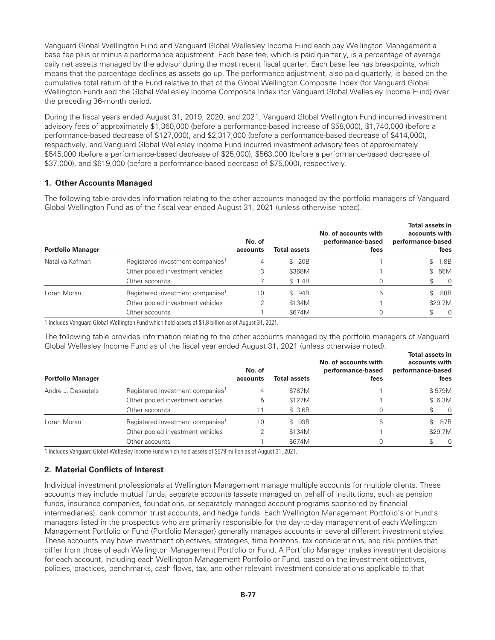Vanguard Global Wellington Fund and Vanguard Global Wellesley Income Fund each pay Wellington Management a base fee plus or minus a performance adjustment. Each base fee, which is paid quarterly, is a percentage of average daily net assets managed by the advisor during the most recent fiscal quarter. Each base fee has breakpoints, which means that the percentage declines as assets go up. The performance adjustment, also paid quarterly, is based on the cumulative total return of the Fund relative to that of the Global Wellington Composite Index (for Vanguard Global Wellington Fund) and the Global Wellesley Income Composite Index (for Vanguard Global Wellesley Income Fund) over the preceding 36-month period.

During the fiscal years ended August 31, 2019, 2020, and 2021, Vanguard Global Wellington Fund incurred investment advisory fees of approximately \$1,360,000 (before a performance-based increase of \$58,000), \$1,740,000 (before a performance-based decrease of \$127,000), and \$2,317,000 (before a performance-based decrease of \$414,000), respectively, and Vanguard Global Wellesley Income Fund incurred investment advisory fees of approximately \$545,000 (before a performance-based decrease of \$25,000), \$563,000 (before a performance-based decrease of \$37,000), and \$619,000 (before a performance-based decrease of \$75,000), respectively.

### **1. Other Accounts Managed**

The following table provides information relating to the other accounts managed by the portfolio managers of Vanguard Global Wellington Fund as of the fiscal year ended August 31, 2021 (unless otherwise noted).

| <b>Portfolio Manager</b> |                                              | No. of<br>accounts | Total assets          | No. of accounts with<br>performance-based<br>fees | <b>Total assets in</b><br>accounts with<br>performance-based<br>fees |
|--------------------------|----------------------------------------------|--------------------|-----------------------|---------------------------------------------------|----------------------------------------------------------------------|
| Nataliya Kofman          | Registered investment companies <sup>1</sup> | 4                  | 20B<br>$\mathbb{S}^-$ |                                                   | 1.8B                                                                 |
|                          | Other pooled investment vehicles             | 3                  | \$368M                |                                                   | 55M<br>S.                                                            |
|                          | Other accounts                               |                    | \$1.4B                | 0                                                 | 0                                                                    |
| Loren Moran              | Registered investment companies <sup>1</sup> | 10                 | \$94B                 | 5                                                 | 88B                                                                  |
|                          | Other pooled investment vehicles             | 2                  | \$134M                |                                                   | \$29.7M                                                              |
|                          | Other accounts                               |                    | \$674M                |                                                   | $\Omega$                                                             |

1 Includes Vanguard Global Wellington Fund which held assets of \$1.8 billion as of August 31, 2021.

The following table provides information relating to the other accounts managed by the portfolio managers of Vanguard Global Wellesley Income Fund as of the fiscal year ended August 31, 2021 (unless otherwise noted).

| <b>Portfolio Manager</b> |                                              | No. of<br>accounts | <b>Total assets</b> | No. of accounts with<br>performance-based<br>fees | Total assets in<br>accounts with<br>performance-based<br>fees |
|--------------------------|----------------------------------------------|--------------------|---------------------|---------------------------------------------------|---------------------------------------------------------------|
| Andre J. Desautels       | Registered investment companies <sup>1</sup> | 4                  | \$787M              |                                                   | \$579M                                                        |
|                          | Other pooled investment vehicles             | 5                  | \$127M              |                                                   | \$ 6.3M                                                       |
|                          | Other accounts                               | 11                 | \$3.6B              |                                                   | $\Omega$                                                      |
| Loren Moran              | Registered investment companies <sup>1</sup> | 10                 | \$ 93B              | 5                                                 | 87B<br>S.                                                     |
|                          | Other pooled investment vehicles             |                    | \$134M              |                                                   | \$29.7M                                                       |
|                          | Other accounts                               |                    | \$674M              |                                                   | $\Omega$<br>\$                                                |

1 Includes Vanguard Global Wellesley Income Fund which held assets of \$579 million as of August 31, 2021.

# **2. Material Conflicts of Interest**

Individual investment professionals at Wellington Management manage multiple accounts for multiple clients. These accounts may include mutual funds, separate accounts (assets managed on behalf of institutions, such as pension funds, insurance companies, foundations, or separately managed account programs sponsored by financial intermediaries), bank common trust accounts, and hedge funds. Each Wellington Management Portfolio's or Fund's managers listed in the prospectus who are primarily responsible for the day-to-day management of each Wellington Management Portfolio or Fund (Portfolio Manager) generally manages accounts in several different investment styles. These accounts may have investment objectives, strategies, time horizons, tax considerations, and risk profiles that differ from those of each Wellington Management Portfolio or Fund. A Portfolio Manager makes investment decisions for each account, including each Wellington Management Portfolio or Fund, based on the investment objectives, policies, practices, benchmarks, cash flows, tax, and other relevant investment considerations applicable to that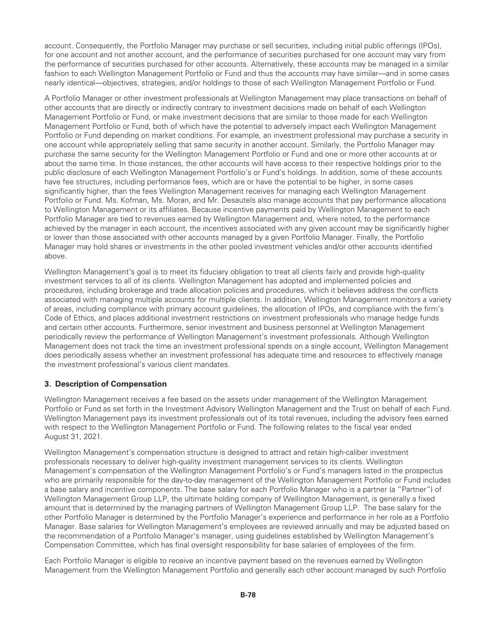account. Consequently, the Portfolio Manager may purchase or sell securities, including initial public offerings (IPOs), for one account and not another account, and the performance of securities purchased for one account may vary from the performance of securities purchased for other accounts. Alternatively, these accounts may be managed in a similar fashion to each Wellington Management Portfolio or Fund and thus the accounts may have similar—and in some cases nearly identical—objectives, strategies, and/or holdings to those of each Wellington Management Portfolio or Fund.

A Portfolio Manager or other investment professionals at Wellington Management may place transactions on behalf of other accounts that are directly or indirectly contrary to investment decisions made on behalf of each Wellington Management Portfolio or Fund, or make investment decisions that are similar to those made for each Wellington Management Portfolio or Fund, both of which have the potential to adversely impact each Wellington Management Portfolio or Fund depending on market conditions. For example, an investment professional may purchase a security in one account while appropriately selling that same security in another account. Similarly, the Portfolio Manager may purchase the same security for the Wellington Management Portfolio or Fund and one or more other accounts at or about the same time. In those instances, the other accounts will have access to their respective holdings prior to the public disclosure of each Wellington Management Portfolio's or Fund's holdings. In addition, some of these accounts have fee structures, including performance fees, which are or have the potential to be higher, in some cases significantly higher, than the fees Wellington Management receives for managing each Wellington Management Portfolio or Fund. Ms. Kofman, Ms. Moran, and Mr. Desautels also manage accounts that pay performance allocations to Wellington Management or its affiliates. Because incentive payments paid by Wellington Management to each Portfolio Manager are tied to revenues earned by Wellington Management and, where noted, to the performance achieved by the manager in each account, the incentives associated with any given account may be significantly higher or lower than those associated with other accounts managed by a given Portfolio Manager. Finally, the Portfolio Manager may hold shares or investments in the other pooled investment vehicles and/or other accounts identified above.

Wellington Management's goal is to meet its fiduciary obligation to treat all clients fairly and provide high-quality investment services to all of its clients. Wellington Management has adopted and implemented policies and procedures, including brokerage and trade allocation policies and procedures, which it believes address the conflicts associated with managing multiple accounts for multiple clients. In addition, Wellington Management monitors a variety of areas, including compliance with primary account guidelines, the allocation of IPOs, and compliance with the firm's Code of Ethics, and places additional investment restrictions on investment professionals who manage hedge funds and certain other accounts. Furthermore, senior investment and business personnel at Wellington Management periodically review the performance of Wellington Management's investment professionals. Although Wellington Management does not track the time an investment professional spends on a single account, Wellington Management does periodically assess whether an investment professional has adequate time and resources to effectively manage the investment professional's various client mandates.

### **3. Description of Compensation**

Wellington Management receives a fee based on the assets under management of the Wellington Management Portfolio or Fund as set forth in the Investment Advisory Wellington Management and the Trust on behalf of each Fund. Wellington Management pays its investment professionals out of its total revenues, including the advisory fees earned with respect to the Wellington Management Portfolio or Fund. The following relates to the fiscal year ended August 31, 2021.

Wellington Management's compensation structure is designed to attract and retain high-caliber investment professionals necessary to deliver high-quality investment management services to its clients. Wellington Management's compensation of the Wellington Management Portfolio's or Fund's managers listed in the prospectus who are primarily responsible for the day-to-day management of the Wellington Management Portfolio or Fund includes a base salary and incentive components. The base salary for each Portfolio Manager who is a partner (a "Partner") of Wellington Management Group LLP, the ultimate holding company of Wellington Management, is generally a fixed amount that is determined by the managing partners of Wellington Management Group LLP. The base salary for the other Portfolio Manager is determined by the Portfolio Manager's experience and performance in her role as a Portfolio Manager. Base salaries for Wellington Management's employees are reviewed annually and may be adjusted based on the recommendation of a Portfolio Manager's manager, using guidelines established by Wellington Management's Compensation Committee, which has final oversight responsibility for base salaries of employees of the firm.

Each Portfolio Manager is eligible to receive an incentive payment based on the revenues earned by Wellington Management from the Wellington Management Portfolio and generally each other account managed by such Portfolio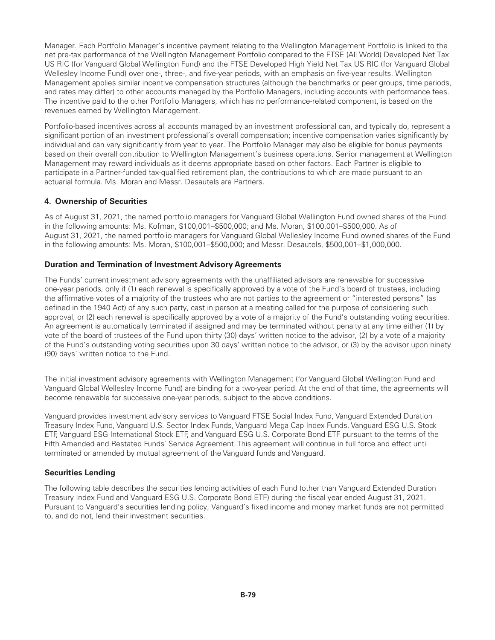Manager. Each Portfolio Manager's incentive payment relating to the Wellington Management Portfolio is linked to the net pre-tax performance of the Wellington Management Portfolio compared to the FTSE (All World) Developed Net Tax US RIC (for Vanguard Global Wellington Fund) and the FTSE Developed High Yield Net Tax US RIC (for Vanguard Global Wellesley Income Fund) over one-, three-, and five-year periods, with an emphasis on five-year results. Wellington Management applies similar incentive compensation structures (although the benchmarks or peer groups, time periods, and rates may differ) to other accounts managed by the Portfolio Managers, including accounts with performance fees. The incentive paid to the other Portfolio Managers, which has no performance-related component, is based on the revenues earned by Wellington Management.

Portfolio-based incentives across all accounts managed by an investment professional can, and typically do, represent a significant portion of an investment professional's overall compensation; incentive compensation varies significantly by individual and can vary significantly from year to year. The Portfolio Manager may also be eligible for bonus payments based on their overall contribution to Wellington Management's business operations. Senior management at Wellington Management may reward individuals as it deems appropriate based on other factors. Each Partner is eligible to participate in a Partner-funded tax-qualified retirement plan, the contributions to which are made pursuant to an actuarial formula. Ms. Moran and Messr. Desautels are Partners.

# **4. Ownership of Securities**

As of August 31, 2021, the named portfolio managers for Vanguard Global Wellington Fund owned shares of the Fund in the following amounts: Ms. Kofman, \$100,001–\$500,000; and Ms. Moran, \$100,001–\$500,000. As of August 31, 2021, the named portfolio managers for Vanguard Global Wellesley Income Fund owned shares of the Fund in the following amounts: Ms. Moran, \$100,001–\$500,000; and Messr. Desautels, \$500,001–\$1,000,000.

# **Duration and Termination of Investment Advisory Agreements**

The Funds' current investment advisory agreements with the unaffiliated advisors are renewable for successive one-year periods, only if (1) each renewal is specifically approved by a vote of the Fund's board of trustees, including the affirmative votes of a majority of the trustees who are not parties to the agreement or "interested persons" (as defined in the 1940 Act) of any such party, cast in person at a meeting called for the purpose of considering such approval, or (2) each renewal is specifically approved by a vote of a majority of the Fund's outstanding voting securities. An agreement is automatically terminated if assigned and may be terminated without penalty at any time either (1) by vote of the board of trustees of the Fund upon thirty (30) days' written notice to the advisor, (2) by a vote of a majority of the Fund's outstanding voting securities upon 30 days' written notice to the advisor, or (3) by the advisor upon ninety (90) days' written notice to the Fund.

The initial investment advisory agreements with Wellington Management (for Vanguard Global Wellington Fund and Vanguard Global Wellesley Income Fund) are binding for a two-year period. At the end of that time, the agreements will become renewable for successive one-year periods, subject to the above conditions.

Vanguard provides investment advisory services to Vanguard FTSE Social Index Fund, Vanguard Extended Duration Treasury Index Fund, Vanguard U.S. Sector Index Funds, Vanguard Mega Cap Index Funds, Vanguard ESG U.S. Stock ETF, Vanguard ESG International Stock ETF, and Vanguard ESG U.S. Corporate Bond ETF pursuant to the terms of the Fifth Amended and Restated Funds' Service Agreement. This agreement will continue in full force and effect until terminated or amended by mutual agreement of the Vanguard funds and Vanguard.

# **Securities Lending**

The following table describes the securities lending activities of each Fund (other than Vanguard Extended Duration Treasury Index Fund and Vanguard ESG U.S. Corporate Bond ETF) during the fiscal year ended August 31, 2021. Pursuant to Vanguard's securities lending policy, Vanguard's fixed income and money market funds are not permitted to, and do not, lend their investment securities.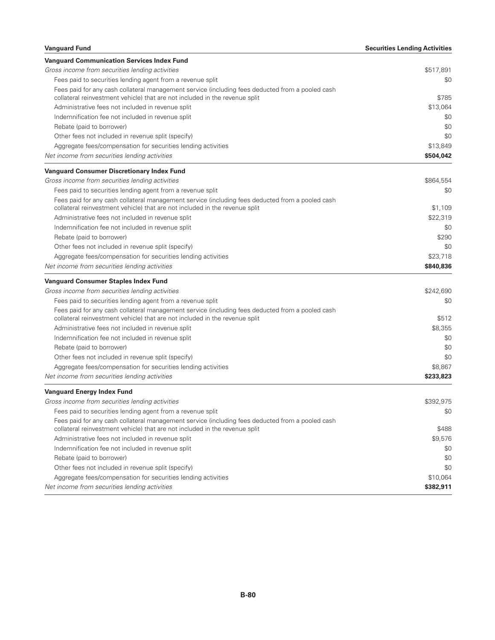| <b>Vanguard Fund</b>                                                                             | <b>Securities Lending Activities</b> |
|--------------------------------------------------------------------------------------------------|--------------------------------------|
| <b>Vanguard Communication Services Index Fund</b>                                                |                                      |
| Gross income from securities lending activities                                                  | \$517,891                            |
| Fees paid to securities lending agent from a revenue split                                       | \$0                                  |
| Fees paid for any cash collateral management service (including fees deducted from a pooled cash |                                      |
| collateral reinvestment vehicle) that are not included in the revenue split                      | \$785                                |
| Administrative fees not included in revenue split                                                | \$13,064                             |
| Indemnification fee not included in revenue split                                                | \$0                                  |
| Rebate (paid to borrower)                                                                        | \$0                                  |
| Other fees not included in revenue split (specify)                                               | \$0                                  |
| Aggregate fees/compensation for securities lending activities                                    | \$13,849                             |
| Net income from securities lending activities                                                    | \$504,042                            |
| <b>Vanguard Consumer Discretionary Index Fund</b>                                                |                                      |
| Gross income from securities lending activities                                                  | \$864,554                            |
| Fees paid to securities lending agent from a revenue split                                       | \$0                                  |
| Fees paid for any cash collateral management service (including fees deducted from a pooled cash |                                      |
| collateral reinvestment vehicle) that are not included in the revenue split                      | \$1,109                              |
| Administrative fees not included in revenue split                                                | \$22,319                             |
| Indemnification fee not included in revenue split                                                | \$0                                  |
| Rebate (paid to borrower)                                                                        | \$290                                |
| Other fees not included in revenue split (specify)                                               | \$0                                  |
| Aggregate fees/compensation for securities lending activities                                    | \$23,718                             |
| Net income from securities lending activities                                                    | \$840,836                            |
| <b>Vanguard Consumer Staples Index Fund</b>                                                      |                                      |
| Gross income from securities lending activities                                                  | \$242,690                            |
| Fees paid to securities lending agent from a revenue split                                       | \$0                                  |
| Fees paid for any cash collateral management service (including fees deducted from a pooled cash |                                      |
| collateral reinvestment vehicle) that are not included in the revenue split                      | \$512                                |
| Administrative fees not included in revenue split                                                | \$8,355                              |
| Indemnification fee not included in revenue split                                                | \$0                                  |
| Rebate (paid to borrower)                                                                        | \$0                                  |
| Other fees not included in revenue split (specify)                                               | \$0                                  |
| Aggregate fees/compensation for securities lending activities                                    | \$8,867                              |
| Net income from securities lending activities                                                    | \$233,823                            |
| <b>Vanguard Energy Index Fund</b>                                                                |                                      |
| Gross income from securities lending activities                                                  | \$392,975                            |
| Fees paid to securities lending agent from a revenue split                                       | \$0                                  |
| Fees paid for any cash collateral management service (including fees deducted from a pooled cash |                                      |
| collateral reinvestment vehicle) that are not included in the revenue split                      | \$488                                |
| Administrative fees not included in revenue split                                                | \$9,576                              |
| Indemnification fee not included in revenue split                                                | \$0                                  |
| Rebate (paid to borrower)                                                                        | \$0                                  |
| Other fees not included in revenue split (specify)                                               | \$0                                  |
| Aggregate fees/compensation for securities lending activities                                    | \$10,064                             |
| Net income from securities lending activities                                                    | \$382,911                            |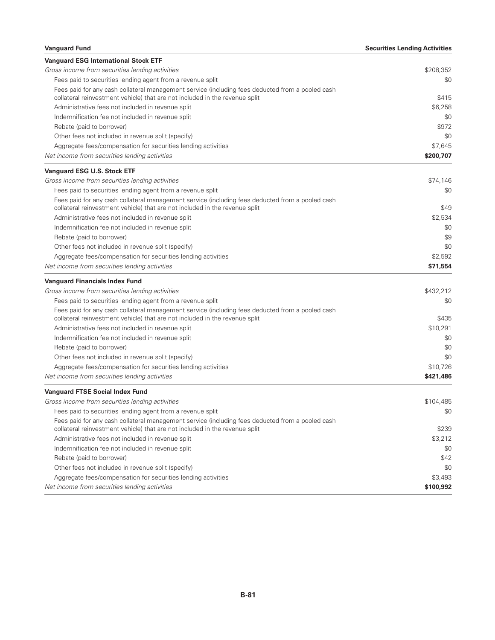| <b>Vanguard Fund</b>                                                                                                                                                            | <b>Securities Lending Activities</b> |
|---------------------------------------------------------------------------------------------------------------------------------------------------------------------------------|--------------------------------------|
| <b>Vanguard ESG International Stock ETF</b>                                                                                                                                     |                                      |
| Gross income from securities lending activities                                                                                                                                 | \$208,352                            |
| Fees paid to securities lending agent from a revenue split                                                                                                                      | \$0                                  |
| Fees paid for any cash collateral management service (including fees deducted from a pooled cash<br>collateral reinvestment vehicle) that are not included in the revenue split | \$415                                |
| Administrative fees not included in revenue split                                                                                                                               | \$6,258                              |
| Indemnification fee not included in revenue split                                                                                                                               | \$0                                  |
| Rebate (paid to borrower)                                                                                                                                                       | \$972                                |
| Other fees not included in revenue split (specify)                                                                                                                              | \$0                                  |
| Aggregate fees/compensation for securities lending activities                                                                                                                   | \$7,645                              |
| Net income from securities lending activities                                                                                                                                   | \$200,707                            |
| <b>Vanguard ESG U.S. Stock ETF</b>                                                                                                                                              |                                      |
| Gross income from securities lending activities                                                                                                                                 | \$74,146                             |
| Fees paid to securities lending agent from a revenue split                                                                                                                      | \$0                                  |
| Fees paid for any cash collateral management service (including fees deducted from a pooled cash<br>collateral reinvestment vehicle) that are not included in the revenue split | \$49                                 |
| Administrative fees not included in revenue split                                                                                                                               | \$2,534                              |
| Indemnification fee not included in revenue split                                                                                                                               | \$0                                  |
| Rebate (paid to borrower)                                                                                                                                                       | \$9                                  |
| Other fees not included in revenue split (specify)                                                                                                                              | \$0                                  |
| Aggregate fees/compensation for securities lending activities                                                                                                                   | \$2,592                              |
| Net income from securities lending activities                                                                                                                                   | \$71,554                             |
| <b>Vanguard Financials Index Fund</b>                                                                                                                                           |                                      |
| Gross income from securities lending activities                                                                                                                                 | \$432,212                            |
| Fees paid to securities lending agent from a revenue split                                                                                                                      | \$0                                  |
| Fees paid for any cash collateral management service (including fees deducted from a pooled cash<br>collateral reinvestment vehicle) that are not included in the revenue split | \$435                                |
| Administrative fees not included in revenue split                                                                                                                               | \$10,291                             |
| Indemnification fee not included in revenue split                                                                                                                               | \$0                                  |
| Rebate (paid to borrower)                                                                                                                                                       | \$0                                  |
| Other fees not included in revenue split (specify)                                                                                                                              | \$0                                  |
| Aggregate fees/compensation for securities lending activities                                                                                                                   | \$10,726                             |
| Net income from securities lending activities                                                                                                                                   | \$421,486                            |
| <b>Vanguard FTSE Social Index Fund</b>                                                                                                                                          |                                      |
| Gross income from securities lending activities                                                                                                                                 | \$104,485                            |
| Fees paid to securities lending agent from a revenue split                                                                                                                      | \$0                                  |
| Fees paid for any cash collateral management service (including fees deducted from a pooled cash                                                                                |                                      |
| collateral reinvestment vehicle) that are not included in the revenue split                                                                                                     | \$239                                |
| Administrative fees not included in revenue split                                                                                                                               | \$3,212                              |
| Indemnification fee not included in revenue split                                                                                                                               | \$0                                  |
| Rebate (paid to borrower)                                                                                                                                                       | \$42                                 |
| Other fees not included in revenue split (specify)                                                                                                                              | \$0                                  |
| Aggregate fees/compensation for securities lending activities                                                                                                                   | \$3,493                              |
| Net income from securities lending activities                                                                                                                                   | \$100,992                            |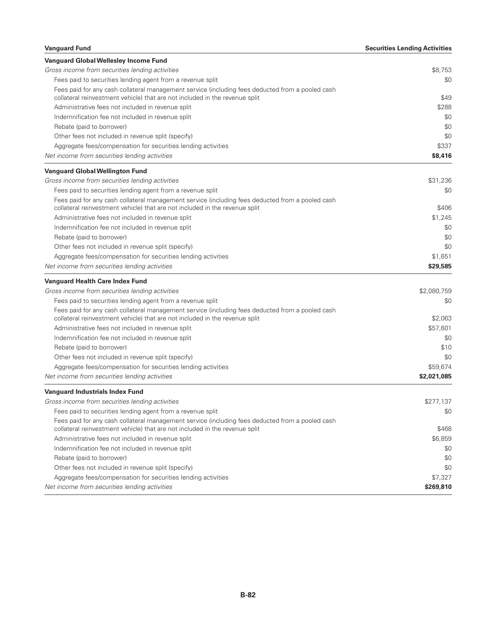| <b>Vanguard Fund</b>                                                                             | <b>Securities Lending Activities</b> |
|--------------------------------------------------------------------------------------------------|--------------------------------------|
| Vanguard Global Wellesley Income Fund                                                            |                                      |
| Gross income from securities lending activities                                                  | \$8,753                              |
| Fees paid to securities lending agent from a revenue split                                       | \$0                                  |
| Fees paid for any cash collateral management service (including fees deducted from a pooled cash |                                      |
| collateral reinvestment vehicle) that are not included in the revenue split                      | \$49                                 |
| Administrative fees not included in revenue split                                                | \$288                                |
| Indemnification fee not included in revenue split                                                | \$0                                  |
| Rebate (paid to borrower)                                                                        | \$0                                  |
| Other fees not included in revenue split (specify)                                               | \$0                                  |
| Aggregate fees/compensation for securities lending activities                                    | \$337                                |
| Net income from securities lending activities                                                    | \$8,416                              |
| <b>Vanguard Global Wellington Fund</b>                                                           |                                      |
| Gross income from securities lending activities                                                  | \$31,236                             |
| Fees paid to securities lending agent from a revenue split                                       | \$0                                  |
| Fees paid for any cash collateral management service (including fees deducted from a pooled cash |                                      |
| collateral reinvestment vehicle) that are not included in the revenue split                      | \$406                                |
| Administrative fees not included in revenue split                                                | \$1,245                              |
| Indemnification fee not included in revenue split                                                | \$0                                  |
| Rebate (paid to borrower)                                                                        | \$0                                  |
| Other fees not included in revenue split (specify)                                               | \$0                                  |
| Aggregate fees/compensation for securities lending activities                                    | \$1,651                              |
| Net income from securities lending activities                                                    | \$29,585                             |
| <b>Vanguard Health Care Index Fund</b>                                                           |                                      |
| Gross income from securities lending activities                                                  | \$2,080,759                          |
| Fees paid to securities lending agent from a revenue split                                       | \$0                                  |
| Fees paid for any cash collateral management service (including fees deducted from a pooled cash |                                      |
| collateral reinvestment vehicle) that are not included in the revenue split                      | \$2,063                              |
| Administrative fees not included in revenue split                                                | \$57,601                             |
| Indemnification fee not included in revenue split                                                | \$0                                  |
| Rebate (paid to borrower)                                                                        | \$10                                 |
| Other fees not included in revenue split (specify)                                               | \$0                                  |
| Aggregate fees/compensation for securities lending activities                                    | \$59,674                             |
| Net income from securities lending activities                                                    | \$2,021,085                          |
| <b>Vanguard Industrials Index Fund</b>                                                           |                                      |
| Gross income from securities lending activities                                                  | \$277,137                            |
| Fees paid to securities lending agent from a revenue split                                       | \$0                                  |
| Fees paid for any cash collateral management service (including fees deducted from a pooled cash |                                      |
| collateral reinvestment vehicle) that are not included in the revenue split                      | \$468                                |
| Administrative fees not included in revenue split                                                | \$6,859                              |
| Indemnification fee not included in revenue split                                                | \$0                                  |
| Rebate (paid to borrower)                                                                        | \$0                                  |
| Other fees not included in revenue split (specify)                                               | \$0                                  |
| Aggregate fees/compensation for securities lending activities                                    | \$7,327                              |
| Net income from securities lending activities                                                    | \$269,810                            |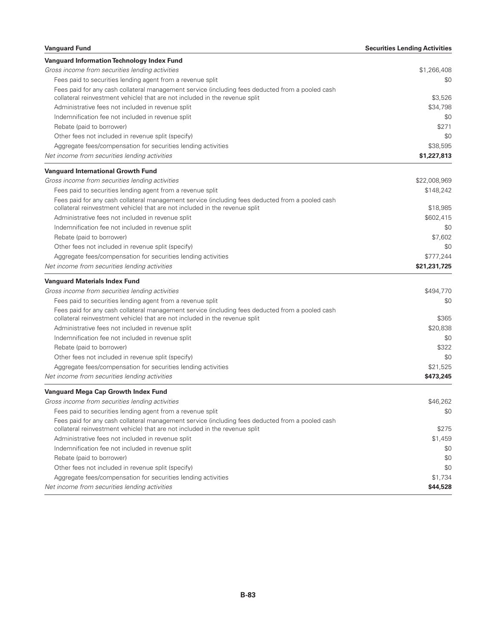| <b>Vanguard Fund</b>                                                                             | <b>Securities Lending Activities</b> |
|--------------------------------------------------------------------------------------------------|--------------------------------------|
| Vanguard Information Technology Index Fund                                                       |                                      |
| Gross income from securities lending activities                                                  | \$1,266,408                          |
| Fees paid to securities lending agent from a revenue split                                       | \$0                                  |
| Fees paid for any cash collateral management service (including fees deducted from a pooled cash |                                      |
| collateral reinvestment vehicle) that are not included in the revenue split                      | \$3,526                              |
| Administrative fees not included in revenue split                                                | \$34,798                             |
| Indemnification fee not included in revenue split                                                | \$0                                  |
| Rebate (paid to borrower)                                                                        | \$271                                |
| Other fees not included in revenue split (specify)                                               | \$0                                  |
| Aggregate fees/compensation for securities lending activities                                    | \$38,595                             |
| Net income from securities lending activities                                                    | \$1,227,813                          |
| <b>Vanguard International Growth Fund</b>                                                        |                                      |
| Gross income from securities lending activities                                                  | \$22,008,969                         |
| Fees paid to securities lending agent from a revenue split                                       | \$148,242                            |
| Fees paid for any cash collateral management service (including fees deducted from a pooled cash |                                      |
| collateral reinvestment vehicle) that are not included in the revenue split                      | \$18,985                             |
| Administrative fees not included in revenue split                                                | \$602,415                            |
| Indemnification fee not included in revenue split                                                | \$0                                  |
| Rebate (paid to borrower)                                                                        | \$7,602                              |
| Other fees not included in revenue split (specify)                                               | \$0                                  |
| Aggregate fees/compensation for securities lending activities                                    | \$777,244                            |
| Net income from securities lending activities                                                    | \$21,231,725                         |
| <b>Vanguard Materials Index Fund</b>                                                             |                                      |
| Gross income from securities lending activities                                                  | \$494,770                            |
| Fees paid to securities lending agent from a revenue split                                       | \$0                                  |
| Fees paid for any cash collateral management service (including fees deducted from a pooled cash |                                      |
| collateral reinvestment vehicle) that are not included in the revenue split                      | \$365                                |
| Administrative fees not included in revenue split                                                | \$20,838                             |
| Indemnification fee not included in revenue split                                                | \$0                                  |
| Rebate (paid to borrower)                                                                        | \$322                                |
| Other fees not included in revenue split (specify)                                               | \$0                                  |
| Aggregate fees/compensation for securities lending activities                                    | \$21,525                             |
| Net income from securities lending activities                                                    | \$473,245                            |
| Vanguard Mega Cap Growth Index Fund                                                              |                                      |
| Gross income from securities lending activities                                                  | \$46,262                             |
| Fees paid to securities lending agent from a revenue split                                       | \$0                                  |
| Fees paid for any cash collateral management service (including fees deducted from a pooled cash |                                      |
| collateral reinvestment vehicle) that are not included in the revenue split                      | \$275                                |
| Administrative fees not included in revenue split                                                | \$1,459                              |
| Indemnification fee not included in revenue split                                                | \$0                                  |
| Rebate (paid to borrower)                                                                        | \$0                                  |
| Other fees not included in revenue split (specify)                                               | \$0                                  |
| Aggregate fees/compensation for securities lending activities                                    | \$1,734                              |
| Net income from securities lending activities                                                    | \$44,528                             |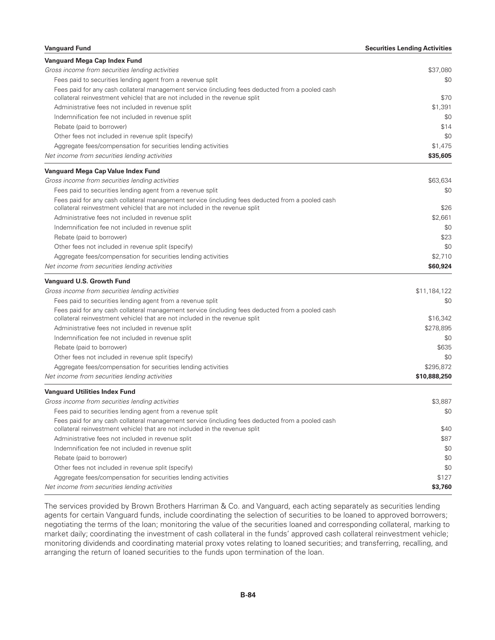| <b>Vanguard Fund</b>                                                                             | <b>Securities Lending Activities</b> |
|--------------------------------------------------------------------------------------------------|--------------------------------------|
| Vanguard Mega Cap Index Fund                                                                     |                                      |
| Gross income from securities lending activities                                                  | \$37,080                             |
| Fees paid to securities lending agent from a revenue split                                       | \$0                                  |
| Fees paid for any cash collateral management service (including fees deducted from a pooled cash |                                      |
| collateral reinvestment vehicle) that are not included in the revenue split                      | \$70                                 |
| Administrative fees not included in revenue split                                                | \$1,391                              |
| Indemnification fee not included in revenue split                                                | \$0                                  |
| Rebate (paid to borrower)                                                                        | \$14                                 |
| Other fees not included in revenue split (specify)                                               | \$0                                  |
| Aggregate fees/compensation for securities lending activities                                    | \$1,475                              |
| Net income from securities lending activities                                                    | \$35,605                             |
| Vanguard Mega Cap Value Index Fund                                                               |                                      |
| Gross income from securities lending activities                                                  | \$63,634                             |
| Fees paid to securities lending agent from a revenue split                                       | \$0                                  |
| Fees paid for any cash collateral management service (including fees deducted from a pooled cash |                                      |
| collateral reinvestment vehicle) that are not included in the revenue split                      | \$26                                 |
| Administrative fees not included in revenue split                                                | \$2,661                              |
| Indemnification fee not included in revenue split                                                | \$0                                  |
| Rebate (paid to borrower)                                                                        | \$23                                 |
| Other fees not included in revenue split (specify)                                               | \$0                                  |
| Aggregate fees/compensation for securities lending activities                                    | \$2,710                              |
| Net income from securities lending activities                                                    | \$60,924                             |
| Vanguard U.S. Growth Fund                                                                        |                                      |
| Gross income from securities lending activities                                                  | \$11,184,122                         |
| Fees paid to securities lending agent from a revenue split                                       | \$0                                  |
| Fees paid for any cash collateral management service (including fees deducted from a pooled cash |                                      |
| collateral reinvestment vehicle) that are not included in the revenue split                      | \$16,342                             |
| Administrative fees not included in revenue split                                                | \$278,895                            |
| Indemnification fee not included in revenue split                                                | \$0                                  |
| Rebate (paid to borrower)                                                                        | \$635                                |
| Other fees not included in revenue split (specify)                                               | \$0                                  |
| Aggregate fees/compensation for securities lending activities                                    | \$295,872                            |
| Net income from securities lending activities                                                    | \$10,888,250                         |
| <b>Vanguard Utilities Index Fund</b>                                                             |                                      |
| Gross income from securities lending activities                                                  | \$3,887                              |
| Fees paid to securities lending agent from a revenue split                                       | \$0                                  |
| Fees paid for any cash collateral management service (including fees deducted from a pooled cash |                                      |
| collateral reinvestment vehicle) that are not included in the revenue split                      | \$40                                 |
| Administrative fees not included in revenue split                                                | \$87                                 |
| Indemnification fee not included in revenue split                                                | \$0                                  |
| Rebate (paid to borrower)                                                                        | \$0                                  |
| Other fees not included in revenue split (specify)                                               | \$0                                  |
| Aggregate fees/compensation for securities lending activities                                    | \$127                                |
| Net income from securities lending activities                                                    | \$3,760                              |

The services provided by Brown Brothers Harriman & Co. and Vanguard, each acting separately as securities lending agents for certain Vanguard funds, include coordinating the selection of securities to be loaned to approved borrowers; negotiating the terms of the loan; monitoring the value of the securities loaned and corresponding collateral, marking to market daily; coordinating the investment of cash collateral in the funds' approved cash collateral reinvestment vehicle; monitoring dividends and coordinating material proxy votes relating to loaned securities; and transferring, recalling, and arranging the return of loaned securities to the funds upon termination of the loan.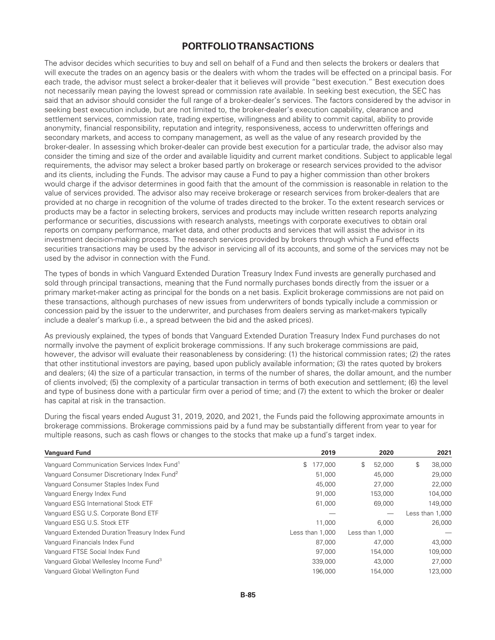# **PORTFOLIO TRANSACTIONS**

The advisor decides which securities to buy and sell on behalf of a Fund and then selects the brokers or dealers that will execute the trades on an agency basis or the dealers with whom the trades will be effected on a principal basis. For each trade, the advisor must select a broker-dealer that it believes will provide "best execution." Best execution does not necessarily mean paying the lowest spread or commission rate available. In seeking best execution, the SEC has said that an advisor should consider the full range of a broker-dealer's services. The factors considered by the advisor in seeking best execution include, but are not limited to, the broker-dealer's execution capability, clearance and settlement services, commission rate, trading expertise, willingness and ability to commit capital, ability to provide anonymity, financial responsibility, reputation and integrity, responsiveness, access to underwritten offerings and secondary markets, and access to company management, as well as the value of any research provided by the broker-dealer. In assessing which broker-dealer can provide best execution for a particular trade, the advisor also may consider the timing and size of the order and available liquidity and current market conditions. Subject to applicable legal requirements, the advisor may select a broker based partly on brokerage or research services provided to the advisor and its clients, including the Funds. The advisor may cause a Fund to pay a higher commission than other brokers would charge if the advisor determines in good faith that the amount of the commission is reasonable in relation to the value of services provided. The advisor also may receive brokerage or research services from broker-dealers that are provided at no charge in recognition of the volume of trades directed to the broker. To the extent research services or products may be a factor in selecting brokers, services and products may include written research reports analyzing performance or securities, discussions with research analysts, meetings with corporate executives to obtain oral reports on company performance, market data, and other products and services that will assist the advisor in its investment decision-making process. The research services provided by brokers through which a Fund effects securities transactions may be used by the advisor in servicing all of its accounts, and some of the services may not be used by the advisor in connection with the Fund.

The types of bonds in which Vanguard Extended Duration Treasury Index Fund invests are generally purchased and sold through principal transactions, meaning that the Fund normally purchases bonds directly from the issuer or a primary market-maker acting as principal for the bonds on a net basis. Explicit brokerage commissions are not paid on these transactions, although purchases of new issues from underwriters of bonds typically include a commission or concession paid by the issuer to the underwriter, and purchases from dealers serving as market-makers typically include a dealer's markup (i.e., a spread between the bid and the asked prices).

As previously explained, the types of bonds that Vanguard Extended Duration Treasury Index Fund purchases do not normally involve the payment of explicit brokerage commissions. If any such brokerage commissions are paid, however, the advisor will evaluate their reasonableness by considering: (1) the historical commission rates; (2) the rates that other institutional investors are paying, based upon publicly available information; (3) the rates quoted by brokers and dealers; (4) the size of a particular transaction, in terms of the number of shares, the dollar amount, and the number of clients involved; (5) the complexity of a particular transaction in terms of both execution and settlement; (6) the level and type of business done with a particular firm over a period of time; and (7) the extent to which the broker or dealer has capital at risk in the transaction.

During the fiscal years ended August 31, 2019, 2020, and 2021, the Funds paid the following approximate amounts in brokerage commissions. Brokerage commissions paid by a fund may be substantially different from year to year for multiple reasons, such as cash flows or changes to the stocks that make up a fund's target index.

| <b>Vanguard Fund</b>                                    | 2019            | 2020            | 2021            |
|---------------------------------------------------------|-----------------|-----------------|-----------------|
| Vanguard Communication Services Index Fund <sup>1</sup> | 177,000<br>\$   | \$<br>52,000    | \$<br>38,000    |
| Vanguard Consumer Discretionary Index Fund <sup>2</sup> | 51,000          | 45,000          | 29,000          |
| Vanguard Consumer Staples Index Fund                    | 45,000          | 27,000          | 22,000          |
| Vanguard Energy Index Fund                              | 91,000          | 153,000         | 104,000         |
| Vanguard ESG International Stock ETF                    | 61,000          | 69,000          | 149,000         |
| Vanguard ESG U.S. Corporate Bond ETF                    |                 |                 | Less than 1,000 |
| Vanguard ESG U.S. Stock ETF                             | 11,000          | 6.000           | 26,000          |
| Vanguard Extended Duration Treasury Index Fund          | Less than 1.000 | Less than 1.000 |                 |
| Vanguard Financials Index Fund                          | 87,000          | 47,000          | 43,000          |
| Vanguard FTSE Social Index Fund                         | 97,000          | 154,000         | 109,000         |
| Vanguard Global Wellesley Income Fund <sup>3</sup>      | 339,000         | 43,000          | 27,000          |
| Vanguard Global Wellington Fund                         | 196,000         | 154,000         | 123,000         |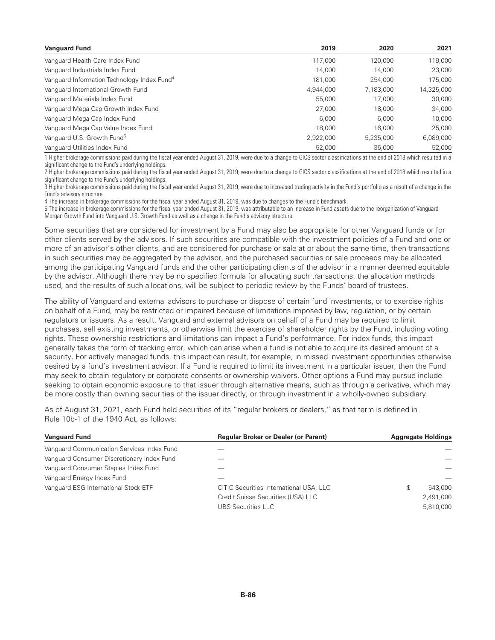| <b>Vanguard Fund</b>                                    | 2019      | 2020      | 2021       |
|---------------------------------------------------------|-----------|-----------|------------|
| Vanguard Health Care Index Fund                         | 117,000   | 120,000   | 119,000    |
| Vanguard Industrials Index Fund                         | 14.000    | 14.000    | 23,000     |
| Vanguard Information Technology Index Fund <sup>4</sup> | 181.000   | 254,000   | 175,000    |
| Vanguard International Growth Fund                      | 4,944,000 | 7,183,000 | 14,325,000 |
| Vanguard Materials Index Fund                           | 55,000    | 17.000    | 30,000     |
| Vanguard Mega Cap Growth Index Fund                     | 27,000    | 18,000    | 34,000     |
| Vanguard Mega Cap Index Fund                            | 6.000     | 6.000     | 10,000     |
| Vanguard Mega Cap Value Index Fund                      | 18,000    | 16,000    | 25,000     |
| Vanguard U.S. Growth Fund <sup>5</sup>                  | 2,922,000 | 5.235.000 | 6,089,000  |
| Vanguard Utilities Index Fund                           | 52,000    | 36,000    | 52,000     |

1 Higher brokerage commissions paid during the fiscal year ended August 31, 2019, were due to a change to GICS sector classifications at the end of 2018 which resulted in a significant change to the Fund's underlying holdings.

2 Higher brokerage commissions paid during the fiscal year ended August 31, 2019, were due to a change to GICS sector classifications at the end of 2018 which resulted in a significant change to the Fund's underlying holdings.

3 Higher brokerage commissions paid during the fiscal year ended August 31, 2019, were due to increased trading activity in the Fund's portfolio as a result of a change in the Fund's advisory structure.

4 The increase in brokerage commissions for the fiscal year ended August 31, 2019, was due to changes to the Fund's benchmark.

5 The increase in brokerage commissions for the fiscal year ended August 31, 2019, was attributable to an increase in Fund assets due to the reorganization of Vanguard Morgan Growth Fund into Vanguard U.S. Growth Fund as well as a change in the Fund's advisory structure.

Some securities that are considered for investment by a Fund may also be appropriate for other Vanguard funds or for other clients served by the advisors. If such securities are compatible with the investment policies of a Fund and one or more of an advisor's other clients, and are considered for purchase or sale at or about the same time, then transactions in such securities may be aggregated by the advisor, and the purchased securities or sale proceeds may be allocated among the participating Vanguard funds and the other participating clients of the advisor in a manner deemed equitable by the advisor. Although there may be no specified formula for allocating such transactions, the allocation methods used, and the results of such allocations, will be subject to periodic review by the Funds' board of trustees.

The ability of Vanguard and external advisors to purchase or dispose of certain fund investments, or to exercise rights on behalf of a Fund, may be restricted or impaired because of limitations imposed by law, regulation, or by certain regulators or issuers. As a result, Vanguard and external advisors on behalf of a Fund may be required to limit purchases, sell existing investments, or otherwise limit the exercise of shareholder rights by the Fund, including voting rights. These ownership restrictions and limitations can impact a Fund's performance. For index funds, this impact generally takes the form of tracking error, which can arise when a fund is not able to acquire its desired amount of a security. For actively managed funds, this impact can result, for example, in missed investment opportunities otherwise desired by a fund's investment advisor. If a Fund is required to limit its investment in a particular issuer, then the Fund may seek to obtain regulatory or corporate consents or ownership waivers. Other options a Fund may pursue include seeking to obtain economic exposure to that issuer through alternative means, such as through a derivative, which may be more costly than owning securities of the issuer directly, or through investment in a wholly-owned subsidiary.

As of August 31, 2021, each Fund held securities of its "regular brokers or dealers," as that term is defined in Rule 10b-1 of the 1940 Act, as follows:

| <b>Vanguard Fund</b>                       | <b>Regular Broker or Dealer (or Parent)</b> | <b>Aggregate Holdings</b> |
|--------------------------------------------|---------------------------------------------|---------------------------|
| Vanguard Communication Services Index Fund |                                             |                           |
| Vanguard Consumer Discretionary Index Fund |                                             |                           |
| Vanguard Consumer Staples Index Fund       |                                             |                           |
| Vanguard Energy Index Fund                 |                                             |                           |
| Vanguard ESG International Stock ETF       | CITIC Securities International USA, LLC     | 543,000<br>S              |
|                                            | Credit Suisse Securities (USA) LLC          | 2,491,000                 |
|                                            | <b>UBS Securities LLC</b>                   | 5,810,000                 |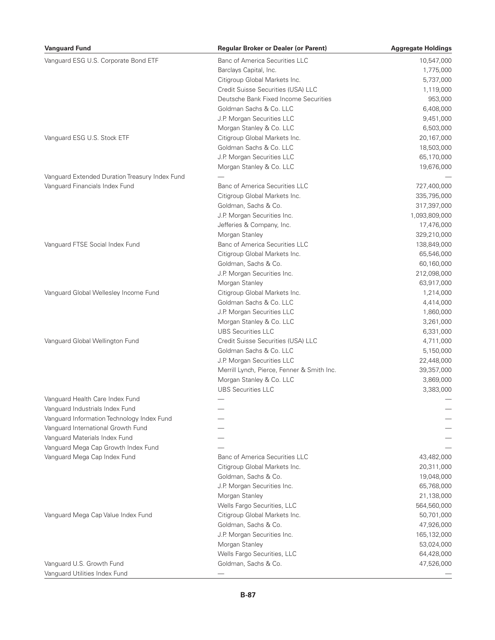| <b>Vanguard Fund</b>                           | <b>Regular Broker or Dealer (or Parent)</b> | <b>Aggregate Holdings</b> |
|------------------------------------------------|---------------------------------------------|---------------------------|
| Vanguard ESG U.S. Corporate Bond ETF           | <b>Banc of America Securities LLC</b>       | 10,547,000                |
|                                                | Barclays Capital, Inc.                      | 1,775,000                 |
|                                                | Citigroup Global Markets Inc.               | 5,737,000                 |
|                                                | Credit Suisse Securities (USA) LLC          | 1,119,000                 |
|                                                | Deutsche Bank Fixed Income Securities       | 953,000                   |
|                                                | Goldman Sachs & Co. LLC                     | 6,408,000                 |
|                                                | J.P. Morgan Securities LLC                  | 9,451,000                 |
|                                                | Morgan Stanley & Co. LLC                    | 6,503,000                 |
| Vanguard ESG U.S. Stock ETF                    | Citigroup Global Markets Inc.               | 20,167,000                |
|                                                | Goldman Sachs & Co. LLC                     | 18,503,000                |
|                                                | J.P. Morgan Securities LLC                  | 65,170,000                |
|                                                | Morgan Stanley & Co. LLC                    | 19,676,000                |
| Vanguard Extended Duration Treasury Index Fund |                                             |                           |
| Vanguard Financials Index Fund                 | <b>Banc of America Securities LLC</b>       | 727,400,000               |
|                                                | Citigroup Global Markets Inc.               | 335,795,000               |
|                                                | Goldman, Sachs & Co.                        | 317,397,000               |
|                                                | J.P. Morgan Securities Inc.                 | 1,093,809,000             |
|                                                | Jefferies & Company, Inc.                   | 17,476,000                |
|                                                | Morgan Stanley                              |                           |
|                                                | <b>Banc of America Securities LLC</b>       | 329,210,000               |
| Vanguard FTSE Social Index Fund                |                                             | 138,849,000               |
|                                                | Citigroup Global Markets Inc.               | 65,546,000                |
|                                                | Goldman, Sachs & Co.                        | 60,160,000                |
|                                                | J.P. Morgan Securities Inc.                 | 212,098,000               |
|                                                | Morgan Stanley                              | 63,917,000                |
| Vanguard Global Wellesley Income Fund          | Citigroup Global Markets Inc.               | 1,214,000                 |
|                                                | Goldman Sachs & Co. LLC                     | 4,414,000                 |
|                                                | J.P. Morgan Securities LLC                  | 1,860,000                 |
|                                                | Morgan Stanley & Co. LLC                    | 3,261,000                 |
|                                                | <b>UBS Securities LLC</b>                   | 6,331,000                 |
| Vanguard Global Wellington Fund                | Credit Suisse Securities (USA) LLC          | 4,711,000                 |
|                                                | Goldman Sachs & Co. LLC                     | 5,150,000                 |
|                                                | J.P. Morgan Securities LLC                  | 22,448,000                |
|                                                | Merrill Lynch, Pierce, Fenner & Smith Inc.  | 39,357,000                |
|                                                | Morgan Stanley & Co. LLC                    | 3,869,000                 |
|                                                | <b>UBS Securities LLC</b>                   | 3,383,000                 |
| Vanguard Health Care Index Fund                |                                             |                           |
| Vanguard Industrials Index Fund                |                                             |                           |
| Vanguard Information Technology Index Fund     |                                             |                           |
| Vanguard International Growth Fund             |                                             |                           |
| Vanguard Materials Index Fund                  |                                             |                           |
| Vanguard Mega Cap Growth Index Fund            |                                             |                           |
| Vanguard Mega Cap Index Fund                   | <b>Banc of America Securities LLC</b>       | 43,482,000                |
|                                                | Citigroup Global Markets Inc.               | 20,311,000                |
|                                                | Goldman, Sachs & Co.                        | 19,048,000                |
|                                                | J.P. Morgan Securities Inc.                 | 65,768,000                |
|                                                | Morgan Stanley                              | 21,138,000                |
|                                                | Wells Fargo Securities, LLC                 | 564,560,000               |
| Vanguard Mega Cap Value Index Fund             | Citigroup Global Markets Inc.               | 50,701,000                |
|                                                | Goldman, Sachs & Co.                        | 47,926,000                |
|                                                | J.P. Morgan Securities Inc.                 | 165,132,000               |
|                                                | Morgan Stanley                              | 53,024,000                |
|                                                | Wells Fargo Securities, LLC                 | 64,428,000                |
| Vanguard U.S. Growth Fund                      | Goldman, Sachs & Co.                        | 47,526,000                |
| Vanguard Utilities Index Fund                  |                                             |                           |
|                                                |                                             |                           |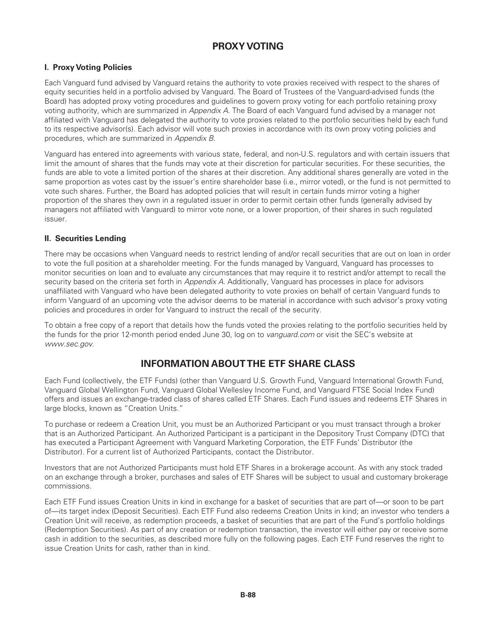# **PROXY VOTING**

# **I. Proxy Voting Policies**

Each Vanguard fund advised by Vanguard retains the authority to vote proxies received with respect to the shares of equity securities held in a portfolio advised by Vanguard. The Board of Trustees of the Vanguard-advised funds (the Board) has adopted proxy voting procedures and guidelines to govern proxy voting for each portfolio retaining proxy voting authority, which are summarized in *Appendix A*. The Board of each Vanguard fund advised by a manager not affiliated with Vanguard has delegated the authority to vote proxies related to the portfolio securities held by each fund to its respective advisor(s). Each advisor will vote such proxies in accordance with its own proxy voting policies and procedures, which are summarized in *Appendix B*.

Vanguard has entered into agreements with various state, federal, and non-U.S. regulators and with certain issuers that limit the amount of shares that the funds may vote at their discretion for particular securities. For these securities, the funds are able to vote a limited portion of the shares at their discretion. Any additional shares generally are voted in the same proportion as votes cast by the issuer's entire shareholder base (i.e., mirror voted), or the fund is not permitted to vote such shares. Further, the Board has adopted policies that will result in certain funds mirror voting a higher proportion of the shares they own in a regulated issuer in order to permit certain other funds (generally advised by managers not affiliated with Vanguard) to mirror vote none, or a lower proportion, of their shares in such regulated issuer.

# **II. Securities Lending**

There may be occasions when Vanguard needs to restrict lending of and/or recall securities that are out on loan in order to vote the full position at a shareholder meeting. For the funds managed by Vanguard, Vanguard has processes to monitor securities on loan and to evaluate any circumstances that may require it to restrict and/or attempt to recall the security based on the criteria set forth in *Appendix A*. Additionally, Vanguard has processes in place for advisors unaffiliated with Vanguard who have been delegated authority to vote proxies on behalf of certain Vanguard funds to inform Vanguard of an upcoming vote the advisor deems to be material in accordance with such advisor's proxy voting policies and procedures in order for Vanguard to instruct the recall of the security.

To obtain a free copy of a report that details how the funds voted the proxies relating to the portfolio securities held by the funds for the prior 12-month period ended June 30, log on to *vanguard.com* or visit the SEC's website at *www.sec.gov*.

# **INFORMATION ABOUT THE ETF SHARE CLASS**

Each Fund (collectively, the ETF Funds) (other than Vanguard U.S. Growth Fund, Vanguard International Growth Fund, Vanguard Global Wellington Fund, Vanguard Global Wellesley Income Fund, and Vanguard FTSE Social Index Fund) offers and issues an exchange-traded class of shares called ETF Shares. Each Fund issues and redeems ETF Shares in large blocks, known as "Creation Units."

To purchase or redeem a Creation Unit, you must be an Authorized Participant or you must transact through a broker that is an Authorized Participant. An Authorized Participant is a participant in the Depository Trust Company (DTC) that has executed a Participant Agreement with Vanguard Marketing Corporation, the ETF Funds' Distributor (the Distributor). For a current list of Authorized Participants, contact the Distributor.

Investors that are not Authorized Participants must hold ETF Shares in a brokerage account. As with any stock traded on an exchange through a broker, purchases and sales of ETF Shares will be subject to usual and customary brokerage commissions.

Each ETF Fund issues Creation Units in kind in exchange for a basket of securities that are part of—or soon to be part of—its target index (Deposit Securities). Each ETF Fund also redeems Creation Units in kind; an investor who tenders a Creation Unit will receive, as redemption proceeds, a basket of securities that are part of the Fund's portfolio holdings (Redemption Securities). As part of any creation or redemption transaction, the investor will either pay or receive some cash in addition to the securities, as described more fully on the following pages. Each ETF Fund reserves the right to issue Creation Units for cash, rather than in kind.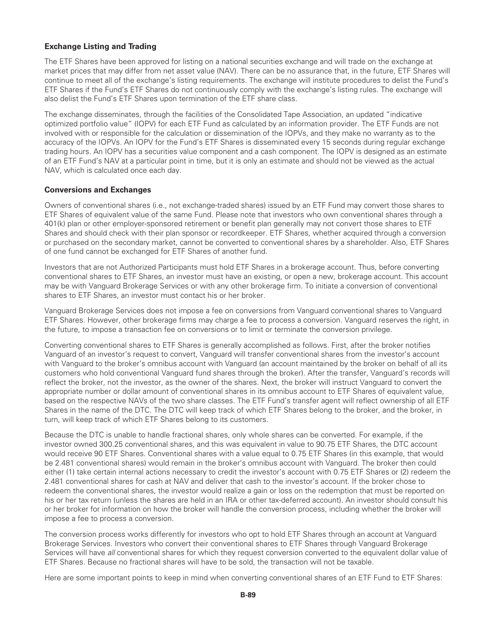# **Exchange Listing and Trading**

The ETF Shares have been approved for listing on a national securities exchange and will trade on the exchange at market prices that may differ from net asset value (NAV). There can be no assurance that, in the future, ETF Shares will continue to meet all of the exchange's listing requirements. The exchange will institute procedures to delist the Fund's ETF Shares if the Fund's ETF Shares do not continuously comply with the exchange's listing rules. The exchange will also delist the Fund's ETF Shares upon termination of the ETF share class.

The exchange disseminates, through the facilities of the Consolidated Tape Association, an updated "indicative optimized portfolio value" (IOPV) for each ETF Fund as calculated by an information provider. The ETF Funds are not involved with or responsible for the calculation or dissemination of the IOPVs, and they make no warranty as to the accuracy of the IOPVs. An IOPV for the Fund's ETF Shares is disseminated every 15 seconds during regular exchange trading hours. An IOPV has a securities value component and a cash component. The IOPV is designed as an estimate of an ETF Fund's NAV at a particular point in time, but it is only an estimate and should not be viewed as the actual NAV, which is calculated once each day.

#### **Conversions and Exchanges**

Owners of conventional shares (i.e., not exchange-traded shares) issued by an ETF Fund may convert those shares to ETF Shares of equivalent value of the same Fund. Please note that investors who own conventional shares through a 401(k) plan or other employer-sponsored retirement or benefit plan generally may not convert those shares to ETF Shares and should check with their plan sponsor or recordkeeper. ETF Shares, whether acquired through a conversion or purchased on the secondary market, cannot be converted to conventional shares by a shareholder. Also, ETF Shares of one fund cannot be exchanged for ETF Shares of another fund.

Investors that are not Authorized Participants must hold ETF Shares in a brokerage account. Thus, before converting conventional shares to ETF Shares, an investor must have an existing, or open a new, brokerage account. This account may be with Vanguard Brokerage Services or with any other brokerage firm. To initiate a conversion of conventional shares to ETF Shares, an investor must contact his or her broker.

Vanguard Brokerage Services does not impose a fee on conversions from Vanguard conventional shares to Vanguard ETF Shares. However, other brokerage firms may charge a fee to process a conversion. Vanguard reserves the right, in the future, to impose a transaction fee on conversions or to limit or terminate the conversion privilege.

Converting conventional shares to ETF Shares is generally accomplished as follows. First, after the broker notifies Vanguard of an investor's request to convert, Vanguard will transfer conventional shares from the investor's account with Vanguard to the broker's omnibus account with Vanguard (an account maintained by the broker on behalf of all its customers who hold conventional Vanguard fund shares through the broker). After the transfer, Vanguard's records will reflect the broker, not the investor, as the owner of the shares. Next, the broker will instruct Vanguard to convert the appropriate number or dollar amount of conventional shares in its omnibus account to ETF Shares of equivalent value, based on the respective NAVs of the two share classes. The ETF Fund's transfer agent will reflect ownership of all ETF Shares in the name of the DTC. The DTC will keep track of which ETF Shares belong to the broker, and the broker, in turn, will keep track of which ETF Shares belong to its customers.

Because the DTC is unable to handle fractional shares, only whole shares can be converted. For example, if the investor owned 300.25 conventional shares, and this was equivalent in value to 90.75 ETF Shares, the DTC account would receive 90 ETF Shares. Conventional shares with a value equal to 0.75 ETF Shares (in this example, that would be 2.481 conventional shares) would remain in the broker's omnibus account with Vanguard. The broker then could either (1) take certain internal actions necessary to credit the investor's account with 0.75 ETF Shares or (2) redeem the 2.481 conventional shares for cash at NAV and deliver that cash to the investor's account. If the broker chose to redeem the conventional shares, the investor would realize a gain or loss on the redemption that must be reported on his or her tax return (unless the shares are held in an IRA or other tax-deferred account). An investor should consult his or her broker for information on how the broker will handle the conversion process, including whether the broker will impose a fee to process a conversion.

The conversion process works differently for investors who opt to hold ETF Shares through an account at Vanguard Brokerage Services. Investors who convert their conventional shares to ETF Shares through Vanguard Brokerage Services will have *all* conventional shares for which they request conversion converted to the equivalent dollar value of ETF Shares. Because no fractional shares will have to be sold, the transaction will not be taxable.

Here are some important points to keep in mind when converting conventional shares of an ETF Fund to ETF Shares: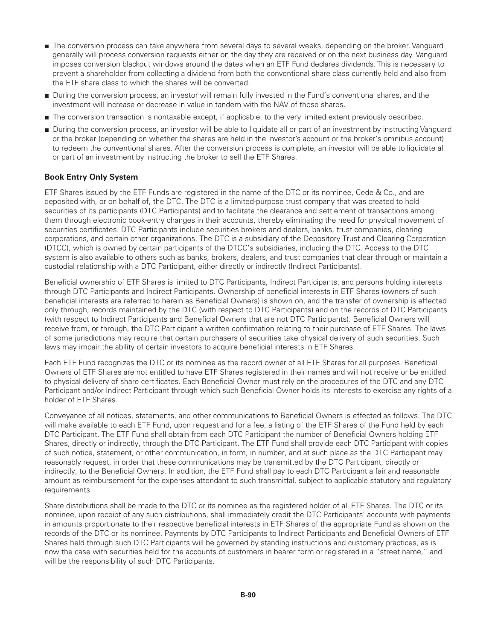- The conversion process can take anywhere from several days to several weeks, depending on the broker. Vanguard generally will process conversion requests either on the day they are received or on the next business day. Vanguard imposes conversion blackout windows around the dates when an ETF Fund declares dividends. This is necessary to prevent a shareholder from collecting a dividend from both the conventional share class currently held and also from the ETF share class to which the shares will be converted.
- During the conversion process, an investor will remain fully invested in the Fund's conventional shares, and the investment will increase or decrease in value in tandem with the NAV of those shares.
- The conversion transaction is nontaxable except, if applicable, to the very limited extent previously described.
- During the conversion process, an investor will be able to liquidate all or part of an investment by instructing Vanguard or the broker (depending on whether the shares are held in the investor's account or the broker's omnibus account) to redeem the conventional shares. After the conversion process is complete, an investor will be able to liquidate all or part of an investment by instructing the broker to sell the ETF Shares.

# **Book Entry Only System**

ETF Shares issued by the ETF Funds are registered in the name of the DTC or its nominee, Cede & Co., and are deposited with, or on behalf of, the DTC. The DTC is a limited-purpose trust company that was created to hold securities of its participants (DTC Participants) and to facilitate the clearance and settlement of transactions among them through electronic book-entry changes in their accounts, thereby eliminating the need for physical movement of securities certificates. DTC Participants include securities brokers and dealers, banks, trust companies, clearing corporations, and certain other organizations. The DTC is a subsidiary of the Depository Trust and Clearing Corporation (DTCC), which is owned by certain participants of the DTCC's subsidiaries, including the DTC. Access to the DTC system is also available to others such as banks, brokers, dealers, and trust companies that clear through or maintain a custodial relationship with a DTC Participant, either directly or indirectly (Indirect Participants).

Beneficial ownership of ETF Shares is limited to DTC Participants, Indirect Participants, and persons holding interests through DTC Participants and Indirect Participants. Ownership of beneficial interests in ETF Shares (owners of such beneficial interests are referred to herein as Beneficial Owners) is shown on, and the transfer of ownership is effected only through, records maintained by the DTC (with respect to DTC Participants) and on the records of DTC Participants (with respect to Indirect Participants and Beneficial Owners that are not DTC Participants). Beneficial Owners will receive from, or through, the DTC Participant a written confirmation relating to their purchase of ETF Shares. The laws of some jurisdictions may require that certain purchasers of securities take physical delivery of such securities. Such laws may impair the ability of certain investors to acquire beneficial interests in ETF Shares.

Each ETF Fund recognizes the DTC or its nominee as the record owner of all ETF Shares for all purposes. Beneficial Owners of ETF Shares are not entitled to have ETF Shares registered in their names and will not receive or be entitled to physical delivery of share certificates. Each Beneficial Owner must rely on the procedures of the DTC and any DTC Participant and/or Indirect Participant through which such Beneficial Owner holds its interests to exercise any rights of a holder of ETF Shares.

Conveyance of all notices, statements, and other communications to Beneficial Owners is effected as follows. The DTC will make available to each ETF Fund, upon request and for a fee, a listing of the ETF Shares of the Fund held by each DTC Participant. The ETF Fund shall obtain from each DTC Participant the number of Beneficial Owners holding ETF Shares, directly or indirectly, through the DTC Participant. The ETF Fund shall provide each DTC Participant with copies of such notice, statement, or other communication, in form, in number, and at such place as the DTC Participant may reasonably request, in order that these communications may be transmitted by the DTC Participant, directly or indirectly, to the Beneficial Owners. In addition, the ETF Fund shall pay to each DTC Participant a fair and reasonable amount as reimbursement for the expenses attendant to such transmittal, subject to applicable statutory and regulatory requirements.

Share distributions shall be made to the DTC or its nominee as the registered holder of all ETF Shares. The DTC or its nominee, upon receipt of any such distributions, shall immediately credit the DTC Participants' accounts with payments in amounts proportionate to their respective beneficial interests in ETF Shares of the appropriate Fund as shown on the records of the DTC or its nominee. Payments by DTC Participants to Indirect Participants and Beneficial Owners of ETF Shares held through such DTC Participants will be governed by standing instructions and customary practices, as is now the case with securities held for the accounts of customers in bearer form or registered in a "street name," and will be the responsibility of such DTC Participants.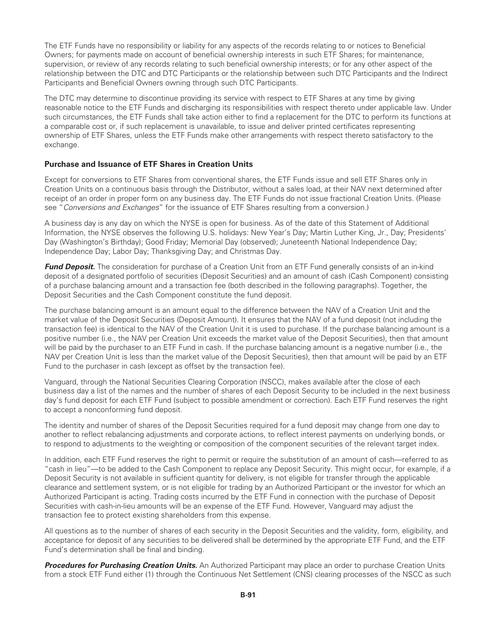The ETF Funds have no responsibility or liability for any aspects of the records relating to or notices to Beneficial Owners; for payments made on account of beneficial ownership interests in such ETF Shares; for maintenance, supervision, or review of any records relating to such beneficial ownership interests; or for any other aspect of the relationship between the DTC and DTC Participants or the relationship between such DTC Participants and the Indirect Participants and Beneficial Owners owning through such DTC Participants.

The DTC may determine to discontinue providing its service with respect to ETF Shares at any time by giving reasonable notice to the ETF Funds and discharging its responsibilities with respect thereto under applicable law. Under such circumstances, the ETF Funds shall take action either to find a replacement for the DTC to perform its functions at a comparable cost or, if such replacement is unavailable, to issue and deliver printed certificates representing ownership of ETF Shares, unless the ETF Funds make other arrangements with respect thereto satisfactory to the exchange.

# **Purchase and Issuance of ETF Shares in Creation Units**

Except for conversions to ETF Shares from conventional shares, the ETF Funds issue and sell ETF Shares only in Creation Units on a continuous basis through the Distributor, without a sales load, at their NAV next determined after receipt of an order in proper form on any business day. The ETF Funds do not issue fractional Creation Units. (Please see "*Conversions and Exchanges*" for the issuance of ETF Shares resulting from a conversion.)

A business day is any day on which the NYSE is open for business. As of the date of this Statement of Additional Information, the NYSE observes the following U.S. holidays: New Year's Day; Martin Luther King, Jr., Day; Presidents' Day (Washington's Birthday); Good Friday; Memorial Day (observed); Juneteenth National Independence Day; Independence Day; Labor Day; Thanksgiving Day; and Christmas Day.

*Fund Deposit.* The consideration for purchase of a Creation Unit from an ETF Fund generally consists of an in-kind deposit of a designated portfolio of securities (Deposit Securities) and an amount of cash (Cash Component) consisting of a purchase balancing amount and a transaction fee (both described in the following paragraphs). Together, the Deposit Securities and the Cash Component constitute the fund deposit.

The purchase balancing amount is an amount equal to the difference between the NAV of a Creation Unit and the market value of the Deposit Securities (Deposit Amount). It ensures that the NAV of a fund deposit (not including the transaction fee) is identical to the NAV of the Creation Unit it is used to purchase. If the purchase balancing amount is a positive number (i.e., the NAV per Creation Unit exceeds the market value of the Deposit Securities), then that amount will be paid by the purchaser to an ETF Fund in cash. If the purchase balancing amount is a negative number (i.e., the NAV per Creation Unit is less than the market value of the Deposit Securities), then that amount will be paid by an ETF Fund to the purchaser in cash (except as offset by the transaction fee).

Vanguard, through the National Securities Clearing Corporation (NSCC), makes available after the close of each business day a list of the names and the number of shares of each Deposit Security to be included in the next business day's fund deposit for each ETF Fund (subject to possible amendment or correction). Each ETF Fund reserves the right to accept a nonconforming fund deposit.

The identity and number of shares of the Deposit Securities required for a fund deposit may change from one day to another to reflect rebalancing adjustments and corporate actions, to reflect interest payments on underlying bonds, or to respond to adjustments to the weighting or composition of the component securities of the relevant target index.

In addition, each ETF Fund reserves the right to permit or require the substitution of an amount of cash—referred to as "cash in lieu"—to be added to the Cash Component to replace any Deposit Security. This might occur, for example, if a Deposit Security is not available in sufficient quantity for delivery, is not eligible for transfer through the applicable clearance and settlement system, or is not eligible for trading by an Authorized Participant or the investor for which an Authorized Participant is acting. Trading costs incurred by the ETF Fund in connection with the purchase of Deposit Securities with cash-in-lieu amounts will be an expense of the ETF Fund. However, Vanguard may adjust the transaction fee to protect existing shareholders from this expense.

All questions as to the number of shares of each security in the Deposit Securities and the validity, form, eligibility, and acceptance for deposit of any securities to be delivered shall be determined by the appropriate ETF Fund, and the ETF Fund's determination shall be final and binding.

*Procedures for Purchasing Creation Units.* An Authorized Participant may place an order to purchase Creation Units from a stock ETF Fund either (1) through the Continuous Net Settlement (CNS) clearing processes of the NSCC as such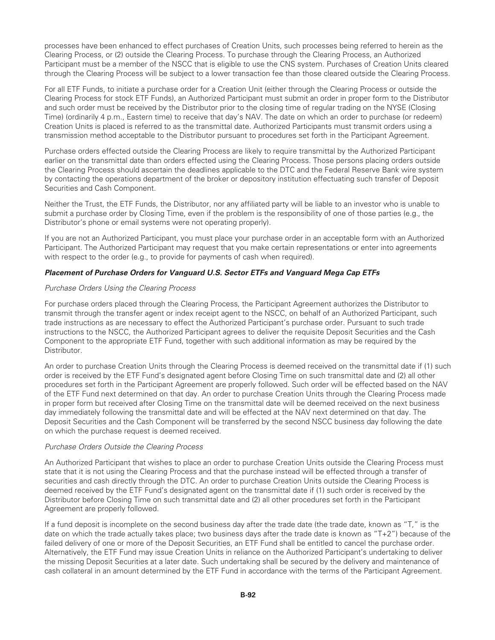processes have been enhanced to effect purchases of Creation Units, such processes being referred to herein as the Clearing Process, or (2) outside the Clearing Process. To purchase through the Clearing Process, an Authorized Participant must be a member of the NSCC that is eligible to use the CNS system. Purchases of Creation Units cleared through the Clearing Process will be subject to a lower transaction fee than those cleared outside the Clearing Process.

For all ETF Funds, to initiate a purchase order for a Creation Unit (either through the Clearing Process or outside the Clearing Process for stock ETF Funds), an Authorized Participant must submit an order in proper form to the Distributor and such order must be received by the Distributor prior to the closing time of regular trading on the NYSE (Closing Time) (ordinarily 4 p.m., Eastern time) to receive that day's NAV. The date on which an order to purchase (or redeem) Creation Units is placed is referred to as the transmittal date. Authorized Participants must transmit orders using a transmission method acceptable to the Distributor pursuant to procedures set forth in the Participant Agreement.

Purchase orders effected outside the Clearing Process are likely to require transmittal by the Authorized Participant earlier on the transmittal date than orders effected using the Clearing Process. Those persons placing orders outside the Clearing Process should ascertain the deadlines applicable to the DTC and the Federal Reserve Bank wire system by contacting the operations department of the broker or depository institution effectuating such transfer of Deposit Securities and Cash Component.

Neither the Trust, the ETF Funds, the Distributor, nor any affiliated party will be liable to an investor who is unable to submit a purchase order by Closing Time, even if the problem is the responsibility of one of those parties (e.g., the Distributor's phone or email systems were not operating properly).

If you are not an Authorized Participant, you must place your purchase order in an acceptable form with an Authorized Participant. The Authorized Participant may request that you make certain representations or enter into agreements with respect to the order (e.g., to provide for payments of cash when required).

# *Placement of Purchase Orders for Vanguard U.S. Sector ETFs and Vanguard Mega Cap ETFs*

#### *Purchase Orders Using the Clearing Process*

For purchase orders placed through the Clearing Process, the Participant Agreement authorizes the Distributor to transmit through the transfer agent or index receipt agent to the NSCC, on behalf of an Authorized Participant, such trade instructions as are necessary to effect the Authorized Participant's purchase order. Pursuant to such trade instructions to the NSCC, the Authorized Participant agrees to deliver the requisite Deposit Securities and the Cash Component to the appropriate ETF Fund, together with such additional information as may be required by the Distributor.

An order to purchase Creation Units through the Clearing Process is deemed received on the transmittal date if (1) such order is received by the ETF Fund's designated agent before Closing Time on such transmittal date and (2) all other procedures set forth in the Participant Agreement are properly followed. Such order will be effected based on the NAV of the ETF Fund next determined on that day. An order to purchase Creation Units through the Clearing Process made in proper form but received after Closing Time on the transmittal date will be deemed received on the next business day immediately following the transmittal date and will be effected at the NAV next determined on that day. The Deposit Securities and the Cash Component will be transferred by the second NSCC business day following the date on which the purchase request is deemed received.

#### *Purchase Orders Outside the Clearing Process*

An Authorized Participant that wishes to place an order to purchase Creation Units outside the Clearing Process must state that it is not using the Clearing Process and that the purchase instead will be effected through a transfer of securities and cash directly through the DTC. An order to purchase Creation Units outside the Clearing Process is deemed received by the ETF Fund's designated agent on the transmittal date if (1) such order is received by the Distributor before Closing Time on such transmittal date and (2) all other procedures set forth in the Participant Agreement are properly followed.

If a fund deposit is incomplete on the second business day after the trade date (the trade date, known as "T," is the date on which the trade actually takes place; two business days after the trade date is known as "T+2") because of the failed delivery of one or more of the Deposit Securities, an ETF Fund shall be entitled to cancel the purchase order. Alternatively, the ETF Fund may issue Creation Units in reliance on the Authorized Participant's undertaking to deliver the missing Deposit Securities at a later date. Such undertaking shall be secured by the delivery and maintenance of cash collateral in an amount determined by the ETF Fund in accordance with the terms of the Participant Agreement.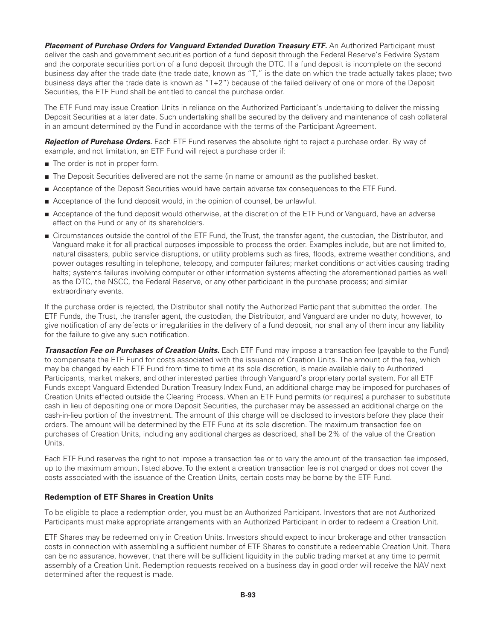**Placement of Purchase Orders for Vanguard Extended Duration Treasury ETF.** An Authorized Participant must deliver the cash and government securities portion of a fund deposit through the Federal Reserve's Fedwire System and the corporate securities portion of a fund deposit through the DTC. If a fund deposit is incomplete on the second business day after the trade date (the trade date, known as "T," is the date on which the trade actually takes place; two business days after the trade date is known as "T+2") because of the failed delivery of one or more of the Deposit Securities, the ETF Fund shall be entitled to cancel the purchase order.

The ETF Fund may issue Creation Units in reliance on the Authorized Participant's undertaking to deliver the missing Deposit Securities at a later date. Such undertaking shall be secured by the delivery and maintenance of cash collateral in an amount determined by the Fund in accordance with the terms of the Participant Agreement.

*Rejection of Purchase Orders.* Each ETF Fund reserves the absolute right to reject a purchase order. By way of example, and not limitation, an ETF Fund will reject a purchase order if:

- The order is not in proper form.
- The Deposit Securities delivered are not the same (in name or amount) as the published basket.
- Acceptance of the Deposit Securities would have certain adverse tax consequences to the ETF Fund.
- Acceptance of the fund deposit would, in the opinion of counsel, be unlawful.
- Acceptance of the fund deposit would otherwise, at the discretion of the ETF Fund or Vanguard, have an adverse effect on the Fund or any of its shareholders.
- Circumstances outside the control of the ETF Fund, the Trust, the transfer agent, the custodian, the Distributor, and Vanguard make it for all practical purposes impossible to process the order. Examples include, but are not limited to, natural disasters, public service disruptions, or utility problems such as fires, floods, extreme weather conditions, and power outages resulting in telephone, telecopy, and computer failures; market conditions or activities causing trading halts; systems failures involving computer or other information systems affecting the aforementioned parties as well as the DTC, the NSCC, the Federal Reserve, or any other participant in the purchase process; and similar extraordinary events.

If the purchase order is rejected, the Distributor shall notify the Authorized Participant that submitted the order. The ETF Funds, the Trust, the transfer agent, the custodian, the Distributor, and Vanguard are under no duty, however, to give notification of any defects or irregularities in the delivery of a fund deposit, nor shall any of them incur any liability for the failure to give any such notification.

*Transaction Fee on Purchases of Creation Units.* Each ETF Fund may impose a transaction fee (payable to the Fund) to compensate the ETF Fund for costs associated with the issuance of Creation Units. The amount of the fee, which may be changed by each ETF Fund from time to time at its sole discretion, is made available daily to Authorized Participants, market makers, and other interested parties through Vanguard's proprietary portal system. For all ETF Funds except Vanguard Extended Duration Treasury Index Fund, an additional charge may be imposed for purchases of Creation Units effected outside the Clearing Process. When an ETF Fund permits (or requires) a purchaser to substitute cash in lieu of depositing one or more Deposit Securities, the purchaser may be assessed an additional charge on the cash-in-lieu portion of the investment. The amount of this charge will be disclosed to investors before they place their orders. The amount will be determined by the ETF Fund at its sole discretion. The maximum transaction fee on purchases of Creation Units, including any additional charges as described, shall be 2% of the value of the Creation Units.

Each ETF Fund reserves the right to not impose a transaction fee or to vary the amount of the transaction fee imposed, up to the maximum amount listed above. To the extent a creation transaction fee is not charged or does not cover the costs associated with the issuance of the Creation Units, certain costs may be borne by the ETF Fund.

### **Redemption of ETF Shares in Creation Units**

To be eligible to place a redemption order, you must be an Authorized Participant. Investors that are not Authorized Participants must make appropriate arrangements with an Authorized Participant in order to redeem a Creation Unit.

ETF Shares may be redeemed only in Creation Units. Investors should expect to incur brokerage and other transaction costs in connection with assembling a sufficient number of ETF Shares to constitute a redeemable Creation Unit. There can be no assurance, however, that there will be sufficient liquidity in the public trading market at any time to permit assembly of a Creation Unit. Redemption requests received on a business day in good order will receive the NAV next determined after the request is made.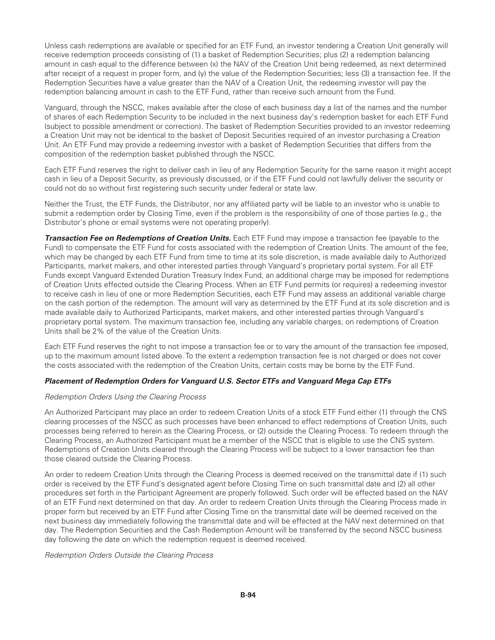Unless cash redemptions are available or specified for an ETF Fund, an investor tendering a Creation Unit generally will receive redemption proceeds consisting of (1) a basket of Redemption Securities; plus (2) a redemption balancing amount in cash equal to the difference between (x) the NAV of the Creation Unit being redeemed, as next determined after receipt of a request in proper form, and (y) the value of the Redemption Securities; less (3) a transaction fee. If the Redemption Securities have a value greater than the NAV of a Creation Unit, the redeeming investor will pay the redemption balancing amount in cash to the ETF Fund, rather than receive such amount from the Fund.

Vanguard, through the NSCC, makes available after the close of each business day a list of the names and the number of shares of each Redemption Security to be included in the next business day's redemption basket for each ETF Fund (subject to possible amendment or correction). The basket of Redemption Securities provided to an investor redeeming a Creation Unit may not be identical to the basket of Deposit Securities required of an investor purchasing a Creation Unit. An ETF Fund may provide a redeeming investor with a basket of Redemption Securities that differs from the composition of the redemption basket published through the NSCC.

Each ETF Fund reserves the right to deliver cash in lieu of any Redemption Security for the same reason it might accept cash in lieu of a Deposit Security, as previously discussed, or if the ETF Fund could not lawfully deliver the security or could not do so without first registering such security under federal or state law.

Neither the Trust, the ETF Funds, the Distributor, nor any affiliated party will be liable to an investor who is unable to submit a redemption order by Closing Time, even if the problem is the responsibility of one of those parties (e.g., the Distributor's phone or email systems were not operating properly).

*Transaction Fee on Redemptions of Creation Units.* Each ETF Fund may impose a transaction fee (payable to the Fund) to compensate the ETF Fund for costs associated with the redemption of Creation Units. The amount of the fee, which may be changed by each ETF Fund from time to time at its sole discretion, is made available daily to Authorized Participants, market makers, and other interested parties through Vanguard's proprietary portal system. For all ETF Funds except Vanguard Extended Duration Treasury Index Fund, an additional charge may be imposed for redemptions of Creation Units effected outside the Clearing Process. When an ETF Fund permits (or requires) a redeeming investor to receive cash in lieu of one or more Redemption Securities, each ETF Fund may assess an additional variable charge on the cash portion of the redemption. The amount will vary as determined by the ETF Fund at its sole discretion and is made available daily to Authorized Participants, market makers, and other interested parties through Vanguard's proprietary portal system. The maximum transaction fee, including any variable charges, on redemptions of Creation Units shall be 2% of the value of the Creation Units.

Each ETF Fund reserves the right to not impose a transaction fee or to vary the amount of the transaction fee imposed, up to the maximum amount listed above. To the extent a redemption transaction fee is not charged or does not cover the costs associated with the redemption of the Creation Units, certain costs may be borne by the ETF Fund.

### *Placement of Redemption Orders for Vanguard U.S. Sector ETFs and Vanguard Mega Cap ETFs*

### *Redemption Orders Using the Clearing Process*

An Authorized Participant may place an order to redeem Creation Units of a stock ETF Fund either (1) through the CNS clearing processes of the NSCC as such processes have been enhanced to effect redemptions of Creation Units, such processes being referred to herein as the Clearing Process, or (2) outside the Clearing Process. To redeem through the Clearing Process, an Authorized Participant must be a member of the NSCC that is eligible to use the CNS system. Redemptions of Creation Units cleared through the Clearing Process will be subject to a lower transaction fee than those cleared outside the Clearing Process.

An order to redeem Creation Units through the Clearing Process is deemed received on the transmittal date if (1) such order is received by the ETF Fund's designated agent before Closing Time on such transmittal date and (2) all other procedures set forth in the Participant Agreement are properly followed. Such order will be effected based on the NAV of an ETF Fund next determined on that day. An order to redeem Creation Units through the Clearing Process made in proper form but received by an ETF Fund after Closing Time on the transmittal date will be deemed received on the next business day immediately following the transmittal date and will be effected at the NAV next determined on that day. The Redemption Securities and the Cash Redemption Amount will be transferred by the second NSCC business day following the date on which the redemption request is deemed received.

### *Redemption Orders Outside the Clearing Process*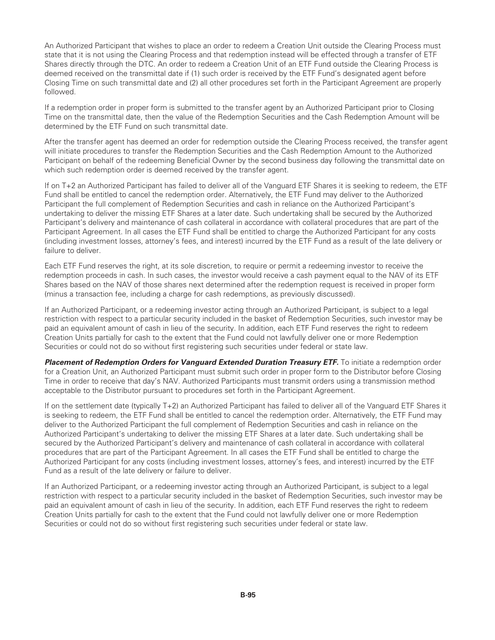An Authorized Participant that wishes to place an order to redeem a Creation Unit outside the Clearing Process must state that it is not using the Clearing Process and that redemption instead will be effected through a transfer of ETF Shares directly through the DTC. An order to redeem a Creation Unit of an ETF Fund outside the Clearing Process is deemed received on the transmittal date if (1) such order is received by the ETF Fund's designated agent before Closing Time on such transmittal date and (2) all other procedures set forth in the Participant Agreement are properly followed.

If a redemption order in proper form is submitted to the transfer agent by an Authorized Participant prior to Closing Time on the transmittal date, then the value of the Redemption Securities and the Cash Redemption Amount will be determined by the ETF Fund on such transmittal date.

After the transfer agent has deemed an order for redemption outside the Clearing Process received, the transfer agent will initiate procedures to transfer the Redemption Securities and the Cash Redemption Amount to the Authorized Participant on behalf of the redeeming Beneficial Owner by the second business day following the transmittal date on which such redemption order is deemed received by the transfer agent.

If on T+2 an Authorized Participant has failed to deliver all of the Vanguard ETF Shares it is seeking to redeem, the ETF Fund shall be entitled to cancel the redemption order. Alternatively, the ETF Fund may deliver to the Authorized Participant the full complement of Redemption Securities and cash in reliance on the Authorized Participant's undertaking to deliver the missing ETF Shares at a later date. Such undertaking shall be secured by the Authorized Participant's delivery and maintenance of cash collateral in accordance with collateral procedures that are part of the Participant Agreement. In all cases the ETF Fund shall be entitled to charge the Authorized Participant for any costs (including investment losses, attorney's fees, and interest) incurred by the ETF Fund as a result of the late delivery or failure to deliver.

Each ETF Fund reserves the right, at its sole discretion, to require or permit a redeeming investor to receive the redemption proceeds in cash. In such cases, the investor would receive a cash payment equal to the NAV of its ETF Shares based on the NAV of those shares next determined after the redemption request is received in proper form (minus a transaction fee, including a charge for cash redemptions, as previously discussed).

If an Authorized Participant, or a redeeming investor acting through an Authorized Participant, is subject to a legal restriction with respect to a particular security included in the basket of Redemption Securities, such investor may be paid an equivalent amount of cash in lieu of the security. In addition, each ETF Fund reserves the right to redeem Creation Units partially for cash to the extent that the Fund could not lawfully deliver one or more Redemption Securities or could not do so without first registering such securities under federal or state law.

**Placement of Redemption Orders for Vanguard Extended Duration Treasury ETF.** To initiate a redemption order for a Creation Unit, an Authorized Participant must submit such order in proper form to the Distributor before Closing Time in order to receive that day's NAV. Authorized Participants must transmit orders using a transmission method acceptable to the Distributor pursuant to procedures set forth in the Participant Agreement.

If on the settlement date (typically T+2) an Authorized Participant has failed to deliver all of the Vanguard ETF Shares it is seeking to redeem, the ETF Fund shall be entitled to cancel the redemption order. Alternatively, the ETF Fund may deliver to the Authorized Participant the full complement of Redemption Securities and cash in reliance on the Authorized Participant's undertaking to deliver the missing ETF Shares at a later date. Such undertaking shall be secured by the Authorized Participant's delivery and maintenance of cash collateral in accordance with collateral procedures that are part of the Participant Agreement. In all cases the ETF Fund shall be entitled to charge the Authorized Participant for any costs (including investment losses, attorney's fees, and interest) incurred by the ETF Fund as a result of the late delivery or failure to deliver.

If an Authorized Participant, or a redeeming investor acting through an Authorized Participant, is subject to a legal restriction with respect to a particular security included in the basket of Redemption Securities, such investor may be paid an equivalent amount of cash in lieu of the security. In addition, each ETF Fund reserves the right to redeem Creation Units partially for cash to the extent that the Fund could not lawfully deliver one or more Redemption Securities or could not do so without first registering such securities under federal or state law.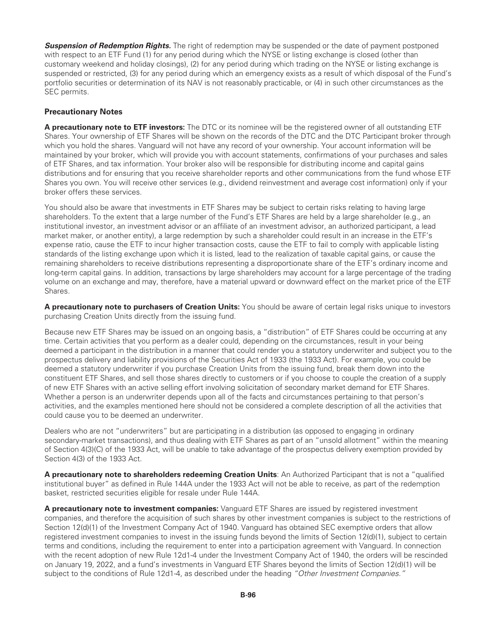**Suspension of Redemption Rights.** The right of redemption may be suspended or the date of payment postponed with respect to an ETF Fund (1) for any period during which the NYSE or listing exchange is closed (other than customary weekend and holiday closings), (2) for any period during which trading on the NYSE or listing exchange is suspended or restricted, (3) for any period during which an emergency exists as a result of which disposal of the Fund's portfolio securities or determination of its NAV is not reasonably practicable, or (4) in such other circumstances as the SEC permits.

# **Precautionary Notes**

**A precautionary note to ETF investors:** The DTC or its nominee will be the registered owner of all outstanding ETF Shares. Your ownership of ETF Shares will be shown on the records of the DTC and the DTC Participant broker through which you hold the shares. Vanguard will not have any record of your ownership. Your account information will be maintained by your broker, which will provide you with account statements, confirmations of your purchases and sales of ETF Shares, and tax information. Your broker also will be responsible for distributing income and capital gains distributions and for ensuring that you receive shareholder reports and other communications from the fund whose ETF Shares you own. You will receive other services (e.g., dividend reinvestment and average cost information) only if your broker offers these services.

You should also be aware that investments in ETF Shares may be subject to certain risks relating to having large shareholders. To the extent that a large number of the Fund's ETF Shares are held by a large shareholder (e.g., an institutional investor, an investment advisor or an affiliate of an investment advisor, an authorized participant, a lead market maker, or another entity), a large redemption by such a shareholder could result in an increase in the ETF's expense ratio, cause the ETF to incur higher transaction costs, cause the ETF to fail to comply with applicable listing standards of the listing exchange upon which it is listed, lead to the realization of taxable capital gains, or cause the remaining shareholders to receive distributions representing a disproportionate share of the ETF's ordinary income and long-term capital gains. In addition, transactions by large shareholders may account for a large percentage of the trading volume on an exchange and may, therefore, have a material upward or downward effect on the market price of the ETF Shares.

**A precautionary note to purchasers of Creation Units:** You should be aware of certain legal risks unique to investors purchasing Creation Units directly from the issuing fund.

Because new ETF Shares may be issued on an ongoing basis, a "distribution" of ETF Shares could be occurring at any time. Certain activities that you perform as a dealer could, depending on the circumstances, result in your being deemed a participant in the distribution in a manner that could render you a statutory underwriter and subject you to the prospectus delivery and liability provisions of the Securities Act of 1933 (the 1933 Act). For example, you could be deemed a statutory underwriter if you purchase Creation Units from the issuing fund, break them down into the constituent ETF Shares, and sell those shares directly to customers or if you choose to couple the creation of a supply of new ETF Shares with an active selling effort involving solicitation of secondary market demand for ETF Shares. Whether a person is an underwriter depends upon all of the facts and circumstances pertaining to that person's activities, and the examples mentioned here should not be considered a complete description of all the activities that could cause you to be deemed an underwriter.

Dealers who are not "underwriters" but are participating in a distribution (as opposed to engaging in ordinary secondary-market transactions), and thus dealing with ETF Shares as part of an "unsold allotment" within the meaning of Section 4(3)(C) of the 1933 Act, will be unable to take advantage of the prospectus delivery exemption provided by Section 4(3) of the 1933 Act.

**A precautionary note to shareholders redeeming Creation Units**: An Authorized Participant that is not a "qualified institutional buyer" as defined in Rule 144A under the 1933 Act will not be able to receive, as part of the redemption basket, restricted securities eligible for resale under Rule 144A.

**A precautionary note to investment companies:** Vanguard ETF Shares are issued by registered investment companies, and therefore the acquisition of such shares by other investment companies is subject to the restrictions of Section 12(d)(1) of the Investment Company Act of 1940. Vanguard has obtained SEC exemptive orders that allow registered investment companies to invest in the issuing funds beyond the limits of Section 12(d)(1), subject to certain terms and conditions, including the requirement to enter into a participation agreement with Vanguard. In connection with the recent adoption of new Rule 12d1-4 under the Investment Company Act of 1940, the orders will be rescinded on January 19, 2022, and a fund's investments in Vanguard ETF Shares beyond the limits of Section 12(d)(1) will be subject to the conditions of Rule 12d1-4, as described under the heading *"Other Investment Companies."*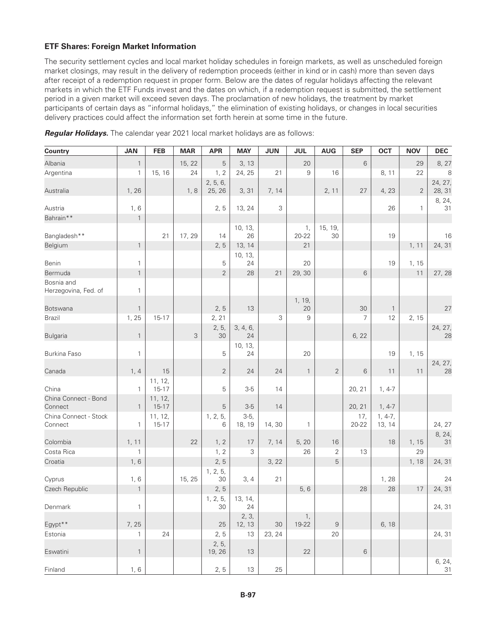# **ETF Shares: Foreign Market Information**

The security settlement cycles and local market holiday schedules in foreign markets, as well as unscheduled foreign market closings, may result in the delivery of redemption proceeds (either in kind or in cash) more than seven days after receipt of a redemption request in proper form. Below are the dates of regular holidays affecting the relevant markets in which the ETF Funds invest and the dates on which, if a redemption request is submitted, the settlement period in a given market will exceed seven days. The proclamation of new holidays, the treatment by market participants of certain days as "informal holidays," the elimination of existing holidays, or changes in local securities delivery practices could affect the information set forth herein at some time in the future.

| <b>Country</b>                     | <b>JAN</b>   | <b>FEB</b>           | <b>MAR</b> | <b>APR</b>         | <b>MAY</b>       | <b>JUN</b> | <b>JUL</b>      | <b>AUG</b>     | <b>SEP</b>   | <b>OCT</b>          | <b>NOV</b>     | <b>DEC</b>        |
|------------------------------------|--------------|----------------------|------------|--------------------|------------------|------------|-----------------|----------------|--------------|---------------------|----------------|-------------------|
| Albania                            | $\mathbf{1}$ |                      | 15, 22     | 5                  | 3, 13            |            | 20              |                | 6            |                     | 29             | 8, 27             |
| Argentina                          | $\mathbf{1}$ | 15, 16               | 24         | 1, 2               | 24, 25           | 21         | 9               | 16             |              | 8, 11               | 22             | 8                 |
| Australia                          | 1,26         |                      | 1, 8       | 2, 5, 6,<br>25, 26 | 3, 31            | 7, 14      |                 | 2, 11          | 27           | 4,23                | $\overline{2}$ | 24, 27,<br>28, 31 |
| Austria                            | 1, 6         |                      |            | 2, 5               | 13, 24           | 3          |                 |                |              | 26                  | $\mathbf{1}$   | 8, 24,<br>31      |
| Bahrain**                          | $\mathbf{1}$ |                      |            |                    |                  |            |                 |                |              |                     |                |                   |
| Bangladesh**                       |              | 21                   | 17, 29     | 14                 | 10, 13,<br>26    |            | 1,<br>$20 - 22$ | 15, 19,<br>30  |              | 19                  |                | 16                |
| Belgium                            | $\mathbf{1}$ |                      |            | 2, 5               | 13, 14           |            | 21              |                |              |                     | 1, 11          | 24, 31            |
| Benin                              | $\mathbf{1}$ |                      |            | 5                  | 10, 13,<br>24    |            | 20              |                |              | 19                  | 1, 15          |                   |
| Bermuda                            | $\mathbf{1}$ |                      |            | $\overline{2}$     | 28               | 21         | 29, 30          |                | 6            |                     | 11             | 27, 28            |
| Bosnia and<br>Herzegovina, Fed. of | $\mathbf{1}$ |                      |            |                    |                  |            |                 |                |              |                     |                |                   |
| Botswana                           | $\mathbf{1}$ |                      |            | 2, 5               | 13               |            | 1, 19,<br>20    |                | 30           | $\mathbf{1}$        |                | 27                |
| <b>Brazil</b>                      | 1, 25        | 15-17                |            | 2, 21              |                  | 3          | 9               |                | 7            | 12                  | 2, 15          |                   |
| <b>Bulgaria</b>                    | $\mathbf{1}$ |                      | 3          | 2, 5,<br>30        | 3, 4, 6,<br>24   |            |                 |                | 6, 22        |                     |                | 24, 27,<br>28     |
| Burkina Faso                       | $\mathbf{1}$ |                      |            | 5                  | 10, 13,<br>24    |            | 20              |                |              | 19                  | 1, 15          |                   |
|                                    |              |                      |            |                    |                  |            |                 |                |              |                     |                | 24, 27,           |
| Canada                             | 1, 4         | 15                   |            | 2                  | 24               | 24         | $\overline{1}$  | 2              | 6            | 11                  | 11             | 28                |
| China                              | $\mathbf{1}$ | 11, 12,<br>$15-17$   |            | 5                  | $3-5$            | 14         |                 |                | 20, 21       | $1, 4-7$            |                |                   |
| China Connect - Bond<br>Connect    | $\mathbf{1}$ | 11, 12,<br>$15 - 17$ |            | 5                  | $3-5$            | 14         |                 |                | 20, 21       | $1, 4-7$            |                |                   |
| China Connect - Stock<br>Connect   | $\mathbf{1}$ | 11, 12,<br>$15 - 17$ |            | 1, 2, 5,<br>6      | $3-5,$<br>18, 19 | 14, 30     | $\mathbf{1}$    |                | 17,<br>20-22 | $1, 4-7,$<br>13, 14 |                | 24, 27            |
| Colombia                           | 1, 11        |                      | 22         | 1, 2               | 17               | 7, 14      | 5, 20           | 16             |              | 18                  | 1, 15          | 8, 24,<br>31      |
| Costa Rica                         | $\mathbf{1}$ |                      |            | 1, 2               | 3                |            | 26              | 2              | 13           |                     | 29             |                   |
| Croatia                            | 1, 6         |                      |            | 2, 5               |                  | 3, 22      |                 | 5              |              |                     | 1,18           | 24, 31            |
| Cyprus                             | 1, 6         |                      | 15, 25     | 1, 2, 5,<br>30     | 3, 4             | 21         |                 |                |              | 1,28                |                | 24                |
| Czech Republic                     | $\mathbf{1}$ |                      |            | 2, 5               |                  |            | 5, 6            |                | 28           | 28                  | 17             | 24, 31            |
|                                    |              |                      |            | 1, 2, 5,           | 13, 14,          |            |                 |                |              |                     |                |                   |
| Denmark                            | $\mathbf{1}$ |                      |            | 30                 | 24               |            |                 |                |              |                     |                | 24, 31            |
| Egypt**                            | 7, 25        |                      |            | 25                 | 2, 3,<br>12, 13  | 30         | 1,<br>19-22     | $\overline{9}$ |              | 6, 18               |                |                   |
| Estonia                            | 1            | 24                   |            | 2, 5               | 13               | 23, 24     |                 | 20             |              |                     |                | 24, 31            |
| Eswatini                           | $\mathbf{1}$ |                      |            | 2, 5,<br>19, 26    | 13               |            | 22              |                | 6            |                     |                |                   |
| Finland                            | 1, 6         |                      |            | 2, 5               | 13               | 25         |                 |                |              |                     |                | 6, 24,<br>31      |

*Regular Holidays.* The calendar year 2021 local market holidays are as follows: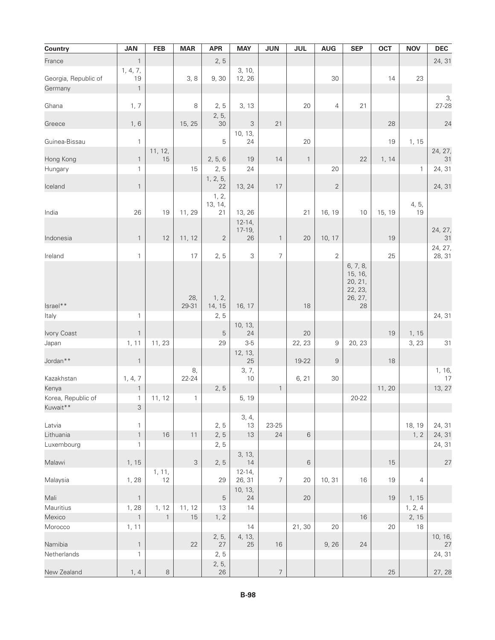| <b>Country</b>       | <b>JAN</b>                | <b>FEB</b>   | <b>MAR</b>   | <b>APR</b>       | <b>MAY</b>           | <b>JUN</b>       | <b>JUL</b>   | <b>AUG</b>     | <b>SEP</b>                                           | <b>OCT</b> | <b>NOV</b>     | <b>DEC</b>    |
|----------------------|---------------------------|--------------|--------------|------------------|----------------------|------------------|--------------|----------------|------------------------------------------------------|------------|----------------|---------------|
| France               | $\mathbf{1}$              |              |              | 2, 5             |                      |                  |              |                |                                                      |            |                | 24, 31        |
|                      | 1, 4, 7,                  |              |              |                  | 3, 10,               |                  |              |                |                                                      |            |                |               |
| Georgia, Republic of | 19                        |              | 3, 8         | 9,30             | 12, 26               |                  |              | 30             |                                                      | 14         | 23             |               |
| Germany              | $\mathbf{1}$              |              |              |                  |                      |                  |              |                |                                                      |            |                | 3,            |
| Ghana                | 1, 7                      |              | 8            | 2, 5             | 3, 13                |                  | 20           | $\overline{4}$ | 21                                                   |            |                | 27-28         |
| Greece               | 1, 6                      |              | 15, 25       | 2, 5,<br>30      | 3                    | 21               |              |                |                                                      | 28         |                | 24            |
| Guinea-Bissau        | $\mathbf{1}$              |              |              | 5                | 10, 13,<br>24        |                  | 20           |                |                                                      | 19         | 1, 15          |               |
|                      |                           | 11, 12,      |              |                  |                      |                  |              |                |                                                      |            |                | 24, 27,       |
| Hong Kong            | $\mathbf{1}$              | 15           |              | 2, 5, 6          | 19                   | 14               | $\mathbf{1}$ |                | 22                                                   | 1, 14      |                | 31            |
| Hungary              | 1                         |              | 15           | 2, 5             | 24                   |                  |              | 20             |                                                      |            | $\mathbf{1}$   | 24, 31        |
| Iceland              | $\mathbf{1}$              |              |              | 1, 2, 5,<br>22   | 13, 24               | 17               |              | $\sqrt{2}$     |                                                      |            |                | 24, 31        |
|                      |                           |              |              | 1, 2,<br>13, 14, |                      |                  |              |                |                                                      |            |                |               |
| India                | 26                        | 19           | 11, 29       | 21               | 13, 26               |                  | 21           | 16, 19         | 10                                                   | 15, 19     | 4, 5,<br>19    |               |
|                      |                           |              |              |                  | $12 - 14,$           |                  |              |                |                                                      |            |                |               |
|                      |                           |              |              |                  | $17-19,$             |                  |              |                |                                                      |            |                | 24, 27,       |
| Indonesia            | $\mathbf{1}$              | 12           | 11, 12       | $\overline{2}$   | 26                   | $\mathbf{1}$     | 20           | 10, 17         |                                                      | 19         |                | 31<br>24, 27, |
| Ireland              | $\mathbf{1}$              |              | 17           | 2, 5             | 3                    | $\overline{7}$   |              | $\overline{2}$ |                                                      | 25         |                | 28, 31        |
|                      |                           |              | 28,          | 1, 2,            |                      |                  |              |                | 6, 7, 8,<br>15, 16,<br>20, 21,<br>22, 23,<br>26, 27, |            |                |               |
| Israel**             |                           |              | 29-31        | 14, 15           | 16, 17               |                  | 18           |                | 28                                                   |            |                |               |
| Italy                | $\mathbf{1}$              |              |              | 2, 5             |                      |                  |              |                |                                                      |            |                | 24, 31        |
| Ivory Coast          | $\mathbf{1}$              |              |              | $\mathbf 5$      | 10, 13,<br>24        |                  | 20           |                |                                                      | 19         | 1, 15          |               |
| Japan                | 1, 11                     | 11, 23       |              | 29               | $3-5$                |                  | 22, 23       | $\,9$          | 20, 23                                               |            | 3, 23          | 31            |
| Jordan <sup>**</sup> | $\mathbf{1}$              |              |              |                  | 12, 13,<br>25        |                  | 19-22        | $\overline{9}$ |                                                      | 18         |                |               |
| Kazakhstan           |                           |              | 8,<br>22-24  |                  | 3, 7,<br>$10$        |                  | 6, 21        | 30             |                                                      |            |                | 1, 16,<br>17  |
| Kenya                | 1, 4, 7<br>$\mathbf{1}$   |              |              | 2, 5             |                      | $\mathbf{1}$     |              |                |                                                      | 11, 20     |                | 13, 27        |
| Korea, Republic of   | $\mathbf{1}$              | 11, 12       | $\mathbf{1}$ |                  | 5, 19                |                  |              |                | $20 - 22$                                            |            |                |               |
| Kuwait**             | $\ensuremath{\mathsf{3}}$ |              |              |                  |                      |                  |              |                |                                                      |            |                |               |
|                      |                           |              |              |                  | 3, 4,                |                  |              |                |                                                      |            |                |               |
| Latvia               | 1                         |              |              | 2, 5             | 13                   | 23-25            |              |                |                                                      |            | 18, 19         | 24, 31        |
| Lithuania            | $\mathbf{1}$              | 16           | 11           | 2, 5             | $13$                 | 24               | $\,6$        |                |                                                      |            | 1, 2           | 24, 31        |
| Luxembourg           | 1                         |              |              | 2, 5             |                      |                  |              |                |                                                      |            |                | 24, 31        |
| Malawi               | 1, 15                     |              | 3            | 2, 5             | 3, 13,<br>14         |                  | 6            |                |                                                      | 15         |                | 27            |
| Malaysia             | 1,28                      | 1, 11,<br>12 |              | 29               | $12 - 14,$<br>26, 31 | 7                | 20           | 10, 31         | 16                                                   | 19         | $\overline{4}$ |               |
| Mali                 | $\mathbf{1}$              |              |              | $\mathbf 5$      | 10, 13,<br>24        |                  | 20           |                |                                                      | 19         | 1, 15          |               |
| Mauritius            | 1, 28                     | 1, 12        | 11, 12       | 13               | 14                   |                  |              |                |                                                      |            | 1, 2, 4        |               |
| Mexico               | $\mathbf{1}$              | $\mathbf{1}$ | 15           | 1, 2             |                      |                  |              |                | 16                                                   |            | 2, 15          |               |
| Morocco              | 1, 11                     |              |              |                  | 14                   |                  | 21,30        | 20             |                                                      | 20         | 18             |               |
|                      |                           |              |              | 2, 5,            | 4, 13,               |                  |              |                |                                                      |            |                | 10, 16,       |
| Namibia              | $\mathbf{1}$              |              | 22           | 27               | 25                   | 16               |              | 9,26           | 24                                                   |            |                | 27            |
| Netherlands          | 1                         |              |              | 2, 5             |                      |                  |              |                |                                                      |            |                | 24, 31        |
| New Zealand          | 1, 4                      | $\,8\,$      |              | 2, 5,<br>26      |                      | $\boldsymbol{7}$ |              |                |                                                      | 25         |                | 27, 28        |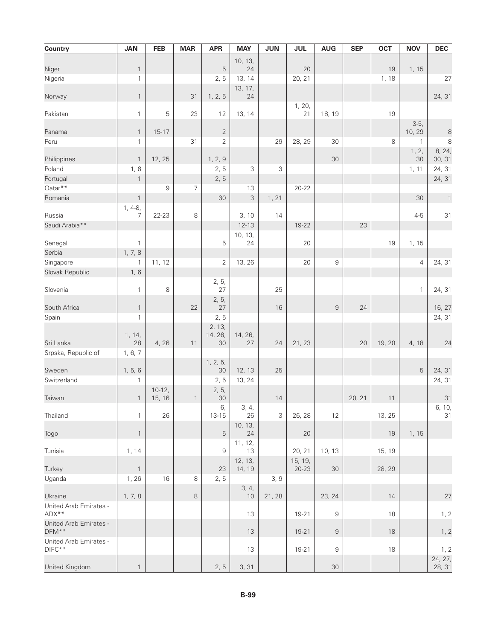| Country                         | <b>JAN</b>        | <b>FEB</b> | <b>MAR</b>   | <b>APR</b>                       | <b>MAY</b>    | <b>JUN</b>  | <b>JUL</b> | <b>AUG</b> | <b>SEP</b> | <b>OCT</b> | <b>NOV</b>     | <b>DEC</b>            |
|---------------------------------|-------------------|------------|--------------|----------------------------------|---------------|-------------|------------|------------|------------|------------|----------------|-----------------------|
|                                 |                   |            |              |                                  | 10, 13,       |             |            |            |            |            |                |                       |
| Niger                           | $\mathbf{1}$      |            |              | 5                                | 24            |             | 20         |            |            | 19         | 1, 15          |                       |
| Nigeria                         | $\mathbf{1}$      |            |              | 2, 5                             | 13, 14        |             | 20, 21     |            |            | 1,18       |                | 27                    |
| Norway                          | $\mathbf{1}$      |            | 31           | 1, 2, 5                          | 13, 17,<br>24 |             |            |            |            |            |                | 24, 31                |
|                                 |                   |            |              |                                  |               |             | 1, 20,     |            |            |            |                |                       |
| Pakistan                        | $\mathbf{1}$      | 5          | 23           | 12                               | 13, 14        |             | 21         | 18, 19     |            | 19         |                |                       |
|                                 |                   |            |              |                                  |               |             |            |            |            |            | $3-5,$         |                       |
| Panama<br>Peru                  | $\mathbf{1}$<br>1 | $15 - 17$  | 31           | $\overline{c}$<br>$\overline{2}$ |               | 29          | 28, 29     | 30         |            | 8          | 10, 29<br>1    | $\boldsymbol{8}$<br>8 |
|                                 |                   |            |              |                                  |               |             |            |            |            |            | 1, 2,          | 8, 24,                |
| Philippines                     | $\mathbf{1}$      | 12, 25     |              | 1, 2, 9                          |               |             |            | 30         |            |            | 30             | 30, 31                |
| Poland                          | 1, 6              |            |              | 2, 5                             | 3             | $\mathsf 3$ |            |            |            |            | 1, 11          | 24, 31                |
| Portugal                        | $\mathbf{1}$      |            |              | 2, 5                             |               |             |            |            |            |            |                | 24, 31                |
| Qatar**                         |                   | 9          | 7            |                                  | 13            |             | 20-22      |            |            |            |                |                       |
| Romania                         | $\mathbf{1}$      |            |              | 30                               | 3             | 1, 21       |            |            |            |            | 30             | $\mathbf{1}$          |
|                                 | $1, 4-8,$         |            |              |                                  |               |             |            |            |            |            |                |                       |
| Russia                          | 7                 | 22-23      | $\,8\,$      |                                  | 3, 10         | 14          |            |            |            |            | $4 - 5$        | 31                    |
| Saudi Arabia**                  |                   |            |              |                                  | $12 - 13$     |             | 19-22      |            | 23         |            |                |                       |
|                                 |                   |            |              |                                  | 10, 13,       |             |            |            |            |            |                |                       |
| Senegal                         | $\mathbf{1}$      |            |              | 5                                | 24            |             | 20         |            |            | 19         | 1, 15          |                       |
| Serbia                          | 1, 7, 8           |            |              |                                  |               |             |            |            |            |            |                |                       |
| Singapore                       | 1                 | 11, 12     |              | $\overline{2}$                   | 13, 26        |             | 20         | 9          |            |            | $\overline{4}$ | 24, 31                |
| Slovak Republic                 | 1, 6              |            |              |                                  |               |             |            |            |            |            |                |                       |
| Slovenia                        | $\mathbf{1}$      | 8          |              | 2, 5,<br>27                      |               | 25          |            |            |            |            | 1              | 24, 31                |
|                                 |                   |            |              | 2, 5,                            |               |             |            |            |            |            |                |                       |
| South Africa                    | $\mathbf{1}$      |            | 22           | 27                               |               | 16          |            | 9          | 24         |            |                | 16, 27                |
| Spain                           | $\mathbf{1}$      |            |              | 2, 5                             |               |             |            |            |            |            |                | 24, 31                |
|                                 |                   |            |              | 2, 13,                           |               |             |            |            |            |            |                |                       |
|                                 | 1, 14,            |            |              | 14, 26,                          | 14, 26,       |             |            |            |            |            |                |                       |
| Sri Lanka                       | $28\,$            | 4,26       | 11           | 30                               | 27            | 24          | 21, 23     |            | 20         | 19, 20     | 4, 18          | 24                    |
| Srpska, Republic of             | 1, 6, 7           |            |              |                                  |               |             |            |            |            |            |                |                       |
| Sweden                          | 1, 5, 6           |            |              | 1, 2, 5,<br>30                   | 12, 13        | 25          |            |            |            |            | 5              | 24, 31                |
| Switzerland                     | 1                 |            |              | 2, 5                             | 13, 24        |             |            |            |            |            |                | 24, 31                |
|                                 |                   | $10-12,$   |              | 2, 5,                            |               |             |            |            |            |            |                |                       |
| Taiwan                          | $\mathbf{1}$      | 15, 16     | $\mathbf{1}$ | 30                               |               | 14          |            |            | 20, 21     | $11$       |                | 31                    |
|                                 |                   |            |              | 6,                               | 3, 4,         |             |            |            |            |            |                | 6, 10,                |
| Thailand                        | $\mathbf{1}$      | 26         |              | $13 - 15$                        | 26            | 3           | 26, 28     | 12         |            | 13, 25     |                | 31                    |
|                                 | $\mathbf{1}$      |            |              |                                  | 10, 13,       |             |            |            |            |            |                |                       |
| Togo                            |                   |            |              | 5                                | 24<br>11, 12, |             | 20         |            |            | 19         | 1, 15          |                       |
| Tunisia                         | 1, 14             |            |              | 9                                | 13            |             | 20, 21     | 10, 13     |            | 15, 19     |                |                       |
|                                 |                   |            |              |                                  | 12, 13,       |             | 15, 19,    |            |            |            |                |                       |
| Turkey                          | $\mathbf{1}$      |            |              | 23                               | 14, 19        |             | 20-23      | 30         |            | 28, 29     |                |                       |
| Uganda                          | 1, 26             | 16         | 8            | 2, 5                             |               | 3, 9        |            |            |            |            |                |                       |
|                                 |                   |            |              |                                  | 3, 4,         |             |            |            |            |            |                |                       |
| Ukraine                         | 1, 7, 8           |            | 8            |                                  | 10            | 21, 28      |            | 23, 24     |            | 14         |                | 27                    |
| United Arab Emirates -          |                   |            |              |                                  |               |             |            |            |            |            |                |                       |
| ADX**<br>United Arab Emirates - |                   |            |              |                                  | 13            |             | 19-21      | 9          |            | 18         |                | 1, 2                  |
| DFM**                           |                   |            |              |                                  | 13            |             | 19-21      | 9          |            | 18         |                | 1, 2                  |
| United Arab Emirates -          |                   |            |              |                                  |               |             |            |            |            |            |                |                       |
| $DIFC**$                        |                   |            |              |                                  | 13            |             | 19-21      | 9          |            | 18         |                | 1, 2                  |
|                                 |                   |            |              |                                  |               |             |            |            |            |            |                | 24, 27,               |
| United Kingdom                  | $\mathbf{1}$      |            |              | 2, 5                             | 3, 31         |             |            | 30         |            |            |                | 28, 31                |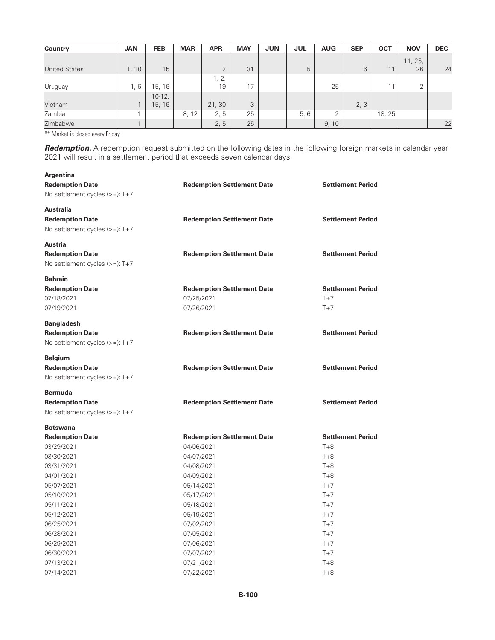| <b>Country</b>       | <b>JAN</b> | <b>FEB</b> | <b>MAR</b> | <b>APR</b> | <b>MAY</b> | <b>JUN</b> | <b>JUL</b> | <b>AUG</b> | <b>SEP</b> | <b>OCT</b> | <b>NOV</b>     | <b>DEC</b> |
|----------------------|------------|------------|------------|------------|------------|------------|------------|------------|------------|------------|----------------|------------|
|                      |            |            |            |            |            |            |            |            |            |            | 11, 25,        |            |
| <b>United States</b> | , 18       | 15         |            | $\Omega$   | 31         |            | 5          |            | 6          | 11         | 26             | 24         |
|                      |            |            |            | 1, 2,      |            |            |            |            |            |            |                |            |
| Uruguay              | 1,6        | 15, 16     |            | 19         | 17         |            |            | 25         |            | 11         | $\overline{2}$ |            |
|                      |            | $10-12$ ,  |            |            |            |            |            |            |            |            |                |            |
| Vietnam              |            | 15, 16     |            | 21, 30     | 3          |            |            |            | 2, 3       |            |                |            |
| Zambia               |            |            | 8, 12      | 2, 5       | 25         |            | 5, 6       | っ          |            | 18, 25     |                |            |
| Zimbabwe             |            |            |            | 2, 5       | 25         |            |            | 9, 10      |            |            |                | 22         |

\*\* Market is closed every Friday

**Argentina**

*Redemption.* A redemption request submitted on the following dates in the following foreign markets in calendar year 2021 will result in a settlement period that exceeds seven calendar days.

| <b>Redemption Date</b>          | <b>Redemption Settlement Date</b> | <b>Settlement Period</b> |
|---------------------------------|-----------------------------------|--------------------------|
| No settlement cycles $(>=):T+7$ |                                   |                          |
| Australia                       |                                   |                          |
| <b>Redemption Date</b>          | <b>Redemption Settlement Date</b> | <b>Settlement Period</b> |
| No settlement cycles (>=): T+7  |                                   |                          |
| Austria                         |                                   |                          |
| <b>Redemption Date</b>          | <b>Redemption Settlement Date</b> | <b>Settlement Period</b> |
| No settlement cycles (>=): T+7  |                                   |                          |
| <b>Bahrain</b>                  |                                   |                          |
| <b>Redemption Date</b>          | <b>Redemption Settlement Date</b> | <b>Settlement Period</b> |
| 07/18/2021                      | 07/25/2021                        | $T+7$                    |
| 07/19/2021                      | 07/26/2021                        | $T+7$                    |
| <b>Bangladesh</b>               |                                   |                          |
| <b>Redemption Date</b>          | <b>Redemption Settlement Date</b> | <b>Settlement Period</b> |
| No settlement cycles $(>=):T+7$ |                                   |                          |
| Belgium                         |                                   |                          |
| <b>Redemption Date</b>          | <b>Redemption Settlement Date</b> | <b>Settlement Period</b> |
| No settlement cycles (>=): T+7  |                                   |                          |
| Bermuda                         |                                   |                          |
| <b>Redemption Date</b>          | <b>Redemption Settlement Date</b> | <b>Settlement Period</b> |
| No settlement cycles $(>=):T+7$ |                                   |                          |
| <b>Botswana</b>                 |                                   |                          |
| <b>Redemption Date</b>          | <b>Redemption Settlement Date</b> | <b>Settlement Period</b> |
| 03/29/2021                      | 04/06/2021                        | $T+8$                    |
| 03/30/2021                      | 04/07/2021                        | $T+8$                    |
| 03/31/2021                      | 04/08/2021                        | $T + 8$                  |
| 04/01/2021                      | 04/09/2021                        | $T + 8$                  |
| 05/07/2021                      | 05/14/2021                        | $T+7$                    |
| 05/10/2021                      | 05/17/2021                        | $T+7$                    |
| 05/11/2021                      | 05/18/2021                        | $T+7$                    |
| 05/12/2021                      | 05/19/2021                        | $T+7$                    |
| 06/25/2021                      | 07/02/2021                        | $T+7$                    |
| 06/28/2021                      | 07/05/2021                        | $T+7$                    |
| 06/29/2021                      | 07/06/2021                        | $T+7$                    |
| 06/30/2021                      | 07/07/2021                        | $T+7$                    |
| 07/13/2021                      | 07/21/2021                        | $T+8$                    |
| 07/14/2021                      | 07/22/2021                        | $T+8$                    |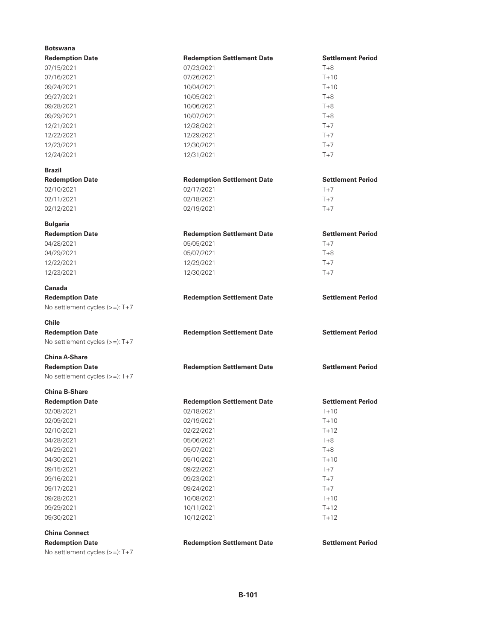| <b>Redemption Date</b><br><b>Redemption Settlement Date</b><br><b>Settlement Period</b><br>$T + 8$<br>07/15/2021<br>07/23/2021<br>$T + 10$<br>07/16/2021<br>07/26/2021<br>09/24/2021<br>$T + 10$<br>10/04/2021<br>09/27/2021<br>10/05/2021<br>$T + 8$<br>09/28/2021<br>10/06/2021<br>$T+8$<br>09/29/2021<br>10/07/2021<br>$T+8$<br>12/21/2021<br>12/28/2021<br>$T+7$<br>12/22/2021<br>$T+7$<br>12/29/2021<br>12/23/2021<br>12/30/2021<br>$T+7$<br>$T+7$<br>12/24/2021<br>12/31/2021<br><b>Brazil</b><br><b>Settlement Period</b><br><b>Redemption Date</b><br><b>Redemption Settlement Date</b><br>$T+7$<br>02/10/2021<br>02/17/2021<br>$T+7$<br>02/11/2021<br>02/18/2021<br>$T+7$<br>02/12/2021<br>02/19/2021<br><b>Bulgaria</b><br><b>Redemption Date</b><br><b>Settlement Period</b><br><b>Redemption Settlement Date</b><br>04/28/2021<br>05/05/2021<br>$T+7$<br>04/29/2021<br>05/07/2021<br>$T+8$<br>$T+7$<br>12/22/2021<br>12/29/2021<br>12/23/2021<br>$T+7$<br>12/30/2021<br>Canada<br><b>Settlement Period</b><br><b>Redemption Date</b><br><b>Redemption Settlement Date</b><br>No settlement cycles (>=): T+7<br><b>Chile</b><br><b>Redemption Date</b><br><b>Redemption Settlement Date</b><br><b>Settlement Period</b><br>No settlement cycles $(>=):T+7$<br><b>China A-Share</b><br><b>Settlement Period</b><br><b>Redemption Date</b><br><b>Redemption Settlement Date</b><br>No settlement cycles (>=): T+7<br><b>China B-Share</b><br><b>Settlement Period</b><br><b>Redemption Date</b><br><b>Redemption Settlement Date</b><br>02/18/2021<br>$T + 10$<br>02/08/2021<br>$T+10$<br>02/09/2021<br>02/19/2021<br>$T + 12$<br>02/10/2021<br>02/22/2021<br>04/28/2021<br>$T+8$<br>05/06/2021<br>04/29/2021<br>05/07/2021<br>T+8<br>04/30/2021<br>05/10/2021<br>$T + 10$<br>09/15/2021<br>09/22/2021<br>$T+7$<br>09/16/2021<br>09/23/2021<br>$T+7$<br>09/17/2021<br>09/24/2021<br>$T+7$<br>09/28/2021<br>10/08/2021<br>$T+10$<br>09/29/2021<br>10/11/2021<br>$T + 12$<br>09/30/2021<br>$T + 12$<br>10/12/2021<br><b>China Connect</b><br><b>Redemption Date</b><br><b>Redemption Settlement Date</b><br><b>Settlement Period</b><br>No settlement cycles (>=): T+7 | <b>Botswana</b> |  |
|-------------------------------------------------------------------------------------------------------------------------------------------------------------------------------------------------------------------------------------------------------------------------------------------------------------------------------------------------------------------------------------------------------------------------------------------------------------------------------------------------------------------------------------------------------------------------------------------------------------------------------------------------------------------------------------------------------------------------------------------------------------------------------------------------------------------------------------------------------------------------------------------------------------------------------------------------------------------------------------------------------------------------------------------------------------------------------------------------------------------------------------------------------------------------------------------------------------------------------------------------------------------------------------------------------------------------------------------------------------------------------------------------------------------------------------------------------------------------------------------------------------------------------------------------------------------------------------------------------------------------------------------------------------------------------------------------------------------------------------------------------------------------------------------------------------------------------------------------------------------------------------------------------------------------------------------------------------------------------------------------------------------------------------------------------------------------------------------------------------------------------------------------------------------------------|-----------------|--|
|                                                                                                                                                                                                                                                                                                                                                                                                                                                                                                                                                                                                                                                                                                                                                                                                                                                                                                                                                                                                                                                                                                                                                                                                                                                                                                                                                                                                                                                                                                                                                                                                                                                                                                                                                                                                                                                                                                                                                                                                                                                                                                                                                                               |                 |  |
|                                                                                                                                                                                                                                                                                                                                                                                                                                                                                                                                                                                                                                                                                                                                                                                                                                                                                                                                                                                                                                                                                                                                                                                                                                                                                                                                                                                                                                                                                                                                                                                                                                                                                                                                                                                                                                                                                                                                                                                                                                                                                                                                                                               |                 |  |
|                                                                                                                                                                                                                                                                                                                                                                                                                                                                                                                                                                                                                                                                                                                                                                                                                                                                                                                                                                                                                                                                                                                                                                                                                                                                                                                                                                                                                                                                                                                                                                                                                                                                                                                                                                                                                                                                                                                                                                                                                                                                                                                                                                               |                 |  |
|                                                                                                                                                                                                                                                                                                                                                                                                                                                                                                                                                                                                                                                                                                                                                                                                                                                                                                                                                                                                                                                                                                                                                                                                                                                                                                                                                                                                                                                                                                                                                                                                                                                                                                                                                                                                                                                                                                                                                                                                                                                                                                                                                                               |                 |  |
|                                                                                                                                                                                                                                                                                                                                                                                                                                                                                                                                                                                                                                                                                                                                                                                                                                                                                                                                                                                                                                                                                                                                                                                                                                                                                                                                                                                                                                                                                                                                                                                                                                                                                                                                                                                                                                                                                                                                                                                                                                                                                                                                                                               |                 |  |
|                                                                                                                                                                                                                                                                                                                                                                                                                                                                                                                                                                                                                                                                                                                                                                                                                                                                                                                                                                                                                                                                                                                                                                                                                                                                                                                                                                                                                                                                                                                                                                                                                                                                                                                                                                                                                                                                                                                                                                                                                                                                                                                                                                               |                 |  |
|                                                                                                                                                                                                                                                                                                                                                                                                                                                                                                                                                                                                                                                                                                                                                                                                                                                                                                                                                                                                                                                                                                                                                                                                                                                                                                                                                                                                                                                                                                                                                                                                                                                                                                                                                                                                                                                                                                                                                                                                                                                                                                                                                                               |                 |  |
|                                                                                                                                                                                                                                                                                                                                                                                                                                                                                                                                                                                                                                                                                                                                                                                                                                                                                                                                                                                                                                                                                                                                                                                                                                                                                                                                                                                                                                                                                                                                                                                                                                                                                                                                                                                                                                                                                                                                                                                                                                                                                                                                                                               |                 |  |
|                                                                                                                                                                                                                                                                                                                                                                                                                                                                                                                                                                                                                                                                                                                                                                                                                                                                                                                                                                                                                                                                                                                                                                                                                                                                                                                                                                                                                                                                                                                                                                                                                                                                                                                                                                                                                                                                                                                                                                                                                                                                                                                                                                               |                 |  |
|                                                                                                                                                                                                                                                                                                                                                                                                                                                                                                                                                                                                                                                                                                                                                                                                                                                                                                                                                                                                                                                                                                                                                                                                                                                                                                                                                                                                                                                                                                                                                                                                                                                                                                                                                                                                                                                                                                                                                                                                                                                                                                                                                                               |                 |  |
|                                                                                                                                                                                                                                                                                                                                                                                                                                                                                                                                                                                                                                                                                                                                                                                                                                                                                                                                                                                                                                                                                                                                                                                                                                                                                                                                                                                                                                                                                                                                                                                                                                                                                                                                                                                                                                                                                                                                                                                                                                                                                                                                                                               |                 |  |
|                                                                                                                                                                                                                                                                                                                                                                                                                                                                                                                                                                                                                                                                                                                                                                                                                                                                                                                                                                                                                                                                                                                                                                                                                                                                                                                                                                                                                                                                                                                                                                                                                                                                                                                                                                                                                                                                                                                                                                                                                                                                                                                                                                               |                 |  |
|                                                                                                                                                                                                                                                                                                                                                                                                                                                                                                                                                                                                                                                                                                                                                                                                                                                                                                                                                                                                                                                                                                                                                                                                                                                                                                                                                                                                                                                                                                                                                                                                                                                                                                                                                                                                                                                                                                                                                                                                                                                                                                                                                                               |                 |  |
|                                                                                                                                                                                                                                                                                                                                                                                                                                                                                                                                                                                                                                                                                                                                                                                                                                                                                                                                                                                                                                                                                                                                                                                                                                                                                                                                                                                                                                                                                                                                                                                                                                                                                                                                                                                                                                                                                                                                                                                                                                                                                                                                                                               |                 |  |
|                                                                                                                                                                                                                                                                                                                                                                                                                                                                                                                                                                                                                                                                                                                                                                                                                                                                                                                                                                                                                                                                                                                                                                                                                                                                                                                                                                                                                                                                                                                                                                                                                                                                                                                                                                                                                                                                                                                                                                                                                                                                                                                                                                               |                 |  |
|                                                                                                                                                                                                                                                                                                                                                                                                                                                                                                                                                                                                                                                                                                                                                                                                                                                                                                                                                                                                                                                                                                                                                                                                                                                                                                                                                                                                                                                                                                                                                                                                                                                                                                                                                                                                                                                                                                                                                                                                                                                                                                                                                                               |                 |  |
|                                                                                                                                                                                                                                                                                                                                                                                                                                                                                                                                                                                                                                                                                                                                                                                                                                                                                                                                                                                                                                                                                                                                                                                                                                                                                                                                                                                                                                                                                                                                                                                                                                                                                                                                                                                                                                                                                                                                                                                                                                                                                                                                                                               |                 |  |
|                                                                                                                                                                                                                                                                                                                                                                                                                                                                                                                                                                                                                                                                                                                                                                                                                                                                                                                                                                                                                                                                                                                                                                                                                                                                                                                                                                                                                                                                                                                                                                                                                                                                                                                                                                                                                                                                                                                                                                                                                                                                                                                                                                               |                 |  |
|                                                                                                                                                                                                                                                                                                                                                                                                                                                                                                                                                                                                                                                                                                                                                                                                                                                                                                                                                                                                                                                                                                                                                                                                                                                                                                                                                                                                                                                                                                                                                                                                                                                                                                                                                                                                                                                                                                                                                                                                                                                                                                                                                                               |                 |  |
|                                                                                                                                                                                                                                                                                                                                                                                                                                                                                                                                                                                                                                                                                                                                                                                                                                                                                                                                                                                                                                                                                                                                                                                                                                                                                                                                                                                                                                                                                                                                                                                                                                                                                                                                                                                                                                                                                                                                                                                                                                                                                                                                                                               |                 |  |
|                                                                                                                                                                                                                                                                                                                                                                                                                                                                                                                                                                                                                                                                                                                                                                                                                                                                                                                                                                                                                                                                                                                                                                                                                                                                                                                                                                                                                                                                                                                                                                                                                                                                                                                                                                                                                                                                                                                                                                                                                                                                                                                                                                               |                 |  |
|                                                                                                                                                                                                                                                                                                                                                                                                                                                                                                                                                                                                                                                                                                                                                                                                                                                                                                                                                                                                                                                                                                                                                                                                                                                                                                                                                                                                                                                                                                                                                                                                                                                                                                                                                                                                                                                                                                                                                                                                                                                                                                                                                                               |                 |  |
|                                                                                                                                                                                                                                                                                                                                                                                                                                                                                                                                                                                                                                                                                                                                                                                                                                                                                                                                                                                                                                                                                                                                                                                                                                                                                                                                                                                                                                                                                                                                                                                                                                                                                                                                                                                                                                                                                                                                                                                                                                                                                                                                                                               |                 |  |
|                                                                                                                                                                                                                                                                                                                                                                                                                                                                                                                                                                                                                                                                                                                                                                                                                                                                                                                                                                                                                                                                                                                                                                                                                                                                                                                                                                                                                                                                                                                                                                                                                                                                                                                                                                                                                                                                                                                                                                                                                                                                                                                                                                               |                 |  |
|                                                                                                                                                                                                                                                                                                                                                                                                                                                                                                                                                                                                                                                                                                                                                                                                                                                                                                                                                                                                                                                                                                                                                                                                                                                                                                                                                                                                                                                                                                                                                                                                                                                                                                                                                                                                                                                                                                                                                                                                                                                                                                                                                                               |                 |  |
|                                                                                                                                                                                                                                                                                                                                                                                                                                                                                                                                                                                                                                                                                                                                                                                                                                                                                                                                                                                                                                                                                                                                                                                                                                                                                                                                                                                                                                                                                                                                                                                                                                                                                                                                                                                                                                                                                                                                                                                                                                                                                                                                                                               |                 |  |
|                                                                                                                                                                                                                                                                                                                                                                                                                                                                                                                                                                                                                                                                                                                                                                                                                                                                                                                                                                                                                                                                                                                                                                                                                                                                                                                                                                                                                                                                                                                                                                                                                                                                                                                                                                                                                                                                                                                                                                                                                                                                                                                                                                               |                 |  |
|                                                                                                                                                                                                                                                                                                                                                                                                                                                                                                                                                                                                                                                                                                                                                                                                                                                                                                                                                                                                                                                                                                                                                                                                                                                                                                                                                                                                                                                                                                                                                                                                                                                                                                                                                                                                                                                                                                                                                                                                                                                                                                                                                                               |                 |  |
|                                                                                                                                                                                                                                                                                                                                                                                                                                                                                                                                                                                                                                                                                                                                                                                                                                                                                                                                                                                                                                                                                                                                                                                                                                                                                                                                                                                                                                                                                                                                                                                                                                                                                                                                                                                                                                                                                                                                                                                                                                                                                                                                                                               |                 |  |
|                                                                                                                                                                                                                                                                                                                                                                                                                                                                                                                                                                                                                                                                                                                                                                                                                                                                                                                                                                                                                                                                                                                                                                                                                                                                                                                                                                                                                                                                                                                                                                                                                                                                                                                                                                                                                                                                                                                                                                                                                                                                                                                                                                               |                 |  |
|                                                                                                                                                                                                                                                                                                                                                                                                                                                                                                                                                                                                                                                                                                                                                                                                                                                                                                                                                                                                                                                                                                                                                                                                                                                                                                                                                                                                                                                                                                                                                                                                                                                                                                                                                                                                                                                                                                                                                                                                                                                                                                                                                                               |                 |  |
|                                                                                                                                                                                                                                                                                                                                                                                                                                                                                                                                                                                                                                                                                                                                                                                                                                                                                                                                                                                                                                                                                                                                                                                                                                                                                                                                                                                                                                                                                                                                                                                                                                                                                                                                                                                                                                                                                                                                                                                                                                                                                                                                                                               |                 |  |
|                                                                                                                                                                                                                                                                                                                                                                                                                                                                                                                                                                                                                                                                                                                                                                                                                                                                                                                                                                                                                                                                                                                                                                                                                                                                                                                                                                                                                                                                                                                                                                                                                                                                                                                                                                                                                                                                                                                                                                                                                                                                                                                                                                               |                 |  |
|                                                                                                                                                                                                                                                                                                                                                                                                                                                                                                                                                                                                                                                                                                                                                                                                                                                                                                                                                                                                                                                                                                                                                                                                                                                                                                                                                                                                                                                                                                                                                                                                                                                                                                                                                                                                                                                                                                                                                                                                                                                                                                                                                                               |                 |  |
|                                                                                                                                                                                                                                                                                                                                                                                                                                                                                                                                                                                                                                                                                                                                                                                                                                                                                                                                                                                                                                                                                                                                                                                                                                                                                                                                                                                                                                                                                                                                                                                                                                                                                                                                                                                                                                                                                                                                                                                                                                                                                                                                                                               |                 |  |
|                                                                                                                                                                                                                                                                                                                                                                                                                                                                                                                                                                                                                                                                                                                                                                                                                                                                                                                                                                                                                                                                                                                                                                                                                                                                                                                                                                                                                                                                                                                                                                                                                                                                                                                                                                                                                                                                                                                                                                                                                                                                                                                                                                               |                 |  |
|                                                                                                                                                                                                                                                                                                                                                                                                                                                                                                                                                                                                                                                                                                                                                                                                                                                                                                                                                                                                                                                                                                                                                                                                                                                                                                                                                                                                                                                                                                                                                                                                                                                                                                                                                                                                                                                                                                                                                                                                                                                                                                                                                                               |                 |  |
|                                                                                                                                                                                                                                                                                                                                                                                                                                                                                                                                                                                                                                                                                                                                                                                                                                                                                                                                                                                                                                                                                                                                                                                                                                                                                                                                                                                                                                                                                                                                                                                                                                                                                                                                                                                                                                                                                                                                                                                                                                                                                                                                                                               |                 |  |
|                                                                                                                                                                                                                                                                                                                                                                                                                                                                                                                                                                                                                                                                                                                                                                                                                                                                                                                                                                                                                                                                                                                                                                                                                                                                                                                                                                                                                                                                                                                                                                                                                                                                                                                                                                                                                                                                                                                                                                                                                                                                                                                                                                               |                 |  |
|                                                                                                                                                                                                                                                                                                                                                                                                                                                                                                                                                                                                                                                                                                                                                                                                                                                                                                                                                                                                                                                                                                                                                                                                                                                                                                                                                                                                                                                                                                                                                                                                                                                                                                                                                                                                                                                                                                                                                                                                                                                                                                                                                                               |                 |  |
|                                                                                                                                                                                                                                                                                                                                                                                                                                                                                                                                                                                                                                                                                                                                                                                                                                                                                                                                                                                                                                                                                                                                                                                                                                                                                                                                                                                                                                                                                                                                                                                                                                                                                                                                                                                                                                                                                                                                                                                                                                                                                                                                                                               |                 |  |
|                                                                                                                                                                                                                                                                                                                                                                                                                                                                                                                                                                                                                                                                                                                                                                                                                                                                                                                                                                                                                                                                                                                                                                                                                                                                                                                                                                                                                                                                                                                                                                                                                                                                                                                                                                                                                                                                                                                                                                                                                                                                                                                                                                               |                 |  |
|                                                                                                                                                                                                                                                                                                                                                                                                                                                                                                                                                                                                                                                                                                                                                                                                                                                                                                                                                                                                                                                                                                                                                                                                                                                                                                                                                                                                                                                                                                                                                                                                                                                                                                                                                                                                                                                                                                                                                                                                                                                                                                                                                                               |                 |  |
|                                                                                                                                                                                                                                                                                                                                                                                                                                                                                                                                                                                                                                                                                                                                                                                                                                                                                                                                                                                                                                                                                                                                                                                                                                                                                                                                                                                                                                                                                                                                                                                                                                                                                                                                                                                                                                                                                                                                                                                                                                                                                                                                                                               |                 |  |
|                                                                                                                                                                                                                                                                                                                                                                                                                                                                                                                                                                                                                                                                                                                                                                                                                                                                                                                                                                                                                                                                                                                                                                                                                                                                                                                                                                                                                                                                                                                                                                                                                                                                                                                                                                                                                                                                                                                                                                                                                                                                                                                                                                               |                 |  |
|                                                                                                                                                                                                                                                                                                                                                                                                                                                                                                                                                                                                                                                                                                                                                                                                                                                                                                                                                                                                                                                                                                                                                                                                                                                                                                                                                                                                                                                                                                                                                                                                                                                                                                                                                                                                                                                                                                                                                                                                                                                                                                                                                                               |                 |  |
|                                                                                                                                                                                                                                                                                                                                                                                                                                                                                                                                                                                                                                                                                                                                                                                                                                                                                                                                                                                                                                                                                                                                                                                                                                                                                                                                                                                                                                                                                                                                                                                                                                                                                                                                                                                                                                                                                                                                                                                                                                                                                                                                                                               |                 |  |
|                                                                                                                                                                                                                                                                                                                                                                                                                                                                                                                                                                                                                                                                                                                                                                                                                                                                                                                                                                                                                                                                                                                                                                                                                                                                                                                                                                                                                                                                                                                                                                                                                                                                                                                                                                                                                                                                                                                                                                                                                                                                                                                                                                               |                 |  |
|                                                                                                                                                                                                                                                                                                                                                                                                                                                                                                                                                                                                                                                                                                                                                                                                                                                                                                                                                                                                                                                                                                                                                                                                                                                                                                                                                                                                                                                                                                                                                                                                                                                                                                                                                                                                                                                                                                                                                                                                                                                                                                                                                                               |                 |  |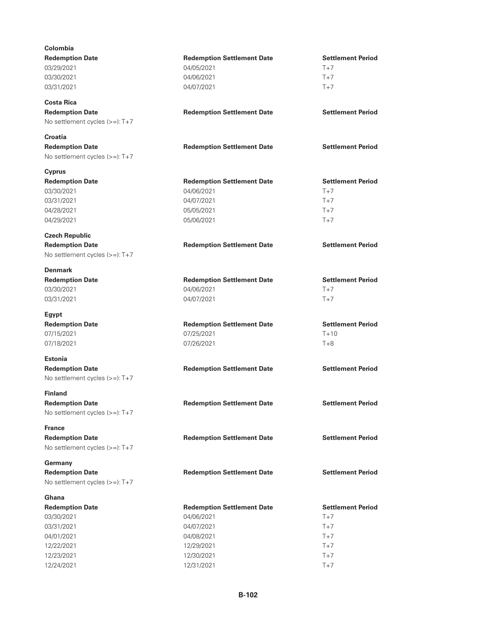| Colombia                          |                                   |                          |
|-----------------------------------|-----------------------------------|--------------------------|
| <b>Redemption Date</b>            | <b>Redemption Settlement Date</b> | <b>Settlement Period</b> |
| 03/29/2021                        | 04/05/2021                        | $T+7$                    |
| 03/30/2021                        | 04/06/2021                        | $T+7$                    |
| 03/31/2021                        | 04/07/2021                        | $T+7$                    |
|                                   |                                   |                          |
| <b>Costa Rica</b>                 |                                   |                          |
| <b>Redemption Date</b>            | <b>Redemption Settlement Date</b> | <b>Settlement Period</b> |
| No settlement cycles (>=): T+7    |                                   |                          |
|                                   |                                   |                          |
| Croatia                           |                                   |                          |
| <b>Redemption Date</b>            | <b>Redemption Settlement Date</b> | <b>Settlement Period</b> |
| No settlement cycles (>=): T+7    |                                   |                          |
| <b>Cyprus</b>                     |                                   |                          |
| <b>Redemption Date</b>            | <b>Redemption Settlement Date</b> | <b>Settlement Period</b> |
| 03/30/2021                        | 04/06/2021                        | $T+7$                    |
| 03/31/2021                        | 04/07/2021                        | $T+7$                    |
| 04/28/2021                        | 05/05/2021                        | $T+7$                    |
|                                   |                                   | $T+7$                    |
| 04/29/2021                        | 05/06/2021                        |                          |
| <b>Czech Republic</b>             |                                   |                          |
| <b>Redemption Date</b>            | <b>Redemption Settlement Date</b> | <b>Settlement Period</b> |
| No settlement cycles $(>=):T+7$   |                                   |                          |
|                                   |                                   |                          |
| <b>Denmark</b>                    |                                   |                          |
| <b>Redemption Date</b>            | <b>Redemption Settlement Date</b> | <b>Settlement Period</b> |
| 03/30/2021                        | 04/06/2021                        | $T+7$                    |
| 03/31/2021                        | 04/07/2021                        | $T+7$                    |
| Egypt                             |                                   |                          |
| <b>Redemption Date</b>            | <b>Redemption Settlement Date</b> | <b>Settlement Period</b> |
| 07/15/2021                        | 07/25/2021                        | $T + 10$                 |
| 07/18/2021                        | 07/26/2021                        | $T+8$                    |
|                                   |                                   |                          |
| <b>Estonia</b>                    |                                   |                          |
| <b>Redemption Date</b>            | <b>Redemption Settlement Date</b> | <b>Settlement Period</b> |
| No settlement cycles (>=): T+7    |                                   |                          |
| <b>Finland</b>                    |                                   |                          |
| <b>Redemption Date</b>            | <b>Redemption Settlement Date</b> | <b>Settlement Period</b> |
|                                   |                                   |                          |
| No settlement cycles (>=): T+7    |                                   |                          |
| <b>France</b>                     |                                   |                          |
| <b>Redemption Date</b>            | <b>Redemption Settlement Date</b> | <b>Settlement Period</b> |
| No settlement cycles (>=): T+7    |                                   |                          |
|                                   |                                   |                          |
| Germany<br><b>Redemption Date</b> |                                   |                          |
|                                   | <b>Redemption Settlement Date</b> | <b>Settlement Period</b> |
| No settlement cycles (>=): T+7    |                                   |                          |
| Ghana                             |                                   |                          |
| <b>Redemption Date</b>            | <b>Redemption Settlement Date</b> | <b>Settlement Period</b> |
| 03/30/2021                        | 04/06/2021                        | $T+7$                    |
| 03/31/2021                        | 04/07/2021                        | $T+7$                    |
| 04/01/2021                        | 04/08/2021                        | $T+7$                    |
| 12/22/2021                        | 12/29/2021                        | $T+7$                    |
| 12/23/2021                        | 12/30/2021                        | $T+7$                    |
| 12/24/2021                        | 12/31/2021                        | $T+7$                    |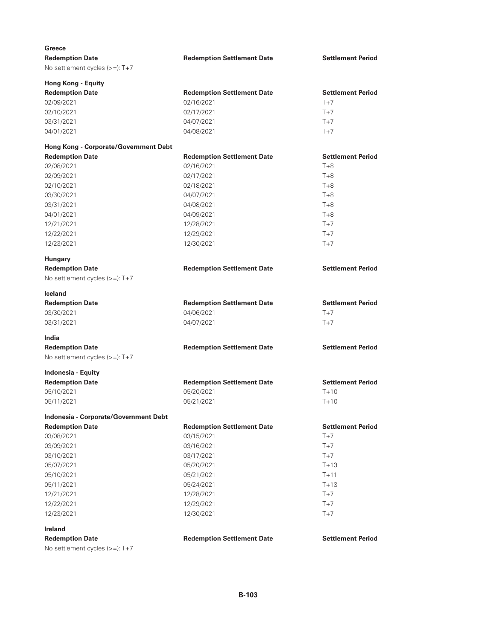| Greece                                |                                   |                          |
|---------------------------------------|-----------------------------------|--------------------------|
| <b>Redemption Date</b>                | <b>Redemption Settlement Date</b> | <b>Settlement Period</b> |
| No settlement cycles (>=): T+7        |                                   |                          |
|                                       |                                   |                          |
| <b>Hong Kong - Equity</b>             |                                   |                          |
| <b>Redemption Date</b>                | <b>Redemption Settlement Date</b> | <b>Settlement Period</b> |
| 02/09/2021                            | 02/16/2021                        | $T+7$                    |
| 02/10/2021                            | 02/17/2021                        | $T+7$                    |
| 03/31/2021                            | 04/07/2021                        | $T+7$                    |
| 04/01/2021                            | 04/08/2021                        | $T+7$                    |
| Hong Kong - Corporate/Government Debt |                                   |                          |
| <b>Redemption Date</b>                | <b>Redemption Settlement Date</b> | <b>Settlement Period</b> |
| 02/08/2021                            | 02/16/2021                        | $T + 8$                  |
| 02/09/2021                            | 02/17/2021                        | $T+8$                    |
| 02/10/2021                            | 02/18/2021                        | $T + 8$                  |
| 03/30/2021                            | 04/07/2021                        | $T + 8$                  |
| 03/31/2021                            | 04/08/2021                        | $T+8$                    |
| 04/01/2021                            |                                   | $T+8$                    |
|                                       | 04/09/2021                        |                          |
| 12/21/2021                            | 12/28/2021                        | $T+7$                    |
| 12/22/2021                            | 12/29/2021                        | $T+7$                    |
| 12/23/2021                            | 12/30/2021                        | $T+7$                    |
| <b>Hungary</b>                        |                                   |                          |
| <b>Redemption Date</b>                | <b>Redemption Settlement Date</b> | <b>Settlement Period</b> |
| No settlement cycles (>=): T+7        |                                   |                          |
|                                       |                                   |                          |
| <b>Iceland</b>                        |                                   |                          |
|                                       |                                   |                          |
| <b>Redemption Date</b>                | <b>Redemption Settlement Date</b> | <b>Settlement Period</b> |
| 03/30/2021                            | 04/06/2021                        | $T+7$                    |
| 03/31/2021                            | 04/07/2021                        | $T+7$                    |
| <b>India</b>                          |                                   |                          |
| <b>Redemption Date</b>                |                                   | <b>Settlement Period</b> |
| No settlement cycles (>=): T+7        | <b>Redemption Settlement Date</b> |                          |
|                                       |                                   |                          |
| Indonesia - Equity                    |                                   |                          |
| <b>Redemption Date</b>                | <b>Redemption Settlement Date</b> | <b>Settlement Period</b> |
| 05/10/2021                            | 05/20/2021                        | $T+10$                   |
| 05/11/2021                            | 05/21/2021                        | $T + 10$                 |
| Indonesia - Corporate/Government Debt |                                   |                          |
| <b>Redemption Date</b>                | <b>Redemption Settlement Date</b> | <b>Settlement Period</b> |
| 03/08/2021                            | 03/15/2021                        | $T+7$                    |
|                                       | 03/16/2021                        | $T+7$                    |
| 03/09/2021                            |                                   |                          |
| 03/10/2021                            | 03/17/2021                        | $T+7$                    |
| 05/07/2021                            | 05/20/2021                        | $T+13$                   |
| 05/10/2021                            | 05/21/2021                        | $T + 11$                 |
| 05/11/2021                            | 05/24/2021                        | $T+13$                   |
| 12/21/2021                            | 12/28/2021                        | $T+7$                    |
| 12/22/2021                            | 12/29/2021                        | $T+7$                    |
| 12/23/2021                            | 12/30/2021                        | $T+7$                    |
| <b>Ireland</b>                        |                                   |                          |
| <b>Redemption Date</b>                | <b>Redemption Settlement Date</b> | <b>Settlement Period</b> |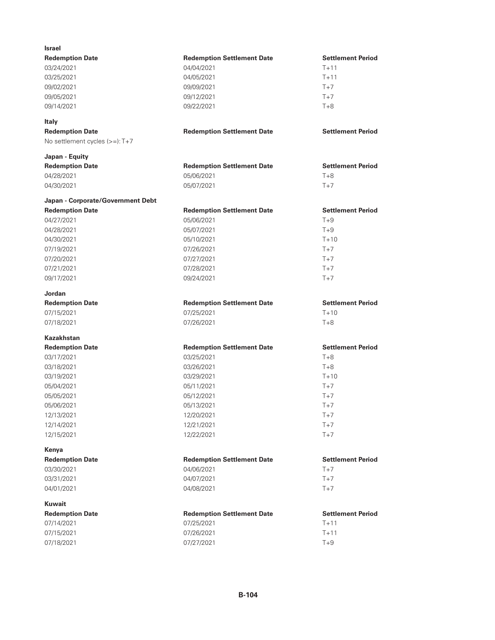| <b>Israel</b>                        |                                                 |                          |
|--------------------------------------|-------------------------------------------------|--------------------------|
| <b>Redemption Date</b>               | <b>Redemption Settlement Date</b>               | <b>Settlement Period</b> |
| 03/24/2021                           | 04/04/2021                                      | $T+11$                   |
| 03/25/2021                           | 04/05/2021                                      | $T + 11$                 |
| 09/02/2021                           | 09/09/2021                                      | $T+7$                    |
| 09/05/2021                           | 09/12/2021                                      | $T+7$                    |
| 09/14/2021                           | 09/22/2021                                      | $T+8$                    |
| <b>Italy</b>                         |                                                 |                          |
| <b>Redemption Date</b>               | <b>Redemption Settlement Date</b>               | <b>Settlement Period</b> |
| No settlement cycles (>=): T+7       |                                                 |                          |
| Japan - Equity                       |                                                 |                          |
| <b>Redemption Date</b>               | <b>Redemption Settlement Date</b>               | <b>Settlement Period</b> |
| 04/28/2021                           | 05/06/2021                                      | $T+8$                    |
| 04/30/2021                           | 05/07/2021                                      | $T+7$                    |
| Japan - Corporate/Government Debt    |                                                 |                          |
| <b>Redemption Date</b>               | <b>Redemption Settlement Date</b>               | <b>Settlement Period</b> |
| 04/27/2021                           | 05/06/2021                                      | $T+9$                    |
| 04/28/2021                           | 05/07/2021                                      | $T+9$                    |
| 04/30/2021                           | 05/10/2021                                      | $T+10$                   |
| 07/19/2021                           | 07/26/2021                                      | $T+7$                    |
| 07/20/2021                           | 07/27/2021                                      | $T+7$                    |
| 07/21/2021                           | 07/28/2021                                      | $T+7$                    |
| 09/17/2021                           | 09/24/2021                                      | $T+7$                    |
| Jordan                               |                                                 |                          |
| <b>Redemption Date</b>               | <b>Redemption Settlement Date</b>               | <b>Settlement Period</b> |
| 07/15/2021                           | 07/25/2021                                      | $T+10$                   |
| 07/18/2021                           | 07/26/2021                                      | $T+8$                    |
| Kazakhstan                           |                                                 |                          |
| <b>Redemption Date</b>               | <b>Redemption Settlement Date</b>               | <b>Settlement Period</b> |
| 03/17/2021                           | 03/25/2021                                      | $T+8$                    |
| 03/18/2021                           | 03/26/2021                                      | $T+8$                    |
| 03/19/2021                           | 03/29/2021                                      | $T + 10$                 |
| 05/04/2021                           | 05/11/2021                                      | $T+7$                    |
| 05/05/2021                           | 05/12/2021                                      | $T+7$                    |
| 05/06/2021                           | 05/13/2021                                      | $T+7$                    |
| 12/13/2021                           | 12/20/2021                                      | $T+7$                    |
| 12/14/2021                           | 12/21/2021                                      | $T+7$                    |
| 12/15/2021                           | 12/22/2021                                      | $T+7$                    |
| Kenya                                |                                                 | <b>Settlement Period</b> |
| <b>Redemption Date</b><br>03/30/2021 | <b>Redemption Settlement Date</b><br>04/06/2021 | $T+7$                    |
|                                      |                                                 |                          |
| 03/31/2021                           | 04/07/2021                                      | $T+7$                    |
| 04/01/2021                           | 04/08/2021                                      | $T+7$                    |
| Kuwait                               |                                                 |                          |
| <b>Redemption Date</b>               | <b>Redemption Settlement Date</b>               | <b>Settlement Period</b> |
| 07/14/2021                           | 07/25/2021                                      | $T + 11$                 |
| 07/15/2021                           | 07/26/2021                                      | $T+11$                   |
| 07/18/2021                           | 07/27/2021                                      | $T+9$                    |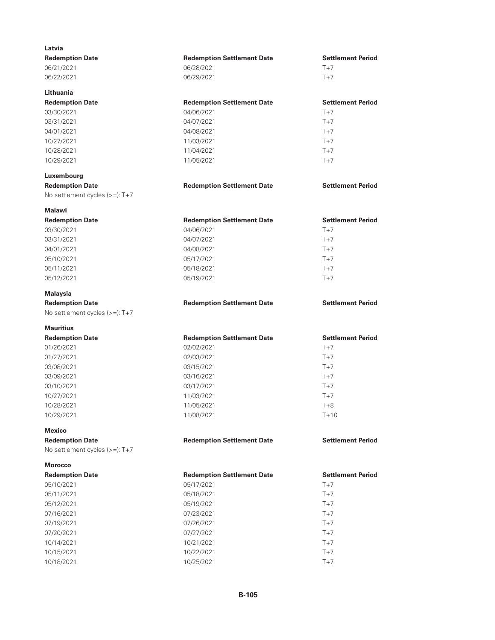| Latvia                         |                                   |                          |
|--------------------------------|-----------------------------------|--------------------------|
| <b>Redemption Date</b>         | <b>Redemption Settlement Date</b> | <b>Settlement Period</b> |
| 06/21/2021                     | 06/28/2021                        | $T+7$                    |
| 06/22/2021                     | 06/29/2021                        | $T+7$                    |
| Lithuania                      |                                   |                          |
| <b>Redemption Date</b>         | <b>Redemption Settlement Date</b> | <b>Settlement Period</b> |
| 03/30/2021                     | 04/06/2021                        | $T+7$                    |
| 03/31/2021                     | 04/07/2021                        | $T+7$                    |
| 04/01/2021                     | 04/08/2021                        | $T+7$                    |
| 10/27/2021                     | 11/03/2021                        | $T+7$                    |
| 10/28/2021                     | 11/04/2021                        | $T+7$                    |
| 10/29/2021                     | 11/05/2021                        | $T+7$                    |
| Luxembourg                     |                                   |                          |
| <b>Redemption Date</b>         | <b>Redemption Settlement Date</b> | <b>Settlement Period</b> |
| No settlement cycles (>=): T+7 |                                   |                          |
| Malawi                         |                                   |                          |
| <b>Redemption Date</b>         | <b>Redemption Settlement Date</b> | <b>Settlement Period</b> |
| 03/30/2021                     | 04/06/2021                        | $T+7$                    |
| 03/31/2021                     | 04/07/2021                        | $T+7$                    |
| 04/01/2021                     | 04/08/2021                        | $T+7$                    |
| 05/10/2021                     | 05/17/2021                        | $T+7$                    |
| 05/11/2021                     | 05/18/2021                        | $T+7$                    |
| 05/12/2021                     | 05/19/2021                        | $T+7$                    |
| Malaysia                       |                                   |                          |
| <b>Redemption Date</b>         | <b>Redemption Settlement Date</b> | <b>Settlement Period</b> |
| No settlement cycles (>=): T+7 |                                   |                          |
| Mauritius                      |                                   |                          |
| <b>Redemption Date</b>         | <b>Redemption Settlement Date</b> | <b>Settlement Period</b> |
| 01/26/2021                     | 02/02/2021                        | $T+7$                    |
| 01/27/2021                     | 02/03/2021                        | $T+7$                    |
| 03/08/2021                     | 03/15/2021                        | $T+7$                    |
| 03/09/2021                     | 03/16/2021                        | $T+7$                    |
| 03/10/2021                     | 03/17/2021                        | $T+7$                    |
| 10/27/2021                     | 11/03/2021                        | $T+7$                    |
| 10/28/2021                     | 11/05/2021                        | $T+8$                    |
| 10/29/2021                     | 11/08/2021                        | $T+10$                   |
| Mexico                         |                                   |                          |
| <b>Redemption Date</b>         | <b>Redemption Settlement Date</b> | <b>Settlement Period</b> |
| No settlement cycles (>=): T+7 |                                   |                          |
| Morocco                        |                                   |                          |
| <b>Redemption Date</b>         | <b>Redemption Settlement Date</b> | <b>Settlement Period</b> |
| 05/10/2021                     | 05/17/2021                        | $T+7$                    |
| 05/11/2021                     | 05/18/2021                        | $T+7$                    |
| 05/12/2021                     | 05/19/2021                        | $T+7$                    |
| 07/16/2021                     | 07/23/2021                        | $T+7$                    |
| 07/19/2021                     | 07/26/2021                        | $T+7$                    |
| 07/20/2021                     | 07/27/2021                        | $T+7$                    |
| 10/14/2021                     | 10/21/2021                        | $T+7$                    |
| 10/15/2021                     | 10/22/2021                        | $T+7$                    |
| 10/18/2021                     | 10/25/2021                        | $T+7$                    |
|                                |                                   |                          |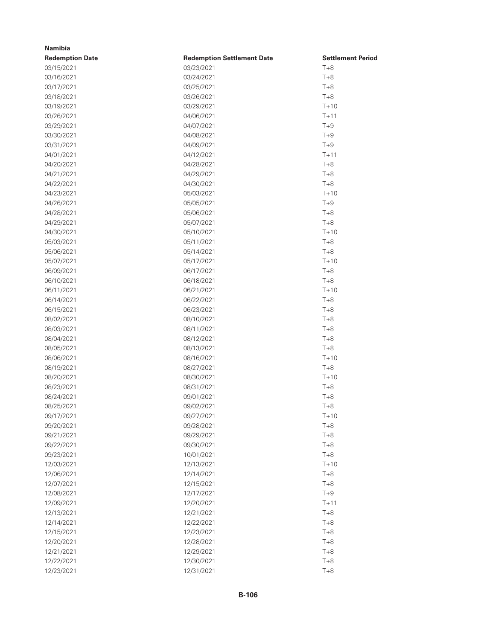| <b>Namibia</b>         |                                   |                          |
|------------------------|-----------------------------------|--------------------------|
| <b>Redemption Date</b> | <b>Redemption Settlement Date</b> | <b>Settlement Period</b> |
| 03/15/2021             | 03/23/2021                        | $T+8$                    |
| 03/16/2021             | 03/24/2021                        | $T+8$                    |
| 03/17/2021             | 03/25/2021                        | $T+8$                    |
| 03/18/2021             | 03/26/2021                        | $T+8$                    |
| 03/19/2021             | 03/29/2021                        | $T + 10$                 |
| 03/26/2021             | 04/06/2021                        | $T+11$                   |
| 03/29/2021             | 04/07/2021                        | $T+9$                    |
| 03/30/2021             | 04/08/2021                        | $T+9$                    |
| 03/31/2021             | 04/09/2021                        | $T+9$                    |
| 04/01/2021             | 04/12/2021                        | $T+11$                   |
| 04/20/2021             | 04/28/2021                        | $T+8$                    |
| 04/21/2021             | 04/29/2021                        | $T+8$                    |
| 04/22/2021             | 04/30/2021                        | $T+8$                    |
| 04/23/2021             | 05/03/2021                        | $T + 10$                 |
| 04/26/2021             | 05/05/2021                        | $T+9$                    |
| 04/28/2021             | 05/06/2021                        | $T+8$                    |
| 04/29/2021             | 05/07/2021                        | $T+8$                    |
| 04/30/2021             | 05/10/2021                        | $T+10$                   |
| 05/03/2021             | 05/11/2021                        | $T+8$                    |
| 05/06/2021             | 05/14/2021                        | $T+8$                    |
| 05/07/2021             | 05/17/2021                        | $T+10$                   |
| 06/09/2021             | 06/17/2021                        | $T+8$                    |
| 06/10/2021             | 06/18/2021                        | $T+8$                    |
| 06/11/2021             | 06/21/2021                        | $T + 10$                 |
| 06/14/2021             | 06/22/2021                        | $T+8$                    |
| 06/15/2021             | 06/23/2021                        | $T+8$                    |
| 08/02/2021             | 08/10/2021                        | $T+8$                    |
| 08/03/2021             | 08/11/2021                        | $T+8$                    |
| 08/04/2021             | 08/12/2021                        | $T+8$                    |
| 08/05/2021             | 08/13/2021                        | $T+8$                    |
| 08/06/2021             | 08/16/2021                        | $T + 10$                 |
| 08/19/2021             | 08/27/2021                        | $T+8$                    |
| 08/20/2021             | 08/30/2021                        | $T + 10$                 |
| 08/23/2021             | 08/31/2021                        | $T+8$                    |
| 08/24/2021             | 09/01/2021                        | $T+8$                    |
| 08/25/2021             | 09/02/2021                        | $T+8$                    |
| 09/17/2021             | 09/27/2021                        | $T+10$                   |
| 09/20/2021             | 09/28/2021                        | $T+8$                    |
| 09/21/2021             | 09/29/2021                        | $T+8$                    |
| 09/22/2021             | 09/30/2021                        | $T+8$                    |
| 09/23/2021             | 10/01/2021                        | $T+8$                    |
| 12/03/2021             | 12/13/2021                        | $T+10$                   |
| 12/06/2021             | 12/14/2021                        | $T+8$                    |
| 12/07/2021             | 12/15/2021                        | $T+8$                    |
| 12/08/2021             | 12/17/2021                        | $T+9$                    |
| 12/09/2021             | 12/20/2021                        | $T+11$                   |
| 12/13/2021             | 12/21/2021                        | $T+8$                    |
| 12/14/2021             | 12/22/2021                        | $T+8$                    |
| 12/15/2021             | 12/23/2021                        | $T+8$                    |
| 12/20/2021             | 12/28/2021                        | $T+8$                    |
| 12/21/2021             | 12/29/2021                        | $T+8$                    |
| 12/22/2021             | 12/30/2021                        | $T+8$                    |
| 12/23/2021             | 12/31/2021                        | $T+8$                    |
|                        |                                   |                          |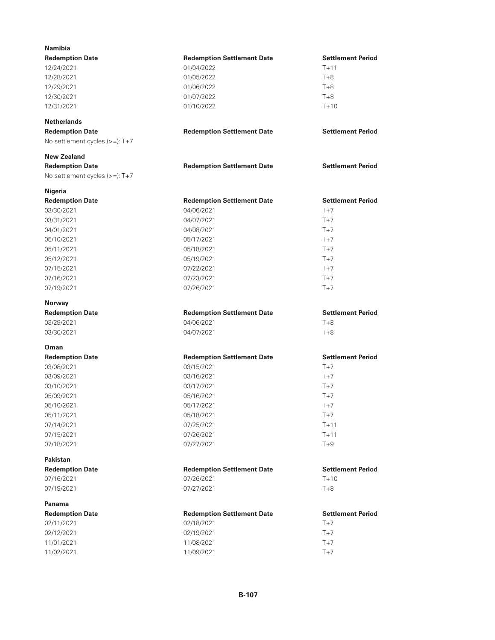| <b>Namibia</b>                 |                                   |                          |
|--------------------------------|-----------------------------------|--------------------------|
| <b>Redemption Date</b>         | <b>Redemption Settlement Date</b> | <b>Settlement Period</b> |
| 12/24/2021                     | 01/04/2022                        | $T + 11$                 |
| 12/28/2021                     | 01/05/2022                        | $T+8$                    |
| 12/29/2021                     | 01/06/2022                        | $T+8$                    |
| 12/30/2021                     | 01/07/2022                        | $T+8$                    |
| 12/31/2021                     | 01/10/2022                        | $T+10$                   |
| <b>Netherlands</b>             |                                   |                          |
| <b>Redemption Date</b>         | <b>Redemption Settlement Date</b> | <b>Settlement Period</b> |
| No settlement cycles (>=): T+7 |                                   |                          |
| <b>New Zealand</b>             |                                   |                          |
| <b>Redemption Date</b>         | <b>Redemption Settlement Date</b> | <b>Settlement Period</b> |
| No settlement cycles (>=): T+7 |                                   |                          |
| Nigeria                        |                                   |                          |
| <b>Redemption Date</b>         | <b>Redemption Settlement Date</b> | <b>Settlement Period</b> |
| 03/30/2021                     | 04/06/2021                        | $T+7$                    |
| 03/31/2021                     | 04/07/2021                        | $T+7$                    |
| 04/01/2021                     | 04/08/2021                        | $T+7$                    |
| 05/10/2021                     | 05/17/2021                        | $T+7$                    |
| 05/11/2021                     | 05/18/2021                        | $T+7$                    |
| 05/12/2021                     | 05/19/2021                        | $T+7$                    |
| 07/15/2021                     | 07/22/2021                        | $T+7$                    |
| 07/16/2021                     | 07/23/2021                        | $T+7$                    |
| 07/19/2021                     | 07/26/2021                        | $T+7$                    |
| <b>Norway</b>                  |                                   |                          |
| <b>Redemption Date</b>         | <b>Redemption Settlement Date</b> | <b>Settlement Period</b> |
| 03/29/2021                     | 04/06/2021                        | $T + 8$                  |
| 03/30/2021                     | 04/07/2021                        | $T+8$                    |
| Oman                           |                                   |                          |
| <b>Redemption Date</b>         | <b>Redemption Settlement Date</b> | <b>Settlement Period</b> |
| 03/08/2021                     | 03/15/2021                        | $T+7$                    |
| 03/09/2021                     | 03/16/2021                        | $T+7$                    |
| 03/10/2021                     | 03/17/2021                        | $T+7$                    |
| 05/09/2021                     | 05/16/2021                        | $T+7$                    |
| 05/10/2021                     | 05/17/2021                        | $T+7$                    |
| 05/11/2021                     | 05/18/2021                        | $T+7$                    |
| 07/14/2021                     | 07/25/2021                        | $T+11$                   |
| 07/15/2021                     | 07/26/2021                        | $T + 11$                 |
| 07/18/2021                     | 07/27/2021                        | $T+9$                    |
| Pakistan                       |                                   |                          |
| <b>Redemption Date</b>         | <b>Redemption Settlement Date</b> | <b>Settlement Period</b> |
| 07/16/2021                     | 07/26/2021                        | $T+10$                   |
| 07/19/2021                     | 07/27/2021                        | $T+8$                    |
| Panama                         |                                   |                          |
| <b>Redemption Date</b>         | <b>Redemption Settlement Date</b> | <b>Settlement Period</b> |
| 02/11/2021                     | 02/18/2021                        | $T+7$                    |
| 02/12/2021                     | 02/19/2021                        | $T+7$                    |
| 11/01/2021                     | 11/08/2021                        | $T+7$                    |
| 11/02/2021                     | 11/09/2021                        | $T+7$                    |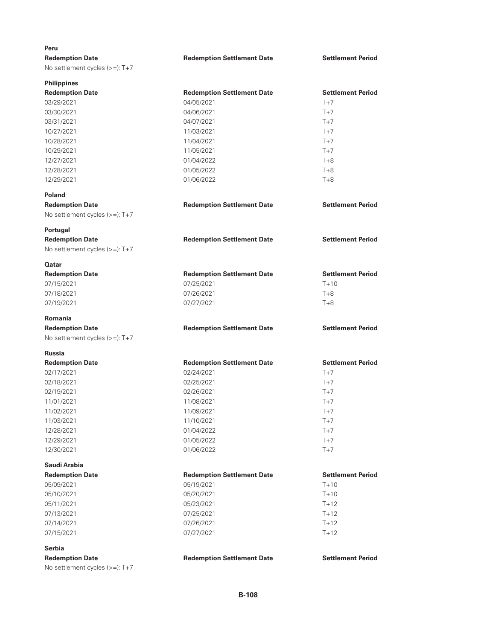| Peru                                                     |                                   |                          |  |
|----------------------------------------------------------|-----------------------------------|--------------------------|--|
| <b>Redemption Date</b>                                   | <b>Redemption Settlement Date</b> | <b>Settlement Period</b> |  |
| No settlement cycles $(>=):T+7$                          |                                   |                          |  |
| <b>Philippines</b>                                       |                                   |                          |  |
| <b>Redemption Date</b>                                   | <b>Redemption Settlement Date</b> | <b>Settlement Period</b> |  |
| 03/29/2021                                               | 04/05/2021                        | $T+7$                    |  |
| 03/30/2021                                               | 04/06/2021                        | $T+7$                    |  |
| 03/31/2021                                               | 04/07/2021                        | $T+7$                    |  |
| 10/27/2021                                               | 11/03/2021                        | $T+7$                    |  |
| 10/28/2021                                               | 11/04/2021                        | $T+7$                    |  |
| 10/29/2021                                               | 11/05/2021                        | $T+7$                    |  |
| 12/27/2021                                               | 01/04/2022                        | $T + 8$                  |  |
| 12/28/2021                                               | 01/05/2022                        | $T + 8$                  |  |
| 12/29/2021                                               | 01/06/2022                        | $T+8$                    |  |
| Poland                                                   |                                   |                          |  |
| <b>Redemption Date</b><br>No settlement cycles (>=): T+7 | <b>Redemption Settlement Date</b> | <b>Settlement Period</b> |  |
| Portugal                                                 |                                   |                          |  |
| <b>Redemption Date</b>                                   | <b>Redemption Settlement Date</b> | <b>Settlement Period</b> |  |
| No settlement cycles (>=): T+7                           |                                   |                          |  |
| <b>Qatar</b>                                             |                                   |                          |  |
| <b>Redemption Date</b>                                   | <b>Redemption Settlement Date</b> | <b>Settlement Period</b> |  |
| 07/15/2021                                               | 07/25/2021                        | $T + 10$                 |  |
| 07/18/2021                                               | 07/26/2021                        | $T+8$                    |  |
| 07/19/2021                                               | 07/27/2021                        | $T+8$                    |  |
| <b>Romania</b>                                           |                                   |                          |  |
| <b>Redemption Date</b>                                   | <b>Redemption Settlement Date</b> | <b>Settlement Period</b> |  |
| No settlement cycles (>=): T+7                           |                                   |                          |  |
| <b>Russia</b>                                            |                                   |                          |  |
| <b>Redemption Date</b>                                   | <b>Redemption Settlement Date</b> | <b>Settlement Period</b> |  |
| 02/17/2021                                               | 02/24/2021                        | $T+7$                    |  |
| 02/18/2021                                               | 02/25/2021                        | $T+7$                    |  |
| 02/19/2021                                               | 02/26/2021                        | $T+7$                    |  |
| 11/01/2021                                               | 11/08/2021                        | $T+7$                    |  |
| 11/02/2021                                               | 11/09/2021                        | $T+7$                    |  |
| 11/03/2021                                               | 11/10/2021                        | $T+7$                    |  |
| 12/28/2021                                               | 01/04/2022                        | $T+7$                    |  |
| 12/29/2021                                               | 01/05/2022                        | $T+7$                    |  |
| 12/30/2021                                               | 01/06/2022                        | $T+7$                    |  |
| Saudi Arabia                                             |                                   |                          |  |
| <b>Redemption Date</b>                                   | <b>Redemption Settlement Date</b> | <b>Settlement Period</b> |  |
| 05/09/2021                                               | 05/19/2021                        | $T + 10$                 |  |
| 05/10/2021                                               | 05/20/2021                        | $T + 10$                 |  |
| 05/11/2021                                               | 05/23/2021                        | $T + 12$                 |  |
| 07/13/2021                                               | 07/25/2021                        | $T + 12$                 |  |
| 07/14/2021                                               | 07/26/2021                        | $T+12$                   |  |
| 07/15/2021                                               | 07/27/2021                        | $T+12$                   |  |
| <b>Serbia</b>                                            |                                   |                          |  |
| <b>Redemption Date</b>                                   | <b>Redemption Settlement Date</b> | <b>Settlement Period</b> |  |
| No settlement cycles (>=): T+7                           |                                   |                          |  |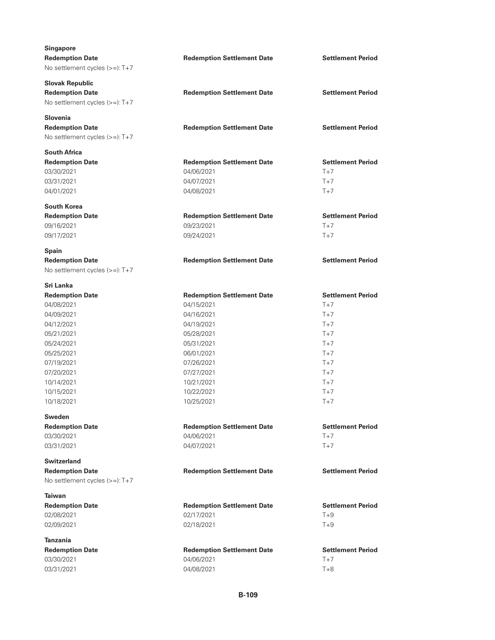| <b>Singapore</b>                                         |                                   |                          |
|----------------------------------------------------------|-----------------------------------|--------------------------|
| <b>Redemption Date</b>                                   | <b>Redemption Settlement Date</b> | <b>Settlement Period</b> |
| No settlement cycles (>=): T+7                           |                                   |                          |
| <b>Slovak Republic</b>                                   |                                   |                          |
| <b>Redemption Date</b>                                   | <b>Redemption Settlement Date</b> | <b>Settlement Period</b> |
| No settlement cycles (>=): T+7                           |                                   |                          |
| <b>Slovenia</b>                                          |                                   |                          |
| <b>Redemption Date</b>                                   | <b>Redemption Settlement Date</b> | <b>Settlement Period</b> |
| No settlement cycles $(>=):T+7$                          |                                   |                          |
| <b>South Africa</b>                                      |                                   |                          |
| <b>Redemption Date</b>                                   | <b>Redemption Settlement Date</b> | <b>Settlement Period</b> |
| 03/30/2021                                               | 04/06/2021                        | $T+7$                    |
| 03/31/2021                                               | 04/07/2021                        | $T+7$                    |
| 04/01/2021                                               | 04/08/2021                        | $T+7$                    |
| <b>South Korea</b>                                       |                                   |                          |
| <b>Redemption Date</b>                                   | <b>Redemption Settlement Date</b> | <b>Settlement Period</b> |
| 09/16/2021                                               | 09/23/2021                        | $T+7$                    |
| 09/17/2021                                               | 09/24/2021                        | $T+7$                    |
| <b>Spain</b>                                             |                                   |                          |
| <b>Redemption Date</b>                                   | <b>Redemption Settlement Date</b> | <b>Settlement Period</b> |
| No settlement cycles $(>=):T+7$                          |                                   |                          |
| Sri Lanka                                                |                                   |                          |
| <b>Redemption Date</b>                                   | <b>Redemption Settlement Date</b> | <b>Settlement Period</b> |
| 04/08/2021                                               | 04/15/2021                        | $T+7$                    |
| 04/09/2021                                               | 04/16/2021                        | $T+7$                    |
| 04/12/2021                                               | 04/19/2021                        | $T+7$                    |
| 05/21/2021                                               | 05/28/2021                        | $T+7$                    |
| 05/24/2021                                               | 05/31/2021                        | $T+7$                    |
| 05/25/2021                                               | 06/01/2021                        | $T+7$                    |
| 07/19/2021                                               | 07/26/2021                        | $T+7$                    |
| 07/20/2021                                               | 07/27/2021                        | $T+7$                    |
| 10/14/2021                                               | 10/21/2021                        | $T+7$                    |
| 10/15/2021                                               | 10/22/2021                        | $T+7$                    |
| 10/18/2021                                               | 10/25/2021                        | $T+7$                    |
| <b>Sweden</b>                                            |                                   | <b>Settlement Period</b> |
| <b>Redemption Date</b>                                   | <b>Redemption Settlement Date</b> |                          |
| 03/30/2021                                               | 04/06/2021                        | $T+7$                    |
| 03/31/2021                                               | 04/07/2021                        | $T+7$                    |
| <b>Switzerland</b>                                       |                                   | <b>Settlement Period</b> |
| <b>Redemption Date</b><br>No settlement cycles (>=): T+7 | <b>Redemption Settlement Date</b> |                          |
|                                                          |                                   |                          |
| Taiwan<br><b>Redemption Date</b>                         | <b>Redemption Settlement Date</b> | <b>Settlement Period</b> |
| 02/08/2021                                               | 02/17/2021                        | $T+9$                    |
| 02/09/2021                                               | 02/18/2021                        | $T+9$                    |
| <b>Tanzania</b>                                          |                                   |                          |
| <b>Redemption Date</b>                                   | <b>Redemption Settlement Date</b> | <b>Settlement Period</b> |
| 03/30/2021                                               | 04/06/2021                        | $T+7$                    |
| 03/31/2021                                               | 04/08/2021                        | $T+8$                    |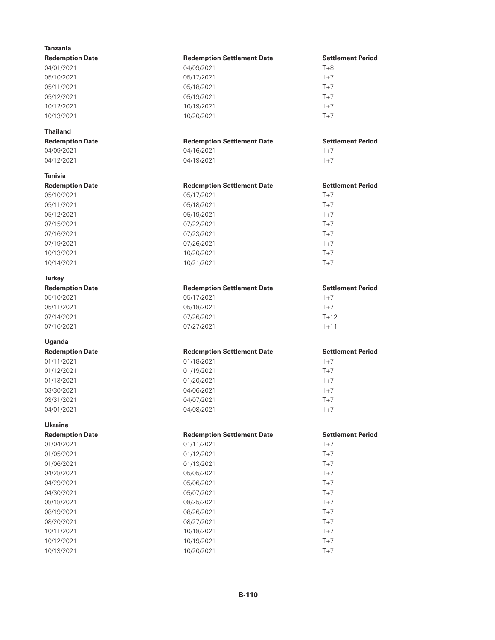| <b>Tanzania</b>          |                                   |                          |
|--------------------------|-----------------------------------|--------------------------|
| <b>Redemption Date</b>   | <b>Redemption Settlement Date</b> | <b>Settlement Period</b> |
| 04/01/2021               | 04/09/2021                        | $T+8$                    |
| 05/10/2021               | 05/17/2021                        | $T+7$                    |
| 05/11/2021               | 05/18/2021                        | $T+7$                    |
| 05/12/2021               | 05/19/2021                        | $T+7$                    |
| 10/12/2021               | 10/19/2021                        | $T+7$                    |
| 10/13/2021               | 10/20/2021                        | $T+7$                    |
| <b>Thailand</b>          |                                   |                          |
| <b>Redemption Date</b>   | <b>Redemption Settlement Date</b> | <b>Settlement Period</b> |
| 04/09/2021               | 04/16/2021                        | $T+7$                    |
| 04/12/2021               | 04/19/2021                        | $T+7$                    |
| Tunisia                  |                                   |                          |
| <b>Redemption Date</b>   | <b>Redemption Settlement Date</b> | <b>Settlement Period</b> |
| 05/10/2021               | 05/17/2021                        | $T+7$                    |
| 05/11/2021               | 05/18/2021                        | $T+7$                    |
| 05/12/2021               | 05/19/2021                        | $T+7$                    |
| 07/15/2021               | 07/22/2021                        | $T+7$                    |
| 07/16/2021               | 07/23/2021                        | $T+7$                    |
| 07/19/2021               | 07/26/2021                        | $T+7$                    |
| 10/13/2021               | 10/20/2021                        | $T+7$                    |
| 10/14/2021               | 10/21/2021                        | $T+7$                    |
| <b>Turkey</b>            |                                   |                          |
| <b>Redemption Date</b>   | <b>Redemption Settlement Date</b> | <b>Settlement Period</b> |
| 05/10/2021               | 05/17/2021                        | $T+7$                    |
| 05/11/2021               | 05/18/2021                        | $T+7$                    |
|                          |                                   |                          |
| 07/14/2021               | 07/26/2021                        | $T+12$                   |
| 07/16/2021               | 07/27/2021                        | $T + 11$                 |
| Uganda                   |                                   |                          |
| <b>Redemption Date</b>   | <b>Redemption Settlement Date</b> | <b>Settlement Period</b> |
| 01/11/2021               | 01/18/2021                        | $T+7$                    |
| 01/12/2021               | 01/19/2021                        | $T+7$                    |
| 01/13/2021               | 01/20/2021                        | $T+7$                    |
| 03/30/2021               | 04/06/2021                        | $T+7$                    |
| 03/31/2021               | 04/07/2021                        | $T+7$                    |
| 04/01/2021               | 04/08/2021                        | $T+7$                    |
| <b>Ukraine</b>           |                                   |                          |
| <b>Redemption Date</b>   | <b>Redemption Settlement Date</b> | <b>Settlement Period</b> |
| 01/04/2021               | 01/11/2021                        | $T+7$                    |
| 01/05/2021               | 01/12/2021                        | $T+7$                    |
| 01/06/2021               | 01/13/2021                        | $T+7$                    |
| 04/28/2021               | 05/05/2021                        | $T+7$                    |
| 04/29/2021               | 05/06/2021                        | $T+7$                    |
| 04/30/2021               | 05/07/2021                        | $T+7$                    |
| 08/18/2021               | 08/25/2021                        | $T+7$                    |
| 08/19/2021               | 08/26/2021                        | $T+7$                    |
| 08/20/2021               | 08/27/2021                        | $T+7$                    |
| 10/11/2021               | 10/18/2021                        | $T+7$                    |
| 10/12/2021<br>10/13/2021 | 10/19/2021<br>10/20/2021          | $T+7$<br>$T+7$           |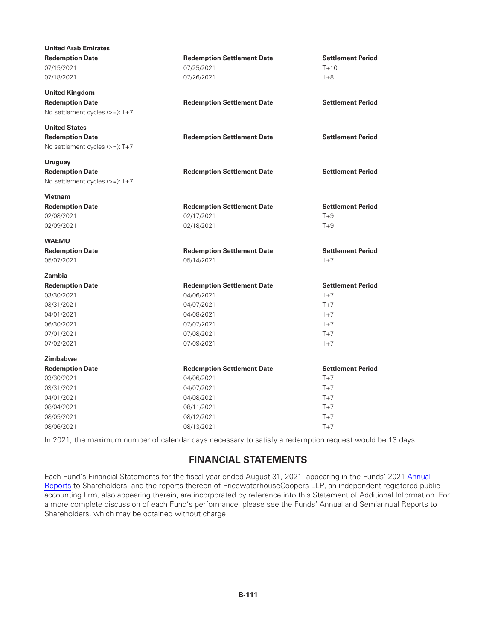| <b>United Arab Emirates</b>    |                                   |                          |
|--------------------------------|-----------------------------------|--------------------------|
| <b>Redemption Date</b>         | <b>Redemption Settlement Date</b> | <b>Settlement Period</b> |
| 07/15/2021                     | 07/25/2021                        | $T+10$                   |
| 07/18/2021                     | 07/26/2021                        | $T+8$                    |
| <b>United Kingdom</b>          |                                   |                          |
| <b>Redemption Date</b>         | <b>Redemption Settlement Date</b> | <b>Settlement Period</b> |
| No settlement cycles (>=): T+7 |                                   |                          |
| <b>United States</b>           |                                   |                          |
| <b>Redemption Date</b>         | <b>Redemption Settlement Date</b> | <b>Settlement Period</b> |
| No settlement cycles (>=): T+7 |                                   |                          |
| Uruguay                        |                                   |                          |
| <b>Redemption Date</b>         | <b>Redemption Settlement Date</b> | <b>Settlement Period</b> |
| No settlement cycles (>=): T+7 |                                   |                          |
| <b>Vietnam</b>                 |                                   |                          |
| <b>Redemption Date</b>         | <b>Redemption Settlement Date</b> | <b>Settlement Period</b> |
| 02/08/2021                     | 02/17/2021                        | $T+9$                    |
| 02/09/2021                     | 02/18/2021                        | $T+9$                    |
| <b>WAEMU</b>                   |                                   |                          |
| <b>Redemption Date</b>         | <b>Redemption Settlement Date</b> | <b>Settlement Period</b> |
| 05/07/2021                     | 05/14/2021                        | $T+7$                    |
| Zambia                         |                                   |                          |
| <b>Redemption Date</b>         | <b>Redemption Settlement Date</b> | <b>Settlement Period</b> |
| 03/30/2021                     | 04/06/2021                        | $T+7$                    |
| 03/31/2021                     | 04/07/2021                        | $T+7$                    |
| 04/01/2021                     | 04/08/2021                        | $T+7$                    |
| 06/30/2021                     | 07/07/2021                        | $T+7$                    |
| 07/01/2021                     | 07/08/2021                        | $T+7$                    |
| 07/02/2021                     | 07/09/2021                        | $T+7$                    |
| <b>Zimbabwe</b>                |                                   |                          |
| <b>Redemption Date</b>         | <b>Redemption Settlement Date</b> | <b>Settlement Period</b> |
| 03/30/2021                     | 04/06/2021                        | $T+7$                    |
| 03/31/2021                     | 04/07/2021                        | $T+7$                    |
| 04/01/2021                     | 04/08/2021                        | $T+7$                    |
| 08/04/2021                     | 08/11/2021                        | $T+7$                    |
| 08/05/2021                     | 08/12/2021                        | $T+7$                    |
| 08/06/2021                     | 08/13/2021                        | $T+7$                    |

In 2021, the maximum number of calendar days necessary to satisfy a redemption request would be 13 days.

# **FINANCIAL STATEMENTS**

Each Fund's Financial Statements for the fiscal year ended August 31, 2021, appearing in the Funds' 2021 [Annual](https://www.sec.gov/Archives/edgar/data/0000052848/000110465921132251/tm2128900d4_ncsr.htm) [Reports](https://www.sec.gov/Archives/edgar/data/0000052848/000110465921132251/tm2128900d4_ncsr.htm) to Shareholders, and the reports thereon of PricewaterhouseCoopers LLP, an independent registered public accounting firm, also appearing therein, are incorporated by reference into this Statement of Additional Information. For a more complete discussion of each Fund's performance, please see the Funds' Annual and Semiannual Reports to Shareholders, which may be obtained without charge.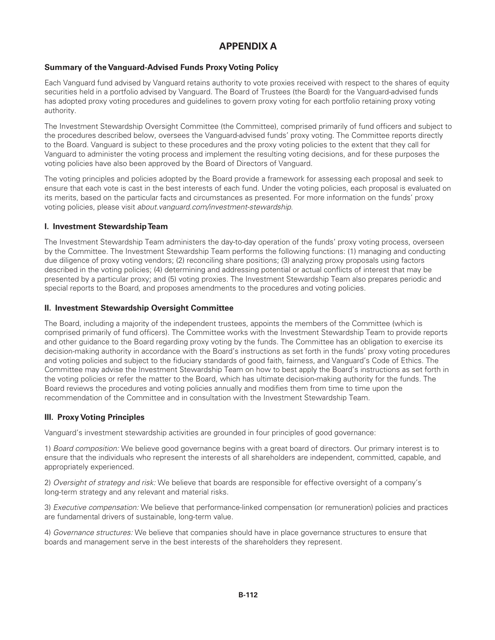# **APPENDIX A**

# **Summary of the Vanguard-Advised Funds Proxy Voting Policy**

Each Vanguard fund advised by Vanguard retains authority to vote proxies received with respect to the shares of equity securities held in a portfolio advised by Vanguard. The Board of Trustees (the Board) for the Vanguard-advised funds has adopted proxy voting procedures and guidelines to govern proxy voting for each portfolio retaining proxy voting authority.

The Investment Stewardship Oversight Committee (the Committee), comprised primarily of fund officers and subject to the procedures described below, oversees the Vanguard-advised funds' proxy voting. The Committee reports directly to the Board. Vanguard is subject to these procedures and the proxy voting policies to the extent that they call for Vanguard to administer the voting process and implement the resulting voting decisions, and for these purposes the voting policies have also been approved by the Board of Directors of Vanguard.

The voting principles and policies adopted by the Board provide a framework for assessing each proposal and seek to ensure that each vote is cast in the best interests of each fund. Under the voting policies, each proposal is evaluated on its merits, based on the particular facts and circumstances as presented. For more information on the funds' proxy voting policies, please visit *about.vanguard.com/investment-stewardship*.

# **I. Investment Stewardship Team**

The Investment Stewardship Team administers the day-to-day operation of the funds' proxy voting process, overseen by the Committee. The Investment Stewardship Team performs the following functions: (1) managing and conducting due diligence of proxy voting vendors; (2) reconciling share positions; (3) analyzing proxy proposals using factors described in the voting policies; (4) determining and addressing potential or actual conflicts of interest that may be presented by a particular proxy; and (5) voting proxies. The Investment Stewardship Team also prepares periodic and special reports to the Board, and proposes amendments to the procedures and voting policies.

## **II. Investment Stewardship Oversight Committee**

The Board, including a majority of the independent trustees, appoints the members of the Committee (which is comprised primarily of fund officers). The Committee works with the Investment Stewardship Team to provide reports and other guidance to the Board regarding proxy voting by the funds. The Committee has an obligation to exercise its decision-making authority in accordance with the Board's instructions as set forth in the funds' proxy voting procedures and voting policies and subject to the fiduciary standards of good faith, fairness, and Vanguard's Code of Ethics. The Committee may advise the Investment Stewardship Team on how to best apply the Board's instructions as set forth in the voting policies or refer the matter to the Board, which has ultimate decision-making authority for the funds. The Board reviews the procedures and voting policies annually and modifies them from time to time upon the recommendation of the Committee and in consultation with the Investment Stewardship Team.

# **III. Proxy Voting Principles**

Vanguard's investment stewardship activities are grounded in four principles of good governance:

1) *Board composition:* We believe good governance begins with a great board of directors. Our primary interest is to ensure that the individuals who represent the interests of all shareholders are independent, committed, capable, and appropriately experienced.

2) *Oversight of strategy and risk:* We believe that boards are responsible for effective oversight of a company's long-term strategy and any relevant and material risks.

3) *Executive compensation:* We believe that performance-linked compensation (or remuneration) policies and practices are fundamental drivers of sustainable, long-term value.

4) *Governance structures:* We believe that companies should have in place governance structures to ensure that boards and management serve in the best interests of the shareholders they represent.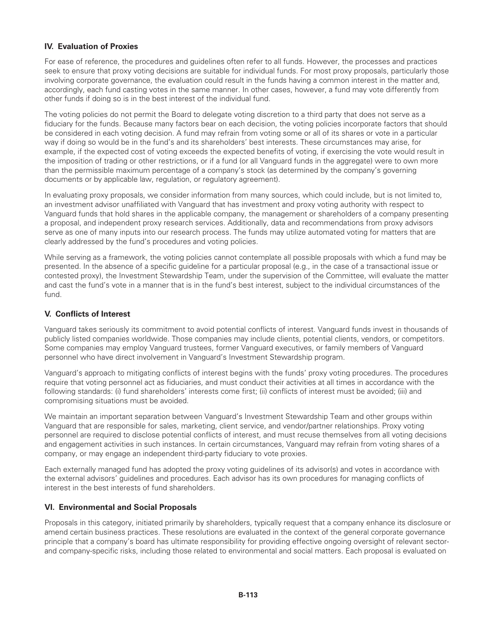# **IV. Evaluation of Proxies**

For ease of reference, the procedures and guidelines often refer to all funds. However, the processes and practices seek to ensure that proxy voting decisions are suitable for individual funds. For most proxy proposals, particularly those involving corporate governance, the evaluation could result in the funds having a common interest in the matter and, accordingly, each fund casting votes in the same manner. In other cases, however, a fund may vote differently from other funds if doing so is in the best interest of the individual fund.

The voting policies do not permit the Board to delegate voting discretion to a third party that does not serve as a fiduciary for the funds. Because many factors bear on each decision, the voting policies incorporate factors that should be considered in each voting decision. A fund may refrain from voting some or all of its shares or vote in a particular way if doing so would be in the fund's and its shareholders' best interests. These circumstances may arise, for example, if the expected cost of voting exceeds the expected benefits of voting, if exercising the vote would result in the imposition of trading or other restrictions, or if a fund (or all Vanguard funds in the aggregate) were to own more than the permissible maximum percentage of a company's stock (as determined by the company's governing documents or by applicable law, regulation, or regulatory agreement).

In evaluating proxy proposals, we consider information from many sources, which could include, but is not limited to, an investment advisor unaffiliated with Vanguard that has investment and proxy voting authority with respect to Vanguard funds that hold shares in the applicable company, the management or shareholders of a company presenting a proposal, and independent proxy research services. Additionally, data and recommendations from proxy advisors serve as one of many inputs into our research process. The funds may utilize automated voting for matters that are clearly addressed by the fund's procedures and voting policies.

While serving as a framework, the voting policies cannot contemplate all possible proposals with which a fund may be presented. In the absence of a specific guideline for a particular proposal (e.g., in the case of a transactional issue or contested proxy), the Investment Stewardship Team, under the supervision of the Committee, will evaluate the matter and cast the fund's vote in a manner that is in the fund's best interest, subject to the individual circumstances of the fund.

# **V. Conflicts of Interest**

Vanguard takes seriously its commitment to avoid potential conflicts of interest. Vanguard funds invest in thousands of publicly listed companies worldwide. Those companies may include clients, potential clients, vendors, or competitors. Some companies may employ Vanguard trustees, former Vanguard executives, or family members of Vanguard personnel who have direct involvement in Vanguard's Investment Stewardship program.

Vanguard's approach to mitigating conflicts of interest begins with the funds' proxy voting procedures. The procedures require that voting personnel act as fiduciaries, and must conduct their activities at all times in accordance with the following standards: (i) fund shareholders' interests come first; (ii) conflicts of interest must be avoided; (iii) and compromising situations must be avoided.

We maintain an important separation between Vanguard's Investment Stewardship Team and other groups within Vanguard that are responsible for sales, marketing, client service, and vendor/partner relationships. Proxy voting personnel are required to disclose potential conflicts of interest, and must recuse themselves from all voting decisions and engagement activities in such instances. In certain circumstances, Vanguard may refrain from voting shares of a company, or may engage an independent third-party fiduciary to vote proxies.

Each externally managed fund has adopted the proxy voting guidelines of its advisor(s) and votes in accordance with the external advisors' guidelines and procedures. Each advisor has its own procedures for managing conflicts of interest in the best interests of fund shareholders.

# **VI. Environmental and Social Proposals**

Proposals in this category, initiated primarily by shareholders, typically request that a company enhance its disclosure or amend certain business practices. These resolutions are evaluated in the context of the general corporate governance principle that a company's board has ultimate responsibility for providing effective ongoing oversight of relevant sectorand company-specific risks, including those related to environmental and social matters. Each proposal is evaluated on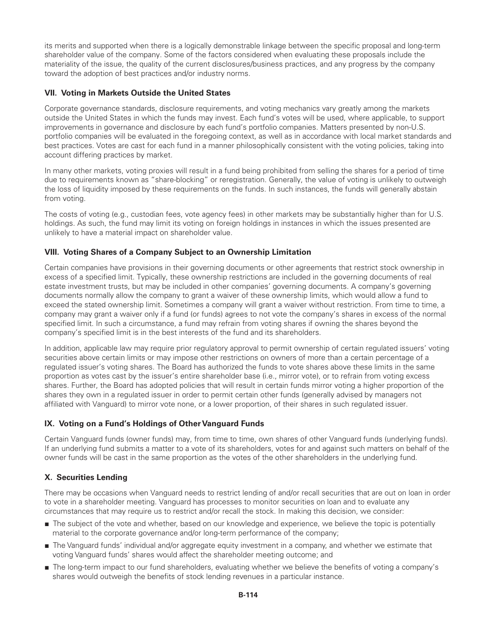its merits and supported when there is a logically demonstrable linkage between the specific proposal and long-term shareholder value of the company. Some of the factors considered when evaluating these proposals include the materiality of the issue, the quality of the current disclosures/business practices, and any progress by the company toward the adoption of best practices and/or industry norms.

# **VII. Voting in Markets Outside the United States**

Corporate governance standards, disclosure requirements, and voting mechanics vary greatly among the markets outside the United States in which the funds may invest. Each fund's votes will be used, where applicable, to support improvements in governance and disclosure by each fund's portfolio companies. Matters presented by non-U.S. portfolio companies will be evaluated in the foregoing context, as well as in accordance with local market standards and best practices. Votes are cast for each fund in a manner philosophically consistent with the voting policies, taking into account differing practices by market.

In many other markets, voting proxies will result in a fund being prohibited from selling the shares for a period of time due to requirements known as "share-blocking" or reregistration. Generally, the value of voting is unlikely to outweigh the loss of liquidity imposed by these requirements on the funds. In such instances, the funds will generally abstain from voting.

The costs of voting (e.g., custodian fees, vote agency fees) in other markets may be substantially higher than for U.S. holdings. As such, the fund may limit its voting on foreign holdings in instances in which the issues presented are unlikely to have a material impact on shareholder value.

# **VIII. Voting Shares of a Company Subject to an Ownership Limitation**

Certain companies have provisions in their governing documents or other agreements that restrict stock ownership in excess of a specified limit. Typically, these ownership restrictions are included in the governing documents of real estate investment trusts, but may be included in other companies' governing documents. A company's governing documents normally allow the company to grant a waiver of these ownership limits, which would allow a fund to exceed the stated ownership limit. Sometimes a company will grant a waiver without restriction. From time to time, a company may grant a waiver only if a fund (or funds) agrees to not vote the company's shares in excess of the normal specified limit. In such a circumstance, a fund may refrain from voting shares if owning the shares beyond the company's specified limit is in the best interests of the fund and its shareholders.

In addition, applicable law may require prior regulatory approval to permit ownership of certain regulated issuers' voting securities above certain limits or may impose other restrictions on owners of more than a certain percentage of a regulated issuer's voting shares. The Board has authorized the funds to vote shares above these limits in the same proportion as votes cast by the issuer's entire shareholder base (i.e., mirror vote), or to refrain from voting excess shares. Further, the Board has adopted policies that will result in certain funds mirror voting a higher proportion of the shares they own in a regulated issuer in order to permit certain other funds (generally advised by managers not affiliated with Vanguard) to mirror vote none, or a lower proportion, of their shares in such regulated issuer.

# **IX. Voting on a Fund's Holdings of Other Vanguard Funds**

Certain Vanguard funds (owner funds) may, from time to time, own shares of other Vanguard funds (underlying funds). If an underlying fund submits a matter to a vote of its shareholders, votes for and against such matters on behalf of the owner funds will be cast in the same proportion as the votes of the other shareholders in the underlying fund.

# **X. Securities Lending**

There may be occasions when Vanguard needs to restrict lending of and/or recall securities that are out on loan in order to vote in a shareholder meeting. Vanguard has processes to monitor securities on loan and to evaluate any circumstances that may require us to restrict and/or recall the stock. In making this decision, we consider:

- The subject of the vote and whether, based on our knowledge and experience, we believe the topic is potentially material to the corporate governance and/or long-term performance of the company;
- The Vanguard funds' individual and/or aggregate equity investment in a company, and whether we estimate that voting Vanguard funds' shares would affect the shareholder meeting outcome; and
- The long-term impact to our fund shareholders, evaluating whether we believe the benefits of voting a company's shares would outweigh the benefits of stock lending revenues in a particular instance.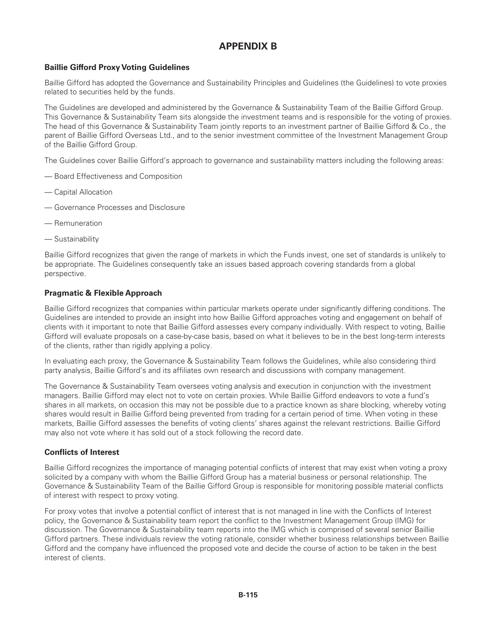# **APPENDIX B**

# **Baillie Gifford Proxy Voting Guidelines**

Baillie Gifford has adopted the Governance and Sustainability Principles and Guidelines (the Guidelines) to vote proxies related to securities held by the funds.

The Guidelines are developed and administered by the Governance & Sustainability Team of the Baillie Gifford Group. This Governance & Sustainability Team sits alongside the investment teams and is responsible for the voting of proxies. The head of this Governance & Sustainability Team jointly reports to an investment partner of Baillie Gifford & Co., the parent of Baillie Gifford Overseas Ltd., and to the senior investment committee of the Investment Management Group of the Baillie Gifford Group.

The Guidelines cover Baillie Gifford's approach to governance and sustainability matters including the following areas:

- Board Effectiveness and Composition
- Capital Allocation
- Governance Processes and Disclosure
- Remuneration
- Sustainability

Baillie Gifford recognizes that given the range of markets in which the Funds invest, one set of standards is unlikely to be appropriate. The Guidelines consequently take an issues based approach covering standards from a global perspective.

## **Pragmatic & Flexible Approach**

Baillie Gifford recognizes that companies within particular markets operate under significantly differing conditions. The Guidelines are intended to provide an insight into how Baillie Gifford approaches voting and engagement on behalf of clients with it important to note that Baillie Gifford assesses every company individually. With respect to voting, Baillie Gifford will evaluate proposals on a case-by-case basis, based on what it believes to be in the best long-term interests of the clients, rather than rigidly applying a policy.

In evaluating each proxy, the Governance & Sustainability Team follows the Guidelines, while also considering third party analysis, Baillie Gifford's and its affiliates own research and discussions with company management.

The Governance & Sustainability Team oversees voting analysis and execution in conjunction with the investment managers. Baillie Gifford may elect not to vote on certain proxies. While Baillie Gifford endeavors to vote a fund's shares in all markets, on occasion this may not be possible due to a practice known as share blocking, whereby voting shares would result in Baillie Gifford being prevented from trading for a certain period of time. When voting in these markets, Baillie Gifford assesses the benefits of voting clients' shares against the relevant restrictions. Baillie Gifford may also not vote where it has sold out of a stock following the record date.

#### **Conflicts of Interest**

Baillie Gifford recognizes the importance of managing potential conflicts of interest that may exist when voting a proxy solicited by a company with whom the Baillie Gifford Group has a material business or personal relationship. The Governance & Sustainability Team of the Baillie Gifford Group is responsible for monitoring possible material conflicts of interest with respect to proxy voting.

For proxy votes that involve a potential conflict of interest that is not managed in line with the Conflicts of Interest policy, the Governance & Sustainability team report the conflict to the Investment Management Group (IMG) for discussion. The Governance & Sustainability team reports into the IMG which is comprised of several senior Baillie Gifford partners. These individuals review the voting rationale, consider whether business relationships between Baillie Gifford and the company have influenced the proposed vote and decide the course of action to be taken in the best interest of clients.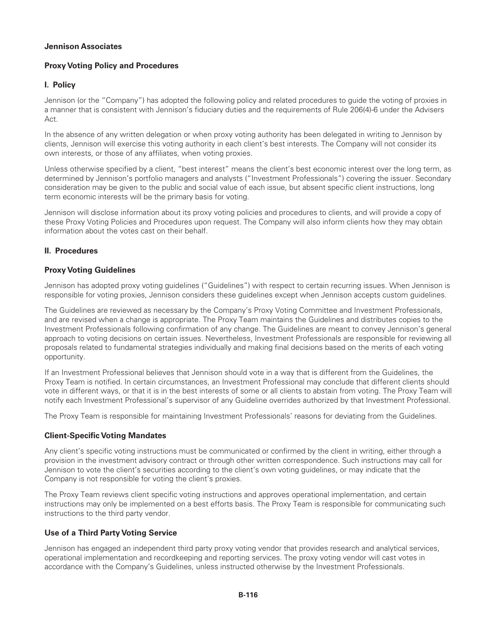## **Jennison Associates**

# **Proxy Voting Policy and Procedures**

# **I. Policy**

Jennison (or the "Company") has adopted the following policy and related procedures to guide the voting of proxies in a manner that is consistent with Jennison's fiduciary duties and the requirements of Rule 206(4)-6 under the Advisers Act.

In the absence of any written delegation or when proxy voting authority has been delegated in writing to Jennison by clients, Jennison will exercise this voting authority in each client's best interests. The Company will not consider its own interests, or those of any affiliates, when voting proxies.

Unless otherwise specified by a client, "best interest" means the client's best economic interest over the long term, as determined by Jennison's portfolio managers and analysts ("Investment Professionals") covering the issuer. Secondary consideration may be given to the public and social value of each issue, but absent specific client instructions, long term economic interests will be the primary basis for voting.

Jennison will disclose information about its proxy voting policies and procedures to clients, and will provide a copy of these Proxy Voting Policies and Procedures upon request. The Company will also inform clients how they may obtain information about the votes cast on their behalf.

## **II. Procedures**

## **Proxy Voting Guidelines**

Jennison has adopted proxy voting guidelines ("Guidelines") with respect to certain recurring issues. When Jennison is responsible for voting proxies, Jennison considers these guidelines except when Jennison accepts custom guidelines.

The Guidelines are reviewed as necessary by the Company's Proxy Voting Committee and Investment Professionals, and are revised when a change is appropriate. The Proxy Team maintains the Guidelines and distributes copies to the Investment Professionals following confirmation of any change. The Guidelines are meant to convey Jennison's general approach to voting decisions on certain issues. Nevertheless, Investment Professionals are responsible for reviewing all proposals related to fundamental strategies individually and making final decisions based on the merits of each voting opportunity.

If an Investment Professional believes that Jennison should vote in a way that is different from the Guidelines, the Proxy Team is notified. In certain circumstances, an Investment Professional may conclude that different clients should vote in different ways, or that it is in the best interests of some or all clients to abstain from voting. The Proxy Team will notify each Investment Professional's supervisor of any Guideline overrides authorized by that Investment Professional.

The Proxy Team is responsible for maintaining Investment Professionals' reasons for deviating from the Guidelines.

# **Client-Specific Voting Mandates**

Any client's specific voting instructions must be communicated or confirmed by the client in writing, either through a provision in the investment advisory contract or through other written correspondence. Such instructions may call for Jennison to vote the client's securities according to the client's own voting guidelines, or may indicate that the Company is not responsible for voting the client's proxies.

The Proxy Team reviews client specific voting instructions and approves operational implementation, and certain instructions may only be implemented on a best efforts basis. The Proxy Team is responsible for communicating such instructions to the third party vendor.

# **Use of a Third Party Voting Service**

Jennison has engaged an independent third party proxy voting vendor that provides research and analytical services, operational implementation and recordkeeping and reporting services. The proxy voting vendor will cast votes in accordance with the Company's Guidelines, unless instructed otherwise by the Investment Professionals.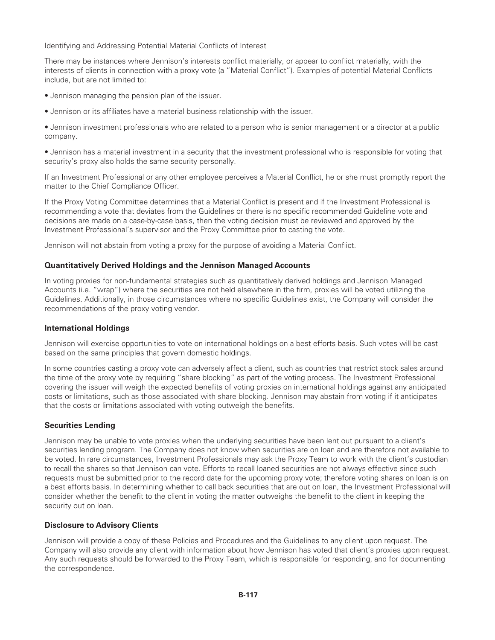Identifying and Addressing Potential Material Conflicts of Interest

There may be instances where Jennison's interests conflict materially, or appear to conflict materially, with the interests of clients in connection with a proxy vote (a "Material Conflict"). Examples of potential Material Conflicts include, but are not limited to:

- Jennison managing the pension plan of the issuer.
- Jennison or its affiliates have a material business relationship with the issuer.

• Jennison investment professionals who are related to a person who is senior management or a director at a public company.

• Jennison has a material investment in a security that the investment professional who is responsible for voting that security's proxy also holds the same security personally.

If an Investment Professional or any other employee perceives a Material Conflict, he or she must promptly report the matter to the Chief Compliance Officer.

If the Proxy Voting Committee determines that a Material Conflict is present and if the Investment Professional is recommending a vote that deviates from the Guidelines or there is no specific recommended Guideline vote and decisions are made on a case-by-case basis, then the voting decision must be reviewed and approved by the Investment Professional's supervisor and the Proxy Committee prior to casting the vote.

Jennison will not abstain from voting a proxy for the purpose of avoiding a Material Conflict.

#### **Quantitatively Derived Holdings and the Jennison Managed Accounts**

In voting proxies for non-fundamental strategies such as quantitatively derived holdings and Jennison Managed Accounts (i.e. "wrap") where the securities are not held elsewhere in the firm, proxies will be voted utilizing the Guidelines. Additionally, in those circumstances where no specific Guidelines exist, the Company will consider the recommendations of the proxy voting vendor.

#### **International Holdings**

Jennison will exercise opportunities to vote on international holdings on a best efforts basis. Such votes will be cast based on the same principles that govern domestic holdings.

In some countries casting a proxy vote can adversely affect a client, such as countries that restrict stock sales around the time of the proxy vote by requiring "share blocking" as part of the voting process. The Investment Professional covering the issuer will weigh the expected benefits of voting proxies on international holdings against any anticipated costs or limitations, such as those associated with share blocking. Jennison may abstain from voting if it anticipates that the costs or limitations associated with voting outweigh the benefits.

#### **Securities Lending**

Jennison may be unable to vote proxies when the underlying securities have been lent out pursuant to a client's securities lending program. The Company does not know when securities are on loan and are therefore not available to be voted. In rare circumstances, Investment Professionals may ask the Proxy Team to work with the client's custodian to recall the shares so that Jennison can vote. Efforts to recall loaned securities are not always effective since such requests must be submitted prior to the record date for the upcoming proxy vote; therefore voting shares on loan is on a best efforts basis. In determining whether to call back securities that are out on loan, the Investment Professional will consider whether the benefit to the client in voting the matter outweighs the benefit to the client in keeping the security out on loan.

#### **Disclosure to Advisory Clients**

Jennison will provide a copy of these Policies and Procedures and the Guidelines to any client upon request. The Company will also provide any client with information about how Jennison has voted that client's proxies upon request. Any such requests should be forwarded to the Proxy Team, which is responsible for responding, and for documenting the correspondence.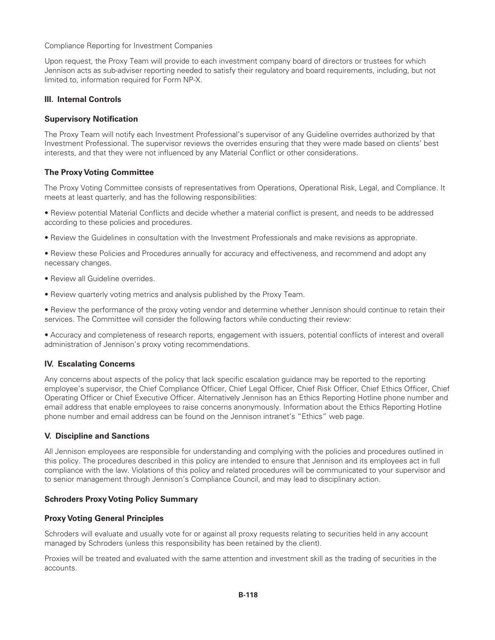Compliance Reporting for Investment Companies

Upon request, the Proxy Team will provide to each investment company board of directors or trustees for which Jennison acts as sub-adviser reporting needed to satisfy their regulatory and board requirements, including, but not limited to, information required for Form NP-X.

## **III. Internal Controls**

#### **Supervisory Notification**

The Proxy Team will notify each Investment Professional's supervisor of any Guideline overrides authorized by that Investment Professional. The supervisor reviews the overrides ensuring that they were made based on clients' best interests, and that they were not influenced by any Material Conflict or other considerations.

## **The Proxy Voting Committee**

The Proxy Voting Committee consists of representatives from Operations, Operational Risk, Legal, and Compliance. It meets at least quarterly, and has the following responsibilities:

• Review potential Material Conflicts and decide whether a material conflict is present, and needs to be addressed according to these policies and procedures.

• Review the Guidelines in consultation with the Investment Professionals and make revisions as appropriate.

• Review these Policies and Procedures annually for accuracy and effectiveness, and recommend and adopt any necessary changes.

- Review all Guideline overrides.
- Review quarterly voting metrics and analysis published by the Proxy Team.

• Review the performance of the proxy voting vendor and determine whether Jennison should continue to retain their services. The Committee will consider the following factors while conducting their review:

• Accuracy and completeness of research reports, engagement with issuers, potential conflicts of interest and overall administration of Jennison's proxy voting recommendations.

#### **IV. Escalating Concerns**

Any concerns about aspects of the policy that lack specific escalation guidance may be reported to the reporting employee's supervisor, the Chief Compliance Officer, Chief Legal Officer, Chief Risk Officer, Chief Ethics Officer, Chief Operating Officer or Chief Executive Officer. Alternatively Jennison has an Ethics Reporting Hotline phone number and email address that enable employees to raise concerns anonymously. Information about the Ethics Reporting Hotline phone number and email address can be found on the Jennison intranet's "Ethics" web page.

#### **V. Discipline and Sanctions**

All Jennison employees are responsible for understanding and complying with the policies and procedures outlined in this policy. The procedures described in this policy are intended to ensure that Jennison and its employees act in full compliance with the law. Violations of this policy and related procedures will be communicated to your supervisor and to senior management through Jennison's Compliance Council, and may lead to disciplinary action.

#### **Schroders Proxy Voting Policy Summary**

#### **Proxy Voting General Principles**

Schroders will evaluate and usually vote for or against all proxy requests relating to securities held in any account managed by Schroders (unless this responsibility has been retained by the client).

Proxies will be treated and evaluated with the same attention and investment skill as the trading of securities in the accounts.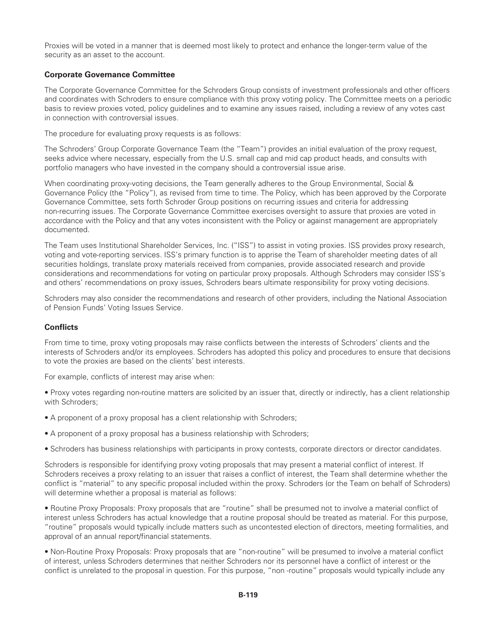Proxies will be voted in a manner that is deemed most likely to protect and enhance the longer-term value of the security as an asset to the account.

## **Corporate Governance Committee**

The Corporate Governance Committee for the Schroders Group consists of investment professionals and other officers and coordinates with Schroders to ensure compliance with this proxy voting policy. The Committee meets on a periodic basis to review proxies voted, policy guidelines and to examine any issues raised, including a review of any votes cast in connection with controversial issues.

The procedure for evaluating proxy requests is as follows:

The Schroders' Group Corporate Governance Team (the "Team") provides an initial evaluation of the proxy request, seeks advice where necessary, especially from the U.S. small cap and mid cap product heads, and consults with portfolio managers who have invested in the company should a controversial issue arise.

When coordinating proxy-voting decisions, the Team generally adheres to the Group Environmental, Social & Governance Policy (the "Policy"), as revised from time to time. The Policy, which has been approved by the Corporate Governance Committee, sets forth Schroder Group positions on recurring issues and criteria for addressing non-recurring issues. The Corporate Governance Committee exercises oversight to assure that proxies are voted in accordance with the Policy and that any votes inconsistent with the Policy or against management are appropriately documented.

The Team uses Institutional Shareholder Services, Inc. ("ISS") to assist in voting proxies. ISS provides proxy research, voting and vote-reporting services. ISS's primary function is to apprise the Team of shareholder meeting dates of all securities holdings, translate proxy materials received from companies, provide associated research and provide considerations and recommendations for voting on particular proxy proposals. Although Schroders may consider ISS's and others' recommendations on proxy issues, Schroders bears ultimate responsibility for proxy voting decisions.

Schroders may also consider the recommendations and research of other providers, including the National Association of Pension Funds' Voting Issues Service.

#### **Conflicts**

From time to time, proxy voting proposals may raise conflicts between the interests of Schroders' clients and the interests of Schroders and/or its employees. Schroders has adopted this policy and procedures to ensure that decisions to vote the proxies are based on the clients' best interests.

For example, conflicts of interest may arise when:

• Proxy votes regarding non-routine matters are solicited by an issuer that, directly or indirectly, has a client relationship with Schroders;

- A proponent of a proxy proposal has a client relationship with Schroders;
- A proponent of a proxy proposal has a business relationship with Schroders;
- Schroders has business relationships with participants in proxy contests, corporate directors or director candidates.

Schroders is responsible for identifying proxy voting proposals that may present a material conflict of interest. If Schroders receives a proxy relating to an issuer that raises a conflict of interest, the Team shall determine whether the conflict is "material" to any specific proposal included within the proxy. Schroders (or the Team on behalf of Schroders) will determine whether a proposal is material as follows:

• Routine Proxy Proposals: Proxy proposals that are "routine" shall be presumed not to involve a material conflict of interest unless Schroders has actual knowledge that a routine proposal should be treated as material. For this purpose, "routine" proposals would typically include matters such as uncontested election of directors, meeting formalities, and approval of an annual report/financial statements.

• Non-Routine Proxy Proposals: Proxy proposals that are "non-routine" will be presumed to involve a material conflict of interest, unless Schroders determines that neither Schroders nor its personnel have a conflict of interest or the conflict is unrelated to the proposal in question. For this purpose, "non -routine" proposals would typically include any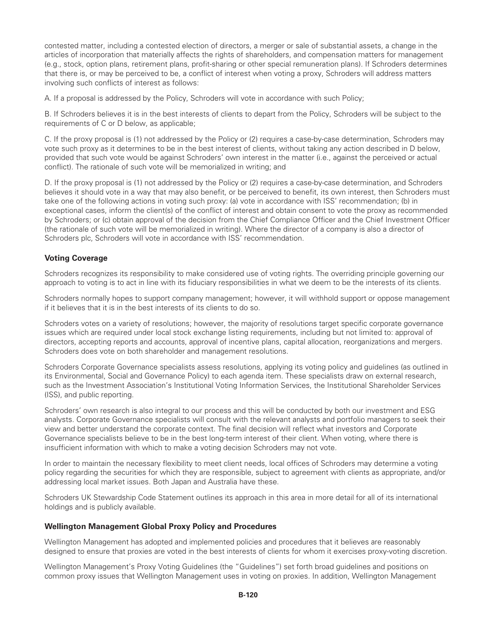contested matter, including a contested election of directors, a merger or sale of substantial assets, a change in the articles of incorporation that materially affects the rights of shareholders, and compensation matters for management (e.g., stock, option plans, retirement plans, profit-sharing or other special remuneration plans). If Schroders determines that there is, or may be perceived to be, a conflict of interest when voting a proxy, Schroders will address matters involving such conflicts of interest as follows:

A. If a proposal is addressed by the Policy, Schroders will vote in accordance with such Policy;

B. If Schroders believes it is in the best interests of clients to depart from the Policy, Schroders will be subject to the requirements of C or D below, as applicable;

C. If the proxy proposal is (1) not addressed by the Policy or (2) requires a case-by-case determination, Schroders may vote such proxy as it determines to be in the best interest of clients, without taking any action described in D below, provided that such vote would be against Schroders' own interest in the matter (i.e., against the perceived or actual conflict). The rationale of such vote will be memorialized in writing; and

D. If the proxy proposal is (1) not addressed by the Policy or (2) requires a case-by-case determination, and Schroders believes it should vote in a way that may also benefit, or be perceived to benefit, its own interest, then Schroders must take one of the following actions in voting such proxy: (a) vote in accordance with ISS' recommendation; (b) in exceptional cases, inform the client(s) of the conflict of interest and obtain consent to vote the proxy as recommended by Schroders; or (c) obtain approval of the decision from the Chief Compliance Officer and the Chief Investment Officer (the rationale of such vote will be memorialized in writing). Where the director of a company is also a director of Schroders plc, Schroders will vote in accordance with ISS' recommendation.

## **Voting Coverage**

Schroders recognizes its responsibility to make considered use of voting rights. The overriding principle governing our approach to voting is to act in line with its fiduciary responsibilities in what we deem to be the interests of its clients.

Schroders normally hopes to support company management; however, it will withhold support or oppose management if it believes that it is in the best interests of its clients to do so.

Schroders votes on a variety of resolutions; however, the majority of resolutions target specific corporate governance issues which are required under local stock exchange listing requirements, including but not limited to: approval of directors, accepting reports and accounts, approval of incentive plans, capital allocation, reorganizations and mergers. Schroders does vote on both shareholder and management resolutions.

Schroders Corporate Governance specialists assess resolutions, applying its voting policy and guidelines (as outlined in its Environmental, Social and Governance Policy) to each agenda item. These specialists draw on external research, such as the Investment Association's Institutional Voting Information Services, the Institutional Shareholder Services (ISS), and public reporting.

Schroders' own research is also integral to our process and this will be conducted by both our investment and ESG analysts. Corporate Governance specialists will consult with the relevant analysts and portfolio managers to seek their view and better understand the corporate context. The final decision will reflect what investors and Corporate Governance specialists believe to be in the best long-term interest of their client. When voting, where there is insufficient information with which to make a voting decision Schroders may not vote.

In order to maintain the necessary flexibility to meet client needs, local offices of Schroders may determine a voting policy regarding the securities for which they are responsible, subject to agreement with clients as appropriate, and/or addressing local market issues. Both Japan and Australia have these.

Schroders UK Stewardship Code Statement outlines its approach in this area in more detail for all of its international holdings and is publicly available.

#### **Wellington Management Global Proxy Policy and Procedures**

Wellington Management has adopted and implemented policies and procedures that it believes are reasonably designed to ensure that proxies are voted in the best interests of clients for whom it exercises proxy-voting discretion.

Wellington Management's Proxy Voting Guidelines (the "Guidelines") set forth broad guidelines and positions on common proxy issues that Wellington Management uses in voting on proxies. In addition, Wellington Management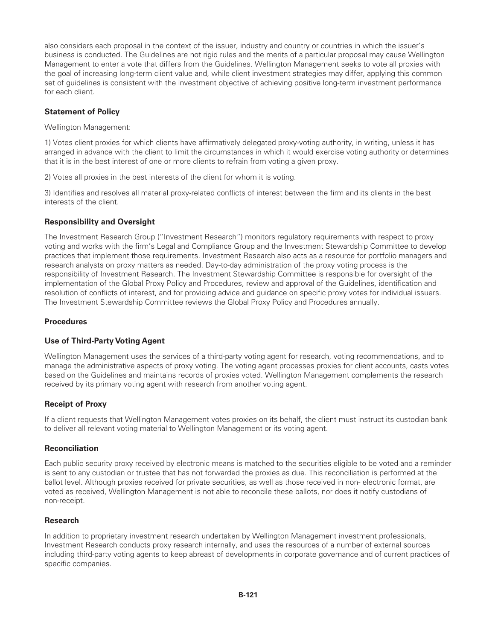also considers each proposal in the context of the issuer, industry and country or countries in which the issuer's business is conducted. The Guidelines are not rigid rules and the merits of a particular proposal may cause Wellington Management to enter a vote that differs from the Guidelines. Wellington Management seeks to vote all proxies with the goal of increasing long-term client value and, while client investment strategies may differ, applying this common set of guidelines is consistent with the investment objective of achieving positive long-term investment performance for each client.

## **Statement of Policy**

Wellington Management:

1) Votes client proxies for which clients have affirmatively delegated proxy-voting authority, in writing, unless it has arranged in advance with the client to limit the circumstances in which it would exercise voting authority or determines that it is in the best interest of one or more clients to refrain from voting a given proxy.

2) Votes all proxies in the best interests of the client for whom it is voting.

3) Identifies and resolves all material proxy-related conflicts of interest between the firm and its clients in the best interests of the client.

## **Responsibility and Oversight**

The Investment Research Group ("Investment Research") monitors regulatory requirements with respect to proxy voting and works with the firm's Legal and Compliance Group and the Investment Stewardship Committee to develop practices that implement those requirements. Investment Research also acts as a resource for portfolio managers and research analysts on proxy matters as needed. Day-to-day administration of the proxy voting process is the responsibility of Investment Research. The Investment Stewardship Committee is responsible for oversight of the implementation of the Global Proxy Policy and Procedures, review and approval of the Guidelines, identification and resolution of conflicts of interest, and for providing advice and guidance on specific proxy votes for individual issuers. The Investment Stewardship Committee reviews the Global Proxy Policy and Procedures annually.

### **Procedures**

# **Use of Third-Party Voting Agent**

Wellington Management uses the services of a third-party voting agent for research, voting recommendations, and to manage the administrative aspects of proxy voting. The voting agent processes proxies for client accounts, casts votes based on the Guidelines and maintains records of proxies voted. Wellington Management complements the research received by its primary voting agent with research from another voting agent.

#### **Receipt of Proxy**

If a client requests that Wellington Management votes proxies on its behalf, the client must instruct its custodian bank to deliver all relevant voting material to Wellington Management or its voting agent.

#### **Reconciliation**

Each public security proxy received by electronic means is matched to the securities eligible to be voted and a reminder is sent to any custodian or trustee that has not forwarded the proxies as due. This reconciliation is performed at the ballot level. Although proxies received for private securities, as well as those received in non- electronic format, are voted as received, Wellington Management is not able to reconcile these ballots, nor does it notify custodians of non-receipt.

#### **Research**

In addition to proprietary investment research undertaken by Wellington Management investment professionals, Investment Research conducts proxy research internally, and uses the resources of a number of external sources including third-party voting agents to keep abreast of developments in corporate governance and of current practices of specific companies.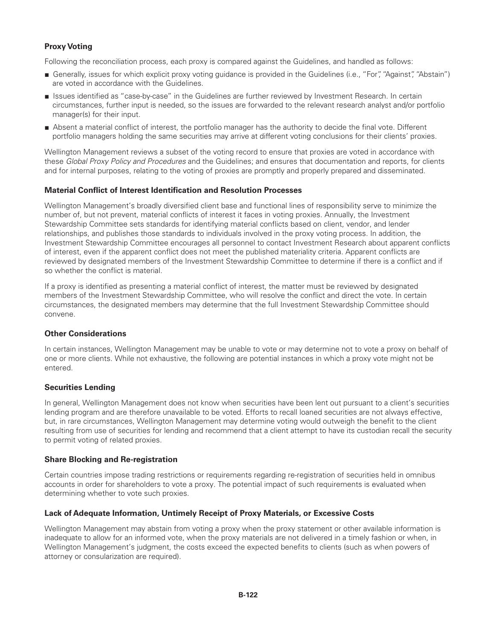# **Proxy Voting**

Following the reconciliation process, each proxy is compared against the Guidelines, and handled as follows:

- Generally, issues for which explicit proxy voting guidance is provided in the Guidelines (i.e., "For", "Against", "Abstain") are voted in accordance with the Guidelines.
- Issues identified as "case-by-case" in the Guidelines are further reviewed by Investment Research. In certain circumstances, further input is needed, so the issues are forwarded to the relevant research analyst and/or portfolio manager(s) for their input.
- Absent a material conflict of interest, the portfolio manager has the authority to decide the final vote. Different portfolio managers holding the same securities may arrive at different voting conclusions for their clients' proxies.

Wellington Management reviews a subset of the voting record to ensure that proxies are voted in accordance with these *Global Proxy Policy and Procedures* and the Guidelines; and ensures that documentation and reports, for clients and for internal purposes, relating to the voting of proxies are promptly and properly prepared and disseminated.

#### **Material Conflict of Interest Identification and Resolution Processes**

Wellington Management's broadly diversified client base and functional lines of responsibility serve to minimize the number of, but not prevent, material conflicts of interest it faces in voting proxies. Annually, the Investment Stewardship Committee sets standards for identifying material conflicts based on client, vendor, and lender relationships, and publishes those standards to individuals involved in the proxy voting process. In addition, the Investment Stewardship Committee encourages all personnel to contact Investment Research about apparent conflicts of interest, even if the apparent conflict does not meet the published materiality criteria. Apparent conflicts are reviewed by designated members of the Investment Stewardship Committee to determine if there is a conflict and if so whether the conflict is material.

If a proxy is identified as presenting a material conflict of interest, the matter must be reviewed by designated members of the Investment Stewardship Committee, who will resolve the conflict and direct the vote. In certain circumstances, the designated members may determine that the full Investment Stewardship Committee should convene.

## **Other Considerations**

In certain instances, Wellington Management may be unable to vote or may determine not to vote a proxy on behalf of one or more clients. While not exhaustive, the following are potential instances in which a proxy vote might not be entered.

#### **Securities Lending**

In general, Wellington Management does not know when securities have been lent out pursuant to a client's securities lending program and are therefore unavailable to be voted. Efforts to recall loaned securities are not always effective, but, in rare circumstances, Wellington Management may determine voting would outweigh the benefit to the client resulting from use of securities for lending and recommend that a client attempt to have its custodian recall the security to permit voting of related proxies.

#### **Share Blocking and Re-registration**

Certain countries impose trading restrictions or requirements regarding re-registration of securities held in omnibus accounts in order for shareholders to vote a proxy. The potential impact of such requirements is evaluated when determining whether to vote such proxies.

#### **Lack of Adequate Information, Untimely Receipt of Proxy Materials, or Excessive Costs**

Wellington Management may abstain from voting a proxy when the proxy statement or other available information is inadequate to allow for an informed vote, when the proxy materials are not delivered in a timely fashion or when, in Wellington Management's judgment, the costs exceed the expected benefits to clients (such as when powers of attorney or consularization are required).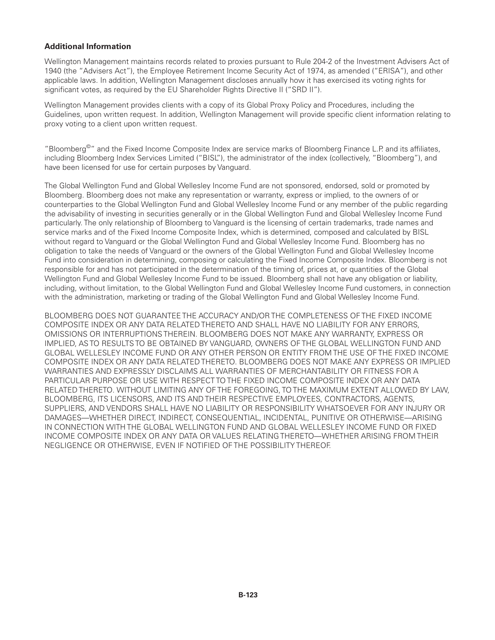## **Additional Information**

Wellington Management maintains records related to proxies pursuant to Rule 204-2 of the Investment Advisers Act of 1940 (the "Advisers Act"), the Employee Retirement Income Security Act of 1974, as amended ("ERISA"), and other applicable laws. In addition, Wellington Management discloses annually how it has exercised its voting rights for significant votes, as required by the EU Shareholder Rights Directive II ("SRD II").

Wellington Management provides clients with a copy of its Global Proxy Policy and Procedures, including the Guidelines, upon written request. In addition, Wellington Management will provide specific client information relating to proxy voting to a client upon written request.

"Bloomberg©" and the Fixed Income Composite Index are service marks of Bloomberg Finance L.P. and its affiliates, including Bloomberg Index Services Limited ("BISL"), the administrator of the index (collectively, "Bloomberg"), and have been licensed for use for certain purposes by Vanguard.

The Global Wellington Fund and Global Wellesley Income Fund are not sponsored, endorsed, sold or promoted by Bloomberg. Bloomberg does not make any representation or warranty, express or implied, to the owners of or counterparties to the Global Wellington Fund and Global Wellesley Income Fund or any member of the public regarding the advisability of investing in securities generally or in the Global Wellington Fund and Global Wellesley Income Fund particularly. The only relationship of Bloomberg to Vanguard is the licensing of certain trademarks, trade names and service marks and of the Fixed Income Composite Index, which is determined, composed and calculated by BISL without regard to Vanguard or the Global Wellington Fund and Global Wellesley Income Fund. Bloomberg has no obligation to take the needs of Vanguard or the owners of the Global Wellington Fund and Global Wellesley Income Fund into consideration in determining, composing or calculating the Fixed Income Composite Index. Bloomberg is not responsible for and has not participated in the determination of the timing of, prices at, or quantities of the Global Wellington Fund and Global Wellesley Income Fund to be issued. Bloomberg shall not have any obligation or liability, including, without limitation, to the Global Wellington Fund and Global Wellesley Income Fund customers, in connection with the administration, marketing or trading of the Global Wellington Fund and Global Wellesley Income Fund.

BLOOMBERG DOES NOT GUARANTEE THE ACCURACY AND/OR THE COMPLETENESS OF THE FIXED INCOME COMPOSITE INDEX OR ANY DATA RELATED THERETO AND SHALL HAVE NO LIABILITY FOR ANY ERRORS, OMISSIONS OR INTERRUPTIONS THEREIN. BLOOMBERG DOES NOT MAKE ANY WARRANTY, EXPRESS OR IMPLIED, AS TO RESULTS TO BE OBTAINED BY VANGUARD, OWNERS OF THE GLOBAL WELLINGTON FUND AND GLOBAL WELLESLEY INCOME FUND OR ANY OTHER PERSON OR ENTITY FROM THE USE OF THE FIXED INCOME COMPOSITE INDEX OR ANY DATA RELATED THERETO. BLOOMBERG DOES NOT MAKE ANY EXPRESS OR IMPLIED WARRANTIES AND EXPRESSLY DISCLAIMS ALL WARRANTIES OF MERCHANTABILITY OR FITNESS FOR A PARTICULAR PURPOSE OR USE WITH RESPECT TO THE FIXED INCOME COMPOSITE INDEX OR ANY DATA RELATED THERETO. WITHOUT LIMITING ANY OF THE FOREGOING, TO THE MAXIMUM EXTENT ALLOWED BY LAW, BLOOMBERG, ITS LICENSORS, AND ITS AND THEIR RESPECTIVE EMPLOYEES, CONTRACTORS, AGENTS, SUPPLIERS, AND VENDORS SHALL HAVE NO LIABILITY OR RESPONSIBILITY WHATSOEVER FOR ANY INJURY OR DAMAGES—WHETHER DIRECT, INDIRECT, CONSEQUENTIAL, INCIDENTAL, PUNITIVE OR OTHERWISE—ARISING IN CONNECTION WITH THE GLOBAL WELLINGTON FUND AND GLOBAL WELLESLEY INCOME FUND OR FIXED INCOME COMPOSITE INDEX OR ANY DATA OR VALUES RELATING THERETO—WHETHER ARISING FROM THEIR NEGLIGENCE OR OTHERWISE, EVEN IF NOTIFIED OF THE POSSIBILITY THEREOF.